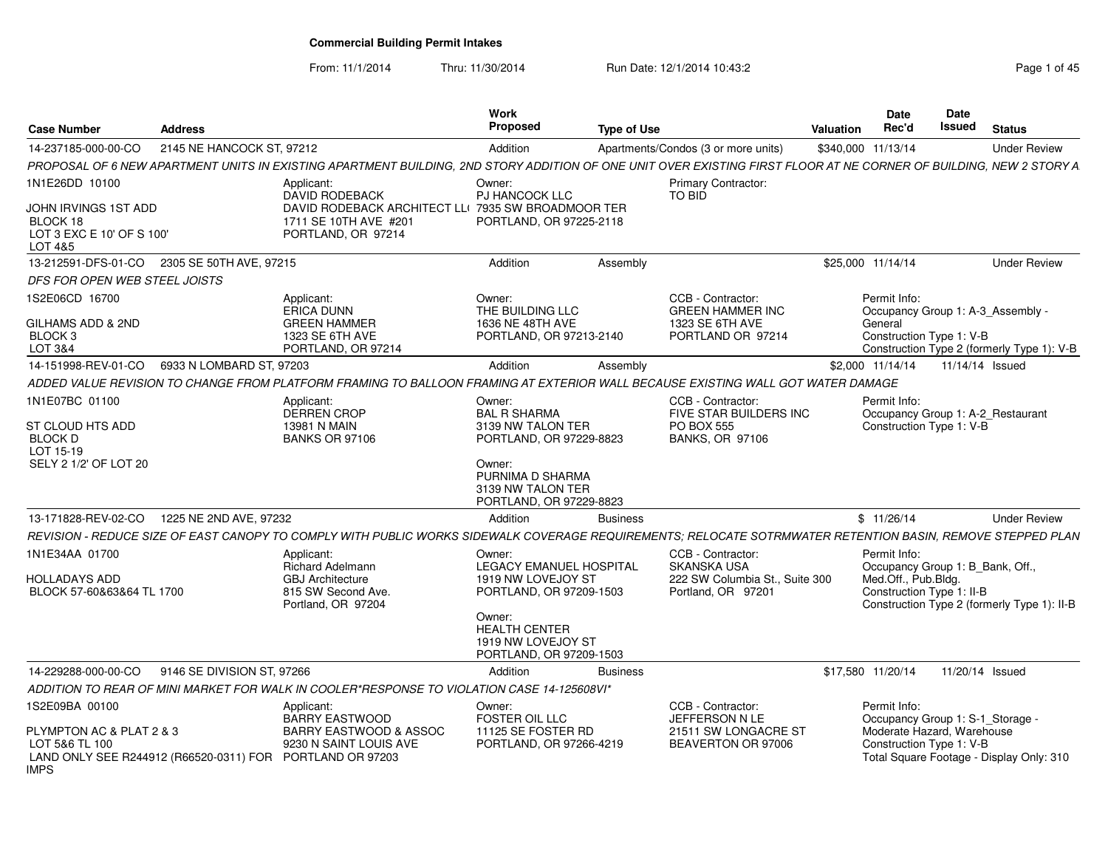From: 11/1/2014

Thru: 11/30/2014 Run Date: 12/1/2014 10:43:2<br> **Page 1 of 45** 

| <b>Case Number</b>                                                                                                     | Address                    |                                                                                                                                                                    | Work<br>Proposed                                                           | <b>Type of Use</b> |                                                                       | Date<br>Rec'd<br><b>Valuation</b> | <b>Date</b><br>Issued                                                                                                                  | <b>Status</b>   |                                             |
|------------------------------------------------------------------------------------------------------------------------|----------------------------|--------------------------------------------------------------------------------------------------------------------------------------------------------------------|----------------------------------------------------------------------------|--------------------|-----------------------------------------------------------------------|-----------------------------------|----------------------------------------------------------------------------------------------------------------------------------------|-----------------|---------------------------------------------|
| 14-237185-000-00-CO                                                                                                    | 2145 NE HANCOCK ST, 97212  |                                                                                                                                                                    | Addition                                                                   |                    | Apartments/Condos (3 or more units)                                   | \$340,000 11/13/14                |                                                                                                                                        |                 | <b>Under Review</b>                         |
|                                                                                                                        |                            | PROPOSAL OF 6 NEW APARTMENT UNITS IN EXISTING APARTMENT BUILDING, 2ND STORY ADDITION OF ONE UNIT OVER EXISTING FIRST FLOOR AT NE CORNER OF BUILDING, NEW 2 STORY A |                                                                            |                    |                                                                       |                                   |                                                                                                                                        |                 |                                             |
| 1N1E26DD 10100<br>JOHN IRVINGS 1ST ADD<br>BLOCK 18                                                                     |                            | Applicant:<br>DAVID RODEBACK<br>DAVID RODEBACK ARCHITECT LL(7935 SW BROADMOOR TER<br>1711 SE 10TH AVE #201                                                         | Owner:<br><b>PJ HANCOCK LLC</b><br>PORTLAND, OR 97225-2118                 |                    | <b>Primary Contractor:</b><br>TO BID                                  |                                   |                                                                                                                                        |                 |                                             |
| LOT 3 EXC E 10' OF S 100'<br>LOT 4&5                                                                                   |                            | PORTLAND, OR 97214                                                                                                                                                 |                                                                            |                    |                                                                       |                                   |                                                                                                                                        |                 |                                             |
| 13-212591-DFS-01-CO 2305 SE 50TH AVE, 97215                                                                            |                            |                                                                                                                                                                    | Addition                                                                   | Assembly           |                                                                       | \$25,000 11/14/14                 |                                                                                                                                        |                 | <b>Under Review</b>                         |
| DFS FOR OPEN WEB STEEL JOISTS                                                                                          |                            |                                                                                                                                                                    |                                                                            |                    |                                                                       |                                   |                                                                                                                                        |                 |                                             |
| 1S2E06CD 16700                                                                                                         |                            | Applicant:<br><b>ERICA DUNN</b>                                                                                                                                    | Owner:<br>THE BUILDING LLC                                                 |                    | CCB - Contractor:<br><b>GREEN HAMMER INC</b>                          | Permit Info:                      | Occupancy Group 1: A-3 Assembly                                                                                                        |                 |                                             |
| GILHAMS ADD & 2ND<br>BLOCK 3                                                                                           |                            | <b>GREEN HAMMER</b><br>1323 SE 6TH AVE                                                                                                                             | 1636 NE 48TH AVE<br>PORTLAND, OR 97213-2140                                |                    | 1323 SE 6TH AVE<br>PORTLAND OR 97214                                  | General                           | Construction Type 1: V-B                                                                                                               |                 |                                             |
| LOT 3&4<br>14-151998-REV-01-CO   6933 N LOMBARD ST, 97203                                                              |                            | PORTLAND, OR 97214                                                                                                                                                 | Addition                                                                   | Assembly           |                                                                       | \$2,000 11/14/14                  |                                                                                                                                        | 11/14/14 Issued | Construction Type 2 (formerly Type 1): V-B  |
|                                                                                                                        |                            | ADDED VALUE REVISION TO CHANGE FROM PLATFORM FRAMING TO BALLOON FRAMING AT EXTERIOR WALL BECAUSE EXISTING WALL GOT WATER DAMAGE                                    |                                                                            |                    |                                                                       |                                   |                                                                                                                                        |                 |                                             |
| 1N1E07BC 01100                                                                                                         |                            | Applicant:                                                                                                                                                         | Owner:                                                                     |                    | CCB - Contractor:                                                     | Permit Info:                      |                                                                                                                                        |                 |                                             |
| ST CLOUD HTS ADD<br><b>BLOCK D</b><br>LOT 15-19                                                                        |                            | <b>DERREN CROP</b><br>13981 N MAIN<br><b>BANKS OR 97106</b>                                                                                                        | <b>BAL R SHARMA</b><br>3139 NW TALON TER<br>PORTLAND, OR 97229-8823        |                    | FIVE STAR BUILDERS INC<br><b>PO BOX 555</b><br><b>BANKS, OR 97106</b> |                                   | Occupancy Group 1: A-2_Restaurant<br>Construction Type 1: V-B                                                                          |                 |                                             |
| SELY 2 1/2' OF LOT 20                                                                                                  |                            |                                                                                                                                                                    | Owner:<br>PURNIMA D SHARMA<br>3139 NW TALON TER<br>PORTLAND, OR 97229-8823 |                    |                                                                       |                                   |                                                                                                                                        |                 |                                             |
| 13-171828-REV-02-CO 1225 NE 2ND AVE, 97232                                                                             |                            |                                                                                                                                                                    | Addition                                                                   | <b>Business</b>    |                                                                       | \$11/26/14                        |                                                                                                                                        |                 | <b>Under Review</b>                         |
|                                                                                                                        |                            | REVISION - REDUCE SIZE OF EAST CANOPY TO COMPLY WITH PUBLIC WORKS SIDEWALK COVERAGE REQUIREMENTS; RELOCATE SOTRMWATER RETENTION BASIN, REMOVE STEPPED PLAN         |                                                                            |                    |                                                                       |                                   |                                                                                                                                        |                 |                                             |
| 1N1E34AA 01700                                                                                                         |                            | Applicant:<br><b>Richard Adelmann</b>                                                                                                                              | Owner:<br><b>LEGACY EMANUEL HOSPITAL</b>                                   |                    | CCB - Contractor:<br><b>SKANSKA USA</b>                               | Permit Info:                      | Occupancy Group 1: B_Bank, Off.,                                                                                                       |                 |                                             |
| <b>HOLLADAYS ADD</b><br>BLOCK 57-60&63&64 TL 1700                                                                      |                            | <b>GBJ</b> Architecture<br>815 SW Second Ave.<br>Portland, OR 97204                                                                                                | 1919 NW LOVEJOY ST<br>PORTLAND, OR 97209-1503                              |                    | 222 SW Columbia St., Suite 300<br>Portland, OR 97201                  | Med.Off., Pub.Bldg.               | Construction Type 1: II-B                                                                                                              |                 | Construction Type 2 (formerly Type 1): II-B |
|                                                                                                                        |                            |                                                                                                                                                                    | Owner:<br>HEALTH CENTER<br>1919 NW LOVEJOY ST<br>PORTLAND, OR 97209-1503   |                    |                                                                       |                                   |                                                                                                                                        |                 |                                             |
| 14-229288-000-00-CO                                                                                                    | 9146 SE DIVISION ST, 97266 |                                                                                                                                                                    | Addition                                                                   | <b>Business</b>    |                                                                       | \$17,580 11/20/14                 |                                                                                                                                        | 11/20/14 Issued |                                             |
|                                                                                                                        |                            | ADDITION TO REAR OF MINI MARKET FOR WALK IN COOLER*RESPONSE TO VIOLATION CASE 14-125608VI*                                                                         |                                                                            |                    |                                                                       |                                   |                                                                                                                                        |                 |                                             |
| S2E09BA 00100                                                                                                          |                            | Applicant:                                                                                                                                                         | Owner:                                                                     |                    | CCB - Contractor:                                                     | Permit Info:                      |                                                                                                                                        |                 |                                             |
| PLYMPTON AC & PLAT 2 & 3<br>LOT 5&6 TL 100<br>LAND ONLY SEE R244912 (R66520-0311) FOR PORTLAND OR 97203<br><b>IMPS</b> |                            | <b>BARRY EASTWOOD</b><br>BARRY EASTWOOD & ASSOC<br>9230 N SAINT LOUIS AVE                                                                                          | FOSTER OIL LLC<br>11125 SE FOSTER RD<br>PORTLAND, OR 97266-4219            |                    | JEFFERSON N LE<br>21511 SW LONGACRE ST<br>BEAVERTON OR 97006          |                                   | Occupancy Group 1: S-1_Storage -<br>Moderate Hazard, Warehouse<br>Construction Type 1: V-B<br>Total Square Footage - Display Only: 310 |                 |                                             |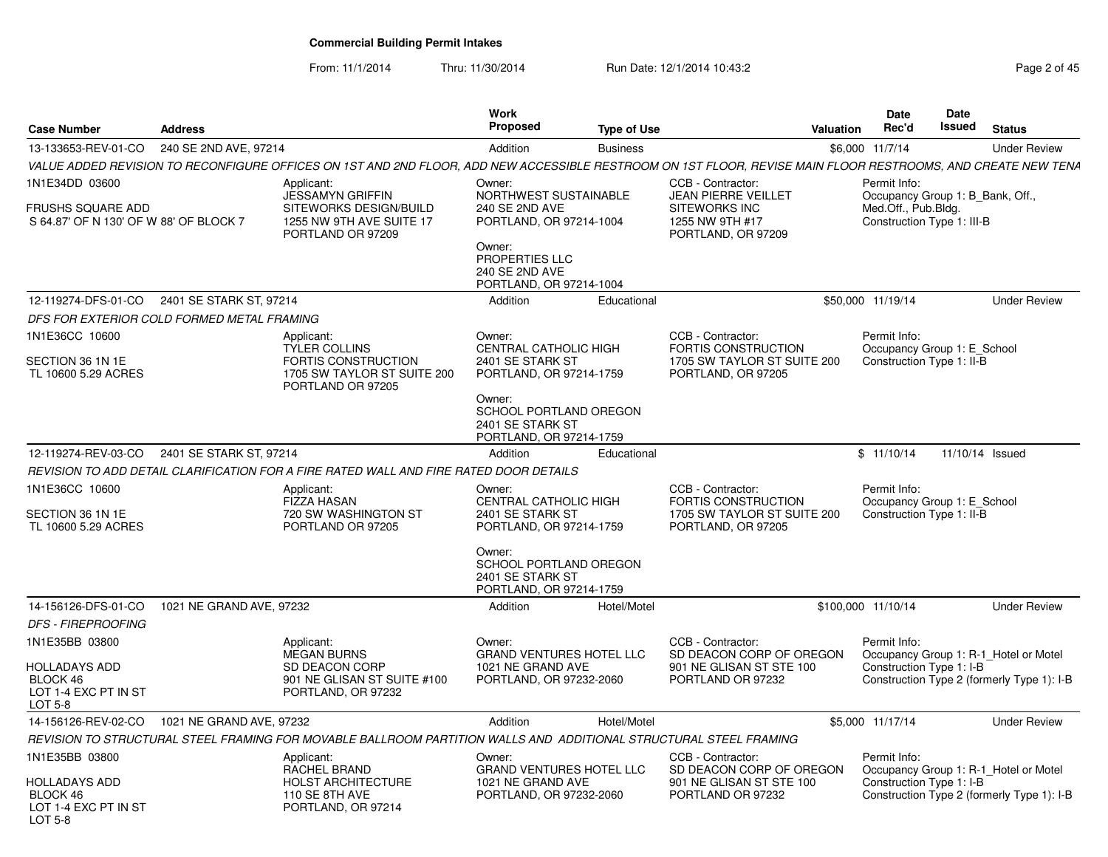From: 11/1/2014

Thru: 11/30/2014 Run Date: 12/1/2014 10:43:2

| Page 2 of 45 |  |  |  |
|--------------|--|--|--|
|--------------|--|--|--|

| <b>Case Number</b>                                                             | <b>Address</b>                             |                                                                                                                                                              | Work<br>Proposed                                                                                                                                                  | <b>Type of Use</b> |                                                                                                | <b>Valuation</b> | <b>Date</b><br>Rec'd                                                                  | Date<br>Issued | <b>Status</b>                                                                       |
|--------------------------------------------------------------------------------|--------------------------------------------|--------------------------------------------------------------------------------------------------------------------------------------------------------------|-------------------------------------------------------------------------------------------------------------------------------------------------------------------|--------------------|------------------------------------------------------------------------------------------------|------------------|---------------------------------------------------------------------------------------|----------------|-------------------------------------------------------------------------------------|
| 13-133653-REV-01-CO                                                            | 240 SE 2ND AVE, 97214                      |                                                                                                                                                              | Addition                                                                                                                                                          | <b>Business</b>    |                                                                                                |                  | \$6,000 11/7/14                                                                       |                | <b>Under Review</b>                                                                 |
|                                                                                |                                            | VALUE ADDED REVISION TO RECONFIGURE OFFICES ON 1ST AND 2ND FLOOR. ADD NEW ACCESSIBLE RESTROOM ON 1ST FLOOR. REVISE MAIN FLOOR RESTROOMS. AND CREATE NEW TENA |                                                                                                                                                                   |                    |                                                                                                |                  |                                                                                       |                |                                                                                     |
| 1N1E34DD 03600                                                                 |                                            | Applicant:                                                                                                                                                   | Owner:                                                                                                                                                            |                    | CCB - Contractor:                                                                              |                  | Permit Info:                                                                          |                |                                                                                     |
| FRUSHS SQUARE ADD<br>S 64.87' OF N 130' OF W 88' OF BLOCK 7                    |                                            | <b>JESSAMYN GRIFFIN</b><br>SITEWORKS DESIGN/BUILD<br>1255 NW 9TH AVE SUITE 17<br>PORTLAND OR 97209                                                           | NORTHWEST SUSTAINABLE<br>240 SE 2ND AVE<br>PORTLAND, OR 97214-1004<br>Owner:<br>PROPERTIES LLC<br>240 SE 2ND AVE<br>PORTLAND, OR 97214-1004                       |                    | <b>JEAN PIERRE VEILLET</b><br>SITEWORKS INC<br>1255 NW 9TH #17<br>PORTLAND, OR 97209           |                  | Occupancy Group 1: B_Bank, Off.,<br>Med.Off., Pub.Bldg.<br>Construction Type 1: III-B |                |                                                                                     |
| 12-119274-DFS-01-CO                                                            | 2401 SE STARK ST, 97214                    |                                                                                                                                                              | Addition                                                                                                                                                          | Educational        |                                                                                                |                  | \$50,000 11/19/14                                                                     |                | <b>Under Review</b>                                                                 |
|                                                                                | DFS FOR EXTERIOR COLD FORMED METAL FRAMING |                                                                                                                                                              |                                                                                                                                                                   |                    |                                                                                                |                  |                                                                                       |                |                                                                                     |
| 1N1E36CC 10600<br>SECTION 36 1N 1E<br>TL 10600 5.29 ACRES                      |                                            | Applicant:<br><b>TYLER COLLINS</b><br>FORTIS CONSTRUCTION<br>1705 SW TAYLOR ST SUITE 200<br>PORTLAND OR 97205                                                | Owner:<br>CENTRAL CATHOLIC HIGH<br>2401 SE STARK ST<br>PORTLAND, OR 97214-1759<br>Owner:<br>SCHOOL PORTLAND OREGON<br>2401 SE STARK ST<br>PORTLAND, OR 97214-1759 |                    | CCB - Contractor:<br>FORTIS CONSTRUCTION<br>1705 SW TAYLOR ST SUITE 200<br>PORTLAND, OR 97205  |                  | Permit Info:<br>Occupancy Group 1: E School<br>Construction Type 1: II-B              |                |                                                                                     |
| 12-119274-REV-03-CO                                                            | 2401 SE STARK ST, 97214                    |                                                                                                                                                              | Addition                                                                                                                                                          | Educational        |                                                                                                |                  | \$11/10/14                                                                            |                | 11/10/14 Issued                                                                     |
|                                                                                |                                            | REVISION TO ADD DETAIL CLARIFICATION FOR A FIRE RATED WALL AND FIRE RATED DOOR DETAILS                                                                       |                                                                                                                                                                   |                    |                                                                                                |                  |                                                                                       |                |                                                                                     |
| 1N1E36CC 10600                                                                 |                                            | Applicant:                                                                                                                                                   | Owner:                                                                                                                                                            |                    | CCB - Contractor:                                                                              |                  | Permit Info:                                                                          |                |                                                                                     |
| SECTION 36 1N 1E<br>TL 10600 5.29 ACRES                                        |                                            | <b>FIZZA HASAN</b><br>720 SW WASHINGTON ST<br>PORTLAND OR 97205                                                                                              | CENTRAL CATHOLIC HIGH<br>2401 SE STARK ST<br>PORTLAND, OR 97214-1759<br>Owner:<br>SCHOOL PORTLAND OREGON<br>2401 SE STARK ST<br>PORTLAND, OR 97214-1759           |                    | FORTIS CONSTRUCTION<br>1705 SW TAYLOR ST SUITE 200<br>PORTLAND, OR 97205                       |                  | Occupancy Group 1: E_School<br>Construction Type 1: II-B                              |                |                                                                                     |
| 14-156126-DFS-01-CO                                                            | 1021 NE GRAND AVE, 97232                   |                                                                                                                                                              | Addition                                                                                                                                                          | Hotel/Motel        |                                                                                                |                  | \$100,000 11/10/14                                                                    |                | <b>Under Review</b>                                                                 |
| <b>DFS - FIREPROOFING</b>                                                      |                                            |                                                                                                                                                              |                                                                                                                                                                   |                    |                                                                                                |                  |                                                                                       |                |                                                                                     |
| 1N1E35BB 03800<br>HOLLADAYS ADD<br>BLOCK 46<br>LOT 1-4 EXC PT IN ST<br>LOT 5-8 |                                            | Applicant:<br><b>MEGAN BURNS</b><br>SD DEACON CORP<br>901 NE GLISAN ST SUITE #100<br>PORTLAND, OR 97232                                                      | Owner:<br><b>GRAND VENTURES HOTEL LLC</b><br>1021 NE GRAND AVE<br>PORTLAND, OR 97232-2060                                                                         |                    | CCB - Contractor:<br>SD DEACON CORP OF OREGON<br>901 NE GLISAN ST STE 100<br>PORTLAND OR 97232 |                  | Permit Info:<br>Construction Type 1: I-B                                              |                | Occupancy Group 1: R-1_Hotel or Motel<br>Construction Type 2 (formerly Type 1): I-B |
| 14-156126-REV-02-CO                                                            | 1021 NE GRAND AVE, 97232                   |                                                                                                                                                              | Addition                                                                                                                                                          | Hotel/Motel        |                                                                                                |                  | \$5,000 11/17/14                                                                      |                | <b>Under Review</b>                                                                 |
|                                                                                |                                            | REVISION TO STRUCTURAL STEEL FRAMING FOR MOVABLE BALLROOM PARTITION WALLS AND ADDITIONAL STRUCTURAL STEEL FRAMING                                            |                                                                                                                                                                   |                    |                                                                                                |                  |                                                                                       |                |                                                                                     |
| 1N1E35BB 03800<br>HOLLADAYS ADD<br>BLOCK 46<br>LOT 1-4 EXC PT IN ST<br>LOT 5-8 |                                            | Applicant:<br>RACHEL BRAND<br><b>HOLST ARCHITECTURE</b><br>110 SE 8TH AVE<br>PORTLAND, OR 97214                                                              | Owner:<br>GRAND VENTURES HOTEL LLC<br>1021 NE GRAND AVE<br>PORTLAND, OR 97232-2060                                                                                |                    | CCB - Contractor:<br>SD DEACON CORP OF OREGON<br>901 NE GLISAN ST STE 100<br>PORTLAND OR 97232 |                  | Permit Info:<br>Construction Type 1: I-B                                              |                | Occupancy Group 1: R-1_Hotel or Motel<br>Construction Type 2 (formerly Type 1): I-B |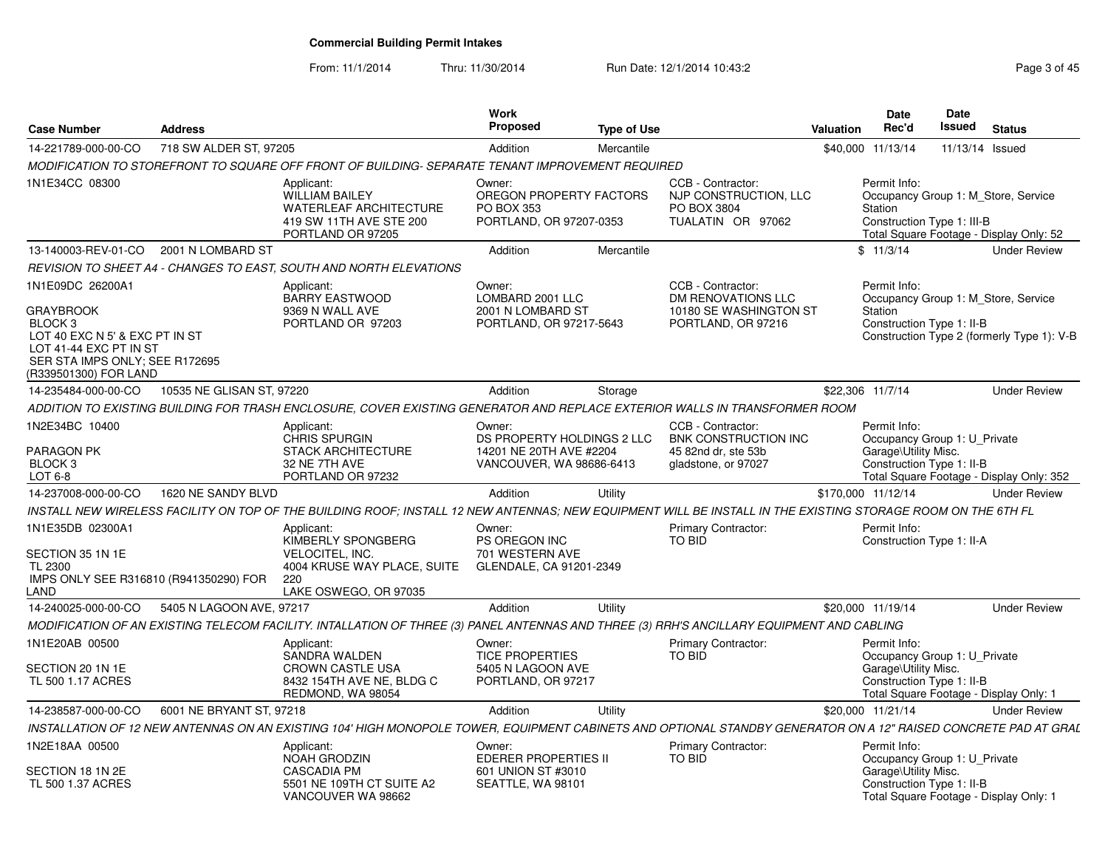From: 11/1/2014Thru: 11/30/2014 Run Date: 12/1/2014 10:43:2<br>
Page 3 of 45

| <b>Case Number</b>                                                                                                                                                                | <b>Address</b>            |                                                                                                                                                                 | Work<br>Proposed                                                                            | <b>Type of Use</b> |                                                                                                | <b>Valuation</b> | Date<br>Rec'd                                                                                     | <b>Date</b><br>Issued | <b>Status</b>                                                                     |
|-----------------------------------------------------------------------------------------------------------------------------------------------------------------------------------|---------------------------|-----------------------------------------------------------------------------------------------------------------------------------------------------------------|---------------------------------------------------------------------------------------------|--------------------|------------------------------------------------------------------------------------------------|------------------|---------------------------------------------------------------------------------------------------|-----------------------|-----------------------------------------------------------------------------------|
| 14-221789-000-00-CO                                                                                                                                                               | 718 SW ALDER ST, 97205    |                                                                                                                                                                 | Addition                                                                                    | Mercantile         |                                                                                                |                  | \$40,000 11/13/14                                                                                 | 11/13/14 Issued       |                                                                                   |
|                                                                                                                                                                                   |                           | MODIFICATION TO STOREFRONT TO SQUARE OFF FRONT OF BUILDING- SEPARATE TENANT IMPROVEMENT REQUIRED                                                                |                                                                                             |                    |                                                                                                |                  |                                                                                                   |                       |                                                                                   |
| 1N1E34CC 08300                                                                                                                                                                    |                           | Applicant:<br><b>WILLIAM BAILEY</b><br><b>WATERLEAF ARCHITECTURE</b><br>419 SW 11TH AVE STE 200<br>PORTLAND OR 97205                                            | Owner:<br>OREGON PROPERTY FACTORS<br><b>PO BOX 353</b><br>PORTLAND, OR 97207-0353           |                    | CCB - Contractor:<br>NJP CONSTRUCTION, LLC<br>PO BOX 3804<br>TUALATIN OR 97062                 |                  | Permit Info:<br>Station<br>Construction Type 1: III-B                                             |                       | Occupancy Group 1: M Store, Service<br>Total Square Footage - Display Only: 52    |
| 13-140003-REV-01-CO                                                                                                                                                               | 2001 N LOMBARD ST         |                                                                                                                                                                 | Addition                                                                                    | Mercantile         |                                                                                                |                  | \$11/3/14                                                                                         |                       | <b>Under Review</b>                                                               |
|                                                                                                                                                                                   |                           | REVISION TO SHEET A4 - CHANGES TO EAST, SOUTH AND NORTH ELEVATIONS                                                                                              |                                                                                             |                    |                                                                                                |                  |                                                                                                   |                       |                                                                                   |
| 1N1E09DC 26200A1<br><b>GRAYBROOK</b><br>BLOCK <sub>3</sub><br>LOT 40 EXC N 5' & EXC PT IN ST<br>LOT 41-44 EXC PT IN ST<br>SER STA IMPS ONLY: SEE R172695<br>(R339501300) FOR LAND |                           | Applicant:<br><b>BARRY EASTWOOD</b><br>9369 N WALL AVE<br>PORTLAND OR 97203                                                                                     | Owner:<br>LOMBARD 2001 LLC<br>2001 N LOMBARD ST<br>PORTLAND, OR 97217-5643                  |                    | CCB - Contractor:<br><b>DM RENOVATIONS LLC</b><br>10180 SE WASHINGTON ST<br>PORTLAND, OR 97216 |                  | Permit Info:<br>Station<br>Construction Type 1: II-B                                              |                       | Occupancy Group 1: M Store, Service<br>Construction Type 2 (formerly Type 1): V-B |
| 14-235484-000-00-CO                                                                                                                                                               | 10535 NE GLISAN ST, 97220 |                                                                                                                                                                 | <b>Addition</b>                                                                             | Storage            |                                                                                                |                  | \$22,306 11/7/14                                                                                  |                       | <b>Under Review</b>                                                               |
|                                                                                                                                                                                   |                           | ADDITION TO EXISTING BUILDING FOR TRASH ENCLOSURE, COVER EXISTING GENERATOR AND REPLACE EXTERIOR WALLS IN TRANSFORMER ROOM                                      |                                                                                             |                    |                                                                                                |                  |                                                                                                   |                       |                                                                                   |
| 1N2E34BC 10400<br>PARAGON PK<br>BLOCK <sub>3</sub><br>LOT 6-8                                                                                                                     |                           | Applicant:<br><b>CHRIS SPURGIN</b><br><b>STACK ARCHITECTURE</b><br>32 NE 7TH AVE<br>PORTLAND OR 97232                                                           | Owner:<br>DS PROPERTY HOLDINGS 2 LLC<br>14201 NE 20TH AVE #2204<br>VANCOUVER, WA 98686-6413 |                    | CCB - Contractor:<br><b>BNK CONSTRUCTION INC</b><br>45 82nd dr. ste 53b<br>gladstone, or 97027 |                  | Permit Info:<br>Occupancy Group 1: U_Private<br>Garage\Utility Misc.<br>Construction Type 1: II-B |                       | Total Square Footage - Display Only: 352                                          |
| 14-237008-000-00-CO                                                                                                                                                               | 1620 NE SANDY BLVD        |                                                                                                                                                                 | Addition                                                                                    | Utility            |                                                                                                |                  | \$170,000 11/12/14                                                                                |                       | <b>Under Review</b>                                                               |
|                                                                                                                                                                                   |                           | INSTALL NEW WIRELESS FACILITY ON TOP OF THE BUILDING ROOF: INSTALL 12 NEW ANTENNAS: NEW EQUIPMENT WILL BE INSTALL IN THE EXISTING STORAGE ROOM ON THE 6TH FL    |                                                                                             |                    |                                                                                                |                  |                                                                                                   |                       |                                                                                   |
| 1N1E35DB 02300A1<br>SECTION 35 1N 1E<br>TL 2300<br>IMPS ONLY SEE R316810 (R941350290) FOR<br>_AND                                                                                 |                           | Applicant:<br>KIMBERLY SPONGBERG<br><b>VELOCITEL, INC.</b><br>4004 KRUSE WAY PLACE, SUITE<br>220<br>LAKE OSWEGO, OR 97035                                       | Owner:<br>PS OREGON INC<br>701 WESTERN AVE<br>GLENDALE, CA 91201-2349                       |                    | Primary Contractor:<br><b>TO BID</b>                                                           |                  | Permit Info:<br>Construction Type 1: II-A                                                         |                       |                                                                                   |
| 14-240025-000-00-CO                                                                                                                                                               | 5405 N LAGOON AVE, 97217  |                                                                                                                                                                 | Addition                                                                                    | Utility            |                                                                                                |                  | \$20,000 11/19/14                                                                                 |                       | <b>Under Review</b>                                                               |
|                                                                                                                                                                                   |                           | MODIFICATION OF AN EXISTING TELECOM FACILITY. INTALLATION OF THREE (3) PANEL ANTENNAS AND THREE (3) RRH'S ANCILLARY EQUIPMENT AND CABLING                       |                                                                                             |                    |                                                                                                |                  |                                                                                                   |                       |                                                                                   |
| 1N1E20AB 00500<br>SECTION 20 1N 1E                                                                                                                                                |                           | Applicant:<br><b>SANDRA WALDEN</b><br><b>CROWN CASTLE USA</b>                                                                                                   | Owner:<br><b>TICE PROPERTIES</b><br>5405 N LAGOON AVE                                       |                    | <b>Primary Contractor:</b><br><b>TO BID</b>                                                    |                  | Permit Info:<br>Occupancy Group 1: U_Private<br>Garage\Utility Misc.                              |                       |                                                                                   |
| TL 500 1.17 ACRES                                                                                                                                                                 |                           | 8432 154TH AVE NE, BLDG C<br>REDMOND, WA 98054                                                                                                                  | PORTLAND, OR 97217                                                                          |                    |                                                                                                |                  | Construction Type 1: II-B                                                                         |                       | Total Square Footage - Display Only: 1                                            |
| 14-238587-000-00-CO                                                                                                                                                               | 6001 NE BRYANT ST, 97218  |                                                                                                                                                                 | Addition                                                                                    | Utility            |                                                                                                |                  | \$20,000 11/21/14                                                                                 |                       | <b>Under Review</b>                                                               |
|                                                                                                                                                                                   |                           | INSTALLATION OF 12 NEW ANTENNAS ON AN EXISTING 104' HIGH MONOPOLE TOWER, EQUIPMENT CABINETS AND OPTIONAL STANDBY GENERATOR ON A 12" RAISED CONCRETE PAD AT GRAL |                                                                                             |                    |                                                                                                |                  |                                                                                                   |                       |                                                                                   |
| 1N2E18AA 00500<br>SECTION 18 1N 2E                                                                                                                                                |                           | Applicant:<br><b>NOAH GRODZIN</b><br><b>CASCADIA PM</b>                                                                                                         | Owner:<br><b>EDERER PROPERTIES II</b><br>601 UNION ST #3010                                 |                    | <b>Primary Contractor:</b><br><b>TO BID</b>                                                    |                  | Permit Info:<br>Occupancy Group 1: U_Private<br>Garage\Utility Misc.                              |                       |                                                                                   |
| TL 500 1.37 ACRES                                                                                                                                                                 |                           | 5501 NE 109TH CT SUITE A2<br>VANCOUVER WA 98662                                                                                                                 | SEATTLE, WA 98101                                                                           |                    |                                                                                                |                  | Construction Type 1: II-B                                                                         |                       | Total Square Footage - Display Only: 1                                            |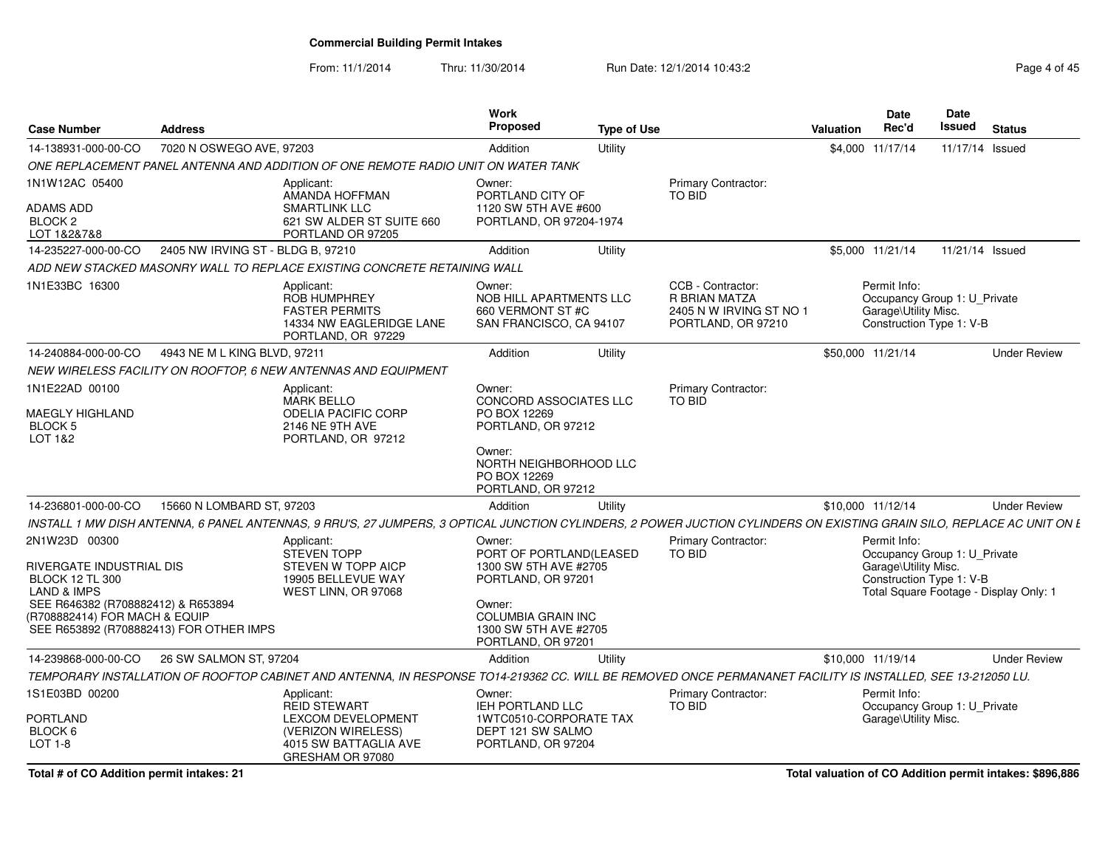From: 11/1/2014Thru: 11/30/2014 Run Date: 12/1/2014 10:43:2<br>
Page 4 of 45

| <b>Case Number</b>                                                                                             | <b>Address</b>                                                                                                                                                         | <b>Work</b><br><b>Proposed</b>                                                     | <b>Type of Use</b> |                                                                                     | <b>Valuation</b> | <b>Date</b><br>Rec'd                                                                             | Date<br>Issued | <b>Status</b>                          |  |
|----------------------------------------------------------------------------------------------------------------|------------------------------------------------------------------------------------------------------------------------------------------------------------------------|------------------------------------------------------------------------------------|--------------------|-------------------------------------------------------------------------------------|------------------|--------------------------------------------------------------------------------------------------|----------------|----------------------------------------|--|
| 14-138931-000-00-CO                                                                                            | 7020 N OSWEGO AVE, 97203                                                                                                                                               | Addition                                                                           | Utility            |                                                                                     |                  | \$4,000 11/17/14                                                                                 |                | 11/17/14 Issued                        |  |
|                                                                                                                | ONE REPLACEMENT PANEL ANTENNA AND ADDITION OF ONE REMOTE RADIO UNIT ON WATER TANK                                                                                      |                                                                                    |                    |                                                                                     |                  |                                                                                                  |                |                                        |  |
| 1N1W12AC 05400<br>ADAMS ADD                                                                                    | Applicant:<br>AMANDA HOFFMAN<br>SMARTLINK LLC                                                                                                                          | Owner:<br>PORTLAND CITY OF<br>1120 SW 5TH AVE #600                                 |                    | Primary Contractor:<br>TO BID                                                       |                  |                                                                                                  |                |                                        |  |
| BLOCK <sub>2</sub><br>LOT 1&2&7&8                                                                              | 621 SW ALDER ST SUITE 660<br>PORTLAND OR 97205                                                                                                                         | PORTLAND, OR 97204-1974                                                            |                    |                                                                                     |                  |                                                                                                  |                |                                        |  |
| 14-235227-000-00-CO                                                                                            | 2405 NW IRVING ST - BLDG B, 97210                                                                                                                                      | Addition                                                                           | Utility            |                                                                                     |                  | \$5,000 11/21/14                                                                                 |                | 11/21/14 Issued                        |  |
|                                                                                                                | ADD NEW STACKED MASONRY WALL TO REPLACE EXISTING CONCRETE RETAINING WALL                                                                                               |                                                                                    |                    |                                                                                     |                  |                                                                                                  |                |                                        |  |
| 1N1E33BC 16300                                                                                                 | Applicant:<br><b>ROB HUMPHREY</b><br><b>FASTER PERMITS</b><br>14334 NW EAGLERIDGE LANE<br>PORTLAND, OR 97229                                                           | Owner:<br>NOB HILL APARTMENTS LLC<br>660 VERMONT ST #C<br>SAN FRANCISCO, CA 94107  |                    | CCB - Contractor:<br>R BRIAN MATZA<br>2405 N W IRVING ST NO 1<br>PORTLAND, OR 97210 |                  | Permit Info:<br>Occupancy Group 1: U_Private<br>Garage\Utility Misc.<br>Construction Type 1: V-B |                |                                        |  |
| 14-240884-000-00-CO                                                                                            | 4943 NE M L KING BLVD, 97211                                                                                                                                           | Addition                                                                           | Utility            |                                                                                     |                  | \$50,000 11/21/14                                                                                |                | <b>Under Review</b>                    |  |
|                                                                                                                | NEW WIRELESS FACILITY ON ROOFTOP, 6 NEW ANTENNAS AND EQUIPMENT                                                                                                         |                                                                                    |                    |                                                                                     |                  |                                                                                                  |                |                                        |  |
| 1N1E22AD 00100                                                                                                 | Applicant:<br><b>MARK BELLO</b>                                                                                                                                        | Owner:<br>CONCORD ASSOCIATES LLC                                                   |                    | Primary Contractor:<br>TO BID                                                       |                  |                                                                                                  |                |                                        |  |
| MAEGLY HIGHLAND<br><b>BLOCK 5</b><br>LOT 1&2                                                                   | <b>ODELIA PACIFIC CORP</b><br>2146 NE 9TH AVE<br>PORTLAND, OR 97212                                                                                                    | PO BOX 12269<br>PORTLAND, OR 97212                                                 |                    |                                                                                     |                  |                                                                                                  |                |                                        |  |
|                                                                                                                |                                                                                                                                                                        | Owner:<br>NORTH NEIGHBORHOOD LLC<br>PO BOX 12269<br>PORTLAND, OR 97212             |                    |                                                                                     |                  |                                                                                                  |                |                                        |  |
| 14-236801-000-00-CO                                                                                            | 15660 N LOMBARD ST, 97203                                                                                                                                              | Addition                                                                           | Utility            |                                                                                     |                  | \$10.000 11/12/14                                                                                |                | <b>Under Review</b>                    |  |
|                                                                                                                | INSTALL 1 MW DISH ANTENNA, 6 PANEL ANTENNAS, 9 RRU'S, 27 JUMPERS, 3 OPTICAL JUNCTION CYLINDERS, 2 POWER JUCTION CYLINDERS ON EXISTING GRAIN SILO, REPLACE AC UNIT ON L |                                                                                    |                    |                                                                                     |                  |                                                                                                  |                |                                        |  |
| 2N1W23D 00300                                                                                                  | Applicant:                                                                                                                                                             | Owner:                                                                             |                    | Primary Contractor:                                                                 |                  | Permit Info:                                                                                     |                |                                        |  |
| RIVERGATE INDUSTRIAL DIS                                                                                       | STEVEN TOPP<br>STEVEN W TOPP AICP                                                                                                                                      | PORT OF PORTLAND(LEASED<br>1300 SW 5TH AVE #2705                                   |                    | TO BID                                                                              |                  | Occupancy Group 1: U Private<br>Garage\Utility Misc.                                             |                |                                        |  |
| <b>BLOCK 12 TL 300</b>                                                                                         | 19905 BELLEVUE WAY                                                                                                                                                     | PORTLAND, OR 97201                                                                 |                    |                                                                                     |                  | Construction Type 1: V-B                                                                         |                |                                        |  |
| <b>LAND &amp; IMPS</b>                                                                                         | WEST LINN, OR 97068                                                                                                                                                    |                                                                                    |                    |                                                                                     |                  |                                                                                                  |                | Total Square Footage - Display Only: 1 |  |
| SEE R646382 (R708882412) & R653894<br>(R708882414) FOR MACH & EQUIP<br>SEE R653892 (R708882413) FOR OTHER IMPS |                                                                                                                                                                        | Owner:<br><b>COLUMBIA GRAIN INC</b><br>1300 SW 5TH AVE #2705<br>PORTLAND, OR 97201 |                    |                                                                                     |                  |                                                                                                  |                |                                        |  |
| 14-239868-000-00-CO                                                                                            | 26 SW SALMON ST, 97204                                                                                                                                                 | Addition                                                                           | Utility            |                                                                                     |                  | \$10.000 11/19/14                                                                                |                | <b>Under Review</b>                    |  |
|                                                                                                                | TEMPORARY INSTALLATION OF ROOFTOP CABINET AND ANTENNA, IN RESPONSE TO14-219362 CC. WILL BE REMOVED ONCE PERMANANET FACILITY IS INSTALLED, SEE 13-212050 LU.            |                                                                                    |                    |                                                                                     |                  |                                                                                                  |                |                                        |  |
| 1S1E03BD 00200                                                                                                 | Applicant:<br><b>REID STEWART</b>                                                                                                                                      | Owner:<br><b>IEH PORTLAND LLC</b>                                                  |                    | Primary Contractor:<br><b>TO BID</b>                                                |                  | Permit Info:<br>Occupancy Group 1: U_Private                                                     |                |                                        |  |
| PORTLAND                                                                                                       | <b>LEXCOM DEVELOPMENT</b>                                                                                                                                              | 1WTC0510-CORPORATE TAX                                                             |                    |                                                                                     |                  | Garage\Utility Misc.                                                                             |                |                                        |  |
| BLOCK 6<br>LOT 1-8                                                                                             | (VERIZON WIRELESS)<br>4015 SW BATTAGLIA AVE<br>GRESHAM OR 97080                                                                                                        | DEPT 121 SW SALMO<br>PORTLAND, OR 97204                                            |                    |                                                                                     |                  |                                                                                                  |                |                                        |  |

**Total # of CO Addition permit intakes: 21**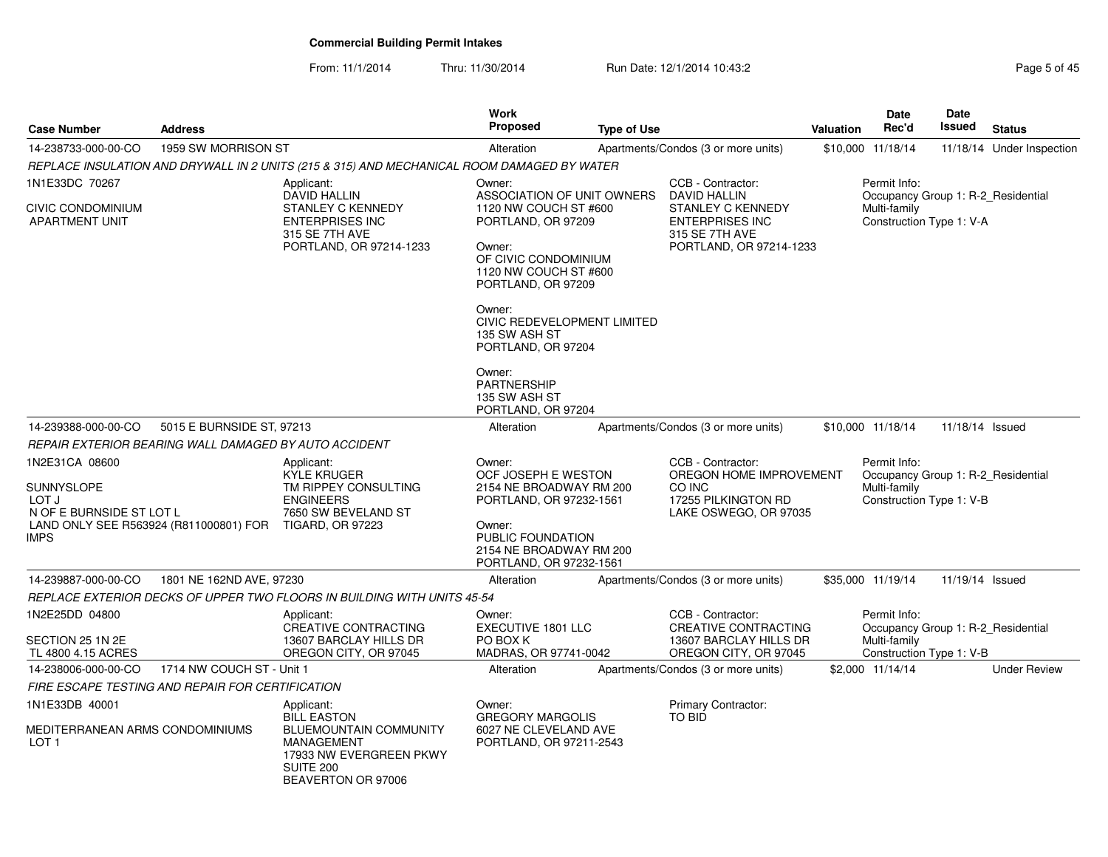From: 11/1/2014Thru: 11/30/2014 Run Date: 12/1/2014 10:43:2<br>
Page 5 of 45

| <b>Case Number</b>                                                        | <b>Address</b>                                          |                                                                                                                                               | Work<br><b>Proposed</b>                                                                                                                                                                                                                                                                               | <b>Type of Use</b> |                                                                                                                               | Valuation | Date<br>Rec'd                                                                                  | Date<br><b>Issued</b> | <b>Status</b>             |
|---------------------------------------------------------------------------|---------------------------------------------------------|-----------------------------------------------------------------------------------------------------------------------------------------------|-------------------------------------------------------------------------------------------------------------------------------------------------------------------------------------------------------------------------------------------------------------------------------------------------------|--------------------|-------------------------------------------------------------------------------------------------------------------------------|-----------|------------------------------------------------------------------------------------------------|-----------------------|---------------------------|
| 14-238733-000-00-CO                                                       | 1959 SW MORRISON ST                                     |                                                                                                                                               | Alteration                                                                                                                                                                                                                                                                                            |                    | Apartments/Condos (3 or more units)                                                                                           |           | \$10,000 11/18/14                                                                              |                       | 11/18/14 Under Inspection |
|                                                                           |                                                         | REPLACE INSULATION AND DRYWALL IN 2 UNITS (215 & 315) AND MECHANICAL ROOM DAMAGED BY WATER                                                    |                                                                                                                                                                                                                                                                                                       |                    |                                                                                                                               |           |                                                                                                |                       |                           |
| 1N1E33DC 70267<br>CIVIC CONDOMINIUM<br><b>APARTMENT UNIT</b>              |                                                         | Applicant:<br><b>DAVID HALLIN</b><br>STANLEY C KENNEDY<br><b>ENTERPRISES INC</b><br>315 SE 7TH AVE<br>PORTLAND, OR 97214-1233                 | Owner:<br>ASSOCIATION OF UNIT OWNERS<br>1120 NW COUCH ST #600<br>PORTLAND, OR 97209<br>Owner:<br>OF CIVIC CONDOMINIUM<br>1120 NW COUCH ST #600<br>PORTLAND, OR 97209<br>Owner:<br>CIVIC REDEVELOPMENT LIMITED<br>135 SW ASH ST<br>PORTLAND, OR 97204<br>Owner:<br><b>PARTNERSHIP</b><br>135 SW ASH ST |                    | CCB - Contractor:<br>DAVID HALLIN<br>STANLEY C KENNEDY<br><b>ENTERPRISES INC</b><br>315 SE 7TH AVE<br>PORTLAND, OR 97214-1233 |           | Permit Info:<br>Occupancy Group 1: R-2 Residential<br>Multi-family<br>Construction Type 1: V-A |                       |                           |
| 14-239388-000-00-CO                                                       | 5015 E BURNSIDE ST, 97213                               |                                                                                                                                               | PORTLAND, OR 97204<br>Alteration                                                                                                                                                                                                                                                                      |                    | Apartments/Condos (3 or more units)                                                                                           |           | \$10,000 11/18/14                                                                              | 11/18/14 Issued       |                           |
|                                                                           | REPAIR EXTERIOR BEARING WALL DAMAGED BY AUTO ACCIDENT   |                                                                                                                                               |                                                                                                                                                                                                                                                                                                       |                    |                                                                                                                               |           |                                                                                                |                       |                           |
| 1N2E31CA 08600<br>SUNNYSLOPE<br>LOT J<br>N OF E BURNSIDE ST LOT L<br>IMPS | LAND ONLY SEE R563924 (R811000801) FOR TIGARD, OR 97223 | Applicant:<br><b>KYLE KRUGER</b><br>TM RIPPEY CONSULTING<br><b>ENGINEERS</b><br>7650 SW BEVELAND ST                                           | Owner:<br>OCF JOSEPH E WESTON<br>2154 NE BROADWAY RM 200<br>PORTLAND, OR 97232-1561<br>Owner:<br>PUBLIC FOUNDATION<br>2154 NE BROADWAY RM 200<br>PORTLAND, OR 97232-1561                                                                                                                              |                    | CCB - Contractor:<br>OREGON HOME IMPROVEMENT<br>CO INC<br>17255 PILKINGTON RD<br>LAKE OSWEGO, OR 97035                        |           | Permit Info:<br>Occupancy Group 1: R-2 Residential<br>Multi-family<br>Construction Type 1: V-B |                       |                           |
| 14-239887-000-00-CO                                                       | 1801 NE 162ND AVE, 97230                                |                                                                                                                                               | Alteration                                                                                                                                                                                                                                                                                            |                    | Apartments/Condos (3 or more units)                                                                                           |           | \$35,000 11/19/14                                                                              | 11/19/14 Issued       |                           |
|                                                                           |                                                         | REPLACE EXTERIOR DECKS OF UPPER TWO FLOORS IN BUILDING WITH UNITS 45-54                                                                       |                                                                                                                                                                                                                                                                                                       |                    |                                                                                                                               |           |                                                                                                |                       |                           |
| 1N2E25DD 04800<br>SECTION 25 1N 2E<br>TL 4800 4.15 ACRES                  |                                                         | Applicant:<br>CREATIVE CONTRACTING<br>13607 BARCLAY HILLS DR<br>OREGON CITY, OR 97045                                                         | Owner:<br><b>EXECUTIVE 1801 LLC</b><br>PO BOX K<br>MADRAS, OR 97741-0042                                                                                                                                                                                                                              |                    | CCB - Contractor:<br><b>CREATIVE CONTRACTING</b><br>13607 BARCLAY HILLS DR<br>OREGON CITY, OR 97045                           |           | Permit Info:<br>Occupancy Group 1: R-2 Residential<br>Multi-family<br>Construction Type 1: V-B |                       |                           |
| 14-238006-000-00-CO                                                       | 1714 NW COUCH ST - Unit 1                               |                                                                                                                                               | Alteration                                                                                                                                                                                                                                                                                            |                    | Apartments/Condos (3 or more units)                                                                                           |           | \$2,000 11/14/14                                                                               |                       | <b>Under Review</b>       |
|                                                                           | FIRE ESCAPE TESTING AND REPAIR FOR CERTIFICATION        |                                                                                                                                               |                                                                                                                                                                                                                                                                                                       |                    |                                                                                                                               |           |                                                                                                |                       |                           |
| 1N1E33DB 40001<br>MEDITERRANEAN ARMS CONDOMINIUMS<br>LOT <sub>1</sub>     |                                                         | Applicant:<br><b>BILL EASTON</b><br><b>BLUEMOUNTAIN COMMUNITY</b><br>MANAGEMENT<br>17933 NW EVERGREEN PKWY<br>SUITE 200<br>BEAVERTON OR 97006 | Owner:<br><b>GREGORY MARGOLIS</b><br>6027 NE CLEVELAND AVE<br>PORTLAND, OR 97211-2543                                                                                                                                                                                                                 |                    | Primary Contractor:<br><b>TO BID</b>                                                                                          |           |                                                                                                |                       |                           |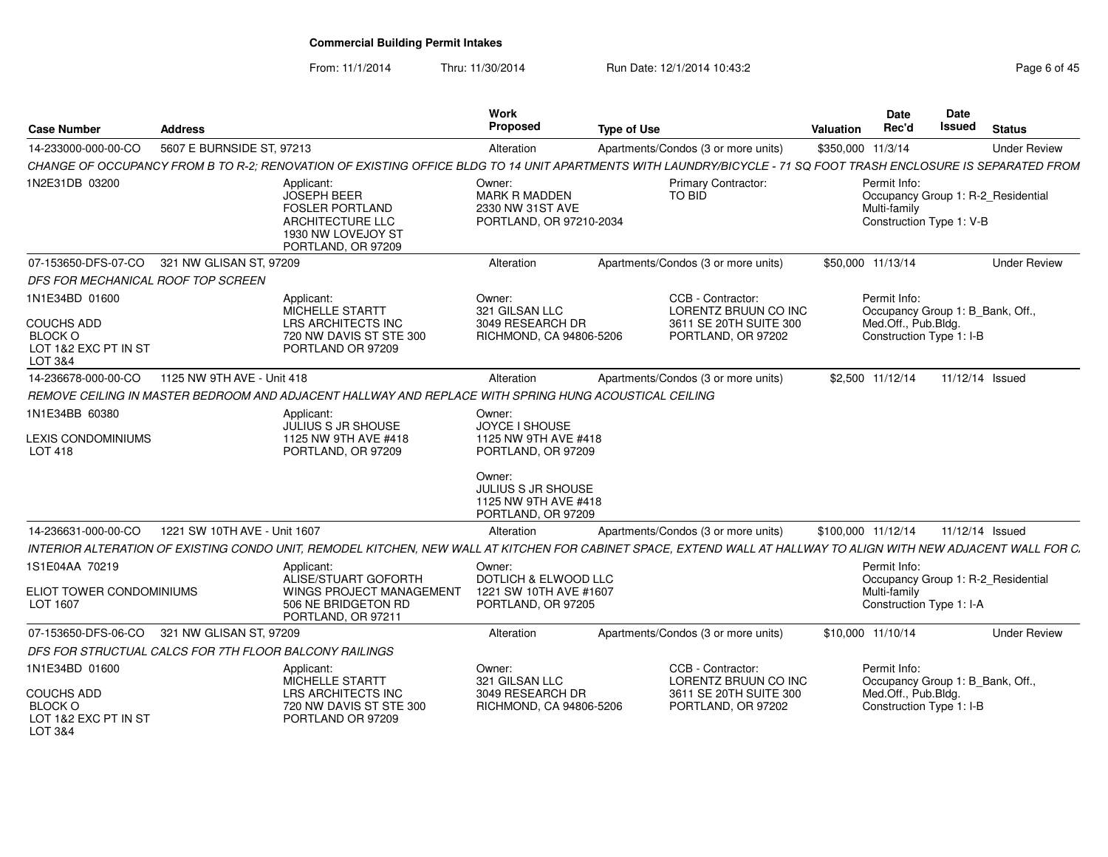From: 11/1/2014Thru: 11/30/2014 Run Date: 12/1/2014 10:43:2<br> **Page 6 of 45** 

| <b>Case Number</b>                                                                       | <b>Address</b>               |                                                                                                                                                                   | Work<br><b>Proposed</b>                                                       | <b>Type of Use</b>                  |                                                                                           | <b>Valuation</b>   | <b>Date</b><br>Rec'd                                                                                | Date<br><b>Issued</b> | <b>Status</b>                      |
|------------------------------------------------------------------------------------------|------------------------------|-------------------------------------------------------------------------------------------------------------------------------------------------------------------|-------------------------------------------------------------------------------|-------------------------------------|-------------------------------------------------------------------------------------------|--------------------|-----------------------------------------------------------------------------------------------------|-----------------------|------------------------------------|
| 14-233000-000-00-CO                                                                      | 5607 E BURNSIDE ST, 97213    |                                                                                                                                                                   | Alteration                                                                    | Apartments/Condos (3 or more units) |                                                                                           | \$350,000 11/3/14  |                                                                                                     |                       | <b>Under Review</b>                |
|                                                                                          |                              | CHANGE OF OCCUPANCY FROM B TO R-2; RENOVATION OF EXISTING OFFICE BLDG TO 14 UNIT APARTMENTS WITH LAUNDRY/BICYCLE - 71 SQ FOOT TRASH ENCLOSURE IS SEPARATED FROM   |                                                                               |                                     |                                                                                           |                    |                                                                                                     |                       |                                    |
| 1N2E31DB 03200                                                                           |                              | Applicant:<br><b>JOSEPH BEER</b><br><b>FOSLER PORTLAND</b><br><b>ARCHITECTURE LLC</b><br>1930 NW LOVEJOY ST<br>PORTLAND, OR 97209                                 | Owner:<br><b>MARK R MADDEN</b><br>2330 NW 31ST AVE<br>PORTLAND, OR 97210-2034 | <b>TO BID</b>                       | <b>Primary Contractor:</b>                                                                |                    | Permit Info:<br>Multi-family<br>Construction Type 1: V-B                                            |                       | Occupancy Group 1: R-2 Residential |
| 07-153650-DFS-07-CO 321 NW GLISAN ST, 97209                                              |                              |                                                                                                                                                                   | Alteration                                                                    | Apartments/Condos (3 or more units) |                                                                                           | \$50,000 11/13/14  |                                                                                                     |                       | <b>Under Review</b>                |
| DFS FOR MECHANICAL ROOF TOP SCREEN                                                       |                              |                                                                                                                                                                   |                                                                               |                                     |                                                                                           |                    |                                                                                                     |                       |                                    |
| 1N1E34BD 01600<br><b>COUCHS ADD</b><br><b>BLOCK O</b><br>LOT 1&2 EXC PT IN ST<br>LOT 3&4 |                              | Applicant:<br>MICHELLE STARTT<br>LRS ARCHITECTS INC<br>720 NW DAVIS ST STE 300<br>PORTLAND OR 97209                                                               | Owner:<br>321 GILSAN LLC<br>3049 RESEARCH DR<br>RICHMOND, CA 94806-5206       |                                     | CCB - Contractor:<br>LORENTZ BRUUN CO INC<br>3611 SE 20TH SUITE 300<br>PORTLAND, OR 97202 |                    | Permit Info:<br>Occupancy Group 1: B Bank, Off.,<br>Med.Off., Pub.Bldg.<br>Construction Type 1: I-B |                       |                                    |
| 14-236678-000-00-CO                                                                      | 1125 NW 9TH AVE - Unit 418   |                                                                                                                                                                   | Alteration                                                                    | Apartments/Condos (3 or more units) |                                                                                           |                    | \$2,500 11/12/14                                                                                    | 11/12/14 Issued       |                                    |
|                                                                                          |                              | REMOVE CEILING IN MASTER BEDROOM AND ADJACENT HALLWAY AND REPLACE WITH SPRING HUNG ACOUSTICAL CEILING                                                             |                                                                               |                                     |                                                                                           |                    |                                                                                                     |                       |                                    |
| 1N1E34BB 60380<br><b>LEXIS CONDOMINIUMS</b><br>LOT 418                                   |                              | Applicant:<br>JULIUS S JR SHOUSE<br>1125 NW 9TH AVE #418<br>PORTLAND, OR 97209                                                                                    | Owner:<br>JOYCE I SHOUSE<br>1125 NW 9TH AVE #418<br>PORTLAND, OR 97209        |                                     |                                                                                           |                    |                                                                                                     |                       |                                    |
|                                                                                          |                              |                                                                                                                                                                   | Owner:<br>JULIUS S JR SHOUSE<br>1125 NW 9TH AVE #418<br>PORTLAND, OR 97209    |                                     |                                                                                           |                    |                                                                                                     |                       |                                    |
| 14-236631-000-00-CO                                                                      | 1221 SW 10TH AVE - Unit 1607 |                                                                                                                                                                   | Alteration                                                                    | Apartments/Condos (3 or more units) |                                                                                           | \$100,000 11/12/14 |                                                                                                     |                       | 11/12/14 Issued                    |
|                                                                                          |                              | INTERIOR ALTERATION OF EXISTING CONDO UNIT, REMODEL KITCHEN, NEW WALL AT KITCHEN FOR CABINET SPACE, EXTEND WALL AT HALLWAY TO ALIGN WITH NEW ADJACENT WALL FOR C. |                                                                               |                                     |                                                                                           |                    |                                                                                                     |                       |                                    |
| 1S1E04AA 70219                                                                           |                              | Applicant:<br>ALISE/STUART GOFORTH                                                                                                                                | Owner:<br><b>DOTLICH &amp; ELWOOD LLC</b>                                     |                                     |                                                                                           |                    | Permit Info:                                                                                        |                       | Occupancy Group 1: R-2_Residential |
| ELIOT TOWER CONDOMINIUMS<br>LOT 1607                                                     |                              | <b>WINGS PROJECT MANAGEMENT</b><br>506 NE BRIDGETON RD<br>PORTLAND, OR 97211                                                                                      | 1221 SW 10TH AVE #1607<br>PORTLAND, OR 97205                                  |                                     |                                                                                           |                    | Multi-family<br>Construction Type 1: I-A                                                            |                       |                                    |
| 07-153650-DFS-06-CO 321 NW GLISAN ST, 97209                                              |                              |                                                                                                                                                                   | Alteration                                                                    | Apartments/Condos (3 or more units) |                                                                                           | \$10,000 11/10/14  |                                                                                                     |                       | <b>Under Review</b>                |
| DFS FOR STRUCTUAL CALCS FOR 7TH FLOOR BALCONY RAILINGS                                   |                              |                                                                                                                                                                   |                                                                               |                                     |                                                                                           |                    |                                                                                                     |                       |                                    |
| 1N1E34BD 01600                                                                           |                              | Applicant:<br>MICHELLE STARTT                                                                                                                                     | Owner:<br>321 GILSAN LLC                                                      |                                     | CCB - Contractor:<br><b>LORENTZ BRUUN CO INC</b>                                          |                    | Permit Info:<br>Occupancy Group 1: B Bank, Off.,                                                    |                       |                                    |
| <b>COUCHS ADD</b><br>BLOCK O<br>LOT 1&2 EXC PT IN ST<br>LOT 3&4                          |                              | LRS ARCHITECTS INC<br>720 NW DAVIS ST STE 300<br>PORTLAND OR 97209                                                                                                | 3049 RESEARCH DR<br>RICHMOND, CA 94806-5206                                   |                                     | 3611 SE 20TH SUITE 300<br>PORTLAND, OR 97202                                              |                    | Med.Off., Pub.Bldg.<br>Construction Type 1: I-B                                                     |                       |                                    |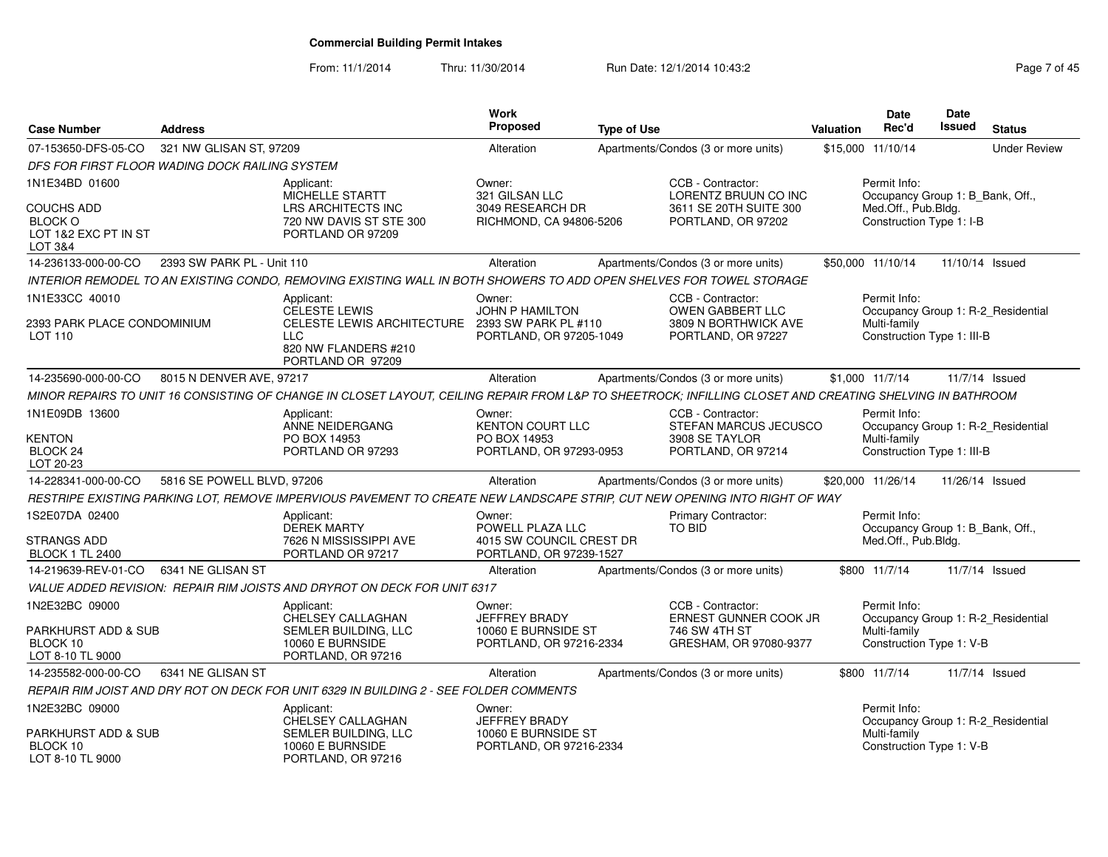From: 11/1/2014Thru: 11/30/2014 Run Date: 12/1/2014 10:43:2<br> **Page 7 of 45** 

| <b>Case Number</b>                                                               | <b>Address</b>             |                                                                                                                                                          | <b>Work</b><br><b>Proposed</b>                                                    | <b>Type of Use</b> |                                                                                           | Valuation | <b>Date</b><br>Rec'd                                                                                | Date<br><b>Issued</b> | <b>Status</b>                      |
|----------------------------------------------------------------------------------|----------------------------|----------------------------------------------------------------------------------------------------------------------------------------------------------|-----------------------------------------------------------------------------------|--------------------|-------------------------------------------------------------------------------------------|-----------|-----------------------------------------------------------------------------------------------------|-----------------------|------------------------------------|
|                                                                                  |                            |                                                                                                                                                          |                                                                                   |                    |                                                                                           |           |                                                                                                     |                       | <b>Under Review</b>                |
| 07-153650-DFS-05-CO                                                              | 321 NW GLISAN ST. 97209    |                                                                                                                                                          | Alteration                                                                        |                    | Apartments/Condos (3 or more units)                                                       |           | \$15,000 11/10/14                                                                                   |                       |                                    |
| DFS FOR FIRST FLOOR WADING DOCK RAILING SYSTEM                                   |                            |                                                                                                                                                          |                                                                                   |                    |                                                                                           |           |                                                                                                     |                       |                                    |
| 1N1E34BD 01600<br><b>COUCHS ADD</b><br><b>BLOCK O</b><br>LOT 1&2 EXC PT IN ST    |                            | Applicant:<br>MICHELLE STARTT<br><b>LRS ARCHITECTS INC</b><br>720 NW DAVIS ST STE 300<br>PORTLAND OR 97209                                               | Owner:<br>321 GILSAN LLC<br>3049 RESEARCH DR<br>RICHMOND, CA 94806-5206           |                    | CCB - Contractor:<br>LORENTZ BRUUN CO INC<br>3611 SE 20TH SUITE 300<br>PORTLAND, OR 97202 |           | Permit Info:<br>Occupancy Group 1: B_Bank, Off.,<br>Med.Off., Pub.Bldg.<br>Construction Type 1: I-B |                       |                                    |
| LOT 3&4                                                                          |                            |                                                                                                                                                          |                                                                                   |                    |                                                                                           |           |                                                                                                     |                       |                                    |
| 14-236133-000-00-CO                                                              | 2393 SW PARK PL - Unit 110 |                                                                                                                                                          | Alteration                                                                        |                    | Apartments/Condos (3 or more units)                                                       |           | \$50,000 11/10/14                                                                                   | 11/10/14 Issued       |                                    |
|                                                                                  |                            | INTERIOR REMODEL TO AN EXISTING CONDO, REMOVING EXISTING WALL IN BOTH SHOWERS TO ADD OPEN SHELVES FOR TOWEL STORAGE                                      |                                                                                   |                    |                                                                                           |           |                                                                                                     |                       |                                    |
| 1N1E33CC 40010<br>2393 PARK PLACE CONDOMINIUM<br>LOT 110                         |                            | Applicant:<br><b>CELESTE LEWIS</b><br>CELESTE LEWIS ARCHITECTURE 2393 SW PARK PL #110<br><b>LLC</b><br>820 NW FLANDERS #210<br>PORTLAND OR 97209         | Owner:<br>JOHN P HAMILTON<br>PORTLAND, OR 97205-1049                              |                    | CCB - Contractor:<br>OWEN GABBERT LLC<br>3809 N BORTHWICK AVE<br>PORTLAND, OR 97227       |           | Permit Info:<br>Multi-family<br>Construction Type 1: III-B                                          |                       | Occupancy Group 1: R-2_Residential |
| 14-235690-000-00-CO                                                              | 8015 N DENVER AVE, 97217   |                                                                                                                                                          | Alteration                                                                        |                    | Apartments/Condos (3 or more units)                                                       |           | \$1,000 11/7/14                                                                                     |                       | 11/7/14 Issued                     |
|                                                                                  |                            | MINOR REPAIRS TO UNIT 16 CONSISTING OF CHANGE IN CLOSET LAYOUT, CEILING REPAIR FROM L&P TO SHEETROCK; INFILLING CLOSET AND CREATING SHELVING IN BATHROOM |                                                                                   |                    |                                                                                           |           |                                                                                                     |                       |                                    |
| 1N1E09DB 13600<br><b>KENTON</b><br>BLOCK <sub>24</sub><br>LOT 20-23              |                            | Applicant:<br>ANNE NEIDERGANG<br>PO BOX 14953<br>PORTLAND OR 97293                                                                                       | Owner:<br><b>KENTON COURT LLC</b><br>PO BOX 14953<br>PORTLAND, OR 97293-0953      |                    | CCB - Contractor:<br>STEFAN MARCUS JECUSCO<br>3908 SE TAYLOR<br>PORTLAND, OR 97214        |           | Permit Info:<br>Multi-family<br>Construction Type 1: III-B                                          |                       | Occupancy Group 1: R-2 Residential |
| 14-228341-000-00-CO                                                              | 5816 SE POWELL BLVD, 97206 |                                                                                                                                                          | Alteration                                                                        |                    | Apartments/Condos (3 or more units)                                                       |           | \$20,000 11/26/14                                                                                   | 11/26/14 Issued       |                                    |
|                                                                                  |                            | RESTRIPE EXISTING PARKING LOT, REMOVE IMPERVIOUS PAVEMENT TO CREATE NEW LANDSCAPE STRIP, CUT NEW OPENING INTO RIGHT OF WAY                               |                                                                                   |                    |                                                                                           |           |                                                                                                     |                       |                                    |
| 1S2E07DA 02400<br><b>STRANGS ADD</b><br><b>BLOCK 1 TL 2400</b>                   |                            | Applicant:<br><b>DEREK MARTY</b><br>7626 N MISSISSIPPI AVE<br>PORTLAND OR 97217                                                                          | Owner:<br>POWELL PLAZA LLC<br>4015 SW COUNCIL CREST DR<br>PORTLAND, OR 97239-1527 |                    | Primary Contractor:<br><b>TO BID</b>                                                      |           | Permit Info:<br>Occupancy Group 1: B_Bank, Off.,<br>Med.Off., Pub.Bldg.                             |                       |                                    |
| 14-219639-REV-01-CO                                                              | 6341 NE GLISAN ST          |                                                                                                                                                          | Alteration                                                                        |                    | Apartments/Condos (3 or more units)                                                       |           | \$800 11/7/14                                                                                       |                       | 11/7/14 Issued                     |
|                                                                                  |                            | VALUE ADDED REVISION: REPAIR RIM JOISTS AND DRYROT ON DECK FOR UNIT 6317                                                                                 |                                                                                   |                    |                                                                                           |           |                                                                                                     |                       |                                    |
| 1N2E32BC 09000<br><b>PARKHURST ADD &amp; SUB</b><br>BLOCK 10<br>LOT 8-10 TL 9000 |                            | Applicant:<br>CHELSEY CALLAGHAN<br>SEMLER BUILDING, LLC<br>10060 E BURNSIDE<br>PORTLAND, OR 97216                                                        | Owner:<br>JEFFREY BRADY<br>10060 E BURNSIDE ST<br>PORTLAND, OR 97216-2334         |                    | CCB - Contractor:<br>ERNEST GUNNER COOK JR<br>746 SW 4TH ST<br>GRESHAM, OR 97080-9377     |           | Permit Info:<br>Multi-family<br>Construction Type 1: V-B                                            |                       | Occupancy Group 1: R-2_Residential |
| 14-235582-000-00-CO                                                              | 6341 NE GLISAN ST          |                                                                                                                                                          | Alteration                                                                        |                    | Apartments/Condos (3 or more units)                                                       |           | \$800 11/7/14                                                                                       |                       | 11/7/14 Issued                     |
|                                                                                  |                            | REPAIR RIM JOIST AND DRY ROT ON DECK FOR UNIT 6329 IN BUILDING 2 - SEE FOLDER COMMENTS                                                                   |                                                                                   |                    |                                                                                           |           |                                                                                                     |                       |                                    |
| 1N2E32BC 09000<br><b>PARKHURST ADD &amp; SUB</b><br>BLOCK 10<br>LOT 8-10 TL 9000 |                            | Applicant:<br>CHELSEY CALLAGHAN<br>SEMLER BUILDING. LLC<br>10060 E BURNSIDE<br>PORTLAND, OR 97216                                                        | Owner:<br>JEFFREY BRADY<br>10060 E BURNSIDE ST<br>PORTLAND, OR 97216-2334         |                    |                                                                                           |           | Permit Info:<br>Multi-family<br>Construction Type 1: V-B                                            |                       | Occupancy Group 1: R-2_Residential |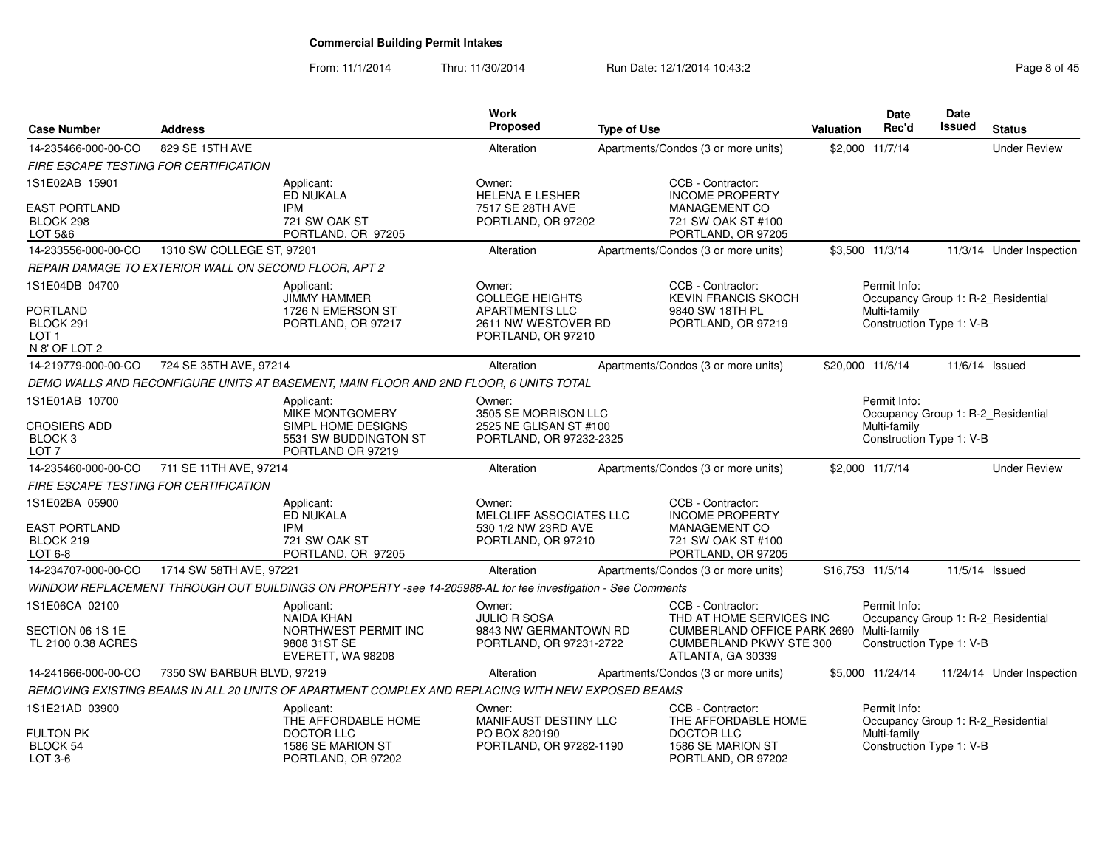From: 11/1/2014Thru: 11/30/2014 Run Date: 12/1/2014 10:43:2<br>
Page 8 of 45

| <b>Case Number</b>                                                              | <b>Address</b>                                        |                                                                                                             | Work<br><b>Proposed</b>                                                                                | <b>Type of Use</b> |                                                                                                                                                  | <b>Valuation</b> | Date<br>Rec'd                                            | Date<br><b>Issued</b> | <b>Status</b>                      |
|---------------------------------------------------------------------------------|-------------------------------------------------------|-------------------------------------------------------------------------------------------------------------|--------------------------------------------------------------------------------------------------------|--------------------|--------------------------------------------------------------------------------------------------------------------------------------------------|------------------|----------------------------------------------------------|-----------------------|------------------------------------|
| 14-235466-000-00-CO                                                             | 829 SE 15TH AVE                                       |                                                                                                             | Alteration                                                                                             |                    | Apartments/Condos (3 or more units)                                                                                                              |                  | \$2,000 11/7/14                                          |                       | <b>Under Review</b>                |
| <b>FIRE ESCAPE TESTING FOR CERTIFICATION</b>                                    |                                                       |                                                                                                             |                                                                                                        |                    |                                                                                                                                                  |                  |                                                          |                       |                                    |
| 1S1E02AB 15901<br><b>EAST PORTLAND</b><br>BLOCK 298<br>LOT 5&6                  |                                                       | Applicant:<br>ED NUKALA<br><b>IPM</b><br>721 SW OAK ST<br>PORTLAND, OR 97205                                | Owner:<br><b>HELENA E LESHER</b><br>7517 SE 28TH AVE<br>PORTLAND, OR 97202                             |                    | CCB - Contractor:<br><b>INCOME PROPERTY</b><br>MANAGEMENT CO<br>721 SW OAK ST #100<br>PORTLAND, OR 97205                                         |                  |                                                          |                       |                                    |
| 14-233556-000-00-CO                                                             | 1310 SW COLLEGE ST, 97201                             |                                                                                                             | Alteration                                                                                             |                    | Apartments/Condos (3 or more units)                                                                                                              |                  | \$3,500 11/3/14                                          |                       | 11/3/14 Under Inspection           |
|                                                                                 | REPAIR DAMAGE TO EXTERIOR WALL ON SECOND FLOOR, APT 2 |                                                                                                             |                                                                                                        |                    |                                                                                                                                                  |                  |                                                          |                       |                                    |
| 1S1E04DB 04700<br><b>PORTLAND</b><br>BLOCK 291<br>LOT 1<br>N 8' OF LOT 2        |                                                       | Applicant:<br><b>JIMMY HAMMER</b><br>1726 N EMERSON ST<br>PORTLAND, OR 97217                                | Owner:<br><b>COLLEGE HEIGHTS</b><br><b>APARTMENTS LLC</b><br>2611 NW WESTOVER RD<br>PORTLAND, OR 97210 |                    | CCB - Contractor:<br><b>KEVIN FRANCIS SKOCH</b><br>9840 SW 18TH PL<br>PORTLAND, OR 97219                                                         |                  | Permit Info:<br>Multi-family<br>Construction Type 1: V-B |                       | Occupancy Group 1: R-2_Residential |
| 14-219779-000-00-CO                                                             | 724 SE 35TH AVE, 97214                                |                                                                                                             | Alteration                                                                                             |                    | Apartments/Condos (3 or more units)                                                                                                              | \$20,000 11/6/14 |                                                          |                       | 11/6/14 Issued                     |
|                                                                                 |                                                       | DEMO WALLS AND RECONFIGURE UNITS AT BASEMENT, MAIN FLOOR AND 2ND FLOOR, 6 UNITS TOTAL                       |                                                                                                        |                    |                                                                                                                                                  |                  |                                                          |                       |                                    |
| 1S1E01AB 10700<br><b>CROSIERS ADD</b><br>BLOCK <sub>3</sub><br>LOT <sub>7</sub> |                                                       | Applicant:<br>MIKE MONTGOMERY<br>SIMPL HOME DESIGNS<br>5531 SW BUDDINGTON ST<br>PORTLAND OR 97219           | Owner:<br>3505 SE MORRISON LLC<br>2525 NE GLISAN ST #100<br>PORTLAND, OR 97232-2325                    |                    |                                                                                                                                                  |                  | Permit Info:<br>Multi-family<br>Construction Type 1: V-B |                       | Occupancy Group 1: R-2 Residential |
| 14-235460-000-00-CO                                                             | 711 SE 11TH AVE, 97214                                |                                                                                                             | Alteration                                                                                             |                    | Apartments/Condos (3 or more units)                                                                                                              |                  | \$2,000 11/7/14                                          |                       | <b>Under Review</b>                |
| FIRE ESCAPE TESTING FOR CERTIFICATION                                           |                                                       |                                                                                                             |                                                                                                        |                    |                                                                                                                                                  |                  |                                                          |                       |                                    |
| 1S1E02BA 05900<br><b>EAST PORTLAND</b><br>BLOCK 219<br>LOT 6-8                  |                                                       | Applicant:<br>ED NUKALA<br><b>IPM</b><br>721 SW OAK ST<br>PORTLAND, OR 97205                                | Owner:<br>MELCLIFF ASSOCIATES LLC<br>530 1/2 NW 23RD AVE<br>PORTLAND, OR 97210                         |                    | CCB - Contractor:<br><b>INCOME PROPERTY</b><br>MANAGEMENT CO<br>721 SW OAK ST #100<br>PORTLAND, OR 97205                                         |                  |                                                          |                       |                                    |
| 14-234707-000-00-CO                                                             | 1714 SW 58TH AVE, 97221                               |                                                                                                             | Alteration                                                                                             |                    | Apartments/Condos (3 or more units)                                                                                                              | \$16,753 11/5/14 |                                                          |                       | 11/5/14 Issued                     |
|                                                                                 |                                                       | WINDOW REPLACEMENT THROUGH OUT BUILDINGS ON PROPERTY -see 14-205988-AL for fee investigation - See Comments |                                                                                                        |                    |                                                                                                                                                  |                  |                                                          |                       |                                    |
| 1S1E06CA 02100<br>SECTION 06 1S 1E<br>TL 2100 0.38 ACRES                        |                                                       | Applicant:<br><b>NAIDA KHAN</b><br>NORTHWEST PERMIT INC<br>9808 31ST SE<br>EVERETT, WA 98208                | Owner:<br><b>JULIO R SOSA</b><br>9843 NW GERMANTOWN RD<br>PORTLAND, OR 97231-2722                      |                    | CCB - Contractor:<br>THD AT HOME SERVICES INC<br>CUMBERLAND OFFICE PARK 2690 Multi-family<br><b>CUMBERLAND PKWY STE 300</b><br>ATLANTA, GA 30339 |                  | Permit Info:<br>Construction Type 1: V-B                 |                       | Occupancy Group 1: R-2_Residential |
| 14-241666-000-00-CO                                                             | 7350 SW BARBUR BLVD, 97219                            |                                                                                                             | Alteration                                                                                             |                    | Apartments/Condos (3 or more units)                                                                                                              |                  | \$5,000 11/24/14                                         |                       | 11/24/14 Under Inspection          |
|                                                                                 |                                                       | REMOVING EXISTING BEAMS IN ALL 20 UNITS OF APARTMENT COMPLEX AND REPLACING WITH NEW EXPOSED BEAMS           |                                                                                                        |                    |                                                                                                                                                  |                  |                                                          |                       |                                    |
| 1S1E21AD 03900<br><b>FULTON PK</b>                                              |                                                       | Applicant:<br>THE AFFORDABLE HOME<br>DOCTOR LLC                                                             | Owner:<br><b>MANIFAUST DESTINY LLC</b><br>PO BOX 820190                                                |                    | CCB - Contractor:<br>THE AFFORDABLE HOME<br>DOCTOR LLC                                                                                           |                  | Permit Info:<br>Multi-family                             |                       | Occupancy Group 1: R-2_Residential |
| BLOCK 54<br>LOT 3-6                                                             |                                                       | 1586 SE MARION ST<br>PORTLAND, OR 97202                                                                     | PORTLAND, OR 97282-1190                                                                                |                    | 1586 SE MARION ST<br>PORTLAND, OR 97202                                                                                                          |                  | Construction Type 1: V-B                                 |                       |                                    |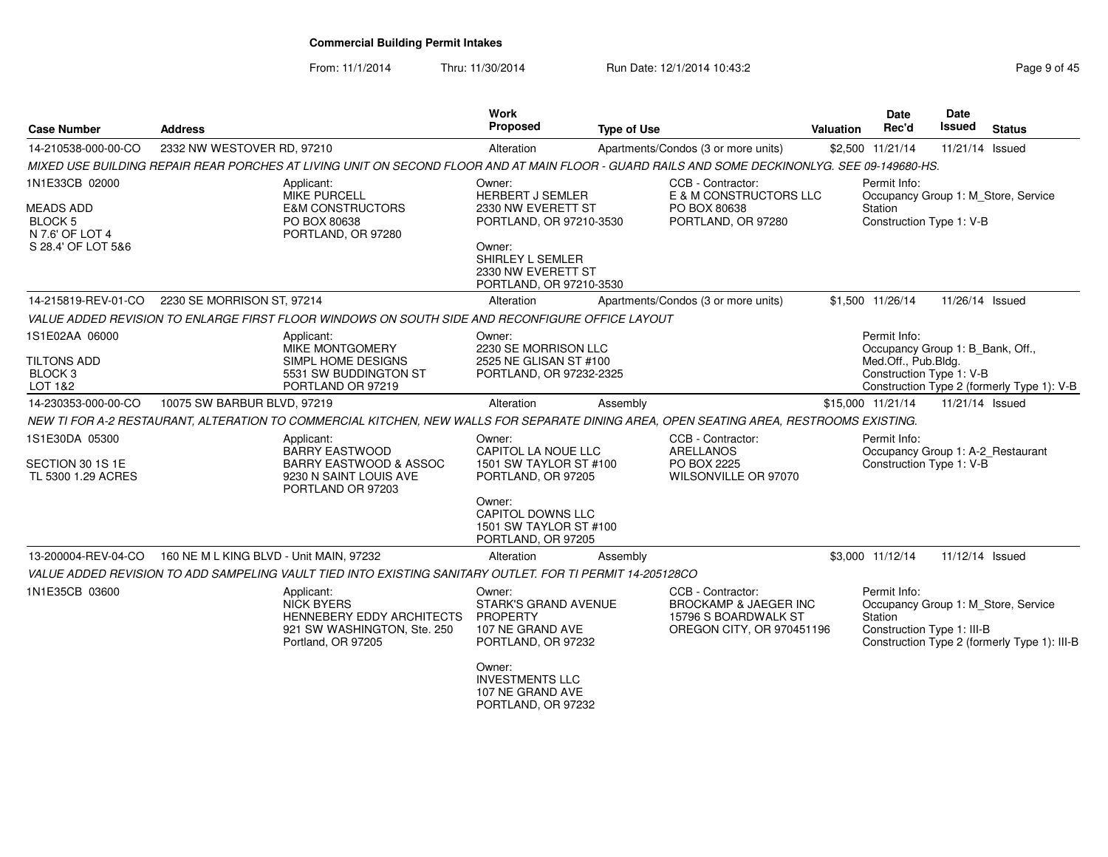From: 11/1/2014

Thru: 11/30/2014 Run Date: 12/1/2014 10:43:2<br> **Page 9 of 45** 

| <b>Case Number</b>                                                                            | <b>Address</b>                                                                                                                                | Work<br>Proposed                                                                                                                                                  | <b>Type of Use</b> |                                                                                                            | <b>Valuation</b> | <b>Date</b><br>Rec'd                                                                                | Date<br>Issued  | <b>Status</b>                                                                       |
|-----------------------------------------------------------------------------------------------|-----------------------------------------------------------------------------------------------------------------------------------------------|-------------------------------------------------------------------------------------------------------------------------------------------------------------------|--------------------|------------------------------------------------------------------------------------------------------------|------------------|-----------------------------------------------------------------------------------------------------|-----------------|-------------------------------------------------------------------------------------|
| 14-210538-000-00-CO                                                                           | 2332 NW WESTOVER RD, 97210                                                                                                                    | Alteration                                                                                                                                                        |                    | Apartments/Condos (3 or more units)                                                                        |                  | \$2,500 11/21/14                                                                                    | 11/21/14 Issued |                                                                                     |
|                                                                                               | MIXED USE BUILDING REPAIR REAR PORCHES AT LIVING UNIT ON SECOND FLOOR AND AT MAIN FLOOR - GUARD RAILS AND SOME DECKINONLYG. SEE 09-149680-HS. |                                                                                                                                                                   |                    |                                                                                                            |                  |                                                                                                     |                 |                                                                                     |
| 1N1E33CB 02000<br><b>MEADS ADD</b><br><b>BLOCK 5</b><br>N 7.6' OF LOT 4<br>S 28.4' OF LOT 5&6 | Applicant:<br><b>MIKE PURCELL</b><br><b>E&amp;M CONSTRUCTORS</b><br>PO BOX 80638<br>PORTLAND, OR 97280                                        | Owner:<br><b>HERBERT J SEMLER</b><br>2330 NW EVERETT ST<br>PORTLAND, OR 97210-3530<br>Owner:<br>SHIRLEY L SEMLER<br>2330 NW EVERETT ST<br>PORTLAND, OR 97210-3530 |                    | CCB - Contractor:<br>E & M CONSTRUCTORS LLC<br>PO BOX 80638<br>PORTLAND, OR 97280                          |                  | Permit Info:<br>Station<br>Construction Type 1: V-B                                                 |                 | Occupancy Group 1: M_Store, Service                                                 |
| 14-215819-REV-01-CO                                                                           | 2230 SE MORRISON ST, 97214                                                                                                                    | Alteration                                                                                                                                                        |                    | Apartments/Condos (3 or more units)                                                                        |                  | \$1,500 11/26/14                                                                                    | 11/26/14 Issued |                                                                                     |
|                                                                                               | VALUE ADDED REVISION TO ENLARGE FIRST FLOOR WINDOWS ON SOUTH SIDE AND RECONFIGURE OFFICE LAYOUT                                               |                                                                                                                                                                   |                    |                                                                                                            |                  |                                                                                                     |                 |                                                                                     |
| 1S1E02AA 06000<br><b>TILTONS ADD</b><br>BLOCK <sub>3</sub><br>LOT 1&2                         | Applicant:<br>MIKE MONTGOMERY<br>SIMPL HOME DESIGNS<br>5531 SW BUDDINGTON ST<br>PORTLAND OR 97219                                             | Owner:<br>2230 SE MORRISON LLC<br>2525 NE GLISAN ST #100<br>PORTLAND, OR 97232-2325                                                                               |                    |                                                                                                            |                  | Permit Info:<br>Occupancy Group 1: B_Bank, Off.,<br>Med.Off., Pub.Bldg.<br>Construction Type 1: V-B |                 | Construction Type 2 (formerly Type 1): V-B                                          |
| 14-230353-000-00-CO                                                                           | 10075 SW BARBUR BLVD, 97219                                                                                                                   | Alteration                                                                                                                                                        | Assembly           |                                                                                                            |                  | \$15,000 11/21/14                                                                                   | 11/21/14 Issued |                                                                                     |
|                                                                                               | NEW TI FOR A-2 RESTAURANT, ALTERATION TO COMMERCIAL KITCHEN, NEW WALLS FOR SEPARATE DINING AREA, OPEN SEATING AREA, RESTROOMS EXISTING.       |                                                                                                                                                                   |                    |                                                                                                            |                  |                                                                                                     |                 |                                                                                     |
| 1S1E30DA 05300<br>SECTION 30 1S 1E<br>TL 5300 1.29 ACRES                                      | Applicant:<br><b>BARRY EASTWOOD</b><br><b>BARRY EASTWOOD &amp; ASSOC</b><br>9230 N SAINT LOUIS AVE<br>PORTLAND OR 97203                       | Owner:<br>CAPITOL LA NOUE LLC<br>1501 SW TAYLOR ST #100<br>PORTLAND, OR 97205                                                                                     |                    | CCB - Contractor:<br><b>ARELLANOS</b><br>PO BOX 2225<br>WILSONVILLE OR 97070                               |                  | Permit Info:<br>Occupancy Group 1: A-2_Restaurant<br>Construction Type 1: V-B                       |                 |                                                                                     |
|                                                                                               |                                                                                                                                               | Owner:<br><b>CAPITOL DOWNS LLC</b><br>1501 SW TAYLOR ST #100<br>PORTLAND, OR 97205                                                                                |                    |                                                                                                            |                  |                                                                                                     |                 |                                                                                     |
| 13-200004-REV-04-CO                                                                           | 160 NE M L KING BLVD - Unit MAIN, 97232                                                                                                       | Alteration                                                                                                                                                        | Assembly           |                                                                                                            |                  | \$3,000 11/12/14                                                                                    | 11/12/14 Issued |                                                                                     |
|                                                                                               | VALUE ADDED REVISION TO ADD SAMPELING VAULT TIED INTO EXISTING SANITARY OUTLET. FOR TI PERMIT 14-205128CO                                     |                                                                                                                                                                   |                    |                                                                                                            |                  |                                                                                                     |                 |                                                                                     |
| 1N1E35CB 03600                                                                                | Applicant:<br><b>NICK BYERS</b><br><b>HENNEBERY EDDY ARCHITECTS</b><br>921 SW WASHINGTON, Ste. 250<br>Portland, OR 97205                      | Owner:<br><b>STARK'S GRAND AVENUE</b><br>PROPERTY<br>107 NE GRAND AVE<br>PORTLAND, OR 97232                                                                       |                    | CCB - Contractor:<br><b>BROCKAMP &amp; JAEGER INC</b><br>15796 S BOARDWALK ST<br>OREGON CITY, OR 970451196 |                  | Permit Info:<br>Station<br>Construction Type 1: III-B                                               |                 | Occupancy Group 1: M_Store, Service<br>Construction Type 2 (formerly Type 1): III-B |
|                                                                                               |                                                                                                                                               | Owner:<br><b>INVESTMENTS LLC</b><br>107 NE GRAND AVE<br>PORTLAND, OR 97232                                                                                        |                    |                                                                                                            |                  |                                                                                                     |                 |                                                                                     |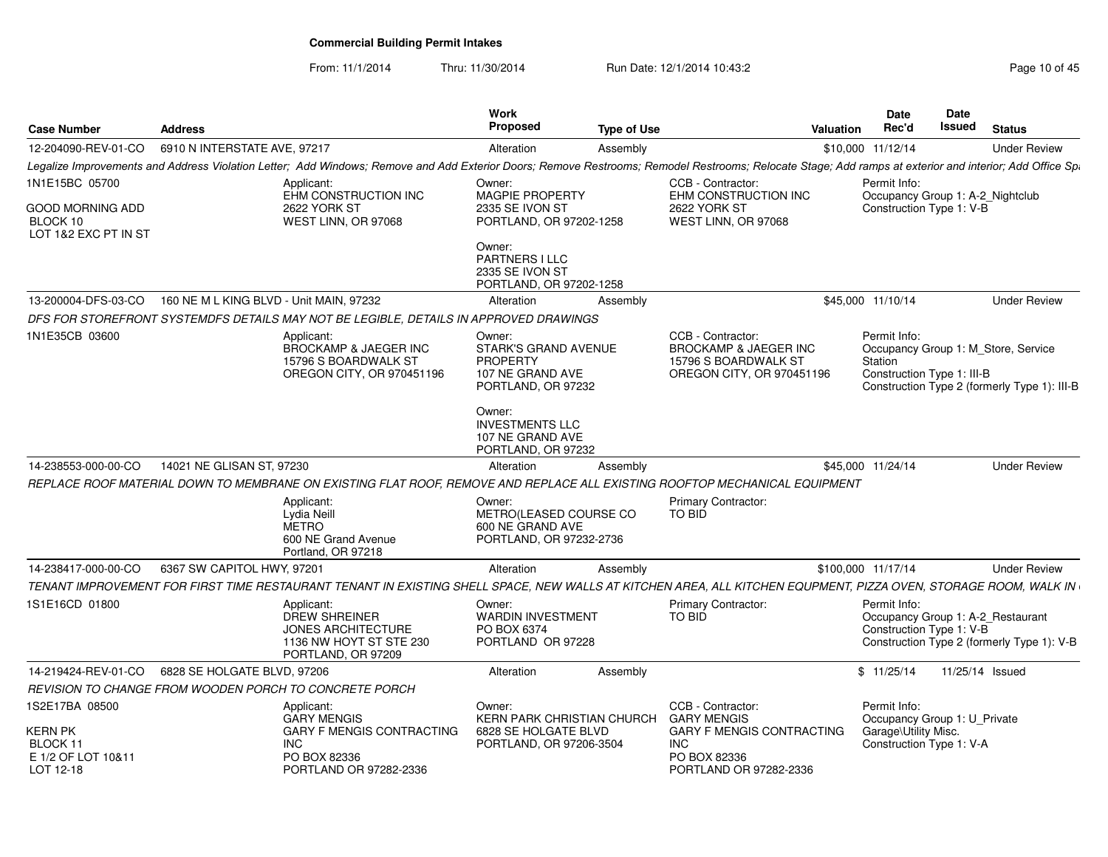From: 11/1/2014

Thru: 11/30/2014 Run Date: 12/1/2014 10:43:2<br>
Page 10 of 45

| <b>Case Number</b>                                            | <b>Address</b>                                                                                                                                                                                          | <b>Work</b><br><b>Proposed</b><br><b>Type of Use</b>                                               | Valuation                                                                                                  | <b>Date</b><br>Rec'd                                                         | <b>Date</b><br><b>Issued</b> | <b>Status</b>                                                                       |
|---------------------------------------------------------------|---------------------------------------------------------------------------------------------------------------------------------------------------------------------------------------------------------|----------------------------------------------------------------------------------------------------|------------------------------------------------------------------------------------------------------------|------------------------------------------------------------------------------|------------------------------|-------------------------------------------------------------------------------------|
| 12-204090-REV-01-CO                                           | 6910 N INTERSTATE AVE, 97217                                                                                                                                                                            | Alteration<br>Assembly                                                                             |                                                                                                            | \$10,000 11/12/14                                                            |                              | <b>Under Review</b>                                                                 |
|                                                               | Legalize Improvements and Address Violation Letter; Add Windows; Remove and Add Exterior Doors; Remove Restrooms; Remodel Restrooms; Relocate Stage; Add ramps at exterior and interior; Add Office Spa |                                                                                                    |                                                                                                            |                                                                              |                              |                                                                                     |
| 1N1E15BC 05700<br>GOOD MORNING ADD                            | Applicant:<br>EHM CONSTRUCTION INC<br>2622 YORK ST                                                                                                                                                      | Owner:<br>MAGPIE PROPERTY<br>2335 SE IVON ST                                                       | CCB - Contractor:<br>EHM CONSTRUCTION INC<br>2622 YORK ST                                                  | Permit Info:<br>Occupancy Group 1: A-2_Nightclub<br>Construction Type 1: V-B |                              |                                                                                     |
| BLOCK 10<br>LOT 1&2 EXC PT IN ST                              | WEST LINN, OR 97068                                                                                                                                                                                     | PORTLAND, OR 97202-1258                                                                            | WEST LINN, OR 97068                                                                                        |                                                                              |                              |                                                                                     |
|                                                               |                                                                                                                                                                                                         | Owner:<br><b>PARTNERS I LLC</b><br>2335 SE IVON ST<br>PORTLAND, OR 97202-1258                      |                                                                                                            |                                                                              |                              |                                                                                     |
| 13-200004-DFS-03-CO                                           | 160 NE M L KING BLVD - Unit MAIN, 97232                                                                                                                                                                 | Assembly<br>Alteration                                                                             |                                                                                                            | \$45,000 11/10/14                                                            |                              | <b>Under Review</b>                                                                 |
|                                                               | DFS FOR STOREFRONT SYSTEMDFS DETAILS MAY NOT BE LEGIBLE, DETAILS IN APPROVED DRAWINGS                                                                                                                   |                                                                                                    |                                                                                                            |                                                                              |                              |                                                                                     |
| 1N1E35CB 03600                                                | Applicant:<br>BROCKAMP & JAEGER INC<br>15796 S BOARDWALK ST<br>OREGON CITY, OR 970451196                                                                                                                | Owner:<br><b>STARK'S GRAND AVENUE</b><br><b>PROPERTY</b><br>107 NE GRAND AVE<br>PORTLAND, OR 97232 | CCB - Contractor:<br><b>BROCKAMP &amp; JAEGER INC</b><br>15796 S BOARDWALK ST<br>OREGON CITY, OR 970451196 | Permit Info:<br>Station<br>Construction Type 1: III-B                        |                              | Occupancy Group 1: M Store, Service<br>Construction Type 2 (formerly Type 1): III-B |
|                                                               |                                                                                                                                                                                                         | Owner:<br><b>INVESTMENTS LLC</b><br>107 NE GRAND AVE<br>PORTLAND, OR 97232                         |                                                                                                            |                                                                              |                              |                                                                                     |
| 14-238553-000-00-CO                                           | 14021 NE GLISAN ST, 97230                                                                                                                                                                               | Alteration<br>Assembly                                                                             |                                                                                                            | \$45,000 11/24/14                                                            |                              | <b>Under Review</b>                                                                 |
|                                                               | REPLACE ROOF MATERIAL DOWN TO MEMBRANE ON EXISTING FLAT ROOF, REMOVE AND REPLACE ALL EXISTING ROOFTOP MECHANICAL EQUIPMENT                                                                              |                                                                                                    |                                                                                                            |                                                                              |                              |                                                                                     |
|                                                               | Applicant:<br>Lydia Neill<br><b>METRO</b><br>600 NE Grand Avenue<br>Portland, OR 97218                                                                                                                  | Owner:<br>METRO(LEASED COURSE CO<br>600 NE GRAND AVE<br>PORTLAND, OR 97232-2736                    | <b>Primary Contractor:</b><br>TO BID                                                                       |                                                                              |                              |                                                                                     |
| 14-238417-000-00-CO                                           | 6367 SW CAPITOL HWY, 97201                                                                                                                                                                              | Alteration<br>Assembly                                                                             |                                                                                                            | \$100,000 11/17/14                                                           |                              | <b>Under Review</b>                                                                 |
|                                                               | TENANT IMPROVEMENT FOR FIRST TIME RESTAURANT TENANT IN EXISTING SHELL SPACE. NEW WALLS AT KITCHEN AREA. ALL KITCHEN EQUPMENT. PIZZA OVEN. STORAGE ROOM. WALK IN 1                                       |                                                                                                    |                                                                                                            |                                                                              |                              |                                                                                     |
| 1S1E16CD 01800                                                | Applicant:<br><b>DREW SHREINER</b><br><b>JONES ARCHITECTURE</b><br>1136 NW HOYT ST STE 230<br>PORTLAND, OR 97209                                                                                        | Owner:<br><b>WARDIN INVESTMENT</b><br>PO BOX 6374<br>PORTLAND OR 97228                             | <b>Primary Contractor:</b><br>TO BID                                                                       | Permit Info:<br>Construction Type 1: V-B                                     |                              | Occupancy Group 1: A-2_Restaurant<br>Construction Type 2 (formerly Type 1): V-B     |
|                                                               | 14-219424-REV-01-CO 6828 SE HOLGATE BLVD, 97206                                                                                                                                                         | Assembly<br>Alteration                                                                             |                                                                                                            | \$11/25/14                                                                   |                              | 11/25/14 Issued                                                                     |
|                                                               | REVISION TO CHANGE FROM WOODEN PORCH TO CONCRETE PORCH                                                                                                                                                  |                                                                                                    |                                                                                                            |                                                                              |                              |                                                                                     |
| 1S2E17BA 08500                                                | Applicant:<br><b>GARY MENGIS</b>                                                                                                                                                                        | Owner:<br>KERN PARK CHRISTIAN CHURCH                                                               | CCB - Contractor:<br><b>GARY MENGIS</b>                                                                    | Permit Info:<br>Occupancy Group 1: U Private                                 |                              |                                                                                     |
| <b>KERN PK</b><br>BLOCK 11<br>E 1/2 OF LOT 10&11<br>LOT 12-18 | <b>GARY F MENGIS CONTRACTING</b><br><b>INC</b><br>PO BOX 82336<br>PORTLAND OR 97282-2336                                                                                                                | 6828 SE HOLGATE BLVD<br>PORTLAND, OR 97206-3504                                                    | <b>GARY F MENGIS CONTRACTING</b><br><b>INC</b><br>PO BOX 82336<br>PORTLAND OR 97282-2336                   | Garage\Utility Misc.<br>Construction Type 1: V-A                             |                              |                                                                                     |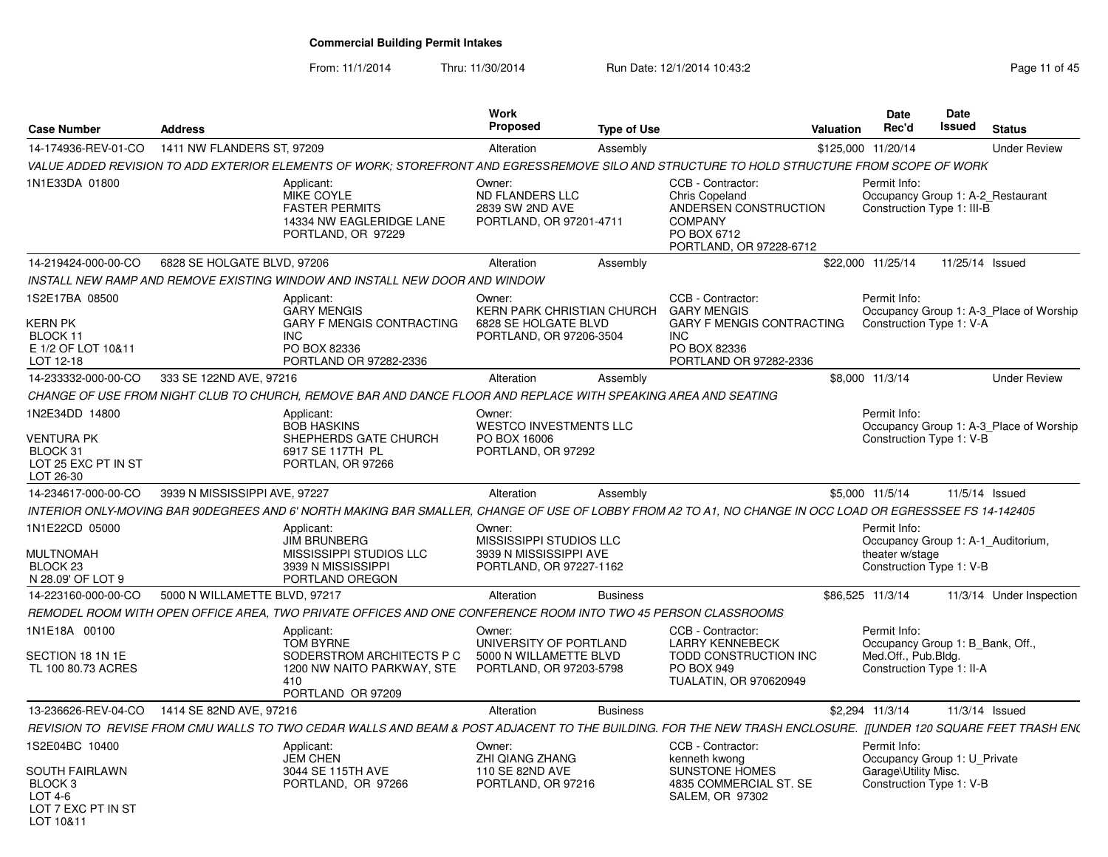From: 11/1/2014

Thru: 11/30/2014 Run Date: 12/1/2014 10:43:2<br>
Run Date: 12/1/2014 10:43:2

| <b>Case Number</b>                                                                          | <b>Address</b>                |                                                                                                                                                               | <b>Work</b><br><b>Proposed</b>                                                                 | <b>Type of Use</b> |                                                                                                                                     | <b>Valuation</b> | Date<br>Rec'd                                                                                     | Date<br>Issued  | <b>Status</b>                           |
|---------------------------------------------------------------------------------------------|-------------------------------|---------------------------------------------------------------------------------------------------------------------------------------------------------------|------------------------------------------------------------------------------------------------|--------------------|-------------------------------------------------------------------------------------------------------------------------------------|------------------|---------------------------------------------------------------------------------------------------|-----------------|-----------------------------------------|
| 14-174936-REV-01-CO                                                                         | 1411 NW FLANDERS ST, 97209    |                                                                                                                                                               | Alteration                                                                                     | Assembly           |                                                                                                                                     |                  | \$125,000 11/20/14                                                                                |                 | <b>Under Review</b>                     |
|                                                                                             |                               | VALUE ADDED REVISION TO ADD EXTERIOR ELEMENTS OF WORK; STOREFRONT AND EGRESSREMOVE SILO AND STRUCTURE TO HOLD STRUCTURE FROM SCOPE OF WORK                    |                                                                                                |                    |                                                                                                                                     |                  |                                                                                                   |                 |                                         |
| 1N1E33DA 01800                                                                              |                               | Applicant:<br>MIKE COYLE<br><b>FASTER PERMITS</b><br>14334 NW EAGLERIDGE LANE<br>PORTLAND, OR 97229                                                           | Owner:<br>ND FLANDERS LLC<br>2839 SW 2ND AVE<br>PORTLAND, OR 97201-4711                        |                    | CCB - Contractor:<br>Chris Copeland<br>ANDERSEN CONSTRUCTION<br><b>COMPANY</b><br>PO BOX 6712<br>PORTLAND, OR 97228-6712            |                  | Permit Info:<br>Occupancy Group 1: A-2 Restaurant<br>Construction Type 1: III-B                   |                 |                                         |
| 14-219424-000-00-CO                                                                         | 6828 SE HOLGATE BLVD, 97206   |                                                                                                                                                               | Alteration                                                                                     | Assembly           |                                                                                                                                     |                  | \$22,000 11/25/14                                                                                 | 11/25/14 Issued |                                         |
|                                                                                             |                               | INSTALL NEW RAMP AND REMOVE EXISTING WINDOW AND INSTALL NEW DOOR AND WINDOW                                                                                   |                                                                                                |                    |                                                                                                                                     |                  |                                                                                                   |                 |                                         |
| 1S2E17BA 08500<br>KERN PK<br>BLOCK 11<br>E 1/2 OF LOT 10&11<br>LOT 12-18                    |                               | Applicant:<br><b>GARY MENGIS</b><br><b>GARY F MENGIS CONTRACTING</b><br><b>INC</b><br>PO BOX 82336<br>PORTLAND OR 97282-2336                                  | Owner:<br><b>KERN PARK CHRISTIAN CHURCH</b><br>6828 SE HOLGATE BLVD<br>PORTLAND, OR 97206-3504 |                    | CCB - Contractor:<br><b>GARY MENGIS</b><br><b>GARY F MENGIS CONTRACTING</b><br><b>INC</b><br>PO BOX 82336<br>PORTLAND OR 97282-2336 |                  | Permit Info:<br>Construction Type 1: V-A                                                          |                 | Occupancy Group 1: A-3_Place of Worship |
| 14-233332-000-00-CO                                                                         | 333 SE 122ND AVE, 97216       |                                                                                                                                                               | Alteration                                                                                     | Assembly           |                                                                                                                                     |                  | \$8,000 11/3/14                                                                                   |                 | <b>Under Review</b>                     |
|                                                                                             |                               | CHANGE OF USE FROM NIGHT CLUB TO CHURCH, REMOVE BAR AND DANCE FLOOR AND REPLACE WITH SPEAKING AREA AND SEATING                                                |                                                                                                |                    |                                                                                                                                     |                  |                                                                                                   |                 |                                         |
| 1N2E34DD 14800                                                                              |                               | Applicant:<br><b>BOB HASKINS</b>                                                                                                                              | Owner:<br><b>WESTCO INVESTMENTS LLC</b>                                                        |                    |                                                                                                                                     |                  | Permit Info:                                                                                      |                 | Occupancy Group 1: A-3_Place of Worship |
| <b>VENTURA PK</b><br>BLOCK 31<br>LOT 25 EXC PT IN ST<br>LOT 26-30                           |                               | SHEPHERDS GATE CHURCH<br>6917 SE 117TH PL<br>PORTLAN, OR 97266                                                                                                | PO BOX 16006<br>PORTLAND, OR 97292                                                             |                    |                                                                                                                                     |                  | Construction Type 1: V-B                                                                          |                 |                                         |
| 14-234617-000-00-CO                                                                         | 3939 N MISSISSIPPI AVE, 97227 |                                                                                                                                                               | Alteration                                                                                     | Assembly           |                                                                                                                                     |                  | \$5,000 11/5/14                                                                                   |                 | 11/5/14 Issued                          |
|                                                                                             |                               | INTERIOR ONLY-MOVING BAR 90DEGREES AND 6' NORTH MAKING BAR SMALLER, CHANGE OF USE OF LOBBY FROM A2 TO A1, NO CHANGE IN OCC LOAD OR EGRESSSEE FS 14-142405     |                                                                                                |                    |                                                                                                                                     |                  |                                                                                                   |                 |                                         |
| 1N1E22CD 05000<br><b>MULTNOMAH</b><br>BLOCK <sub>23</sub><br>N 28.09' OF LOT 9              |                               | Applicant:<br><b>JIM BRUNBERG</b><br>MISSISSIPPI STUDIOS LLC<br>3939 N MISSISSIPPI<br>PORTLAND OREGON                                                         | Owner:<br>MISSISSIPPI STUDIOS LLC<br>3939 N MISSISSIPPI AVE<br>PORTLAND, OR 97227-1162         |                    |                                                                                                                                     |                  | Permit Info:<br>Occupancy Group 1: A-1_Auditorium,<br>theater w/stage<br>Construction Type 1: V-B |                 |                                         |
| 14-223160-000-00-CO                                                                         | 5000 N WILLAMETTE BLVD, 97217 |                                                                                                                                                               | Alteration                                                                                     | <b>Business</b>    |                                                                                                                                     |                  | \$86,525 11/3/14                                                                                  |                 | 11/3/14 Under Inspection                |
|                                                                                             |                               | REMODEL ROOM WITH OPEN OFFICE AREA, TWO PRIVATE OFFICES AND ONE CONFERENCE ROOM INTO TWO 45 PERSON CLASSROOMS                                                 |                                                                                                |                    |                                                                                                                                     |                  |                                                                                                   |                 |                                         |
| 1N1E18A 00100                                                                               |                               | Applicant:<br><b>TOM BYRNE</b>                                                                                                                                | Owner:<br>UNIVERSITY OF PORTLAND                                                               |                    | CCB - Contractor:<br><b>LARRY KENNEBECK</b>                                                                                         |                  | Permit Info:<br>Occupancy Group 1: B Bank, Off.,                                                  |                 |                                         |
| SECTION 18 1N 1E<br>TL 100 80.73 ACRES                                                      |                               | SODERSTROM ARCHITECTS P C<br>1200 NW NAITO PARKWAY, STE<br>410<br>PORTLAND OR 97209                                                                           | 5000 N WILLAMETTE BLVD<br>PORTLAND, OR 97203-5798                                              |                    | <b>TODD CONSTRUCTION INC</b><br>PO BOX 949<br><b>TUALATIN, OR 970620949</b>                                                         |                  | Med.Off., Pub.Blda.<br>Construction Type 1: II-A                                                  |                 |                                         |
| 13-236626-REV-04-CO                                                                         | 1414 SE 82ND AVE, 97216       |                                                                                                                                                               | Alteration                                                                                     | <b>Business</b>    |                                                                                                                                     |                  | \$2,294 11/3/14                                                                                   |                 | 11/3/14 Issued                          |
|                                                                                             |                               | REVISION TO REVISE FROM CMU WALLS TO TWO CEDAR WALLS AND BEAM & POST ADJACENT TO THE BUILDING. FOR THE NEW TRASH ENCLOSURE. [[UNDER 120 SQUARE FEET TRASH EN( |                                                                                                |                    |                                                                                                                                     |                  |                                                                                                   |                 |                                         |
| 1S2E04BC 10400                                                                              |                               | Applicant:<br><b>JEM CHEN</b>                                                                                                                                 | Owner:<br>ZHI QIANG ZHANG                                                                      |                    | CCB - Contractor:<br>kenneth kwong                                                                                                  |                  | Permit Info:<br>Occupancy Group 1: U_Private                                                      |                 |                                         |
| <b>SOUTH FAIRLAWN</b><br>BLOCK <sub>3</sub><br>$LOT 4-6$<br>LOT 7 EXC PT IN ST<br>LOT 10&11 |                               | 3044 SE 115TH AVE<br>PORTLAND, OR 97266                                                                                                                       | 110 SE 82ND AVE<br>PORTLAND, OR 97216                                                          |                    | <b>SUNSTONE HOMES</b><br>4835 COMMERCIAL ST. SE<br>SALEM, OR 97302                                                                  |                  | Garage\Utility Misc.<br>Construction Type 1: V-B                                                  |                 |                                         |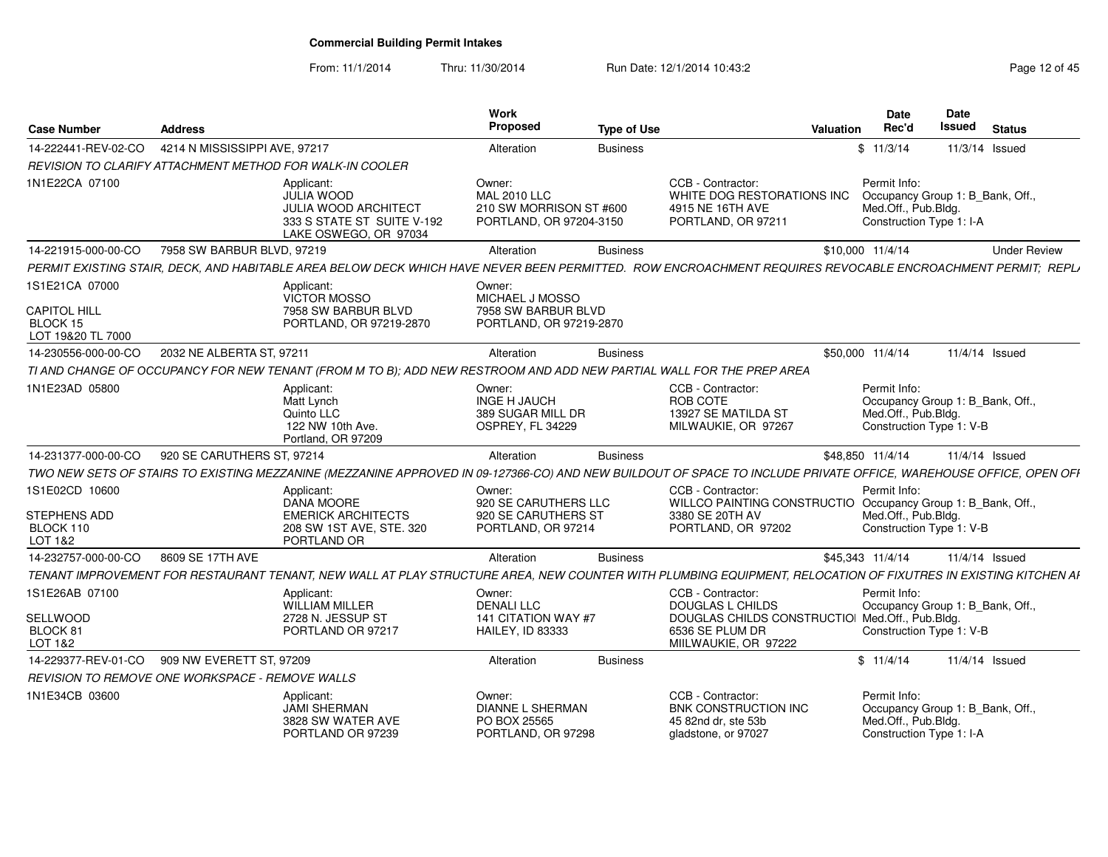From: 11/1/2014

Thru: 11/30/2014 Run Date: 12/1/2014 10:43:2<br>
Page 12 of 45

| <b>Case Number</b>                                                     | <b>Address</b>                |                                                                                                                                                                   | Work<br>Proposed                                                                    | <b>Type of Use</b> |                                                                                                                            | Valuation | Date<br>Rec'd                                                                                       | Date<br><b>Issued</b> | <b>Status</b>       |
|------------------------------------------------------------------------|-------------------------------|-------------------------------------------------------------------------------------------------------------------------------------------------------------------|-------------------------------------------------------------------------------------|--------------------|----------------------------------------------------------------------------------------------------------------------------|-----------|-----------------------------------------------------------------------------------------------------|-----------------------|---------------------|
| 14-222441-REV-02-CO                                                    | 4214 N MISSISSIPPI AVE, 97217 |                                                                                                                                                                   | Alteration                                                                          | <b>Business</b>    |                                                                                                                            |           | \$11/3/14                                                                                           |                       | 11/3/14 Issued      |
|                                                                        |                               | REVISION TO CLARIFY ATTACHMENT METHOD FOR WALK-IN COOLER                                                                                                          |                                                                                     |                    |                                                                                                                            |           |                                                                                                     |                       |                     |
| 1N1E22CA 07100                                                         |                               | Applicant:<br><b>JULIA WOOD</b><br><b>JULIA WOOD ARCHITECT</b><br>333 S STATE ST SUITE V-192<br>LAKE OSWEGO, OR 97034                                             | Owner:<br><b>MAL 2010 LLC</b><br>210 SW MORRISON ST #600<br>PORTLAND, OR 97204-3150 |                    | CCB - Contractor:<br>WHITE DOG RESTORATIONS INC<br>4915 NE 16TH AVE<br>PORTLAND, OR 97211                                  |           | Permit Info:<br>Occupancy Group 1: B_Bank, Off.,<br>Med.Off., Pub.Bldg.<br>Construction Type 1: I-A |                       |                     |
| 14-221915-000-00-CO                                                    | 7958 SW BARBUR BLVD, 97219    |                                                                                                                                                                   | Alteration                                                                          | <b>Business</b>    |                                                                                                                            |           | \$10,000 11/4/14                                                                                    |                       | <b>Under Review</b> |
|                                                                        |                               | PERMIT EXISTING STAIR, DECK, AND HABITABLE AREA BELOW DECK WHICH HAVE NEVER BEEN PERMITTED. ROW ENCROACHMENT REQUIRES REVOCABLE ENCROACHMENT PERMIT; REPLI        |                                                                                     |                    |                                                                                                                            |           |                                                                                                     |                       |                     |
| 1S1E21CA 07000<br><b>CAPITOL HILL</b><br>BLOCK 15<br>LOT 19&20 TL 7000 |                               | Applicant:<br>VICTOR MOSSO<br>7958 SW BARBUR BLVD<br>PORTLAND, OR 97219-2870                                                                                      | Owner:<br>MICHAEL J MOSSO<br>7958 SW BARBUR BLVD<br>PORTLAND, OR 97219-2870         |                    |                                                                                                                            |           |                                                                                                     |                       |                     |
| 14-230556-000-00-CO                                                    | 2032 NE ALBERTA ST, 97211     |                                                                                                                                                                   | Alteration                                                                          | <b>Business</b>    |                                                                                                                            |           | \$50,000 11/4/14                                                                                    |                       | 11/4/14 Issued      |
|                                                                        |                               | TI AND CHANGE OF OCCUPANCY FOR NEW TENANT (FROM M TO B); ADD NEW RESTROOM AND ADD NEW PARTIAL WALL FOR THE PREP AREA                                              |                                                                                     |                    |                                                                                                                            |           |                                                                                                     |                       |                     |
| 1N1E23AD 05800                                                         |                               | Applicant:<br>Matt Lynch<br>Quinto LLC<br>122 NW 10th Ave.<br>Portland, OR 97209                                                                                  | Owner:<br><b>INGE H JAUCH</b><br>389 SUGAR MILL DR<br>OSPREY, FL 34229              |                    | CCB - Contractor:<br>ROB COTE<br>13927 SE MATILDA ST<br>MILWAUKIE, OR 97267                                                |           | Permit Info:<br>Occupancy Group 1: B Bank, Off.,<br>Med.Off., Pub.Bldg.<br>Construction Type 1: V-B |                       |                     |
| 14-231377-000-00-CO                                                    | 920 SE CARUTHERS ST, 97214    |                                                                                                                                                                   | Alteration                                                                          | <b>Business</b>    |                                                                                                                            |           | \$48,850 11/4/14                                                                                    |                       | 11/4/14 Issued      |
|                                                                        |                               | TWO NEW SETS OF STAIRS TO EXISTING MEZZANINE (MEZZANINE APPROVED IN 09-127366-CO) AND NEW BUILDOUT OF SPACE TO INCLUDE PRIVATE OFFICE, WAREHOUSE OFFICE, OPEN OFI |                                                                                     |                    |                                                                                                                            |           |                                                                                                     |                       |                     |
| 1S1E02CD 10600<br>STEPHENS ADD<br>BLOCK 110<br>LOT 1&2                 |                               | Applicant:<br>DANA MOORE<br><b>EMERICK ARCHITECTS</b><br>208 SW 1ST AVE, STE. 320<br>PORTLAND OR                                                                  | Owner:<br>920 SE CARUTHERS LLC<br>920 SE CARUTHERS ST<br>PORTLAND, OR 97214         |                    | CCB - Contractor:<br>WILLCO PAINTING CONSTRUCTIO Occupancy Group 1: B_Bank, Off.,<br>3380 SE 20TH AV<br>PORTLAND, OR 97202 |           | Permit Info:<br>Med.Off., Pub.Bldg.<br>Construction Type 1: V-B                                     |                       |                     |
| 14-232757-000-00-CO                                                    | 8609 SE 17TH AVE              |                                                                                                                                                                   | Alteration                                                                          | <b>Business</b>    |                                                                                                                            |           | \$45,343 11/4/14                                                                                    |                       | 11/4/14 Issued      |
|                                                                        |                               | TENANT IMPROVEMENT FOR RESTAURANT TENANT, NEW WALL AT PLAY STRUCTURE AREA, NEW COUNTER WITH PLUMBING EQUIPMENT, RELOCATION OF FIXUTRES IN EXISTING KITCHEN AI     |                                                                                     |                    |                                                                                                                            |           |                                                                                                     |                       |                     |
| 1S1E26AB 07100<br>SELLWOOD<br>BLOCK 81                                 |                               | Applicant:<br><b>WILLIAM MILLER</b><br>2728 N. JESSUP ST<br>PORTLAND OR 97217                                                                                     | Owner:<br><b>DENALI LLC</b><br>141 CITATION WAY #7<br><b>HAILEY, ID 83333</b>       |                    | CCB - Contractor:<br><b>DOUGLAS L CHILDS</b><br>DOUGLAS CHILDS CONSTRUCTIOI Med.Off., Pub.Bldg.<br>6536 SE PLUM DR         |           | Permit Info:<br>Occupancy Group 1: B Bank, Off.,<br>Construction Type 1: V-B                        |                       |                     |
| LOT 1&2                                                                |                               |                                                                                                                                                                   |                                                                                     |                    | MIILWAUKIE, OR 97222                                                                                                       |           |                                                                                                     |                       |                     |
| 14-229377-REV-01-CO                                                    | 909 NW EVERETT ST, 97209      |                                                                                                                                                                   | Alteration                                                                          | <b>Business</b>    |                                                                                                                            |           | \$11/4/14                                                                                           |                       | 11/4/14 Issued      |
| REVISION TO REMOVE ONE WORKSPACE - REMOVE WALLS                        |                               |                                                                                                                                                                   |                                                                                     |                    |                                                                                                                            |           |                                                                                                     |                       |                     |
| 1N1E34CB 03600                                                         |                               | Applicant:<br><b>JAMI SHERMAN</b><br>3828 SW WATER AVE<br>PORTLAND OR 97239                                                                                       | Owner:<br><b>DIANNE L SHERMAN</b><br>PO BOX 25565<br>PORTLAND, OR 97298             |                    | CCB - Contractor:<br><b>BNK CONSTRUCTION INC</b><br>45 82nd dr. ste 53b<br>gladstone, or 97027                             |           | Permit Info:<br>Occupancy Group 1: B_Bank, Off.,<br>Med.Off., Pub.Bldg.<br>Construction Type 1: I-A |                       |                     |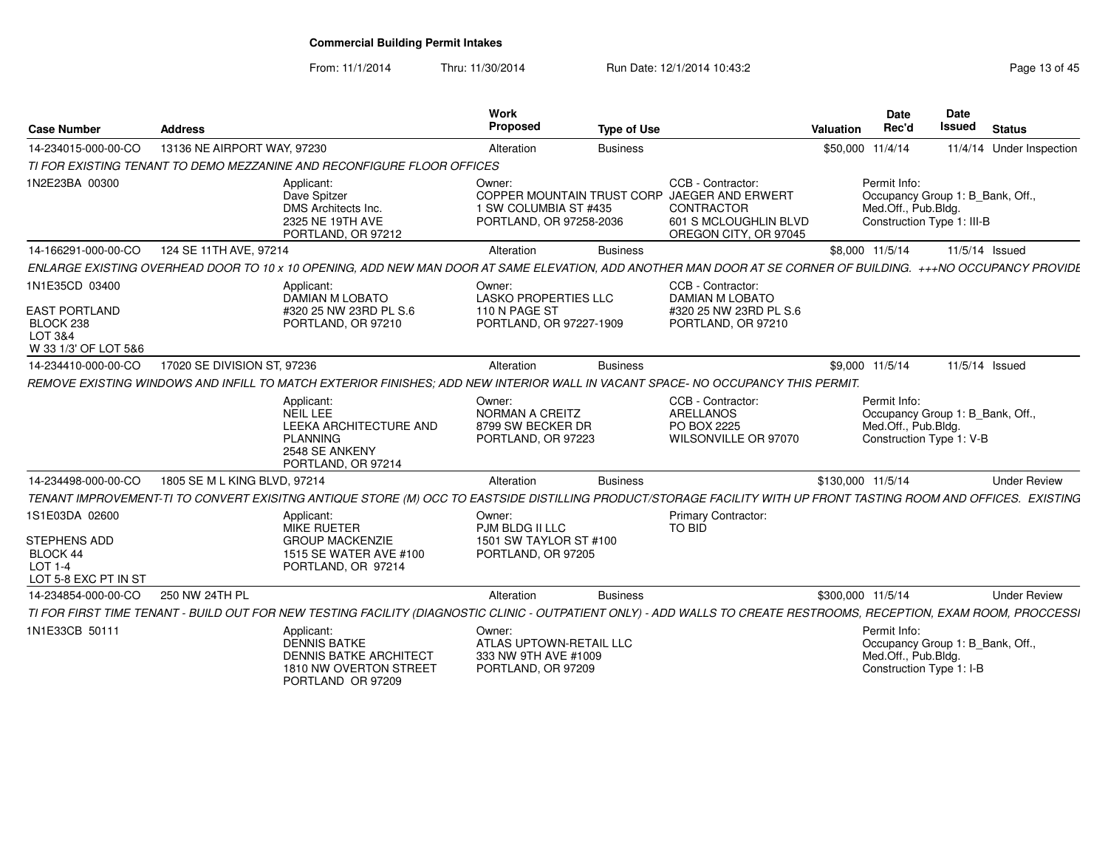From: 11/1/2014Thru: 11/30/2014 Run Date: 12/1/2014 10:43:2<br>
Page 13 of 45

| <b>Case Number</b>                                                            | <b>Address</b>               |                                                                                                                                                                      | Work<br><b>Proposed</b>                                                                  | <b>Type of Use</b> |                                                                                                               | <b>Valuation</b>  | <b>Date</b><br>Rec'd                                                                                  | <b>Date</b><br><b>Issued</b> | <b>Status</b>            |
|-------------------------------------------------------------------------------|------------------------------|----------------------------------------------------------------------------------------------------------------------------------------------------------------------|------------------------------------------------------------------------------------------|--------------------|---------------------------------------------------------------------------------------------------------------|-------------------|-------------------------------------------------------------------------------------------------------|------------------------------|--------------------------|
| 14-234015-000-00-CO                                                           | 13136 NE AIRPORT WAY, 97230  |                                                                                                                                                                      | Alteration                                                                               | <b>Business</b>    |                                                                                                               |                   | \$50,000 11/4/14                                                                                      |                              | 11/4/14 Under Inspection |
|                                                                               |                              | TI FOR EXISTING TENANT TO DEMO MEZZANINE AND RECONFIGURE FLOOR OFFICES                                                                                               |                                                                                          |                    |                                                                                                               |                   |                                                                                                       |                              |                          |
| 1N2E23BA 00300                                                                |                              | Applicant:<br>Dave Spitzer<br>DMS Architects Inc.<br>2325 NE 19TH AVE<br>PORTLAND, OR 97212                                                                          | Owner:<br>COPPER MOUNTAIN TRUST CORP<br>1 SW COLUMBIA ST #435<br>PORTLAND, OR 97258-2036 |                    | CCB - Contractor:<br>JAEGER AND ERWERT<br><b>CONTRACTOR</b><br>601 S MCLOUGHLIN BLVD<br>OREGON CITY, OR 97045 |                   | Permit Info:<br>Occupancy Group 1: B_Bank, Off.,<br>Med.Off., Pub.Bldg.<br>Construction Type 1: III-B |                              |                          |
| 14-166291-000-00-CO                                                           | 124 SE 11TH AVE, 97214       |                                                                                                                                                                      | Alteration                                                                               | <b>Business</b>    |                                                                                                               |                   | \$8,000 11/5/14                                                                                       |                              | 11/5/14 Issued           |
|                                                                               |                              | ENLARGE EXISTING OVERHEAD DOOR TO 10 x 10 OPENING, ADD NEW MAN DOOR AT SAME ELEVATION, ADD ANOTHER MAN DOOR AT SE CORNER OF BUILDING. +++NO OCCUPANCY PROVIDE        |                                                                                          |                    |                                                                                                               |                   |                                                                                                       |                              |                          |
| 1N1E35CD 03400<br><b>EAST PORTLAND</b><br>BLOCK 238<br>LOT 3&4                |                              | Applicant:<br><b>DAMIAN M LOBATO</b><br>#320 25 NW 23RD PL S.6<br>PORTLAND, OR 97210                                                                                 | Owner:<br><b>LASKO PROPERTIES LLC</b><br>110 N PAGE ST<br>PORTLAND, OR 97227-1909        |                    | CCB - Contractor:<br><b>DAMIAN M LOBATO</b><br>#320 25 NW 23RD PL S.6<br>PORTLAND, OR 97210                   |                   |                                                                                                       |                              |                          |
| W 33 1/3' OF LOT 5&6                                                          |                              |                                                                                                                                                                      |                                                                                          |                    |                                                                                                               |                   |                                                                                                       |                              |                          |
| 14-234410-000-00-CO                                                           | 17020 SE DIVISION ST, 97236  |                                                                                                                                                                      | Alteration                                                                               | <b>Business</b>    |                                                                                                               |                   | \$9,000 11/5/14                                                                                       |                              | 11/5/14 Issued           |
|                                                                               |                              | REMOVE EXISTING WINDOWS AND INFILL TO MATCH EXTERIOR FINISHES: ADD NEW INTERIOR WALL IN VACANT SPACE- NO OCCUPANCY THIS PERMIT.                                      |                                                                                          |                    |                                                                                                               |                   |                                                                                                       |                              |                          |
|                                                                               |                              | Applicant:<br>NEIL LEE<br>LEEKA ARCHITECTURE AND<br><b>PLANNING</b><br>2548 SE ANKENY<br>PORTLAND, OR 97214                                                          | Owner:<br>NORMAN A CREITZ<br>8799 SW BECKER DR<br>PORTLAND, OR 97223                     |                    | CCB - Contractor:<br><b>ARELLANOS</b><br>PO BOX 2225<br>WILSONVILLE OR 97070                                  |                   | Permit Info:<br>Occupancy Group 1: B_Bank, Off.,<br>Med.Off., Pub.Bldg.<br>Construction Type 1: V-B   |                              |                          |
| 14-234498-000-00-CO                                                           | 1805 SE M L KING BLVD, 97214 |                                                                                                                                                                      | Alteration                                                                               | <b>Business</b>    |                                                                                                               | \$130,000 11/5/14 |                                                                                                       |                              | <b>Under Review</b>      |
|                                                                               |                              | TENANT IMPROVEMENT-TI TO CONVERT EXISITNG ANTIQUE STORE (M) OCC TO EASTSIDE DISTILLING PRODUCT/STORAGE FACILITY WITH UP FRONT TASTING ROOM AND OFFICES. EXISTING     |                                                                                          |                    |                                                                                                               |                   |                                                                                                       |                              |                          |
| 1S1E03DA 02600<br>STEPHENS ADD<br>BLOCK 44<br>LOT 1-4<br>LOT 5-8 EXC PT IN ST |                              | Applicant:<br>MIKE RUETER<br><b>GROUP MACKENZIE</b><br>1515 SE WATER AVE #100<br>PORTLAND, OR 97214                                                                  | Owner:<br>PJM BLDG II LLC<br>1501 SW TAYLOR ST #100<br>PORTLAND, OR 97205                |                    | <b>Primary Contractor:</b><br>TO BID                                                                          |                   |                                                                                                       |                              |                          |
| 14-234854-000-00-CO                                                           | 250 NW 24TH PL               |                                                                                                                                                                      | Alteration                                                                               | <b>Business</b>    |                                                                                                               | \$300,000 11/5/14 |                                                                                                       |                              | <b>Under Review</b>      |
|                                                                               |                              | TI FOR FIRST TIME TENANT - BUILD OUT FOR NEW TESTING FACILITY (DIAGNOSTIC CLINIC - OUTPATIENT ONLY) - ADD WALLS TO CREATE RESTROOMS, RECEPTION, EXAM ROOM, PROCCESSI |                                                                                          |                    |                                                                                                               |                   |                                                                                                       |                              |                          |
| 1N1E33CB 50111                                                                |                              | Applicant:<br><b>DENNIS BATKE</b><br><b>DENNIS BATKE ARCHITECT</b><br>1810 NW OVERTON STREET<br>PORTLAND OR 97209                                                    | Owner:<br>ATLAS UPTOWN-RETAIL LLC<br>333 NW 9TH AVE #1009<br>PORTLAND, OR 97209          |                    |                                                                                                               |                   | Permit Info:<br>Occupancy Group 1: B_Bank, Off.,<br>Med.Off., Pub.Bldg.<br>Construction Type 1: I-B   |                              |                          |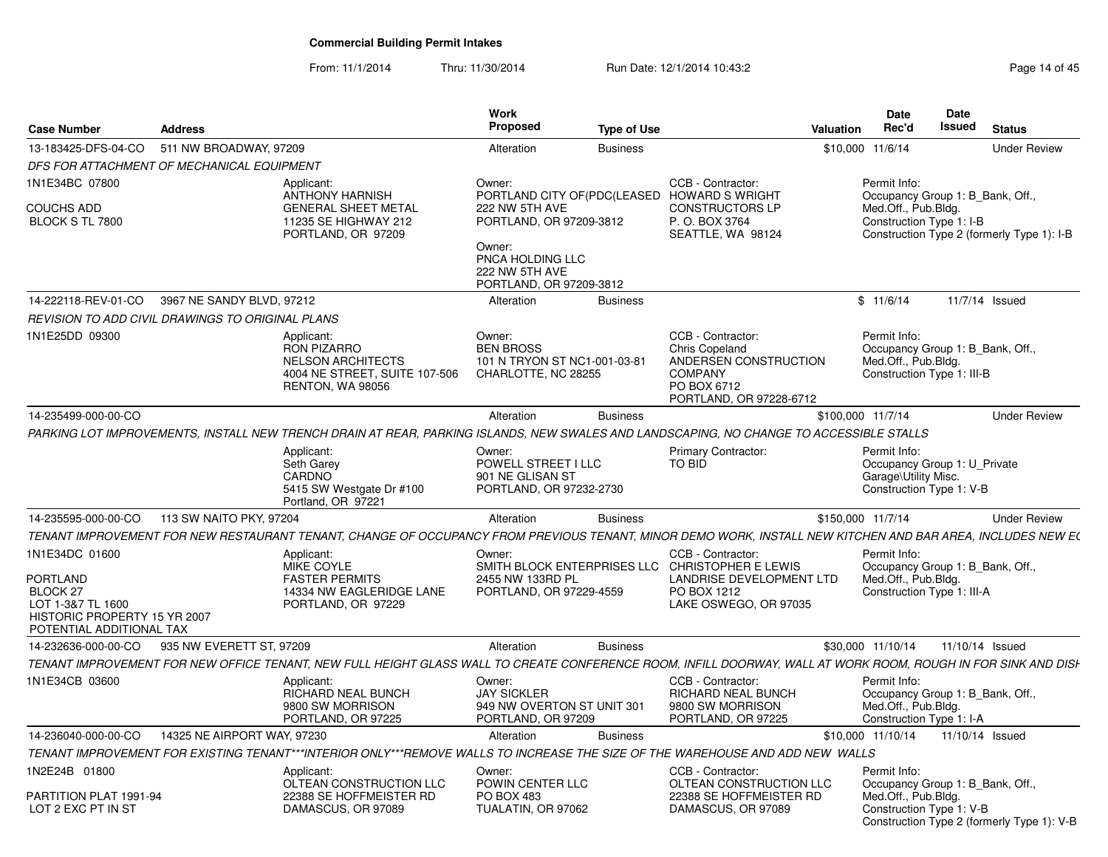From: 11/1/2014Thru: 11/30/2014 Run Date: 12/1/2014 10:43:2<br>
Page 14 of 45

| <b>Case Number</b>                                                                                                                    | <b>Address</b>                                                                                                                                                |                                         | Work<br>Proposed                                                                                           | <b>Type of Use</b> |                                                                                                                                          | Valuation         | Date<br>Rec'd                                                                                         | <b>Date</b><br><b>Issued</b> | <b>Status</b>                              |
|---------------------------------------------------------------------------------------------------------------------------------------|---------------------------------------------------------------------------------------------------------------------------------------------------------------|-----------------------------------------|------------------------------------------------------------------------------------------------------------|--------------------|------------------------------------------------------------------------------------------------------------------------------------------|-------------------|-------------------------------------------------------------------------------------------------------|------------------------------|--------------------------------------------|
| 13-183425-DFS-04-CO                                                                                                                   | 511 NW BROADWAY, 97209                                                                                                                                        |                                         | Alteration                                                                                                 | <b>Business</b>    |                                                                                                                                          | \$10,000 11/6/14  |                                                                                                       |                              | <b>Under Review</b>                        |
|                                                                                                                                       | DFS FOR ATTACHMENT OF MECHANICAL EQUIPMENT                                                                                                                    |                                         |                                                                                                            |                    |                                                                                                                                          |                   |                                                                                                       |                              |                                            |
| 1N1E34BC 07800                                                                                                                        | Applicant:<br><b>ANTHONY HARNISH</b>                                                                                                                          | Owner:                                  |                                                                                                            |                    | CCB - Contractor:<br>PORTLAND CITY OF (PDC (LEASED HOWARD SWRIGHT                                                                        |                   | Permit Info:<br>Occupancy Group 1: B_Bank, Off.,                                                      |                              |                                            |
| COUCHS ADD<br>BLOCK S TL 7800                                                                                                         | <b>GENERAL SHEET METAL</b><br>11235 SE HIGHWAY 212<br>PORTLAND, OR 97209                                                                                      | Owner:                                  | 222 NW 5TH AVE<br>PORTLAND, OR 97209-3812<br>PNCA HOLDING LLC<br>222 NW 5TH AVE<br>PORTLAND, OR 97209-3812 |                    | CONSTRUCTORS LP<br>P. O. BOX 3764<br>SEATTLE, WA 98124                                                                                   |                   | Med.Off., Pub.Bldg.<br>Construction Type 1: I-B                                                       |                              | Construction Type 2 (formerly Type 1): I-B |
| 14-222118-REV-01-CO                                                                                                                   | 3967 NE SANDY BLVD, 97212                                                                                                                                     |                                         | Alteration                                                                                                 | <b>Business</b>    |                                                                                                                                          |                   | \$11/6/14                                                                                             |                              | 11/7/14 Issued                             |
|                                                                                                                                       | REVISION TO ADD CIVIL DRAWINGS TO ORIGINAL PLANS                                                                                                              |                                         |                                                                                                            |                    |                                                                                                                                          |                   |                                                                                                       |                              |                                            |
| 1N1E25DD 09300                                                                                                                        | Applicant:<br>RON PIZARRO<br><b>NELSON ARCHITECTS</b><br>RENTON, WA 98056                                                                                     | Owner:<br>4004 NE STREET, SUITE 107-506 | <b>BEN BROSS</b><br>101 N TRYON ST NC1-001-03-81<br>CHARLOTTE, NC 28255                                    |                    | CCB - Contractor:<br><b>Chris Copeland</b><br>ANDERSEN CONSTRUCTION<br><b>COMPANY</b><br>PO BOX 6712<br>PORTLAND, OR 97228-6712          |                   | Permit Info:<br>Occupancy Group 1: B Bank, Off.,<br>Med.Off., Pub.Blda.<br>Construction Type 1: III-B |                              |                                            |
| 14-235499-000-00-CO                                                                                                                   |                                                                                                                                                               |                                         | Alteration                                                                                                 | <b>Business</b>    |                                                                                                                                          | \$100,000 11/7/14 |                                                                                                       |                              | <b>Under Review</b>                        |
|                                                                                                                                       | PARKING LOT IMPROVEMENTS. INSTALL NEW TRENCH DRAIN AT REAR. PARKING ISLANDS. NEW SWALES AND LANDSCAPING. NO CHANGE TO ACCESSIBLE STALLS                       |                                         |                                                                                                            |                    |                                                                                                                                          |                   |                                                                                                       |                              |                                            |
|                                                                                                                                       | Applicant:<br>Seth Garey<br>CARDNO<br>5415 SW Westgate Dr #100<br>Portland, OR 97221                                                                          | Owner:                                  | POWELL STREET I LLC<br>901 NE GLISAN ST<br>PORTLAND, OR 97232-2730                                         |                    | Primary Contractor:<br>TO BID                                                                                                            |                   | Permit Info:<br>Occupancy Group 1: U Private<br>Garage\Utility Misc.<br>Construction Type 1: V-B      |                              |                                            |
| 14-235595-000-00-CO                                                                                                                   | 113 SW NAITO PKY, 97204                                                                                                                                       |                                         | Alteration                                                                                                 | <b>Business</b>    |                                                                                                                                          | \$150,000 11/7/14 |                                                                                                       |                              | <b>Under Review</b>                        |
|                                                                                                                                       | TENANT IMPROVEMENT FOR NEW RESTAURANT TENANT, CHANGE OF OCCUPANCY FROM PREVIOUS TENANT, MINOR DEMO WORK, INSTALL NEW KITCHEN AND BAR AREA, INCLUDES NEW E(    |                                         |                                                                                                            |                    |                                                                                                                                          |                   |                                                                                                       |                              |                                            |
| 1N1E34DC 01600<br><b>PORTLAND</b><br><b>BLOCK 27</b><br>LOT 1-3&7 TL 1600<br>HISTORIC PROPERTY 15 YR 2007<br>POTENTIAL ADDITIONAL TAX | Applicant:<br><b>MIKE COYLE</b><br><b>FASTER PERMITS</b><br>14334 NW EAGLERIDGE LANE<br>PORTLAND, OR 97229                                                    | Owner:                                  | 2455 NW 133RD PL<br>PORTLAND, OR 97229-4559                                                                |                    | CCB - Contractor:<br>SMITH BLOCK ENTERPRISES LLC CHRISTOPHER E LEWIS<br>LANDRISE DEVELOPMENT LTD<br>PO BOX 1212<br>LAKE OSWEGO, OR 97035 |                   | Permit Info:<br>Occupancy Group 1: B Bank, Off.,<br>Med.Off., Pub.Bldg.<br>Construction Type 1: III-A |                              |                                            |
| 14-232636-000-00-CO                                                                                                                   | 935 NW EVERETT ST, 97209                                                                                                                                      |                                         | Alteration                                                                                                 | <b>Business</b>    |                                                                                                                                          |                   | \$30,000 11/10/14                                                                                     | 11/10/14 Issued              |                                            |
|                                                                                                                                       | TENANT IMPROVEMENT FOR NEW OFFICE TENANT, NEW FULL HEIGHT GLASS WALL TO CREATE CONFERENCE ROOM, INFILL DOORWAY, WALL AT WORK ROOM, ROUGH IN FOR SINK AND DISH |                                         |                                                                                                            |                    |                                                                                                                                          |                   |                                                                                                       |                              |                                            |
| 1N1E34CB 03600                                                                                                                        | Applicant:<br>RICHARD NEAL BUNCH<br>9800 SW MORRISON<br>PORTLAND, OR 97225                                                                                    | Owner:                                  | <b>JAY SICKLER</b><br>949 NW OVERTON ST UNIT 301<br>PORTLAND, OR 97209                                     |                    | CCB - Contractor:<br><b>RICHARD NEAL BUNCH</b><br>9800 SW MORRISON<br>PORTLAND, OR 97225                                                 |                   | Permit Info:<br>Occupancy Group 1: B Bank, Off.,<br>Med.Off., Pub.Bldg.<br>Construction Type 1: I-A   |                              |                                            |
| 14-236040-000-00-CO                                                                                                                   | 14325 NE AIRPORT WAY, 97230                                                                                                                                   |                                         | Alteration                                                                                                 | <b>Business</b>    |                                                                                                                                          |                   | \$10,000 11/10/14                                                                                     |                              | 11/10/14 Issued                            |
|                                                                                                                                       | TENANT IMPROVEMENT FOR EXISTING TENANT***INTERIOR ONLY***REMOVE WALLS TO INCREASE THE SIZE OF THE WAREHOUSE AND ADD NEW WALLS                                 |                                         |                                                                                                            |                    |                                                                                                                                          |                   |                                                                                                       |                              |                                            |
| 1N2E24B 01800<br>PARTITION PLAT 1991-94                                                                                               | Applicant:<br>OLTEAN CONSTRUCTION LLC                                                                                                                         | Owner:                                  | POWIN CENTER LLC<br>PO BOX 483                                                                             |                    | CCB - Contractor:<br>OLTEAN CONSTRUCTION LLC<br>22388 SE HOFFMEISTER RD                                                                  |                   | Permit Info:<br>Occupancy Group 1: B_Bank, Off.,                                                      |                              |                                            |
| LOT 2 EXC PT IN ST                                                                                                                    | 22388 SE HOFFMEISTER RD<br>DAMASCUS, OR 97089                                                                                                                 |                                         | TUALATIN, OR 97062                                                                                         |                    | DAMASCUS, OR 97089                                                                                                                       |                   | Med.Off., Pub.Bldg.<br>Construction Type 1: V-B                                                       |                              | Construction Type 2 (formerly Type 1): V-B |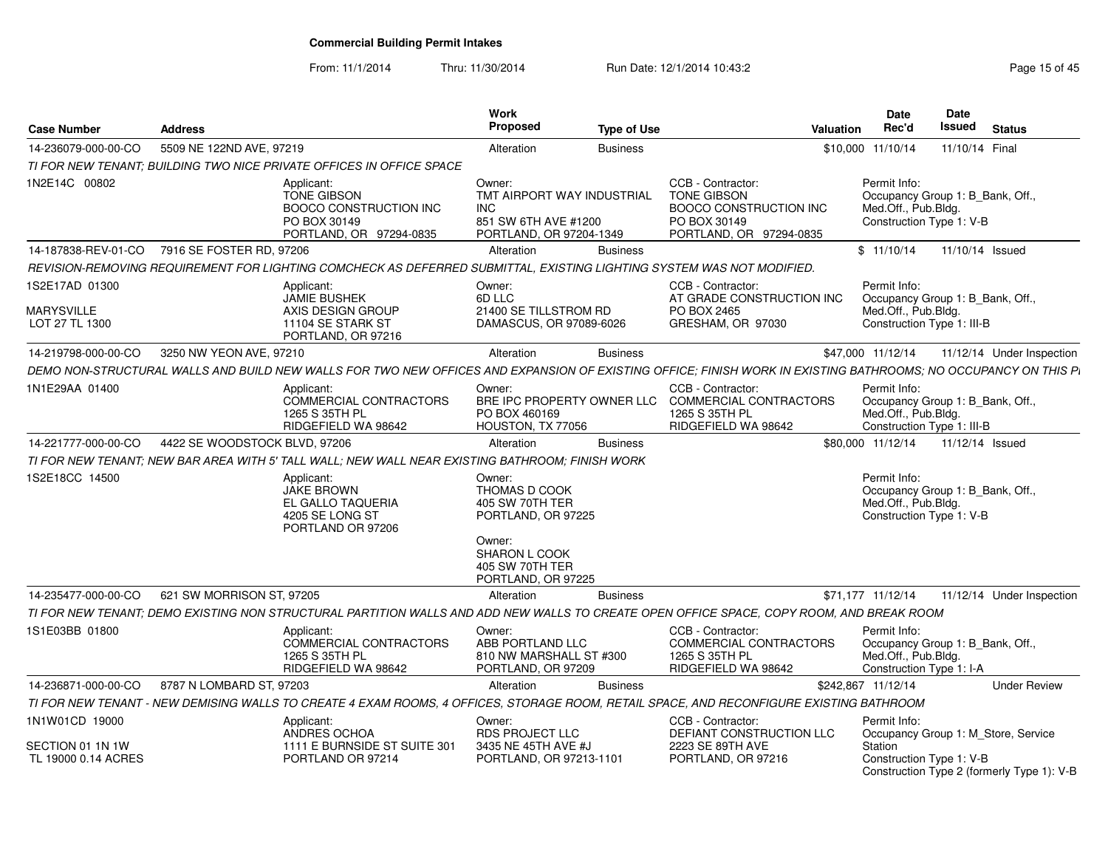From: 11/1/2014Thru: 11/30/2014 Run Date: 12/1/2014 10:43:2<br> **Thru: 11/30/2014** Page 15 of 45

| <b>Case Number</b>                                    | <b>Address</b>                                                                                                                                                 | Work<br>Proposed                                                                                                      | <b>Type of Use</b> | Valuation                                                                                                           | Date<br>Rec'd                                                     | Date<br>Issued<br><b>Status</b>            |
|-------------------------------------------------------|----------------------------------------------------------------------------------------------------------------------------------------------------------------|-----------------------------------------------------------------------------------------------------------------------|--------------------|---------------------------------------------------------------------------------------------------------------------|-------------------------------------------------------------------|--------------------------------------------|
| 14-236079-000-00-CO                                   | 5509 NE 122ND AVE, 97219                                                                                                                                       | Alteration                                                                                                            | <b>Business</b>    |                                                                                                                     | \$10.000 11/10/14                                                 | 11/10/14 Final                             |
|                                                       | TI FOR NEW TENANT: BUILDING TWO NICE PRIVATE OFFICES IN OFFICE SPACE                                                                                           |                                                                                                                       |                    |                                                                                                                     |                                                                   |                                            |
| 1N2E14C 00802                                         | Applicant:<br><b>TONE GIBSON</b><br><b>BOOCO CONSTRUCTION INC</b><br>PO BOX 30149<br>PORTLAND, OR 97294-0835                                                   | Owner:<br>TMT AIRPORT WAY INDUSTRIAL<br>INC<br>851 SW 6TH AVE #1200<br>PORTLAND, OR 97204-1349                        |                    | CCB - Contractor:<br><b>TONE GIBSON</b><br><b>BOOCO CONSTRUCTION INC</b><br>PO BOX 30149<br>PORTLAND, OR 97294-0835 | Permit Info:<br>Med.Off., Pub.Bldg.<br>Construction Type 1: V-B   | Occupancy Group 1: B_Bank, Off.,           |
| 14-187838-REV-01-CO                                   | 7916 SE FOSTER RD, 97206                                                                                                                                       | Alteration                                                                                                            | <b>Business</b>    |                                                                                                                     | \$11/10/14                                                        | 11/10/14 Issued                            |
|                                                       | REVISION-REMOVING REQUIREMENT FOR LIGHTING COMCHECK AS DEFERRED SUBMITTAL, EXISTING LIGHTING SYSTEM WAS NOT MODIFIED.                                          |                                                                                                                       |                    |                                                                                                                     |                                                                   |                                            |
| 1S2E17AD 01300<br><b>MARYSVILLE</b><br>LOT 27 TL 1300 | Applicant:<br><b>JAMIE BUSHEK</b><br>AXIS DESIGN GROUP<br>11104 SE STARK ST<br>PORTLAND, OR 97216                                                              | Owner:<br>6D LLC<br>21400 SE TILLSTROM RD<br>DAMASCUS, OR 97089-6026                                                  |                    | CCB - Contractor:<br>AT GRADE CONSTRUCTION INC<br>PO BOX 2465<br>GRESHAM, OR 97030                                  | Permit Info:<br>Med.Off., Pub.Bldg.<br>Construction Type 1: III-B | Occupancy Group 1: B Bank, Off.,           |
| 14-219798-000-00-CO                                   | 3250 NW YEON AVE, 97210                                                                                                                                        | Alteration                                                                                                            | <b>Business</b>    |                                                                                                                     | \$47,000 11/12/14                                                 | 11/12/14 Under Inspection                  |
|                                                       | DEMO NON-STRUCTURAL WALLS AND BUILD NEW WALLS FOR TWO NEW OFFICES AND EXPANSION OF EXISTING OFFICE; FINISH WORK IN EXISTING BATHROOMS; NO OCCUPANCY ON THIS PI |                                                                                                                       |                    |                                                                                                                     |                                                                   |                                            |
| 1N1E29AA 01400                                        | Applicant:<br>COMMERCIAL CONTRACTORS<br>1265 S 35TH PL<br>RIDGEFIELD WA 98642                                                                                  | Owner:<br>BRE IPC PROPERTY OWNER LLC<br>PO BOX 460169<br>HOUSTON, TX 77056                                            |                    | CCB - Contractor:<br>COMMERCIAL CONTRACTORS<br>1265 S 35TH PL<br>RIDGEFIELD WA 98642                                | Permit Info:<br>Med.Off., Pub.Bldg.<br>Construction Type 1: III-B | Occupancy Group 1: B_Bank, Off.,           |
| 14-221777-000-00-CO                                   | 4422 SE WOODSTOCK BLVD, 97206                                                                                                                                  | Alteration                                                                                                            | <b>Business</b>    |                                                                                                                     | \$80.000 11/12/14                                                 | 11/12/14 Issued                            |
|                                                       | TI FOR NEW TENANT; NEW BAR AREA WITH 5' TALL WALL; NEW WALL NEAR EXISTING BATHROOM; FINISH WORK                                                                |                                                                                                                       |                    |                                                                                                                     |                                                                   |                                            |
| 1S2E18CC 14500                                        | Applicant:<br>JAKE BROWN<br>EL GALLO TAQUERIA<br>4205 SE LONG ST<br>PORTLAND OR 97206                                                                          | Owner:<br>THOMAS D COOK<br>405 SW 70TH TER<br>PORTLAND, OR 97225<br>Owner:<br><b>SHARON L COOK</b><br>405 SW 70TH TER |                    |                                                                                                                     | Permit Info:<br>Med.Off., Pub.Bldg.<br>Construction Type 1: V-B   | Occupancy Group 1: B_Bank, Off.,           |
|                                                       |                                                                                                                                                                | PORTLAND, OR 97225                                                                                                    |                    |                                                                                                                     |                                                                   |                                            |
| 14-235477-000-00-CO                                   | 621 SW MORRISON ST, 97205                                                                                                                                      | Alteration                                                                                                            | <b>Business</b>    |                                                                                                                     | \$71,177 11/12/14                                                 | 11/12/14 Under Inspection                  |
|                                                       | TI FOR NEW TENANT: DEMO EXISTING NON STRUCTURAL PARTITION WALLS AND ADD NEW WALLS TO CREATE OPEN OFFICE SPACE. COPY ROOM. AND BREAK ROOM                       |                                                                                                                       |                    |                                                                                                                     |                                                                   |                                            |
| 1S1E03BB 01800                                        | Applicant:<br>COMMERCIAL CONTRACTORS<br>1265 S 35TH PL<br>RIDGEFIELD WA 98642                                                                                  | Owner:<br>ABB PORTLAND LLC<br>810 NW MARSHALL ST #300<br>PORTLAND, OR 97209                                           |                    | CCB - Contractor:<br>COMMERCIAL CONTRACTORS<br>1265 S 35TH PL<br>RIDGEFIELD WA 98642                                | Permit Info:<br>Med.Off., Pub.Bldg.<br>Construction Type 1: I-A   | Occupancy Group 1: B_Bank, Off.,           |
| 14-236871-000-00-CO                                   | 8787 N LOMBARD ST, 97203                                                                                                                                       | Alteration                                                                                                            | <b>Business</b>    |                                                                                                                     | \$242,867 11/12/14                                                | <b>Under Review</b>                        |
|                                                       | TI FOR NEW TENANT - NEW DEMISING WALLS TO CREATE 4 EXAM ROOMS, 4 OFFICES, STORAGE ROOM, RETAIL SPACE, AND RECONFIGURE EXISTING BATHROOM                        |                                                                                                                       |                    |                                                                                                                     |                                                                   |                                            |
| 1N1W01CD 19000                                        | Applicant:<br>ANDRES OCHOA                                                                                                                                     | Owner:<br><b>RDS PROJECT LLC</b>                                                                                      |                    | CCB - Contractor:<br>DEFIANT CONSTRUCTION LLC                                                                       | Permit Info:                                                      | Occupancy Group 1: M_Store, Service        |
| SECTION 01 1N 1W<br>TL 19000 0.14 ACRES               | 1111 E BURNSIDE ST SUITE 301<br>PORTLAND OR 97214                                                                                                              | 3435 NE 45TH AVE #J<br>PORTLAND, OR 97213-1101                                                                        |                    | 2223 SE 89TH AVE<br>PORTLAND, OR 97216                                                                              | Station<br>Construction Type 1: V-B                               | Construction Type 2 (formerly Type 1): V-B |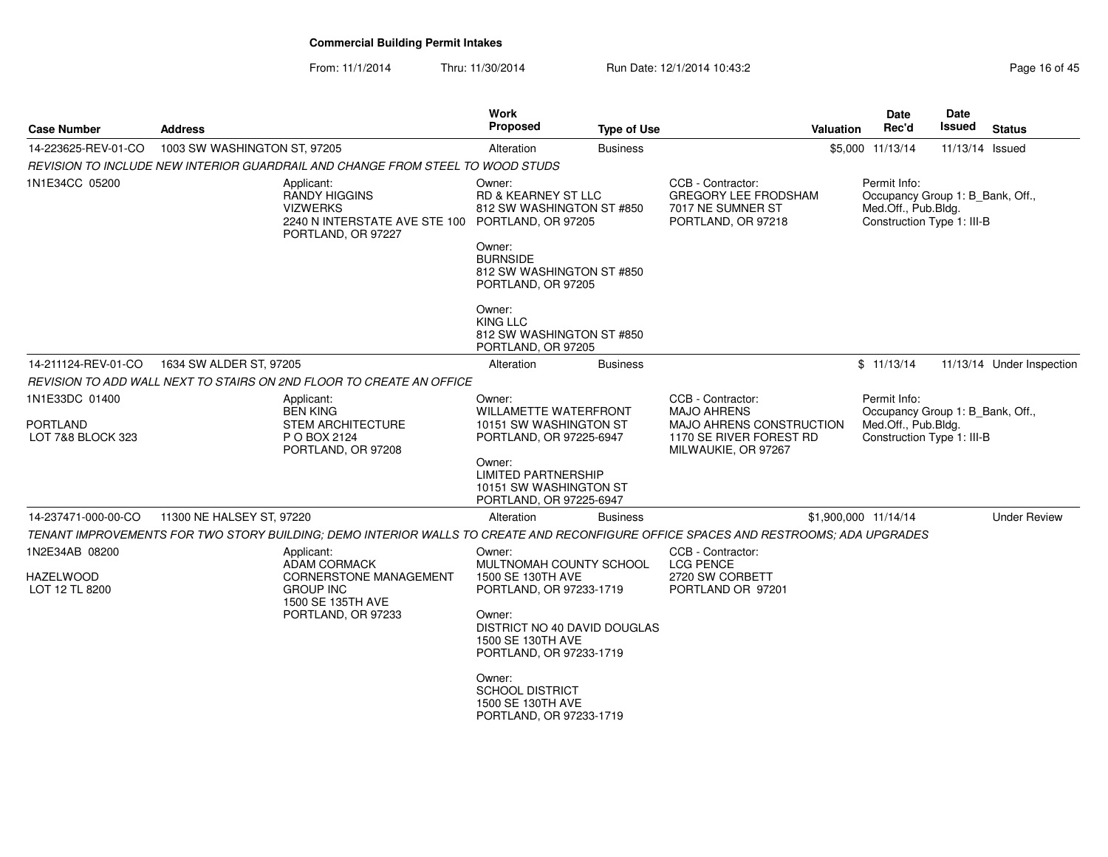From: 11/1/2014Thru: 11/30/2014 Run Date: 12/1/2014 10:43:2<br>
Page 16 of 45

| <b>Case Number</b>                   | <b>Address</b>                                                                                                                      |                                                                        | <b>Work</b><br>Proposed                                                                   | <b>Type of Use</b> |                                                                                             | <b>Valuation</b> | Date<br>Rec'd                                                                                         | <b>Date</b><br>Issued | <b>Status</b>             |
|--------------------------------------|-------------------------------------------------------------------------------------------------------------------------------------|------------------------------------------------------------------------|-------------------------------------------------------------------------------------------|--------------------|---------------------------------------------------------------------------------------------|------------------|-------------------------------------------------------------------------------------------------------|-----------------------|---------------------------|
| 14-223625-REV-01-CO                  | 1003 SW WASHINGTON ST, 97205                                                                                                        |                                                                        | Alteration                                                                                | <b>Business</b>    |                                                                                             |                  | \$5,000 11/13/14                                                                                      | 11/13/14 Issued       |                           |
|                                      | REVISION TO INCLUDE NEW INTERIOR GUARDRAIL AND CHANGE FROM STEEL TO WOOD STUDS                                                      |                                                                        |                                                                                           |                    |                                                                                             |                  |                                                                                                       |                       |                           |
| 1N1E34CC 05200                       | Applicant:<br><b>RANDY HIGGINS</b><br><b>VIZWERKS</b>                                                                               | 2240 N INTERSTATE AVE STE 100 PORTLAND, OR 97205<br>PORTLAND, OR 97227 | Owner:<br><b>RD &amp; KEARNEY ST LLC</b><br>812 SW WASHINGTON ST #850<br>Owner:           |                    | CCB - Contractor:<br><b>GREGORY LEE FRODSHAM</b><br>7017 NE SUMNER ST<br>PORTLAND, OR 97218 |                  | Permit Info:<br>Occupancy Group 1: B Bank, Off.,<br>Med.Off., Pub.Bldg.<br>Construction Type 1: III-B |                       |                           |
|                                      |                                                                                                                                     |                                                                        | <b>BURNSIDE</b><br>812 SW WASHINGTON ST #850<br>PORTLAND, OR 97205                        |                    |                                                                                             |                  |                                                                                                       |                       |                           |
|                                      |                                                                                                                                     |                                                                        | Owner:<br>KING LLC<br>812 SW WASHINGTON ST #850<br>PORTLAND, OR 97205                     |                    |                                                                                             |                  |                                                                                                       |                       |                           |
| 14-211124-REV-01-CO                  | 1634 SW ALDER ST, 97205                                                                                                             |                                                                        | Alteration                                                                                | <b>Business</b>    |                                                                                             |                  | \$11/13/14                                                                                            |                       | 11/13/14 Under Inspection |
|                                      | REVISION TO ADD WALL NEXT TO STAIRS ON 2ND FLOOR TO CREATE AN OFFICE                                                                |                                                                        |                                                                                           |                    |                                                                                             |                  |                                                                                                       |                       |                           |
| 1N1E33DC 01400                       | Applicant:<br><b>BEN KING</b>                                                                                                       |                                                                        | Owner:<br><b>WILLAMETTE WATERFRONT</b>                                                    |                    | CCB - Contractor:<br><b>MAJO AHRENS</b>                                                     |                  | Permit Info:<br>Occupancy Group 1: B Bank, Off.,                                                      |                       |                           |
| <b>PORTLAND</b><br>LOT 7&8 BLOCK 323 | P O BOX 2124                                                                                                                        | <b>STEM ARCHITECTURE</b><br>PORTLAND, OR 97208                         | 10151 SW WASHINGTON ST<br>PORTLAND, OR 97225-6947                                         |                    | MAJO AHRENS CONSTRUCTION<br>1170 SE RIVER FOREST RD<br>MILWAUKIE, OR 97267                  |                  | Med.Off., Pub.Bldg.<br>Construction Type 1: III-B                                                     |                       |                           |
|                                      |                                                                                                                                     |                                                                        | Owner:<br><b>LIMITED PARTNERSHIP</b><br>10151 SW WASHINGTON ST<br>PORTLAND, OR 97225-6947 |                    |                                                                                             |                  |                                                                                                       |                       |                           |
| 14-237471-000-00-CO                  | 11300 NE HALSEY ST, 97220                                                                                                           |                                                                        | Alteration                                                                                | <b>Business</b>    |                                                                                             |                  | \$1,900,000 11/14/14                                                                                  |                       | <b>Under Review</b>       |
|                                      | TENANT IMPROVEMENTS FOR TWO STORY BUILDING; DEMO INTERIOR WALLS TO CREATE AND RECONFIGURE OFFICE SPACES AND RESTROOMS; ADA UPGRADES |                                                                        |                                                                                           |                    |                                                                                             |                  |                                                                                                       |                       |                           |
| 1N2E34AB 08200                       | Applicant:                                                                                                                          | ADAM CORMACK                                                           | Owner:<br>MULTNOMAH COUNTY SCHOOL                                                         |                    | CCB - Contractor:<br><b>LCG PENCE</b>                                                       |                  |                                                                                                       |                       |                           |
| <b>HAZELWOOD</b><br>LOT 12 TL 8200   | <b>GROUP INC</b>                                                                                                                    | <b>CORNERSTONE MANAGEMENT</b><br>1500 SE 135TH AVE                     | 1500 SE 130TH AVE<br>PORTLAND, OR 97233-1719                                              |                    | 2720 SW CORBETT<br>PORTLAND OR 97201                                                        |                  |                                                                                                       |                       |                           |
|                                      |                                                                                                                                     | PORTLAND, OR 97233                                                     | Owner:<br>DISTRICT NO 40 DAVID DOUGLAS<br>1500 SE 130TH AVE<br>PORTLAND, OR 97233-1719    |                    |                                                                                             |                  |                                                                                                       |                       |                           |
|                                      |                                                                                                                                     |                                                                        | Owner:<br><b>SCHOOL DISTRICT</b><br>1500 SE 130TH AVE<br>PORTLAND, OR 97233-1719          |                    |                                                                                             |                  |                                                                                                       |                       |                           |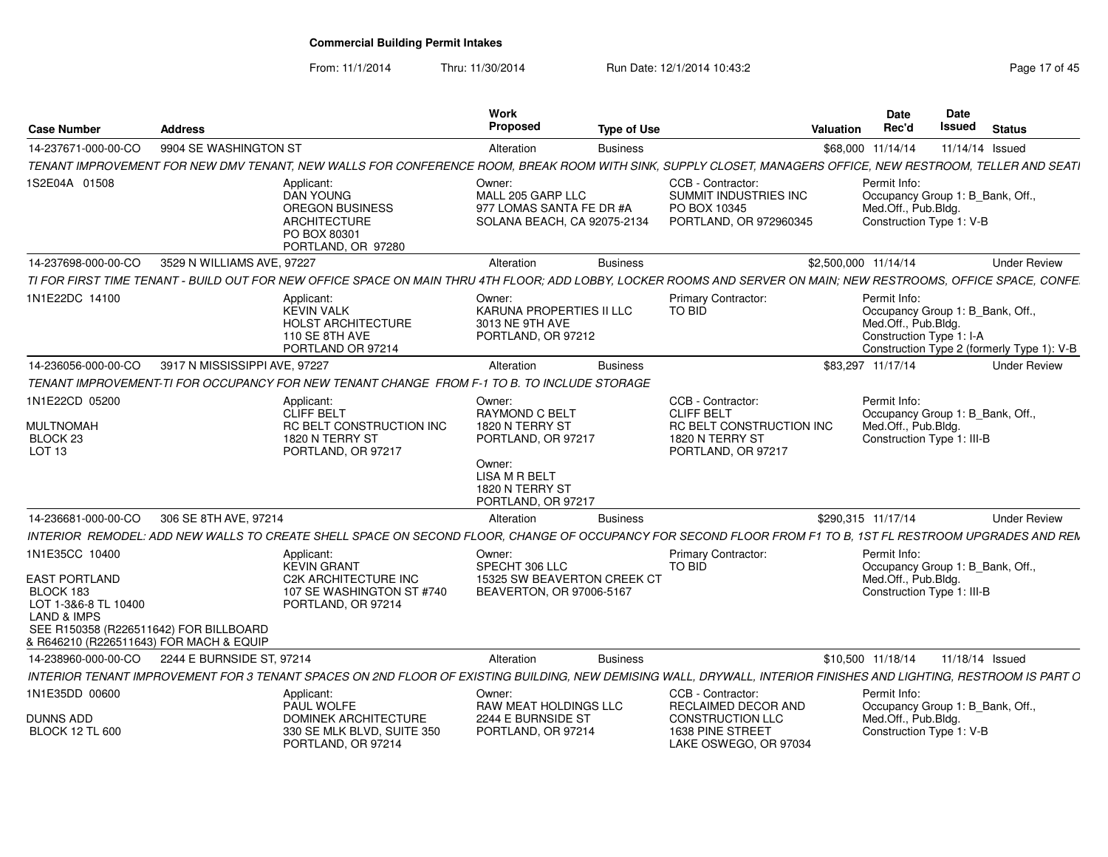From: 11/1/2014

Thru: 11/30/2014 Run Date: 12/1/2014 10:43:2<br>
Page 17 of 45

| <b>Case Number</b>                                                                                                                                                                         | <b>Address</b>                |                                                                                                                                                                   | Work<br><b>Proposed</b>                                                                                                       | <b>Type of Use</b> |                                                                                                                    | Valuation            | <b>Date</b><br>Rec'd                                                                                  | Date<br>Issued  | <b>Status</b>                              |
|--------------------------------------------------------------------------------------------------------------------------------------------------------------------------------------------|-------------------------------|-------------------------------------------------------------------------------------------------------------------------------------------------------------------|-------------------------------------------------------------------------------------------------------------------------------|--------------------|--------------------------------------------------------------------------------------------------------------------|----------------------|-------------------------------------------------------------------------------------------------------|-----------------|--------------------------------------------|
| 14-237671-000-00-CO                                                                                                                                                                        | 9904 SE WASHINGTON ST         |                                                                                                                                                                   | Alteration                                                                                                                    | <b>Business</b>    |                                                                                                                    |                      | \$68,000 11/14/14                                                                                     | 11/14/14 Issued |                                            |
|                                                                                                                                                                                            |                               | TENANT IMPROVEMENT FOR NEW DMV TENANT, NEW WALLS FOR CONFERENCE ROOM, BREAK ROOM WITH SINK, SUPPLY CLOSET, MANAGERS OFFICE, NEW RESTROOM, TELLER AND SEATI        |                                                                                                                               |                    |                                                                                                                    |                      |                                                                                                       |                 |                                            |
| 1S2E04A 01508                                                                                                                                                                              |                               | Applicant:<br><b>DAN YOUNG</b><br><b>OREGON BUSINESS</b><br><b>ARCHITECTURE</b><br>PO BOX 80301<br>PORTLAND, OR 97280                                             | Owner:<br>MALL 205 GARP LLC<br>977 LOMAS SANTA FE DR #A<br>SOLANA BEACH, CA 92075-2134                                        |                    | CCB - Contractor:<br>SUMMIT INDUSTRIES INC<br>PO BOX 10345<br>PORTLAND, OR 972960345                               |                      | Permit Info:<br>Occupancy Group 1: B_Bank, Off.,<br>Med.Off., Pub.Bldg.<br>Construction Type 1: V-B   |                 |                                            |
| 14-237698-000-00-CO                                                                                                                                                                        | 3529 N WILLIAMS AVE, 97227    |                                                                                                                                                                   | Alteration                                                                                                                    | <b>Business</b>    |                                                                                                                    | \$2,500,000 11/14/14 |                                                                                                       |                 | <b>Under Review</b>                        |
|                                                                                                                                                                                            |                               | TI FOR FIRST TIME TENANT - BUILD OUT FOR NEW OFFICE SPACE ON MAIN THRU 4TH FLOOR: ADD LOBBY, LOCKER ROOMS AND SERVER ON MAIN: NEW RESTROOMS, OFFICE SPACE, CONFE  |                                                                                                                               |                    |                                                                                                                    |                      |                                                                                                       |                 |                                            |
| 1N1E22DC 14100                                                                                                                                                                             |                               | Applicant:<br><b>KEVIN VALK</b><br><b>HOLST ARCHITECTURE</b><br>110 SE 8TH AVE<br>PORTLAND OR 97214                                                               | Owner:<br>KARUNA PROPERTIES II LLC<br>3013 NE 9TH AVE<br>PORTLAND, OR 97212                                                   |                    | <b>Primary Contractor:</b><br>TO BID                                                                               |                      | Permit Info:<br>Occupancy Group 1: B Bank, Off.,<br>Med.Off., Pub.Bldg.<br>Construction Type 1: I-A   |                 | Construction Type 2 (formerly Type 1): V-B |
| 14-236056-000-00-CO                                                                                                                                                                        | 3917 N MISSISSIPPI AVE, 97227 |                                                                                                                                                                   | Alteration                                                                                                                    | <b>Business</b>    |                                                                                                                    |                      | \$83,297 11/17/14                                                                                     |                 | <b>Under Review</b>                        |
|                                                                                                                                                                                            |                               | TENANT IMPROVEMENT-TI FOR OCCUPANCY FOR NEW TENANT CHANGE FROM F-1 TO B. TO INCLUDE STORAGE                                                                       |                                                                                                                               |                    |                                                                                                                    |                      |                                                                                                       |                 |                                            |
| 1N1E22CD 05200<br>MULTNOMAH<br>BLOCK <sub>23</sub><br>LOT 13                                                                                                                               |                               | Applicant:<br><b>CLIFF BELT</b><br>RC BELT CONSTRUCTION INC<br>1820 N TERRY ST<br>PORTLAND, OR 97217                                                              | Owner:<br><b>RAYMOND C BELT</b><br>1820 N TERRY ST<br>PORTLAND, OR 97217<br>Owner:<br><b>LISA M R BELT</b><br>1820 N TERRY ST |                    | CCB - Contractor:<br><b>CLIFF BELT</b><br><b>RC BELT CONSTRUCTION INC</b><br>1820 N TERRY ST<br>PORTLAND, OR 97217 |                      | Permit Info:<br>Occupancy Group 1: B Bank, Off.,<br>Med.Off., Pub.Bldg.<br>Construction Type 1: III-B |                 |                                            |
|                                                                                                                                                                                            |                               |                                                                                                                                                                   | PORTLAND, OR 97217                                                                                                            |                    |                                                                                                                    |                      |                                                                                                       |                 |                                            |
| 14-236681-000-00-CO                                                                                                                                                                        | 306 SE 8TH AVE, 97214         | INTERIOR REMODEL: ADD NEW WALLS TO CREATE SHELL SPACE ON SECOND FLOOR, CHANGE OF OCCUPANCY FOR SECOND FLOOR FROM F1 TO B, 1ST FL RESTROOM UPGRADES AND REN        | Alteration                                                                                                                    | <b>Business</b>    |                                                                                                                    | \$290,315 11/17/14   |                                                                                                       |                 | <b>Under Review</b>                        |
| 1N1E35CC 10400<br><b>EAST PORTLAND</b><br>BLOCK 183<br>LOT 1-3&6-8 TL 10400<br><b>LAND &amp; IMPS</b><br>SEE R150358 (R226511642) FOR BILLBOARD<br>& R646210 (R226511643) FOR MACH & EQUIP |                               | Applicant:<br><b>KEVIN GRANT</b><br>C2K ARCHITECTURE INC<br>107 SE WASHINGTON ST #740<br>PORTLAND, OR 97214                                                       | Owner:<br>SPECHT 306 LLC<br>15325 SW BEAVERTON CREEK CT<br>BEAVERTON, OR 97006-5167                                           |                    | <b>Primary Contractor:</b><br>TO BID                                                                               |                      | Permit Info:<br>Occupancy Group 1: B_Bank, Off.,<br>Med.Off., Pub.Bldg.<br>Construction Type 1: III-B |                 |                                            |
| 14-238960-000-00-CO                                                                                                                                                                        | 2244 E BURNSIDE ST, 97214     |                                                                                                                                                                   | Alteration                                                                                                                    | <b>Business</b>    |                                                                                                                    |                      | \$10,500 11/18/14                                                                                     | 11/18/14 Issued |                                            |
|                                                                                                                                                                                            |                               | INTERIOR TENANT IMPROVEMENT FOR 3 TENANT SPACES ON 2ND FLOOR OF EXISTING BUILDING, NEW DEMISING WALL, DRYWALL, INTERIOR FINISHES AND LIGHTING, RESTROOM IS PART O |                                                                                                                               |                    |                                                                                                                    |                      |                                                                                                       |                 |                                            |
| 1N1E35DD 00600                                                                                                                                                                             |                               | Applicant:<br><b>PAUL WOLFE</b>                                                                                                                                   | Owner:<br>RAW MEAT HOLDINGS LLC                                                                                               |                    | CCB - Contractor:<br>RECLAIMED DECOR AND                                                                           |                      | Permit Info:                                                                                          |                 |                                            |
| <b>DUNNS ADD</b><br><b>BLOCK 12 TL 600</b>                                                                                                                                                 |                               | <b>DOMINEK ARCHITECTURE</b><br>330 SE MLK BLVD, SUITE 350<br>PORTLAND, OR 97214                                                                                   | 2244 E BURNSIDE ST<br>PORTLAND, OR 97214                                                                                      |                    | CONSTRUCTION LLC<br>1638 PINE STREET<br>LAKE OSWEGO, OR 97034                                                      |                      | Occupancy Group 1: B_Bank, Off.,<br>Med.Off., Pub.Bldg.<br>Construction Type 1: V-B                   |                 |                                            |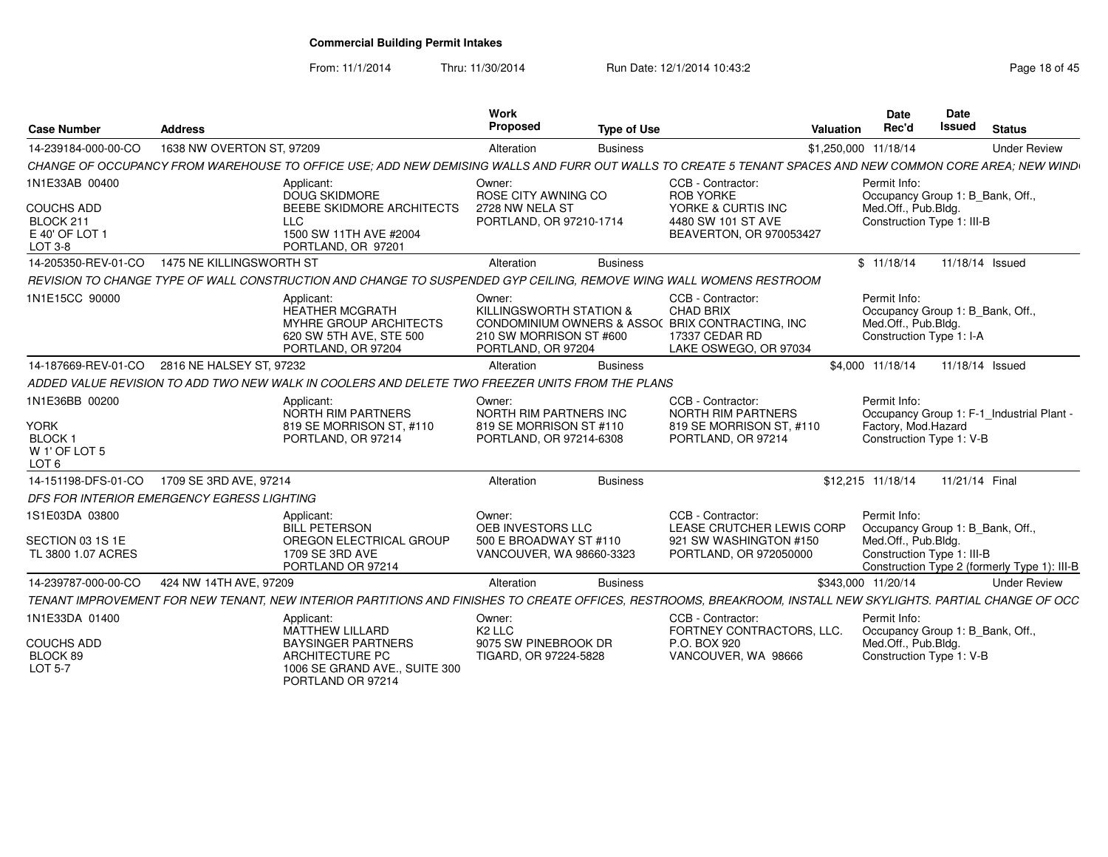PORTLAND OR 97214

From: 11/1/2014

Thru: 11/30/2014 Run Date: 12/1/2014 10:43:2<br>
Page 18 of 45

| <b>Case Number</b>                                                                             | <b>Address</b>                                                                                                                                                | Work<br>Proposed                                                                                                 | <b>Type of Use</b> |                                                                                                              | Valuation            | Date<br>Rec'd                                                                                         | Date<br><b>Issued</b> | <b>Status</b>                                |
|------------------------------------------------------------------------------------------------|---------------------------------------------------------------------------------------------------------------------------------------------------------------|------------------------------------------------------------------------------------------------------------------|--------------------|--------------------------------------------------------------------------------------------------------------|----------------------|-------------------------------------------------------------------------------------------------------|-----------------------|----------------------------------------------|
| 14-239184-000-00-CO                                                                            | 1638 NW OVERTON ST, 97209                                                                                                                                     | Alteration                                                                                                       | <b>Business</b>    |                                                                                                              | \$1,250,000 11/18/14 |                                                                                                       |                       | <b>Under Review</b>                          |
|                                                                                                | CHANGE OF OCCUPANCY FROM WAREHOUSE TO OFFICE USE: ADD NEW DEMISING WALLS AND FURR OUT WALLS TO CREATE 5 TENANT SPACES AND NEW COMMON CORE AREA: NEW WIND      |                                                                                                                  |                    |                                                                                                              |                      |                                                                                                       |                       |                                              |
| 1N1E33AB 00400<br>COUCHS ADD<br>BLOCK 211<br>E 40' OF LOT 1<br>LOT 3-8                         | Applicant:<br>DOUG SKIDMORE<br>BEEBE SKIDMORE ARCHITECTS<br><b>LLC</b><br>1500 SW 11TH AVE #2004<br>PORTLAND, OR 97201                                        | Owner:<br>ROSE CITY AWNING CO<br>2728 NW NELA ST<br>PORTLAND, OR 97210-1714                                      |                    | CCB - Contractor:<br><b>ROB YORKE</b><br>YORKE & CURTIS INC<br>4480 SW 101 ST AVE<br>BEAVERTON, OR 970053427 |                      | Permit Info:<br>Occupancy Group 1: B_Bank, Off.,<br>Med.Off., Pub.Bldg.<br>Construction Type 1: III-B |                       |                                              |
| 14-205350-REV-01-CO                                                                            | 1475 NE KILLINGSWORTH ST                                                                                                                                      | Alteration                                                                                                       | <b>Business</b>    |                                                                                                              |                      | \$11/18/14                                                                                            |                       | 11/18/14 Issued                              |
|                                                                                                | REVISION TO CHANGE TYPE OF WALL CONSTRUCTION AND CHANGE TO SUSPENDED GYP CEILING, REMOVE WING WALL WOMENS RESTROOM                                            |                                                                                                                  |                    |                                                                                                              |                      |                                                                                                       |                       |                                              |
| 1N1E15CC 90000                                                                                 | Applicant:<br><b>HEATHER MCGRATH</b><br>MYHRE GROUP ARCHITECTS<br>620 SW 5TH AVE, STE 500<br>PORTLAND, OR 97204                                               | Owner:<br>KILLINGSWORTH STATION &<br>CONDOMINIUM OWNERS & ASSOC<br>210 SW MORRISON ST #600<br>PORTLAND, OR 97204 |                    | CCB - Contractor:<br>CHAD BRIX<br>BRIX CONTRACTING, INC.<br>17337 CEDAR RD<br>LAKE OSWEGO, OR 97034          |                      | Permit Info:<br>Occupancy Group 1: B_Bank, Off.,<br>Med.Off., Pub.Bldg.<br>Construction Type 1: I-A   |                       |                                              |
| 14-187669-REV-01-CO                                                                            | 2816 NE HALSEY ST. 97232                                                                                                                                      | Alteration                                                                                                       | <b>Business</b>    |                                                                                                              |                      | \$4.000 11/18/14                                                                                      |                       | 11/18/14 Issued                              |
|                                                                                                | ADDED VALUE REVISION TO ADD TWO NEW WALK IN COOLERS AND DELETE TWO FREEZER UNITS FROM THE PLANS                                                               |                                                                                                                  |                    |                                                                                                              |                      |                                                                                                       |                       |                                              |
| 1N1E36BB 00200<br><b>YORK</b><br><b>BLOCK1</b><br>W <sub>1'</sub> OF LOT 5<br>LOT <sub>6</sub> | Applicant:<br>NORTH RIM PARTNERS<br>819 SE MORRISON ST, #110<br>PORTLAND, OR 97214                                                                            | Owner:<br>NORTH RIM PARTNERS INC<br>819 SE MORRISON ST #110<br>PORTLAND, OR 97214-6308                           |                    | CCB - Contractor:<br><b>NORTH RIM PARTNERS</b><br>819 SE MORRISON ST, #110<br>PORTLAND, OR 97214             |                      | Permit Info:<br>Factory, Mod.Hazard<br>Construction Type 1: V-B                                       |                       | Occupancy Group 1: F-1_Industrial Plant -    |
| 14-151198-DFS-01-CO                                                                            | 1709 SE 3RD AVE, 97214                                                                                                                                        | Alteration                                                                                                       | <b>Business</b>    |                                                                                                              | \$12.215 11/18/14    |                                                                                                       | 11/21/14 Final        |                                              |
|                                                                                                | DFS FOR INTERIOR EMERGENCY EGRESS LIGHTING                                                                                                                    |                                                                                                                  |                    |                                                                                                              |                      |                                                                                                       |                       |                                              |
| 1S1E03DA 03800<br>SECTION 03 1S 1E<br>TL 3800 1.07 ACRES                                       | Applicant:<br><b>BILL PETERSON</b><br>OREGON ELECTRICAL GROUP<br>1709 SE 3RD AVE<br>PORTLAND OR 97214                                                         | Owner:<br>OEB INVESTORS LLC<br>500 E BROADWAY ST #110<br>VANCOUVER, WA 98660-3323                                |                    | CCB - Contractor:<br>LEASE CRUTCHER LEWIS CORP<br>921 SW WASHINGTON #150<br>PORTLAND, OR 972050000           |                      | Permit Info:<br>Occupancy Group 1: B Bank, Off<br>Med.Off., Pub.Bldg.<br>Construction Type 1: III-B   |                       | Construction Type 2 (formerly Type 1): III-B |
| 14-239787-000-00-CO                                                                            | 424 NW 14TH AVE, 97209                                                                                                                                        | Alteration                                                                                                       | <b>Business</b>    |                                                                                                              | \$343,000 11/20/14   |                                                                                                       |                       | <b>Under Review</b>                          |
|                                                                                                | TENANT IMPROVEMENT FOR NEW TENANT. NEW INTERIOR PARTITIONS AND FINISHES TO CREATE OFFICES. RESTROOMS. BREAKROOM. INSTALL NEW SKYLIGHTS. PARTIAL CHANGE OF OCC |                                                                                                                  |                    |                                                                                                              |                      |                                                                                                       |                       |                                              |
| 1N1E33DA 01400<br><b>COUCHS ADD</b><br>BLOCK 89                                                | Applicant:<br>MATTHEW LILLARD<br><b>BAYSINGER PARTNERS</b><br><b>ARCHITECTURE PC</b>                                                                          | Owner:<br>K <sub>2</sub> LLC<br>9075 SW PINEBROOK DR<br>TIGARD, OR 97224-5828                                    |                    | CCB - Contractor:<br>FORTNEY CONTRACTORS, LLC.<br>P.O. BOX 920<br>VANCOUVER, WA 98666                        |                      | Permit Info:<br>Occupancy Group 1: B Bank, Off.<br>Med.Off., Pub.Bldg.<br>Construction Type 1: V-B    |                       |                                              |
| LOT 5-7                                                                                        | 1006 SE GRAND AVE., SUITE 300                                                                                                                                 |                                                                                                                  |                    |                                                                                                              |                      |                                                                                                       |                       |                                              |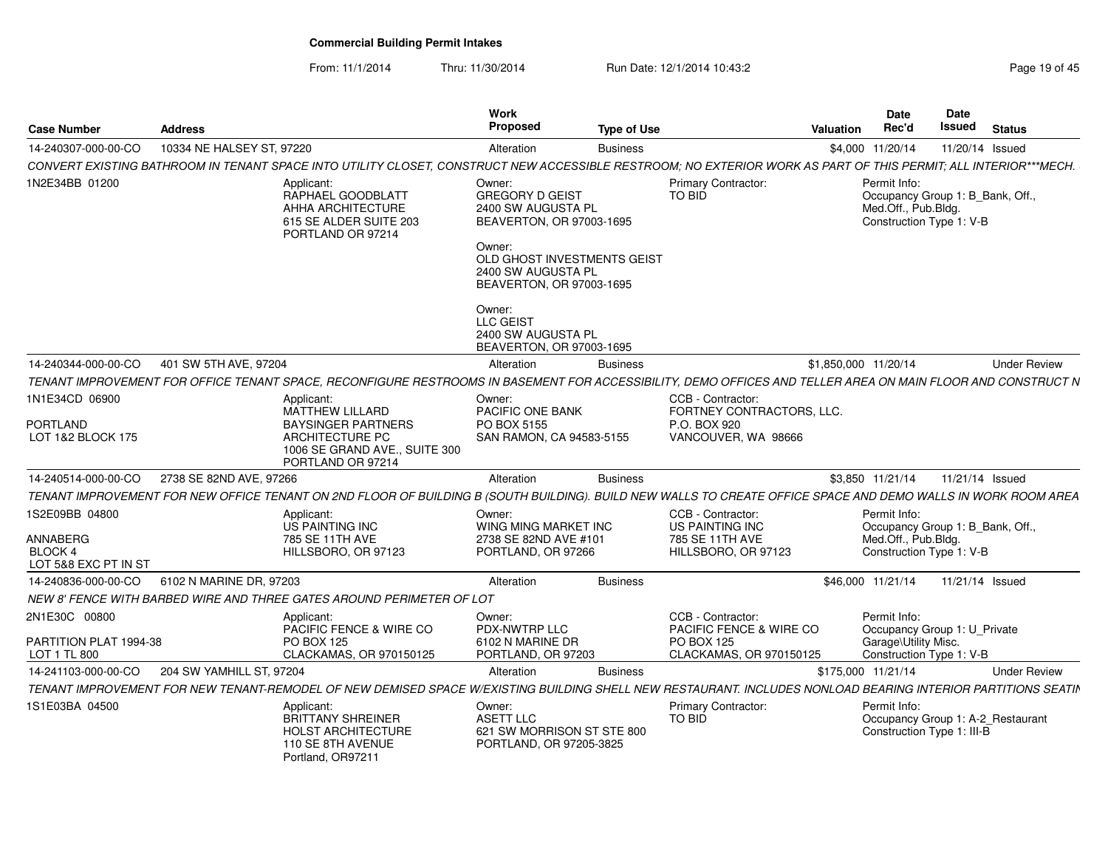From: 11/1/2014Thru: 11/30/2014 Run Date: 12/1/2014 10:43:2<br> **Thru: 11/30/2014** Page 19 of 45

| <b>Case Number</b>                                 | <b>Address</b>            |                                                                                                                                                                 | Work<br><b>Proposed</b>                                                                      | <b>Type of Use</b> |                                                | Valuation            | Date<br>Rec'd                                                                                       | Date<br><b>Issued</b> | <b>Status</b>       |
|----------------------------------------------------|---------------------------|-----------------------------------------------------------------------------------------------------------------------------------------------------------------|----------------------------------------------------------------------------------------------|--------------------|------------------------------------------------|----------------------|-----------------------------------------------------------------------------------------------------|-----------------------|---------------------|
| 14-240307-000-00-CO                                | 10334 NE HALSEY ST, 97220 |                                                                                                                                                                 | Alteration                                                                                   | <b>Business</b>    |                                                |                      | \$4,000 11/20/14                                                                                    | 11/20/14 Issued       |                     |
|                                                    |                           | CONVERT EXISTING BATHROOM IN TENANT SPACE INTO UTILITY CLOSET, CONSTRUCT NEW ACCESSIBLE RESTROOM; NO EXTERIOR WORK AS PART OF THIS PERMIT; ALL INTERIOR***MECH. |                                                                                              |                    |                                                |                      |                                                                                                     |                       |                     |
| 1N2E34BB 01200                                     |                           | Applicant:<br>RAPHAEL GOODBLATT<br>AHHA ARCHITECTURE<br>615 SE ALDER SUITE 203<br>PORTLAND OR 97214                                                             | Owner:<br><b>GREGORY D GEIST</b><br>2400 SW AUGUSTA PL<br>BEAVERTON, OR 97003-1695<br>Owner: |                    | <b>Primary Contractor:</b><br>TO BID           |                      | Permit Info:<br>Occupancy Group 1: B_Bank, Off.,<br>Med.Off., Pub.Bldg.<br>Construction Type 1: V-B |                       |                     |
|                                                    |                           |                                                                                                                                                                 | OLD GHOST INVESTMENTS GEIST<br>2400 SW AUGUSTA PL<br>BEAVERTON, OR 97003-1695                |                    |                                                |                      |                                                                                                     |                       |                     |
|                                                    |                           |                                                                                                                                                                 | Owner:<br>LLC GEIST<br>2400 SW AUGUSTA PL<br>BEAVERTON, OR 97003-1695                        |                    |                                                |                      |                                                                                                     |                       |                     |
| 14-240344-000-00-CO                                | 401 SW 5TH AVE, 97204     |                                                                                                                                                                 | Alteration                                                                                   | <b>Business</b>    |                                                | \$1,850,000 11/20/14 |                                                                                                     |                       | <b>Under Review</b> |
|                                                    |                           | TENANT IMPROVEMENT FOR OFFICE TENANT SPACE. RECONFIGURE RESTROOMS IN BASEMENT FOR ACCESSIBILITY. DEMO OFFICES AND TELLER AREA ON MAIN FLOOR AND CONSTRUCT N     |                                                                                              |                    |                                                |                      |                                                                                                     |                       |                     |
| 1N1E34CD 06900                                     |                           | Applicant:<br>MATTHEW LILLARD                                                                                                                                   | Owner:<br>PACIFIC ONE BANK                                                                   |                    | CCB - Contractor:<br>FORTNEY CONTRACTORS, LLC. |                      |                                                                                                     |                       |                     |
| <b>PORTLAND</b><br>LOT 1&2 BLOCK 175               |                           | <b>BAYSINGER PARTNERS</b><br>ARCHITECTURE PC<br>1006 SE GRAND AVE., SUITE 300<br>PORTLAND OR 97214                                                              | PO BOX 5155<br>SAN RAMON, CA 94583-5155                                                      |                    | P.O. BOX 920<br>VANCOUVER, WA 98666            |                      |                                                                                                     |                       |                     |
| 14-240514-000-00-CO                                | 2738 SE 82ND AVE, 97266   |                                                                                                                                                                 | Alteration                                                                                   | <b>Business</b>    |                                                |                      | \$3,850 11/21/14                                                                                    | 11/21/14 Issued       |                     |
|                                                    |                           | TENANT IMPROVEMENT FOR NEW OFFICE TENANT ON 2ND FLOOR OF BUILDING B (SOUTH BUILDING). BUILD NEW WALLS TO CREATE OFFICE SPACE AND DEMO WALLS IN WORK ROOM AREA   |                                                                                              |                    |                                                |                      |                                                                                                     |                       |                     |
| 1S2E09BB 04800                                     |                           | Applicant:<br><b>US PAINTING INC</b>                                                                                                                            | Owner:<br>WING MING MARKET INC                                                               |                    | CCB - Contractor:<br><b>US PAINTING INC</b>    |                      | Permit Info:<br>Occupancy Group 1: B_Bank, Off.,                                                    |                       |                     |
| <b>ANNABERG</b><br>BLOCK 4<br>LOT 5&8 EXC PT IN ST |                           | 785 SE 11TH AVE<br>HILLSBORO, OR 97123                                                                                                                          | 2738 SE 82ND AVE #101<br>PORTLAND, OR 97266                                                  |                    | 785 SE 11TH AVE<br>HILLSBORO, OR 97123         |                      | Med.Off., Pub.Bldg.<br>Construction Type 1: V-B                                                     |                       |                     |
| 14-240836-000-00-CO                                | 6102 N MARINE DR. 97203   |                                                                                                                                                                 | Alteration                                                                                   | <b>Business</b>    |                                                |                      | \$46,000 11/21/14                                                                                   | 11/21/14 Issued       |                     |
|                                                    |                           | NEW 8' FENCE WITH BARBED WIRE AND THREE GATES AROUND PERIMETER OF LOT                                                                                           |                                                                                              |                    |                                                |                      |                                                                                                     |                       |                     |
| 2N1E30C 00800                                      |                           | Applicant:<br>PACIFIC FENCE & WIRE CO                                                                                                                           | Owner:<br>PDX-NWTRP LLC                                                                      |                    | CCB - Contractor:<br>PACIFIC FENCE & WIRE CO   |                      | Permit Info:<br>Occupancy Group 1: U Private                                                        |                       |                     |
| PARTITION PLAT 1994-38<br>LOT 1 TL 800             |                           | <b>PO BOX 125</b><br>CLACKAMAS, OR 970150125                                                                                                                    | 6102 N MARINE DR<br>PORTLAND, OR 97203                                                       |                    | <b>PO BOX 125</b><br>CLACKAMAS, OR 970150125   |                      | Garage\Utility Misc.<br>Construction Type 1: V-B                                                    |                       |                     |
| 14-241103-000-00-CO                                | 204 SW YAMHILL ST, 97204  |                                                                                                                                                                 | Alteration                                                                                   | <b>Business</b>    |                                                |                      | \$175,000 11/21/14                                                                                  |                       | <b>Under Review</b> |
|                                                    |                           | TENANT IMPROVEMENT FOR NEW TENANT-REMODEL OF NEW DEMISED SPACE W/EXISTING BUILDING SHELL NEW RESTAURANT. INCLUDES NONLOAD BEARING INTERIOR PARTITIONS SEATIN    |                                                                                              |                    |                                                |                      |                                                                                                     |                       |                     |
| 1S1E03BA 04500                                     |                           | Applicant:<br><b>BRITTANY SHREINER</b><br>HOLST ARCHITECTURE<br>110 SE 8TH AVENUE<br>Portland, OR97211                                                          | Owner:<br>ASETT LLC<br>621 SW MORRISON ST STE 800<br>PORTLAND, OR 97205-3825                 |                    | <b>Primary Contractor:</b><br><b>TO BID</b>    |                      | Permit Info:<br>Occupancy Group 1: A-2 Restaurant<br>Construction Type 1: III-B                     |                       |                     |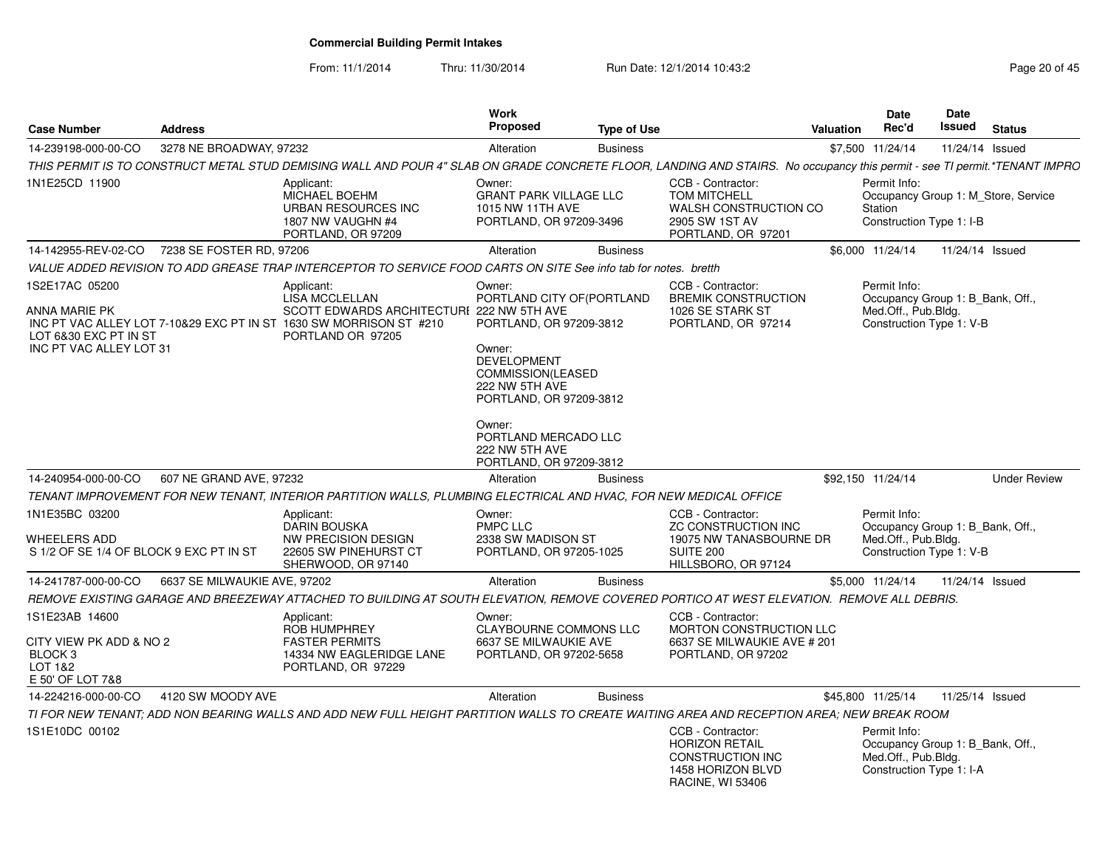From: 11/1/2014

Thru: 11/30/2014 Run Date: 12/1/2014 10:43:2<br>
Page 20 of 45

| <b>Case Number</b>                                                                         | <b>Address</b>               |                                                                                                                                                                             | <b>Work</b><br><b>Proposed</b>                                                                                                                                                                      | <b>Type of Use</b> |                                                                                                                | <b>Valuation</b>  | <b>Date</b><br>Rec'd                                            | Date<br><b>Issued</b> | <b>Status</b>                       |
|--------------------------------------------------------------------------------------------|------------------------------|-----------------------------------------------------------------------------------------------------------------------------------------------------------------------------|-----------------------------------------------------------------------------------------------------------------------------------------------------------------------------------------------------|--------------------|----------------------------------------------------------------------------------------------------------------|-------------------|-----------------------------------------------------------------|-----------------------|-------------------------------------|
| 14-239198-000-00-CO                                                                        | 3278 NE BROADWAY, 97232      |                                                                                                                                                                             | Alteration                                                                                                                                                                                          | <b>Business</b>    |                                                                                                                | \$7,500 11/24/14  |                                                                 |                       | 11/24/14 Issued                     |
|                                                                                            |                              | THIS PERMIT IS TO CONSTRUCT METAL STUD DEMISING WALL AND POUR 4" SLAB ON GRADE CONCRETE FLOOR, LANDING AND STAIRS. No occupancy this permit - see TI permit.*TENANT IMPRO   |                                                                                                                                                                                                     |                    |                                                                                                                |                   |                                                                 |                       |                                     |
| 1N1E25CD 11900                                                                             |                              | Applicant:<br>MICHAEL BOEHM<br>URBAN RESOURCES INC<br>1807 NW VAUGHN #4<br>PORTLAND, OR 97209                                                                               | Owner:<br><b>GRANT PARK VILLAGE LLC</b><br>1015 NW 11TH AVE<br>PORTLAND, OR 97209-3496                                                                                                              |                    | CCB - Contractor:<br><b>TOM MITCHELL</b><br>WALSH CONSTRUCTION CO<br>2905 SW 1ST AV<br>PORTLAND, OR 97201      |                   | Permit Info:<br>Station<br>Construction Type 1: I-B             |                       | Occupancy Group 1: M Store, Service |
| 14-142955-REV-02-CO                                                                        | 7238 SE FOSTER RD. 97206     |                                                                                                                                                                             | Alteration                                                                                                                                                                                          | <b>Business</b>    |                                                                                                                | \$6,000 11/24/14  |                                                                 |                       | 11/24/14 Issued                     |
|                                                                                            |                              | VALUE ADDED REVISION TO ADD GREASE TRAP INTERCEPTOR TO SERVICE FOOD CARTS ON SITE See info tab for notes. bretth                                                            |                                                                                                                                                                                                     |                    |                                                                                                                |                   |                                                                 |                       |                                     |
| 1S2E17AC 05200<br><b>ANNA MARIE PK</b><br>LOT 6&30 EXC PT IN ST<br>INC PT VAC ALLEY LOT 31 |                              | Applicant:<br><b>LISA MCCLELLAN</b><br>SCOTT EDWARDS ARCHITECTURI 222 NW 5TH AVE<br>INC PT VAC ALLEY LOT 7-10&29 EXC PT IN ST 1630 SW MORRISON ST #210<br>PORTLAND OR 97205 | Owner:<br>PORTLAND CITY OF (PORTLAND<br>PORTLAND, OR 97209-3812<br>Owner:<br><b>DEVELOPMENT</b><br>COMMISSION(LEASED<br>222 NW 5TH AVE<br>PORTLAND, OR 97209-3812<br>Owner:<br>PORTLAND MERCADO LLC |                    | CCB - Contractor:<br><b>BREMIK CONSTRUCTION</b><br>1026 SE STARK ST<br>PORTLAND, OR 97214                      |                   | Permit Info:<br>Med.Off., Pub.Bldg.<br>Construction Type 1: V-B |                       | Occupancy Group 1: B Bank, Off.,    |
| 14-240954-000-00-CO                                                                        | 607 NE GRAND AVE, 97232      |                                                                                                                                                                             | 222 NW 5TH AVE<br>PORTLAND, OR 97209-3812<br>Alteration                                                                                                                                             | <b>Business</b>    |                                                                                                                | \$92,150 11/24/14 |                                                                 |                       | <b>Under Review</b>                 |
|                                                                                            |                              | TENANT IMPROVEMENT FOR NEW TENANT. INTERIOR PARTITION WALLS. PLUMBING ELECTRICAL AND HVAC. FOR NEW MEDICAL OFFICE                                                           |                                                                                                                                                                                                     |                    |                                                                                                                |                   |                                                                 |                       |                                     |
| 1N1E35BC 03200<br><b>WHEELERS ADD</b>                                                      |                              | Applicant:<br><b>DARIN BOUSKA</b><br><b>NW PRECISION DESIGN</b>                                                                                                             | Owner:<br>PMPC LLC<br>2338 SW MADISON ST                                                                                                                                                            |                    | CCB - Contractor:<br><b>ZC CONSTRUCTION INC</b><br>19075 NW TANASBOURNE DR                                     |                   | Permit Info:<br>Med.Off., Pub.Bldg.                             |                       | Occupancy Group 1: B_Bank, Off.,    |
| S 1/2 OF SE 1/4 OF BLOCK 9 EXC PT IN ST                                                    |                              | 22605 SW PINEHURST CT<br>SHERWOOD, OR 97140                                                                                                                                 | PORTLAND, OR 97205-1025                                                                                                                                                                             |                    | SUITE 200<br>HILLSBORO, OR 97124                                                                               |                   | Construction Type 1: V-B                                        |                       |                                     |
| 14-241787-000-00-CO                                                                        | 6637 SE MILWAUKIE AVE, 97202 |                                                                                                                                                                             | Alteration                                                                                                                                                                                          | <b>Business</b>    |                                                                                                                | \$5,000 11/24/14  |                                                                 |                       | 11/24/14 Issued                     |
|                                                                                            |                              | REMOVE EXISTING GARAGE AND BREEZEWAY ATTACHED TO BUILDING AT SOUTH ELEVATION, REMOVE COVERED PORTICO AT WEST ELEVATION.  REMOVE ALL DEBRIS.                                 |                                                                                                                                                                                                     |                    |                                                                                                                |                   |                                                                 |                       |                                     |
| 1S1E23AB 14600<br>CITY VIEW PK ADD & NO 2<br>BLOCK 3<br>LOT 1&2<br>E 50' OF LOT 7&8        |                              | Applicant:<br><b>ROB HUMPHREY</b><br><b>FASTER PERMITS</b><br>14334 NW EAGLERIDGE LANE<br>PORTLAND, OR 97229                                                                | Owner:<br>CLAYBOURNE COMMONS LLC<br>6637 SE MILWAUKIE AVE<br>PORTLAND, OR 97202-5658                                                                                                                |                    | CCB - Contractor:<br>MORTON CONSTRUCTION LLC<br>6637 SE MILWAUKIE AVE # 201<br>PORTLAND, OR 97202              |                   |                                                                 |                       |                                     |
| 14-224216-000-00-CO                                                                        | 4120 SW MOODY AVE            |                                                                                                                                                                             | Alteration                                                                                                                                                                                          | <b>Business</b>    |                                                                                                                | \$45,800 11/25/14 |                                                                 |                       | 11/25/14 Issued                     |
|                                                                                            |                              | TI FOR NEW TENANT: ADD NON BEARING WALLS AND ADD NEW FULL HEIGHT PARTITION WALLS TO CREATE WAITING AREA AND RECEPTION AREA: NEW BREAK ROOM                                  |                                                                                                                                                                                                     |                    |                                                                                                                |                   |                                                                 |                       |                                     |
| 1S1E10DC 00102                                                                             |                              |                                                                                                                                                                             |                                                                                                                                                                                                     |                    | CCB - Contractor:<br><b>HORIZON RETAIL</b><br>CONSTRUCTION INC<br>1458 HORIZON BLVD<br><b>RACINE, WI 53406</b> |                   | Permit Info:<br>Med.Off., Pub.Bldg.<br>Construction Type 1: I-A |                       | Occupancy Group 1: B Bank, Off.,    |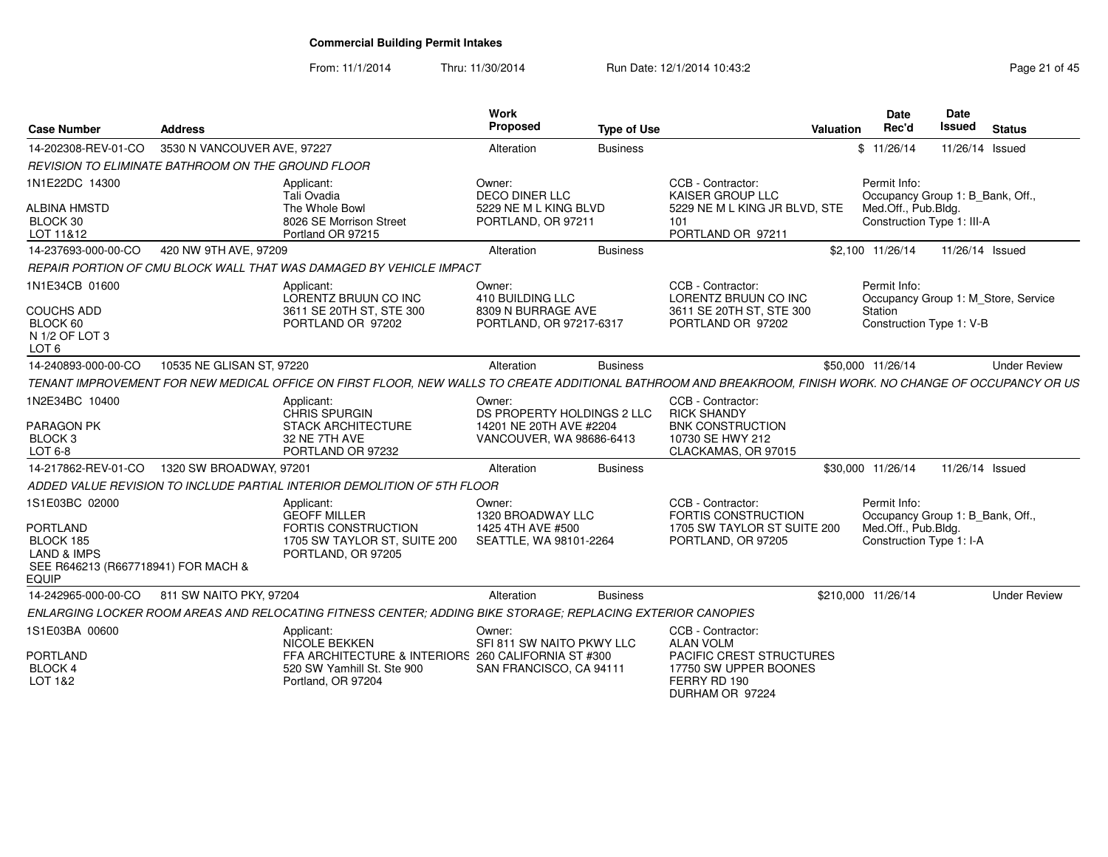From: 11/1/2014

Thru: 11/30/2014 Run Date: 12/1/2014 10:43:2<br> **Thru: 11/30/2014** Page 21 of 45

| <b>Case Number</b>                                                                                            | <b>Address</b>              |                                                                                                                                                            | Work<br>Proposed                                                            | <b>Type of Use</b> | Valuation                                                                                  | Date<br>Rec'd                       | Date<br><b>Issued</b>            | <b>Status</b>                       |
|---------------------------------------------------------------------------------------------------------------|-----------------------------|------------------------------------------------------------------------------------------------------------------------------------------------------------|-----------------------------------------------------------------------------|--------------------|--------------------------------------------------------------------------------------------|-------------------------------------|----------------------------------|-------------------------------------|
| 14-202308-REV-01-CO                                                                                           | 3530 N VANCOUVER AVE, 97227 |                                                                                                                                                            | Alteration                                                                  | <b>Business</b>    |                                                                                            | \$11/26/14                          |                                  | 11/26/14 Issued                     |
| REVISION TO ELIMINATE BATHROOM ON THE GROUND FLOOR                                                            |                             |                                                                                                                                                            |                                                                             |                    |                                                                                            |                                     |                                  |                                     |
| 1N1E22DC 14300<br><b>ALBINA HMSTD</b>                                                                         |                             | Applicant:<br>Tali Ovadia<br>The Whole Bowl                                                                                                                | Owner:<br><b>DECO DINER LLC</b><br>5229 NE M L KING BLVD                    |                    | CCB - Contractor:<br><b>KAISER GROUP LLC</b><br>5229 NE M L KING JR BLVD, STE              | Permit Info:<br>Med.Off., Pub.Bldg. | Occupancy Group 1: B_Bank, Off., |                                     |
| BLOCK 30<br>LOT 11&12                                                                                         |                             | 8026 SE Morrison Street<br>Portland OR 97215                                                                                                               | PORTLAND, OR 97211                                                          |                    | 101<br>PORTLAND OR 97211                                                                   |                                     | Construction Type 1: III-A       |                                     |
| 14-237693-000-00-CO                                                                                           | 420 NW 9TH AVE, 97209       |                                                                                                                                                            | Alteration                                                                  | <b>Business</b>    |                                                                                            | \$2,100 11/26/14                    |                                  | 11/26/14 Issued                     |
|                                                                                                               |                             | REPAIR PORTION OF CMU BLOCK WALL THAT WAS DAMAGED BY VEHICLE IMPACT                                                                                        |                                                                             |                    |                                                                                            |                                     |                                  |                                     |
| 1N1E34CB 01600<br><b>COUCHS ADD</b><br>BLOCK 60                                                               |                             | Applicant:<br>LORENTZ BRUUN CO INC<br>3611 SE 20TH ST, STE 300<br>PORTLAND OR 97202                                                                        | Owner:<br>410 BUILDING LLC<br>8309 N BURRAGE AVE<br>PORTLAND, OR 97217-6317 |                    | CCB - Contractor:<br>LORENTZ BRUUN CO INC<br>3611 SE 20TH ST, STE 300<br>PORTLAND OR 97202 | Permit Info:<br><b>Station</b>      | Construction Type 1: V-B         | Occupancy Group 1: M_Store, Service |
| N 1/2 OF LOT 3<br>LOT <sub>6</sub>                                                                            |                             |                                                                                                                                                            |                                                                             |                    |                                                                                            |                                     |                                  |                                     |
| 14-240893-000-00-CO                                                                                           | 10535 NE GLISAN ST, 97220   |                                                                                                                                                            | Alteration                                                                  | <b>Business</b>    |                                                                                            | \$50,000 11/26/14                   |                                  | <b>Under Review</b>                 |
|                                                                                                               |                             | TENANT IMPROVEMENT FOR NEW MEDICAL OFFICE ON FIRST FLOOR, NEW WALLS TO CREATE ADDITIONAL BATHROOM AND BREAKROOM, FINISH WORK. NO CHANGE OF OCCUPANCY OR US |                                                                             |                    |                                                                                            |                                     |                                  |                                     |
| 1N2E34BC 10400                                                                                                |                             | Applicant:<br><b>CHRIS SPURGIN</b>                                                                                                                         | Owner:<br>DS PROPERTY HOLDINGS 2 LLC                                        |                    | CCB - Contractor:<br><b>RICK SHANDY</b>                                                    |                                     |                                  |                                     |
| PARAGON PK<br>BLOCK <sub>3</sub><br>LOT 6-8                                                                   |                             | <b>STACK ARCHITECTURE</b><br>32 NE 7TH AVE<br>PORTLAND OR 97232                                                                                            | 14201 NE 20TH AVE #2204<br>VANCOUVER, WA 98686-6413                         |                    | <b>BNK CONSTRUCTION</b><br>10730 SE HWY 212<br>CLACKAMAS, OR 97015                         |                                     |                                  |                                     |
| 14-217862-REV-01-CO                                                                                           | 1320 SW BROADWAY, 97201     |                                                                                                                                                            | Alteration                                                                  | <b>Business</b>    |                                                                                            | \$30,000 11/26/14                   |                                  | 11/26/14 Issued                     |
|                                                                                                               |                             | ADDED VALUE REVISION TO INCLUDE PARTIAL INTERIOR DEMOLITION OF 5TH FLOOR                                                                                   |                                                                             |                    |                                                                                            |                                     |                                  |                                     |
| 1S1E03BC 02000                                                                                                |                             | Applicant:<br><b>GEOFF MILLER</b>                                                                                                                          | Owner:<br>1320 BROADWAY LLC                                                 |                    | CCB - Contractor:<br>FORTIS CONSTRUCTION                                                   | Permit Info:                        | Occupancy Group 1: B_Bank, Off., |                                     |
| <b>PORTLAND</b><br>BLOCK 185<br><b>LAND &amp; IMPS</b><br>SEE R646213 (R667718941) FOR MACH &<br><b>EQUIP</b> |                             | FORTIS CONSTRUCTION<br>1705 SW TAYLOR ST, SUITE 200<br>PORTLAND, OR 97205                                                                                  | 1425 4TH AVE #500<br>SEATTLE, WA 98101-2264                                 |                    | 1705 SW TAYLOR ST SUITE 200<br>PORTLAND, OR 97205                                          | Med.Off., Pub.Bldg.                 | Construction Type 1: I-A         |                                     |
| 14-242965-000-00-CO                                                                                           | 811 SW NAITO PKY, 97204     |                                                                                                                                                            | Alteration                                                                  | <b>Business</b>    |                                                                                            | \$210,000 11/26/14                  |                                  | <b>Under Review</b>                 |
|                                                                                                               |                             | ENLARGING LOCKER ROOM AREAS AND RELOCATING FITNESS CENTER: ADDING BIKE STORAGE: REPLACING EXTERIOR CANOPIES                                                |                                                                             |                    |                                                                                            |                                     |                                  |                                     |
| 1S1E03BA 00600                                                                                                |                             | Applicant:<br><b>NICOLE BEKKEN</b>                                                                                                                         | Owner:<br>SFI 811 SW NAITO PKWY LLC                                         |                    | CCB - Contractor:<br><b>ALAN VOLM</b>                                                      |                                     |                                  |                                     |
| <b>PORTLAND</b><br><b>BLOCK 4</b><br>LOT 1&2                                                                  |                             | FFA ARCHITECTURE & INTERIORS 260 CALIFORNIA ST #300<br>520 SW Yamhill St. Ste 900<br>Portland, OR 97204                                                    | SAN FRANCISCO, CA 94111                                                     |                    | PACIFIC CREST STRUCTURES<br>17750 SW UPPER BOONES<br>FERRY RD 190<br>DURHAM OR 97224       |                                     |                                  |                                     |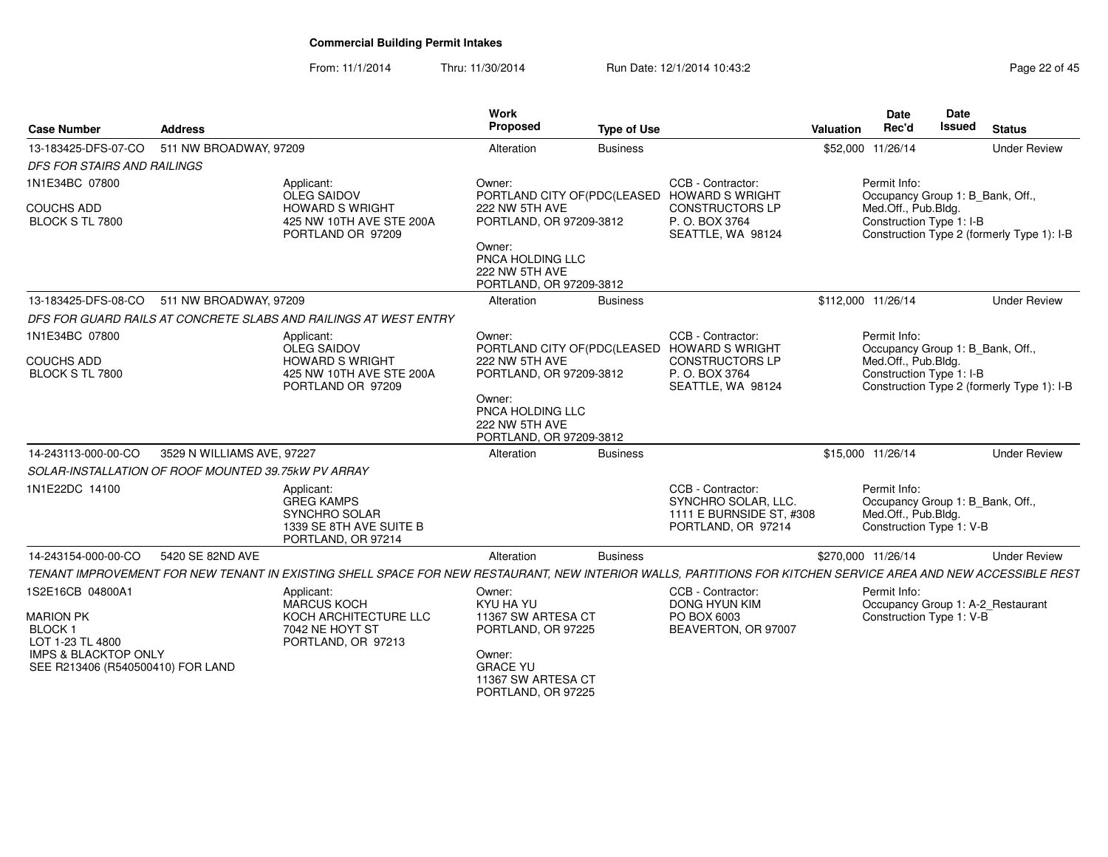From: 11/1/2014Thru: 11/30/2014 Run Date: 12/1/2014 10:43:2<br>
Page 22 of 45

| <b>Case Number</b>                                                   | <b>Address</b>             |                                                                                                                                                               | <b>Work</b><br><b>Proposed</b>                                          | <b>Type of Use</b> |                                                                                                              | Valuation          | <b>Date</b><br>Rec'd                                                                                | Date<br><b>Issued</b> | <b>Status</b>                              |
|----------------------------------------------------------------------|----------------------------|---------------------------------------------------------------------------------------------------------------------------------------------------------------|-------------------------------------------------------------------------|--------------------|--------------------------------------------------------------------------------------------------------------|--------------------|-----------------------------------------------------------------------------------------------------|-----------------------|--------------------------------------------|
| 13-183425-DFS-07-CO                                                  | 511 NW BROADWAY, 97209     |                                                                                                                                                               | Alteration                                                              | <b>Business</b>    |                                                                                                              |                    | \$52,000 11/26/14                                                                                   |                       | <b>Under Review</b>                        |
| <b>DFS FOR STAIRS AND RAILINGS</b>                                   |                            |                                                                                                                                                               |                                                                         |                    |                                                                                                              |                    |                                                                                                     |                       |                                            |
| 1N1E34BC 07800                                                       |                            | Applicant:                                                                                                                                                    | Owner:                                                                  |                    | CCB - Contractor:                                                                                            |                    | Permit Info:                                                                                        |                       |                                            |
| <b>COUCHS ADD</b><br>BLOCK S TL 7800                                 |                            | <b>OLEG SAIDOV</b><br><b>HOWARD S WRIGHT</b><br>425 NW 10TH AVE STE 200A<br>PORTLAND OR 97209                                                                 | 222 NW 5TH AVE<br>PORTLAND, OR 97209-3812                               |                    | PORTLAND CITY OF(PDC(LEASED HOWARD S WRIGHT<br><b>CONSTRUCTORS LP</b><br>P. O. BOX 3764<br>SEATTLE, WA 98124 |                    | Occupancy Group 1: B_Bank, Off.,<br>Med.Off., Pub.Bldg.<br>Construction Type 1: I-B                 |                       | Construction Type 2 (formerly Type 1): I-B |
|                                                                      |                            |                                                                                                                                                               | Owner:<br>PNCA HOLDING LLC<br>222 NW 5TH AVE<br>PORTLAND, OR 97209-3812 |                    |                                                                                                              |                    |                                                                                                     |                       |                                            |
| 13-183425-DFS-08-CO                                                  | 511 NW BROADWAY, 97209     |                                                                                                                                                               | Alteration                                                              | <b>Business</b>    |                                                                                                              |                    | \$112,000 11/26/14                                                                                  |                       | <b>Under Review</b>                        |
|                                                                      |                            | DFS FOR GUARD RAILS AT CONCRETE SLABS AND RAILINGS AT WEST ENTRY                                                                                              |                                                                         |                    |                                                                                                              |                    |                                                                                                     |                       |                                            |
| 1N1E34BC 07800                                                       |                            | Applicant:<br><b>OLEG SAIDOV</b>                                                                                                                              | Owner:                                                                  |                    | CCB - Contractor:<br>PORTLAND CITY OF (PDC (LEASED HOWARD S WRIGHT                                           |                    | Permit Info:<br>Occupancy Group 1: B Bank, Off.,                                                    |                       |                                            |
| <b>COUCHS ADD</b><br>BLOCK S TL 7800                                 |                            | <b>HOWARD S WRIGHT</b><br>425 NW 10TH AVE STE 200A<br>PORTLAND OR 97209                                                                                       | 222 NW 5TH AVE<br>PORTLAND, OR 97209-3812                               |                    | CONSTRUCTORS LP<br>P. O. BOX 3764<br>SEATTLE, WA 98124                                                       |                    | Med.Off., Pub.Bldg.<br>Construction Type 1: I-B                                                     |                       | Construction Type 2 (formerly Type 1): I-B |
|                                                                      |                            |                                                                                                                                                               | Owner:<br>PNCA HOLDING LLC<br>222 NW 5TH AVE<br>PORTLAND, OR 97209-3812 |                    |                                                                                                              |                    |                                                                                                     |                       |                                            |
| 14-243113-000-00-CO                                                  | 3529 N WILLIAMS AVE, 97227 |                                                                                                                                                               | Alteration                                                              | <b>Business</b>    |                                                                                                              |                    | \$15,000 11/26/14                                                                                   |                       | <b>Under Review</b>                        |
| SOLAR-INSTALLATION OF ROOF MOUNTED 39.75kW PV ARRAY                  |                            |                                                                                                                                                               |                                                                         |                    |                                                                                                              |                    |                                                                                                     |                       |                                            |
| 1N1E22DC 14100                                                       |                            | Applicant:<br><b>GREG KAMPS</b><br>SYNCHRO SOLAR<br>1339 SE 8TH AVE SUITE B<br>PORTLAND, OR 97214                                                             |                                                                         |                    | CCB - Contractor:<br>SYNCHRO SOLAR, LLC.<br>1111 E BURNSIDE ST. #308<br>PORTLAND, OR 97214                   |                    | Permit Info:<br>Occupancy Group 1: B_Bank, Off.,<br>Med.Off., Pub.Bldg.<br>Construction Type 1: V-B |                       |                                            |
| 14-243154-000-00-CO                                                  | 5420 SE 82ND AVE           |                                                                                                                                                               | Alteration                                                              | <b>Business</b>    |                                                                                                              | \$270,000 11/26/14 |                                                                                                     |                       | <b>Under Review</b>                        |
|                                                                      |                            | TENANT IMPROVEMENT FOR NEW TENANT IN EXISTING SHELL SPACE FOR NEW RESTAURANT, NEW INTERIOR WALLS, PARTITIONS FOR KITCHEN SERVICE AREA AND NEW ACCESSIBLE REST |                                                                         |                    |                                                                                                              |                    |                                                                                                     |                       |                                            |
| 1S2E16CB 04800A1                                                     |                            | Applicant:<br><b>MARCUS KOCH</b>                                                                                                                              | Owner:<br>KYU HA YU                                                     |                    | CCB - Contractor:<br><b>DONG HYUN KIM</b>                                                                    |                    | Permit Info:                                                                                        |                       | Occupancy Group 1: A-2_Restaurant          |
| <b>MARION PK</b><br><b>BLOCK1</b><br>LOT 1-23 TL 4800                |                            | KOCH ARCHITECTURE LLC<br>7042 NE HOYT ST<br>PORTLAND, OR 97213                                                                                                | 11367 SW ARTESA CT<br>PORTLAND, OR 97225                                |                    | PO BOX 6003<br>BEAVERTON, OR 97007                                                                           |                    | Construction Type 1: V-B                                                                            |                       |                                            |
| <b>IMPS &amp; BLACKTOP ONLY</b><br>SEE R213406 (R540500410) FOR LAND |                            |                                                                                                                                                               | Owner:<br><b>GRACE YU</b><br>11367 SW ARTESA CT<br>PORTLAND, OR 97225   |                    |                                                                                                              |                    |                                                                                                     |                       |                                            |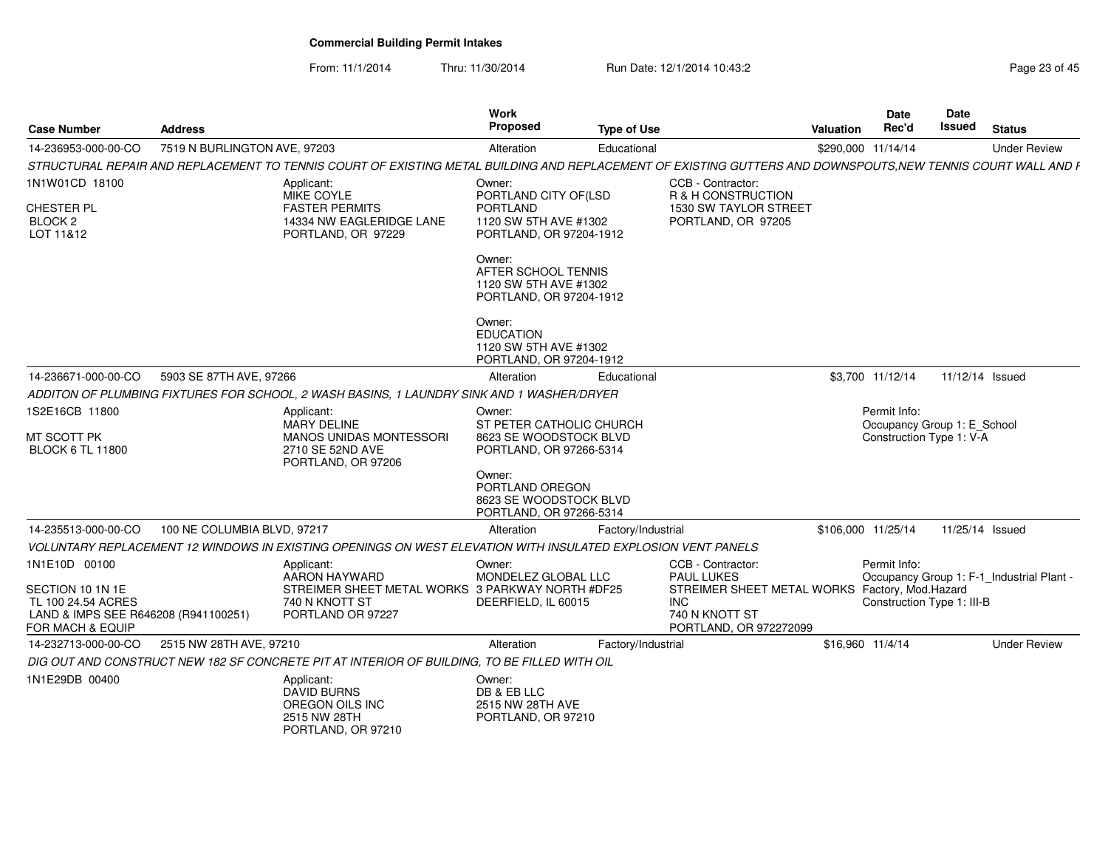From: 11/1/2014

Thru: 11/30/2014 Run Date: 12/1/2014 10:43:2<br>
Page 23 of 45

| <b>Case Number</b>                                                                                                             | <b>Address</b>               |                                                                                                                                                              | Work<br>Proposed                                                                                      | <b>Type of Use</b> |                                                                                                                                                    | Valuation          | <b>Date</b><br>Rec'd                                                    | <b>Date</b><br>Issued | <b>Status</b>                             |
|--------------------------------------------------------------------------------------------------------------------------------|------------------------------|--------------------------------------------------------------------------------------------------------------------------------------------------------------|-------------------------------------------------------------------------------------------------------|--------------------|----------------------------------------------------------------------------------------------------------------------------------------------------|--------------------|-------------------------------------------------------------------------|-----------------------|-------------------------------------------|
| 14-236953-000-00-CO                                                                                                            | 7519 N BURLINGTON AVE, 97203 |                                                                                                                                                              | Alteration                                                                                            | Educational        |                                                                                                                                                    | \$290,000 11/14/14 |                                                                         |                       | <b>Under Review</b>                       |
|                                                                                                                                |                              | STRUCTURAL REPAIR AND REPLACEMENT TO TENNIS COURT OF EXISTING METAL BUILDING AND REPLACEMENT OF EXISTING GUTTERS AND DOWNSPOUTS, NEW TENNIS COURT WALL AND F |                                                                                                       |                    |                                                                                                                                                    |                    |                                                                         |                       |                                           |
| 1N1W01CD 18100<br>CHESTER PL<br>BLOCK <sub>2</sub><br>LOT 11&12                                                                |                              | Applicant:<br>MIKE COYLE<br><b>FASTER PERMITS</b><br>14334 NW EAGLERIDGE LANE<br>PORTLAND, OR 97229                                                          | Owner:<br>PORTLAND CITY OF(LSD<br><b>PORTLAND</b><br>1120 SW 5TH AVE #1302<br>PORTLAND, OR 97204-1912 |                    | CCB - Contractor:<br>R & H CONSTRUCTION<br>1530 SW TAYLOR STREET<br>PORTLAND, OR 97205                                                             |                    |                                                                         |                       |                                           |
|                                                                                                                                |                              |                                                                                                                                                              | Owner:<br>AFTER SCHOOL TENNIS<br>1120 SW 5TH AVE #1302<br>PORTLAND, OR 97204-1912                     |                    |                                                                                                                                                    |                    |                                                                         |                       |                                           |
|                                                                                                                                |                              |                                                                                                                                                              | Owner:<br><b>EDUCATION</b><br>1120 SW 5TH AVE #1302<br>PORTLAND, OR 97204-1912                        |                    |                                                                                                                                                    |                    |                                                                         |                       |                                           |
| 14-236671-000-00-CO                                                                                                            | 5903 SE 87TH AVE, 97266      |                                                                                                                                                              | Alteration                                                                                            | Educational        |                                                                                                                                                    |                    | \$3.700 11/12/14                                                        | 11/12/14 Issued       |                                           |
|                                                                                                                                |                              | ADDITON OF PLUMBING FIXTURES FOR SCHOOL, 2 WASH BASINS, 1 LAUNDRY SINK AND 1 WASHER/DRYER                                                                    |                                                                                                       |                    |                                                                                                                                                    |                    |                                                                         |                       |                                           |
| 1S2E16CB 11800<br>MT SCOTT PK<br><b>BLOCK 6 TL 11800</b>                                                                       |                              | Applicant:<br><b>MARY DELINE</b><br><b>MANOS UNIDAS MONTESSORI</b><br>2710 SE 52ND AVE<br>PORTLAND, OR 97206                                                 | Owner:<br>ST PETER CATHOLIC CHURCH<br>8623 SE WOODSTOCK BLVD<br>PORTLAND, OR 97266-5314               |                    |                                                                                                                                                    |                    | Permit Info:<br>Occupancy Group 1: E_School<br>Construction Type 1: V-A |                       |                                           |
|                                                                                                                                |                              |                                                                                                                                                              | Owner:<br>PORTLAND OREGON<br>8623 SE WOODSTOCK BLVD<br>PORTLAND, OR 97266-5314                        |                    |                                                                                                                                                    |                    |                                                                         |                       |                                           |
| 14-235513-000-00-CO                                                                                                            | 100 NE COLUMBIA BLVD, 97217  |                                                                                                                                                              | Alteration                                                                                            | Factory/Industrial |                                                                                                                                                    | \$106,000 11/25/14 |                                                                         | 11/25/14 Issued       |                                           |
|                                                                                                                                |                              | VOLUNTARY REPLACEMENT 12 WINDOWS IN EXISTING OPENINGS ON WEST ELEVATION WITH INSULATED EXPLOSION VENT PANELS                                                 |                                                                                                       |                    |                                                                                                                                                    |                    |                                                                         |                       |                                           |
| 1N1E10D 00100<br>SECTION 10 1N 1E<br>TL 100 24.54 ACRES<br>LAND & IMPS SEE R646208 (R941100251)<br><b>FOR MACH &amp; EQUIP</b> |                              | Applicant:<br>AARON HAYWARD<br>STREIMER SHEET METAL WORKS 3 PARKWAY NORTH #DF25<br>740 N KNOTT ST<br>PORTLAND OR 97227                                       | Owner:<br>MONDELEZ GLOBAL LLC<br>DEERFIELD, IL 60015                                                  |                    | CCB - Contractor:<br><b>PAUL LUKES</b><br>STREIMER SHEET METAL WORKS Factory, Mod.Hazard<br><b>INC</b><br>740 N KNOTT ST<br>PORTLAND, OR 972272099 |                    | Permit Info:<br>Construction Type 1: III-B                              |                       | Occupancy Group 1: F-1_Industrial Plant - |
| 14-232713-000-00-CO                                                                                                            | 2515 NW 28TH AVE, 97210      |                                                                                                                                                              | Alteration                                                                                            | Factory/Industrial |                                                                                                                                                    | \$16,960 11/4/14   |                                                                         |                       | <b>Under Review</b>                       |
|                                                                                                                                |                              | DIG OUT AND CONSTRUCT NEW 182 SF CONCRETE PIT AT INTERIOR OF BUILDING. TO BE FILLED WITH OIL                                                                 |                                                                                                       |                    |                                                                                                                                                    |                    |                                                                         |                       |                                           |
| 1N1E29DB 00400                                                                                                                 |                              | Applicant:<br><b>DAVID BURNS</b><br>OREGON OILS INC<br>2515 NW 28TH<br>PORTLAND, OR 97210                                                                    | Owner:<br>DB & EB LLC<br>2515 NW 28TH AVE<br>PORTLAND, OR 97210                                       |                    |                                                                                                                                                    |                    |                                                                         |                       |                                           |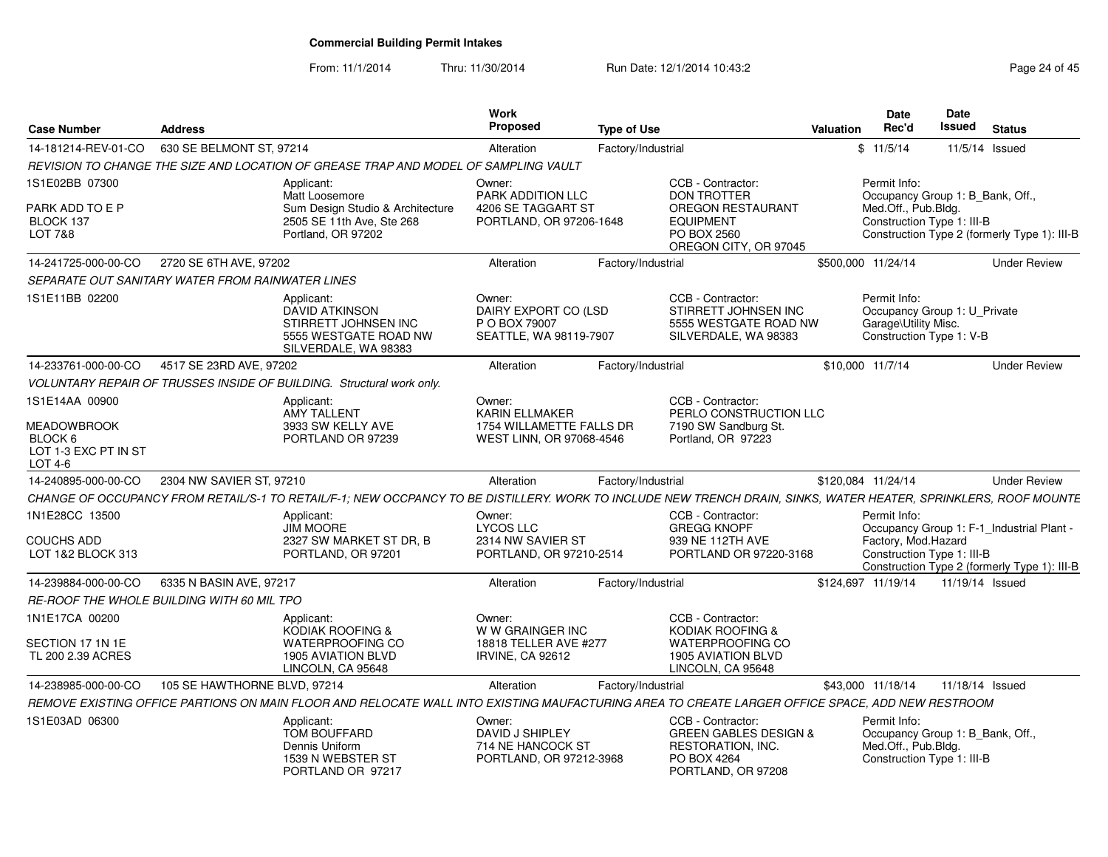From: 11/1/2014Thru: 11/30/2014 Run Date: 12/1/2014 10:43:2<br>
Page 24 of 45

| <b>Case Number</b>                                               | <b>Address</b>                                                                                                                                                   | Work<br>Proposed                                                          | <b>Type of Use</b>                                                                                                     | Valuation | Date<br>Rec'd                        | <b>Date</b><br><b>Issued</b><br><b>Status</b>                              |                     |
|------------------------------------------------------------------|------------------------------------------------------------------------------------------------------------------------------------------------------------------|---------------------------------------------------------------------------|------------------------------------------------------------------------------------------------------------------------|-----------|--------------------------------------|----------------------------------------------------------------------------|---------------------|
| 14-181214-REV-01-CO                                              | 630 SE BELMONT ST, 97214                                                                                                                                         | Alteration                                                                | Factory/Industrial                                                                                                     |           | \$11/5/14                            | 11/5/14 Issued                                                             |                     |
|                                                                  | REVISION TO CHANGE THE SIZE AND LOCATION OF GREASE TRAP AND MODEL OF SAMPLING VAULT                                                                              |                                                                           |                                                                                                                        |           |                                      |                                                                            |                     |
| 1S1E02BB 07300                                                   | Applicant:<br>Matt Loosemore                                                                                                                                     | Owner:<br>PARK ADDITION LLC                                               | CCB - Contractor:<br><b>DON TROTTER</b>                                                                                |           | Permit Info:                         | Occupancy Group 1: B Bank, Off.,                                           |                     |
| PARK ADD TO E P<br>BLOCK 137<br>LOT 7&8                          | Sum Design Studio & Architecture<br>2505 SE 11th Ave, Ste 268<br>Portland, OR 97202                                                                              | 4206 SE TAGGART ST<br>PORTLAND, OR 97206-1648                             | <b>OREGON RESTAURANT</b><br><b>EQUIPMENT</b><br>PO BOX 2560<br>OREGON CITY, OR 97045                                   |           | Med.Off., Pub.Bldg.                  | Construction Type 1: III-B<br>Construction Type 2 (formerly Type 1): III-B |                     |
| 14-241725-000-00-CO                                              | 2720 SE 6TH AVE, 97202                                                                                                                                           | Alteration                                                                | Factory/Industrial                                                                                                     |           | \$500.000 11/24/14                   |                                                                            | <b>Under Review</b> |
|                                                                  | <b>SEPARATE OUT SANITARY WATER FROM RAINWATER LINES</b>                                                                                                          |                                                                           |                                                                                                                        |           |                                      |                                                                            |                     |
| 1S1E11BB 02200                                                   | Applicant:<br><b>DAVID ATKINSON</b><br>STIRRETT JOHNSEN INC<br>5555 WESTGATE ROAD NW<br>SILVERDALE, WA 98383                                                     | Owner:<br>DAIRY EXPORT CO (LSD<br>P O BOX 79007<br>SEATTLE, WA 98119-7907 | CCB - Contractor:<br>STIRRETT JOHNSEN INC<br>5555 WESTGATE ROAD NW<br>SILVERDALE, WA 98383                             |           | Permit Info:<br>Garage\Utility Misc. | Occupancy Group 1: U_Private<br>Construction Type 1: V-B                   |                     |
| 14-233761-000-00-CO                                              | 4517 SE 23RD AVE, 97202                                                                                                                                          | Alteration                                                                | Factory/Industrial                                                                                                     |           | \$10,000 11/7/14                     |                                                                            | <b>Under Review</b> |
|                                                                  | VOLUNTARY REPAIR OF TRUSSES INSIDE OF BUILDING. Structural work only.                                                                                            |                                                                           |                                                                                                                        |           |                                      |                                                                            |                     |
| 1S1E14AA 00900                                                   | Applicant:<br>AMY TALLENT                                                                                                                                        | Owner:<br><b>KARIN ELLMAKER</b>                                           | CCB - Contractor:<br>PERLO CONSTRUCTION LLC                                                                            |           |                                      |                                                                            |                     |
| <b>MEADOWBROOK</b><br>BLOCK 6<br>LOT 1-3 EXC PT IN ST<br>LOT 4-6 | 3933 SW KELLY AVE<br>PORTLAND OR 97239                                                                                                                           | 1754 WILLAMETTE FALLS DR<br>WEST LINN, OR 97068-4546                      | 7190 SW Sandburg St.<br>Portland, OR 97223                                                                             |           |                                      |                                                                            |                     |
| 14-240895-000-00-CO                                              | 2304 NW SAVIER ST, 97210                                                                                                                                         | Alteration                                                                | Factory/Industrial                                                                                                     |           | \$120.084 11/24/14                   |                                                                            | <b>Under Review</b> |
|                                                                  | CHANGE OF OCCUPANCY FROM RETAIL/S-1 TO RETAIL/F-1; NEW OCCPANCY TO BE DISTILLERY. WORK TO INCLUDE NEW TRENCH DRAIN, SINKS, WATER HEATER, SPRINKLERS, ROOF MOUNTE |                                                                           |                                                                                                                        |           |                                      |                                                                            |                     |
| 1N1E28CC 13500                                                   | Applicant:<br>JIM MOORE                                                                                                                                          | Owner:<br><b>LYCOS LLC</b>                                                | CCB - Contractor:<br><b>GREGG KNOPF</b>                                                                                |           | Permit Info:                         | Occupancy Group 1: F-1_Industrial Plant -                                  |                     |
| <b>COUCHS ADD</b><br>LOT 1&2 BLOCK 313                           | 2327 SW MARKET ST DR. B<br>PORTLAND, OR 97201                                                                                                                    | 2314 NW SAVIER ST<br>PORTLAND, OR 97210-2514                              | 939 NE 112TH AVE<br>PORTLAND OR 97220-3168                                                                             |           | Factory, Mod.Hazard                  | Construction Type 1: III-B<br>Construction Type 2 (formerly Type 1): III-B |                     |
| 14-239884-000-00-CO                                              | 6335 N BASIN AVE, 97217                                                                                                                                          | Alteration                                                                | Factory/Industrial                                                                                                     |           | \$124,697 11/19/14                   | 11/19/14 Issued                                                            |                     |
|                                                                  | <b>RE-ROOF THE WHOLE BUILDING WITH 60 MIL TPO</b>                                                                                                                |                                                                           |                                                                                                                        |           |                                      |                                                                            |                     |
| 1N1E17CA 00200                                                   | Applicant:<br><b>KODIAK ROOFING &amp;</b>                                                                                                                        | Owner:<br>W W GRAINGER INC                                                | CCB - Contractor:<br>KODIAK ROOFING &                                                                                  |           |                                      |                                                                            |                     |
| SECTION 17 1N 1E<br>TL 200 2.39 ACRES                            | <b>WATERPROOFING CO</b><br>1905 AVIATION BLVD<br>LINCOLN. CA 95648                                                                                               | 18818 TELLER AVE #277<br><b>IRVINE, CA 92612</b>                          | <b>WATERPROOFING CO</b><br>1905 AVIATION BLVD<br>LINCOLN, CA 95648                                                     |           |                                      |                                                                            |                     |
| 14-238985-000-00-CO                                              | 105 SE HAWTHORNE BLVD, 97214                                                                                                                                     | Alteration                                                                | Factory/Industrial                                                                                                     |           | \$43,000 11/18/14                    | 11/18/14 Issued                                                            |                     |
|                                                                  | REMOVE EXISTING OFFICE PARTIONS ON MAIN FLOOR AND RELOCATE WALL INTO EXISTING MAUFACTURING AREA TO CREATE LARGER OFFICE SPACE, ADD NEW RESTROOM                  |                                                                           |                                                                                                                        |           |                                      |                                                                            |                     |
| 1S1E03AD 06300                                                   | Applicant:<br><b>TOM BOUFFARD</b><br>Dennis Uniform<br>1539 N WEBSTER ST<br>PORTLAND OR 97217                                                                    | Owner:<br>DAVID J SHIPLEY<br>714 NE HANCOCK ST<br>PORTLAND, OR 97212-3968 | CCB - Contractor:<br><b>GREEN GABLES DESIGN &amp;</b><br><b>RESTORATION, INC.</b><br>PO BOX 4264<br>PORTLAND, OR 97208 |           | Permit Info:<br>Med.Off., Pub.Bldg.  | Occupancy Group 1: B_Bank, Off.,<br>Construction Type 1: III-B             |                     |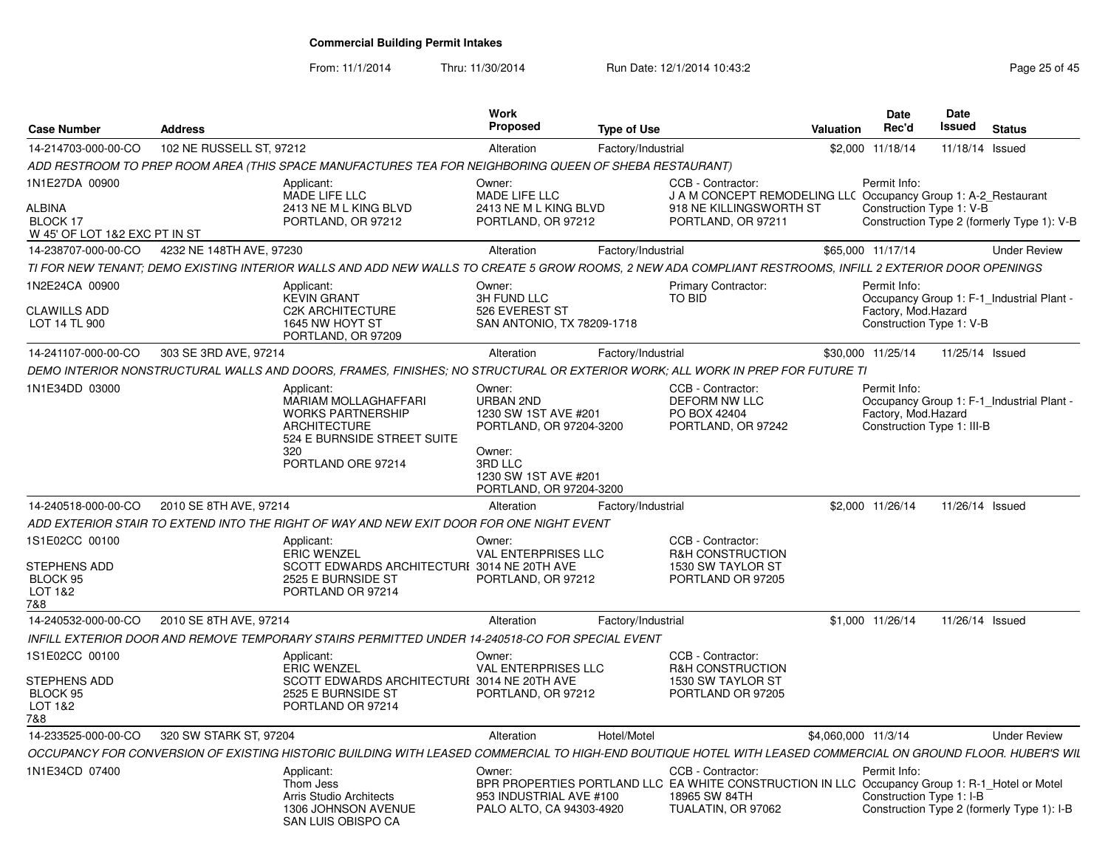From: 11/1/2014

Thru: 11/30/2014 Run Date: 12/1/2014 10:43:2<br> **Page 25 of 45** 

| <b>Case Number</b>                                                           | <b>Address</b>           |                                                                                                                                                              | <b>Work</b><br><b>Proposed</b>                                                   | <b>Type of Use</b> |                                                                                                                                                           | <b>Valuation</b>    | <b>Date</b><br>Rec'd                                               | Date<br>Issued  | <b>Status</b>                              |
|------------------------------------------------------------------------------|--------------------------|--------------------------------------------------------------------------------------------------------------------------------------------------------------|----------------------------------------------------------------------------------|--------------------|-----------------------------------------------------------------------------------------------------------------------------------------------------------|---------------------|--------------------------------------------------------------------|-----------------|--------------------------------------------|
| 14-214703-000-00-CO                                                          | 102 NE RUSSELL ST, 97212 |                                                                                                                                                              | Alteration                                                                       | Factory/Industrial |                                                                                                                                                           |                     | \$2,000 11/18/14                                                   | 11/18/14 Issued |                                            |
|                                                                              |                          | ADD RESTROOM TO PREP ROOM AREA (THIS SPACE MANUFACTURES TEA FOR NEIGHBORING QUEEN OF SHEBA RESTAURANT)                                                       |                                                                                  |                    |                                                                                                                                                           |                     |                                                                    |                 |                                            |
| 1N1E27DA 00900<br><b>ALBINA</b><br>BLOCK 17<br>W 45' OF LOT 1&2 EXC PT IN ST |                          | Applicant:<br>MADE LIFE LLC<br>2413 NE M L KING BLVD<br>PORTLAND, OR 97212                                                                                   | Owner:<br>MADE LIFE LLC<br>2413 NE M L KING BLVD<br>PORTLAND, OR 97212           |                    | CCB - Contractor:<br>J A M CONCEPT REMODELING LLC Occupancy Group 1: A-2_Restaurant<br>918 NE KILLINGSWORTH ST<br>PORTLAND, OR 97211                      |                     | Permit Info:<br>Construction Type 1: V-B                           |                 | Construction Type 2 (formerly Type 1): V-B |
| 14-238707-000-00-CO                                                          | 4232 NE 148TH AVE, 97230 |                                                                                                                                                              | Alteration                                                                       | Factory/Industrial |                                                                                                                                                           |                     | \$65,000 11/17/14                                                  |                 | <b>Under Review</b>                        |
|                                                                              |                          | TI FOR NEW TENANT: DEMO EXISTING INTERIOR WALLS AND ADD NEW WALLS TO CREATE 5 GROW ROOMS, 2 NEW ADA COMPLIANT RESTROOMS, INFILL 2 EXTERIOR DOOR OPENINGS     |                                                                                  |                    |                                                                                                                                                           |                     |                                                                    |                 |                                            |
| 1N2E24CA 00900<br><b>CLAWILLS ADD</b><br>LOT 14 TL 900                       |                          | Applicant:<br><b>KEVIN GRANT</b><br><b>C2K ARCHITECTURE</b><br>1645 NW HOYT ST                                                                               | Owner:<br>3H FUND LLC<br>526 EVEREST ST<br>SAN ANTONIO, TX 78209-1718            |                    | <b>Primary Contractor:</b><br>TO BID                                                                                                                      |                     | Permit Info:<br>Factory, Mod.Hazard<br>Construction Type 1: V-B    |                 | Occupancy Group 1: F-1 Industrial Plant -  |
|                                                                              |                          | PORTLAND, OR 97209                                                                                                                                           |                                                                                  |                    |                                                                                                                                                           |                     |                                                                    |                 |                                            |
| 14-241107-000-00-CO                                                          | 303 SE 3RD AVE, 97214    |                                                                                                                                                              | Alteration                                                                       | Factory/Industrial |                                                                                                                                                           |                     | \$30,000 11/25/14                                                  | 11/25/14 Issued |                                            |
|                                                                              |                          | DEMO INTERIOR NONSTRUCTURAL WALLS AND DOORS, FRAMES, FINISHES; NO STRUCTURAL OR EXTERIOR WORK; ALL WORK IN PREP FOR FUTURE TI                                |                                                                                  |                    |                                                                                                                                                           |                     |                                                                    |                 |                                            |
| 1N1E34DD 03000                                                               |                          | Applicant:<br><b>MARIAM MOLLAGHAFFARI</b><br><b>WORKS PARTNERSHIP</b><br><b>ARCHITECTURE</b><br>524 E BURNSIDE STREET SUITE<br>320                           | Owner:<br>URBAN 2ND<br>1230 SW 1ST AVE #201<br>PORTLAND, OR 97204-3200<br>Owner: |                    | CCB - Contractor:<br>DEFORM NW LLC<br>PO BOX 42404<br>PORTLAND, OR 97242                                                                                  |                     | Permit Info:<br>Factory, Mod. Hazard<br>Construction Type 1: III-B |                 | Occupancy Group 1: F-1 Industrial Plant -  |
|                                                                              |                          | PORTLAND ORE 97214                                                                                                                                           | 3RD LLC<br>1230 SW 1ST AVE #201<br>PORTLAND, OR 97204-3200                       |                    |                                                                                                                                                           |                     |                                                                    |                 |                                            |
| 14-240518-000-00-CO                                                          | 2010 SE 8TH AVE, 97214   |                                                                                                                                                              | Alteration                                                                       | Factory/Industrial |                                                                                                                                                           |                     | \$2,000 11/26/14                                                   | 11/26/14 Issued |                                            |
|                                                                              |                          | ADD EXTERIOR STAIR TO EXTEND INTO THE RIGHT OF WAY AND NEW EXIT DOOR FOR ONE NIGHT EVENT                                                                     |                                                                                  |                    |                                                                                                                                                           |                     |                                                                    |                 |                                            |
| 1S1E02CC 00100                                                               |                          | Applicant:<br><b>ERIC WENZEL</b>                                                                                                                             | Owner:<br><b>VAL ENTERPRISES LLC</b>                                             |                    | CCB - Contractor:<br><b>R&amp;H CONSTRUCTION</b>                                                                                                          |                     |                                                                    |                 |                                            |
| STEPHENS ADD<br>BLOCK 95<br>LOT 1&2<br>7&8                                   |                          | SCOTT EDWARDS ARCHITECTURI 3014 NE 20TH AVE<br>2525 E BURNSIDE ST<br>PORTLAND OR 97214                                                                       | PORTLAND, OR 97212                                                               |                    | 1530 SW TAYLOR ST<br>PORTLAND OR 97205                                                                                                                    |                     |                                                                    |                 |                                            |
| 14-240532-000-00-CO                                                          | 2010 SE 8TH AVE, 97214   |                                                                                                                                                              | Alteration                                                                       | Factory/Industrial |                                                                                                                                                           |                     | \$1,000 11/26/14                                                   | 11/26/14 Issued |                                            |
|                                                                              |                          | INFILL EXTERIOR DOOR AND REMOVE TEMPORARY STAIRS PERMITTED UNDER 14-240518-CO FOR SPECIAL EVENT                                                              |                                                                                  |                    |                                                                                                                                                           |                     |                                                                    |                 |                                            |
| 1S1E02CC 00100                                                               |                          | Applicant:<br><b>ERIC WENZEL</b>                                                                                                                             | Owner:<br><b>VAL ENTERPRISES LLC</b>                                             |                    | CCB - Contractor:<br>R&H CONSTRUCTION                                                                                                                     |                     |                                                                    |                 |                                            |
| STEPHENS ADD<br>BLOCK 95<br>LOT 1&2<br>7&8                                   |                          | SCOTT EDWARDS ARCHITECTURI 3014 NE 20TH AVE<br>2525 E BURNSIDE ST<br>PORTLAND OR 97214                                                                       | PORTLAND, OR 97212                                                               |                    | 1530 SW TAYLOR ST<br>PORTLAND OR 97205                                                                                                                    |                     |                                                                    |                 |                                            |
| 14-233525-000-00-CO                                                          | 320 SW STARK ST, 97204   |                                                                                                                                                              | Alteration                                                                       | Hotel/Motel        |                                                                                                                                                           | \$4,060,000 11/3/14 |                                                                    |                 | <b>Under Review</b>                        |
|                                                                              |                          | OCCUPANCY FOR CONVERSION OF EXISTING HISTORIC BUILDING WITH LEASED COMMERCIAL TO HIGH-END BOUTIQUE HOTEL WITH LEASED COMMERCIAL ON GROUND FLOOR. HUBER'S WIL |                                                                                  |                    |                                                                                                                                                           |                     |                                                                    |                 |                                            |
| 1N1E34CD 07400                                                               |                          | Applicant:<br>Thom Jess<br>Arris Studio Architects<br>1306 JOHNSON AVENUE                                                                                    | Owner:<br>953 INDUSTRIAL AVE #100<br>PALO ALTO, CA 94303-4920                    |                    | CCB - Contractor<br>BPR PROPERTIES PORTLAND LLC EA WHITE CONSTRUCTION IN LLC Occupancy Group 1: R-1_Hotel or Motel<br>18965 SW 84TH<br>TUALATIN, OR 97062 |                     | Permit Info:<br>Construction Type 1: I-B                           |                 | Construction Type 2 (formerly Type 1): I-B |
|                                                                              |                          | SAN LUIS OBISPO CA                                                                                                                                           |                                                                                  |                    |                                                                                                                                                           |                     |                                                                    |                 |                                            |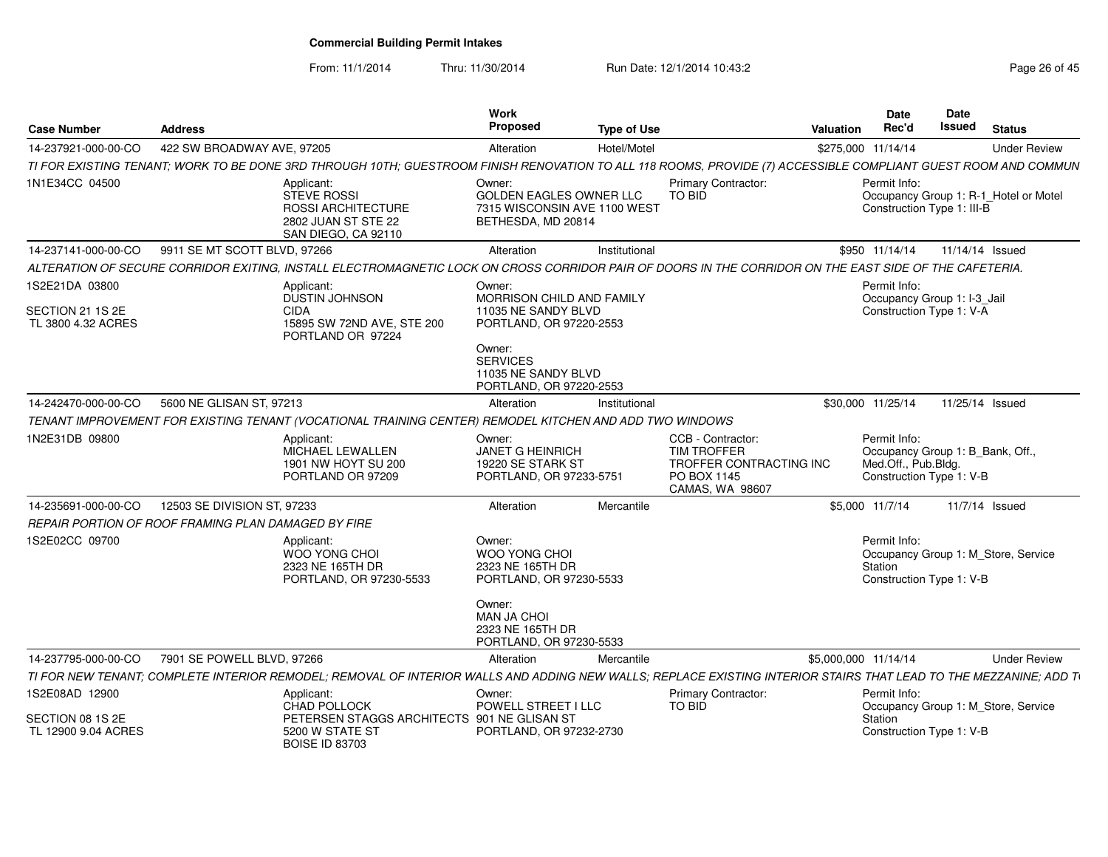From: 11/1/2014

Thru: 11/30/2014 Run Date: 12/1/2014 10:43:2<br>
Page 26 of 45

| <b>Case Number</b>                                       | <b>Address</b>                                      |                                                                                                                                                                  | Work<br><b>Proposed</b>                                                                                                                          | <b>Type of Use</b> |                                                                                                      | Valuation            | Date<br>Rec'd                                                                                       | Date<br>Issued | <b>Status</b>                         |
|----------------------------------------------------------|-----------------------------------------------------|------------------------------------------------------------------------------------------------------------------------------------------------------------------|--------------------------------------------------------------------------------------------------------------------------------------------------|--------------------|------------------------------------------------------------------------------------------------------|----------------------|-----------------------------------------------------------------------------------------------------|----------------|---------------------------------------|
| 14-237921-000-00-CO                                      | 422 SW BROADWAY AVE, 97205                          |                                                                                                                                                                  | Alteration                                                                                                                                       | Hotel/Motel        |                                                                                                      | \$275,000 11/14/14   |                                                                                                     |                | <b>Under Review</b>                   |
|                                                          |                                                     | TI FOR EXISTING TENANT: WORK TO BE DONE 3RD THROUGH 10TH: GUESTROOM FINISH RENOVATION TO ALL 118 ROOMS, PROVIDE (7) ACCESSIBLE COMPLIANT GUEST ROOM AND COMMUN   |                                                                                                                                                  |                    |                                                                                                      |                      |                                                                                                     |                |                                       |
| 1N1E34CC 04500                                           |                                                     | Applicant:<br>STEVE ROSSI<br>ROSSI ARCHITECTURE<br>2802 JUAN ST STE 22<br>SAN DIEGO, CA 92110                                                                    | Owner:<br>GOLDEN EAGLES OWNER LLC<br>7315 WISCONSIN AVE 1100 WEST<br>BETHESDA, MD 20814                                                          |                    | <b>Primary Contractor:</b><br><b>TO BID</b>                                                          |                      | Permit Info:<br>Construction Type 1: III-B                                                          |                | Occupancy Group 1: R-1_Hotel or Motel |
| 14-237141-000-00-CO                                      | 9911 SE MT SCOTT BLVD, 97266                        |                                                                                                                                                                  | Alteration                                                                                                                                       | Institutional      |                                                                                                      |                      | \$950 11/14/14                                                                                      |                | 11/14/14 Issued                       |
|                                                          |                                                     | ALTERATION OF SECURE CORRIDOR EXITING. INSTALL ELECTROMAGNETIC LOCK ON CROSS CORRIDOR PAIR OF DOORS IN THE CORRIDOR ON THE EAST SIDE OF THE CAFETERIA.           |                                                                                                                                                  |                    |                                                                                                      |                      |                                                                                                     |                |                                       |
| 1S2E21DA 03800<br>SECTION 21 1S 2E<br>TL 3800 4.32 ACRES |                                                     | Applicant:<br>DUSTIN JOHNSON<br><b>CIDA</b><br>15895 SW 72ND AVE, STE 200<br>PORTLAND OR 97224                                                                   | Owner:<br><b>MORRISON CHILD AND FAMILY</b><br>11035 NE SANDY BLVD<br>PORTLAND, OR 97220-2553<br>Owner:<br><b>SERVICES</b><br>11035 NE SANDY BLVD |                    |                                                                                                      |                      | Permit Info:<br>Occupancy Group 1: I-3_Jail<br>Construction Type 1: V-A                             |                |                                       |
|                                                          |                                                     |                                                                                                                                                                  | PORTLAND, OR 97220-2553                                                                                                                          |                    |                                                                                                      |                      |                                                                                                     |                |                                       |
| 14-242470-000-00-CO                                      | 5600 NE GLISAN ST. 97213                            |                                                                                                                                                                  | Alteration                                                                                                                                       | Institutional      |                                                                                                      |                      | \$30,000 11/25/14                                                                                   |                | 11/25/14 Issued                       |
|                                                          |                                                     | TENANT IMPROVEMENT FOR EXISTING TENANT (VOCATIONAL TRAINING CENTER) REMODEL KITCHEN AND ADD TWO WINDOWS                                                          |                                                                                                                                                  |                    |                                                                                                      |                      |                                                                                                     |                |                                       |
| 1N2E31DB 09800                                           |                                                     | Applicant:<br>MICHAEL LEWALLEN<br>1901 NW HOYT SU 200<br>PORTLAND OR 97209                                                                                       | Owner:<br>JANET G HEINRICH<br>19220 SE STARK ST<br>PORTLAND, OR 97233-5751                                                                       |                    | CCB - Contractor:<br><b>TIM TROFFER</b><br>TROFFER CONTRACTING INC<br>PO BOX 1145<br>CAMAS, WA 98607 |                      | Permit Info:<br>Occupancy Group 1: B_Bank, Off.,<br>Med.Off., Pub.Bldg.<br>Construction Type 1: V-B |                |                                       |
| 14-235691-000-00-CO                                      | 12503 SE DIVISION ST, 97233                         |                                                                                                                                                                  | Alteration                                                                                                                                       | Mercantile         |                                                                                                      |                      | \$5,000 11/7/14                                                                                     |                | 11/7/14 Issued                        |
|                                                          | REPAIR PORTION OF ROOF FRAMING PLAN DAMAGED BY FIRE |                                                                                                                                                                  |                                                                                                                                                  |                    |                                                                                                      |                      |                                                                                                     |                |                                       |
| 1S2E02CC 09700                                           |                                                     | Applicant:<br><b>WOO YONG CHOI</b><br>2323 NE 165TH DR<br>PORTLAND, OR 97230-5533                                                                                | Owner:<br><b>WOO YONG CHOI</b><br>2323 NE 165TH DR<br>PORTLAND, OR 97230-5533<br>Owner:<br><b>MAN JA CHOI</b><br>2323 NE 165TH DR                |                    |                                                                                                      |                      | Permit Info:<br>Station<br>Construction Type 1: V-B                                                 |                | Occupancy Group 1: M_Store, Service   |
|                                                          |                                                     |                                                                                                                                                                  | PORTLAND, OR 97230-5533                                                                                                                          |                    |                                                                                                      |                      |                                                                                                     |                |                                       |
| 14-237795-000-00-CO                                      | 7901 SE POWELL BLVD, 97266                          |                                                                                                                                                                  | Alteration                                                                                                                                       | Mercantile         |                                                                                                      | \$5,000,000 11/14/14 |                                                                                                     |                | <b>Under Review</b>                   |
|                                                          |                                                     | TI FOR NEW TENANT; COMPLETE INTERIOR REMODEL; REMOVAL OF INTERIOR WALLS AND ADDING NEW WALLS; REPLACE EXISTING INTERIOR STAIRS THAT LEAD TO THE MEZZANINE; ADD T |                                                                                                                                                  |                    |                                                                                                      |                      |                                                                                                     |                |                                       |
| 1S2E08AD 12900                                           |                                                     | Applicant:<br>CHAD POLLOCK                                                                                                                                       | Owner:<br>POWELL STREET I LLC                                                                                                                    |                    | <b>Primary Contractor:</b><br><b>TO BID</b>                                                          |                      | Permit Info:                                                                                        |                | Occupancy Group 1: M Store, Service   |
| SECTION 08 1S 2E<br>TL 12900 9.04 ACRES                  |                                                     | PETERSEN STAGGS ARCHITECTS 901 NE GLISAN ST<br>5200 W STATE ST<br><b>BOISE ID 83703</b>                                                                          | PORTLAND, OR 97232-2730                                                                                                                          |                    |                                                                                                      |                      | Station<br>Construction Type 1: V-B                                                                 |                |                                       |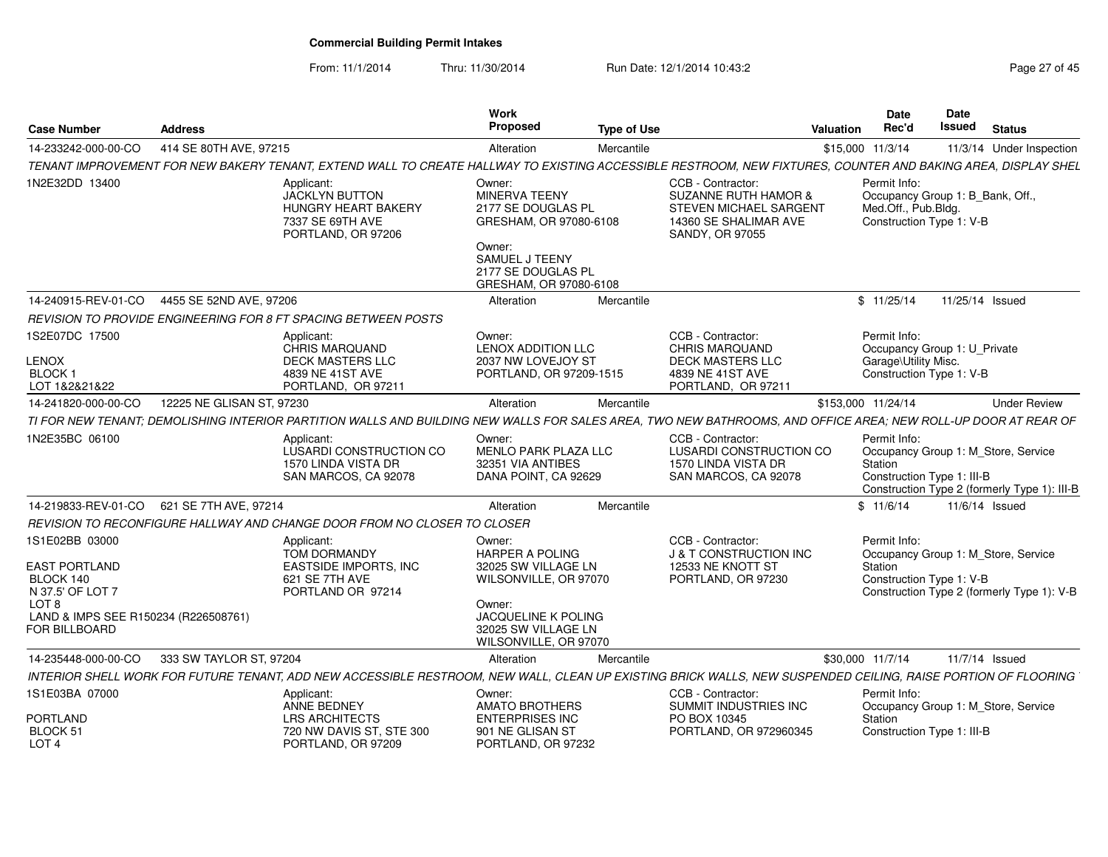From: 11/1/2014Thru: 11/30/2014 Run Date: 12/1/2014 10:43:2<br> **Thru: 11/30/2014** Page 27 of 45

| <b>Case Number</b>                                                                                                                            | <b>Address</b>            |                                                                                                                                                                | Work<br>Proposed                                                                                                                                                  | <b>Type of Use</b> |                                                                                                                            | Valuation | Date<br>Rec'd                                                                                       | Date<br><b>Issued</b> | <b>Status</b>                                                                       |
|-----------------------------------------------------------------------------------------------------------------------------------------------|---------------------------|----------------------------------------------------------------------------------------------------------------------------------------------------------------|-------------------------------------------------------------------------------------------------------------------------------------------------------------------|--------------------|----------------------------------------------------------------------------------------------------------------------------|-----------|-----------------------------------------------------------------------------------------------------|-----------------------|-------------------------------------------------------------------------------------|
| 14-233242-000-00-CO                                                                                                                           | 414 SE 80TH AVE, 97215    |                                                                                                                                                                | Alteration                                                                                                                                                        | Mercantile         |                                                                                                                            |           | \$15,000 11/3/14                                                                                    |                       | 11/3/14 Under Inspection                                                            |
|                                                                                                                                               |                           | TENANT IMPROVEMENT FOR NEW BAKERY TENANT, EXTEND WALL TO CREATE HALLWAY TO EXISTING ACCESSIBLE RESTROOM, NEW FIXTURES, COUNTER AND BAKING AREA, DISPLAY SHEL   |                                                                                                                                                                   |                    |                                                                                                                            |           |                                                                                                     |                       |                                                                                     |
| 1N2E32DD 13400                                                                                                                                |                           | Applicant:<br>JACKLYN BUTTON<br>HUNGRY HEART BAKERY<br>7337 SE 69TH AVE<br>PORTLAND, OR 97206                                                                  | Owner:<br>MINERVA TEENY<br>2177 SE DOUGLAS PL<br>GRESHAM, OR 97080-6108<br>Owner:<br>SAMUEL J TEENY<br>2177 SE DOUGLAS PL<br>GRESHAM, OR 97080-6108               |                    | CCB - Contractor:<br><b>SUZANNE RUTH HAMOR &amp;</b><br>STEVEN MICHAEL SARGENT<br>14360 SE SHALIMAR AVE<br>SANDY, OR 97055 |           | Permit Info:<br>Occupancy Group 1: B_Bank, Off.,<br>Med.Off., Pub.Bldg.<br>Construction Type 1: V-B |                       |                                                                                     |
| 14-240915-REV-01-CO                                                                                                                           | 4455 SE 52ND AVE, 97206   |                                                                                                                                                                | Alteration                                                                                                                                                        | Mercantile         |                                                                                                                            |           | \$11/25/14                                                                                          | 11/25/14 Issued       |                                                                                     |
|                                                                                                                                               |                           | REVISION TO PROVIDE ENGINEERING FOR 8 FT SPACING BETWEEN POSTS                                                                                                 |                                                                                                                                                                   |                    |                                                                                                                            |           |                                                                                                     |                       |                                                                                     |
| 1S2E07DC 17500<br>LENOX<br><b>BLOCK1</b><br>LOT 1&2&21&22                                                                                     |                           | Applicant:<br><b>CHRIS MARQUAND</b><br><b>DECK MASTERS LLC</b><br>4839 NE 41ST AVE<br>PORTLAND, OR 97211                                                       | Owner:<br><b>LENOX ADDITION LLC</b><br>2037 NW LOVEJOY ST<br>PORTLAND, OR 97209-1515                                                                              |                    | CCB - Contractor:<br><b>CHRIS MARQUAND</b><br><b>DECK MASTERS LLC</b><br>4839 NE 41ST AVE<br>PORTLAND, OR 97211            |           | Permit Info:<br>Occupancy Group 1: U_Private<br>Garage\Utility Misc.<br>Construction Type 1: V-B    |                       |                                                                                     |
| 14-241820-000-00-CO                                                                                                                           | 12225 NE GLISAN ST, 97230 |                                                                                                                                                                | Alteration                                                                                                                                                        | Mercantile         |                                                                                                                            |           | \$153,000 11/24/14                                                                                  |                       | <b>Under Review</b>                                                                 |
|                                                                                                                                               |                           | TI FOR NEW TENANT: DEMOLISHING INTERIOR PARTITION WALLS AND BUILDING NEW WALLS FOR SALES AREA. TWO NEW BATHROOMS, AND OFFICE AREA; NEW ROLL-UP DOOR AT REAR OF |                                                                                                                                                                   |                    |                                                                                                                            |           |                                                                                                     |                       |                                                                                     |
| 1N2E35BC 06100                                                                                                                                |                           | Applicant:<br>LUSARDI CONSTRUCTION CO<br>1570 LINDA VISTA DR<br>SAN MARCOS, CA 92078                                                                           | Owner:<br><b>MENLO PARK PLAZA LLC</b><br>32351 VIA ANTIBES<br>DANA POINT, CA 92629                                                                                |                    | CCB - Contractor:<br>LUSARDI CONSTRUCTION CO<br>1570 LINDA VISTA DR<br>SAN MARCOS, CA 92078                                |           | Permit Info:<br>Station<br>Construction Type 1: III-B                                               |                       | Occupancy Group 1: M_Store, Service<br>Construction Type 2 (formerly Type 1): III-B |
| 14-219833-REV-01-CO                                                                                                                           | 621 SE 7TH AVE, 97214     |                                                                                                                                                                | Alteration                                                                                                                                                        | Mercantile         |                                                                                                                            |           | \$11/6/14                                                                                           |                       | $11/6/14$ Issued                                                                    |
|                                                                                                                                               |                           | REVISION TO RECONFIGURE HALLWAY AND CHANGE DOOR FROM NO CLOSER TO CLOSER                                                                                       |                                                                                                                                                                   |                    |                                                                                                                            |           |                                                                                                     |                       |                                                                                     |
| 1S1E02BB 03000<br>EAST PORTLAND<br>BLOCK 140<br>N 37.5' OF LOT 7<br>LOT <sub>8</sub><br>LAND & IMPS SEE R150234 (R226508761)<br>FOR BILLBOARD |                           | Applicant:<br>TOM DORMANDY<br><b>EASTSIDE IMPORTS, INC</b><br>621 SE 7TH AVE<br>PORTLAND OR 97214                                                              | Owner:<br><b>HARPER A POLING</b><br>32025 SW VILLAGE LN<br>WILSONVILLE, OR 97070<br>Owner:<br>JACQUELINE K POLING<br>32025 SW VILLAGE LN<br>WILSONVILLE, OR 97070 |                    | CCB - Contractor:<br>J & T CONSTRUCTION INC<br>12533 NE KNOTT ST<br>PORTLAND, OR 97230                                     |           | Permit Info:<br>Station<br>Construction Type 1: V-B                                                 |                       | Occupancy Group 1: M_Store, Service<br>Construction Type 2 (formerly Type 1): V-B   |
| 14-235448-000-00-CO                                                                                                                           | 333 SW TAYLOR ST, 97204   |                                                                                                                                                                | Alteration                                                                                                                                                        | Mercantile         |                                                                                                                            |           | \$30,000 11/7/14                                                                                    |                       | 11/7/14 Issued                                                                      |
|                                                                                                                                               |                           | INTERIOR SHELL WORK FOR FUTURE TENANT, ADD NEW ACCESSIBLE RESTROOM, NEW WALL, CLEAN UP EXISTING BRICK WALLS, NEW SUSPENDED CEILING, RAISE PORTION OF FLOORING  |                                                                                                                                                                   |                    |                                                                                                                            |           |                                                                                                     |                       |                                                                                     |
| 1S1E03BA 07000                                                                                                                                |                           | Applicant:<br>ANNE BEDNEY                                                                                                                                      | Owner:<br><b>AMATO BROTHERS</b>                                                                                                                                   |                    | CCB - Contractor:<br>SUMMIT INDUSTRIES INC                                                                                 |           | Permit Info:                                                                                        |                       | Occupancy Group 1: M Store, Service                                                 |
| PORTLAND<br>BLOCK 51<br>LOT <sub>4</sub>                                                                                                      |                           | <b>LRS ARCHITECTS</b><br>720 NW DAVIS ST, STE 300<br>PORTLAND, OR 97209                                                                                        | <b>ENTERPRISES INC</b><br>901 NE GLISAN ST<br>PORTLAND, OR 97232                                                                                                  |                    | PO BOX 10345<br>PORTLAND, OR 972960345                                                                                     |           | Station<br>Construction Type 1: III-B                                                               |                       |                                                                                     |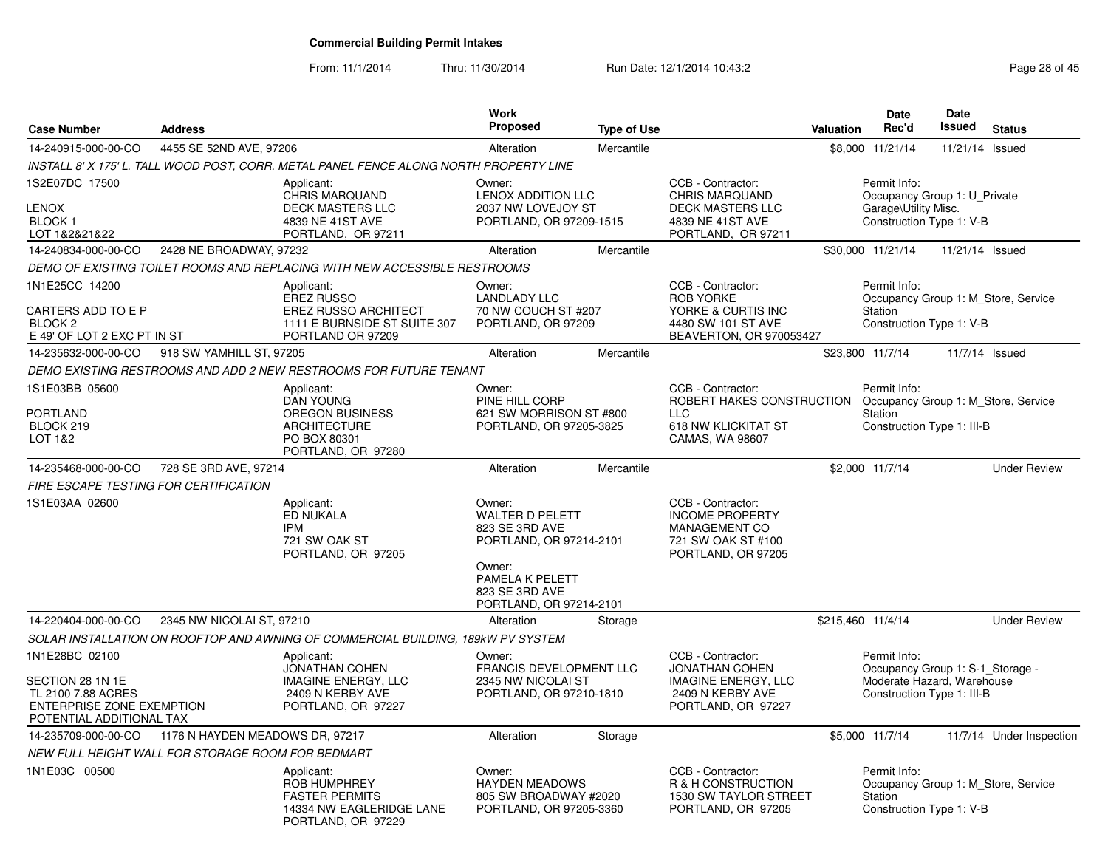From: 11/1/2014Thru: 11/30/2014 Run Date: 12/1/2014 10:43:2<br>
Page 28 of 45

| <b>Case Number</b>                                                                                     | <b>Address</b>                                    |                                                                                                                                                                                                                                                                                                                   | <b>Work</b><br><b>Proposed</b>                                                                                               | <b>Type of Use</b>                                  |                                                                                                                 | Valuation                                                                                        | Date<br>Rec'd                                                                                | <b>Date</b><br><b>Issued</b> | <b>Status</b>                       |
|--------------------------------------------------------------------------------------------------------|---------------------------------------------------|-------------------------------------------------------------------------------------------------------------------------------------------------------------------------------------------------------------------------------------------------------------------------------------------------------------------|------------------------------------------------------------------------------------------------------------------------------|-----------------------------------------------------|-----------------------------------------------------------------------------------------------------------------|--------------------------------------------------------------------------------------------------|----------------------------------------------------------------------------------------------|------------------------------|-------------------------------------|
| 14-240915-000-00-CO                                                                                    | 4455 SE 52ND AVE, 97206                           |                                                                                                                                                                                                                                                                                                                   | Alteration                                                                                                                   | Mercantile                                          |                                                                                                                 |                                                                                                  | \$8,000 11/21/14                                                                             | 11/21/14 Issued              |                                     |
|                                                                                                        |                                                   | INSTALL 8' X 175' L. TALL WOOD POST, CORR. METAL PANEL FENCE ALONG NORTH PROPERTY LINE                                                                                                                                                                                                                            |                                                                                                                              |                                                     |                                                                                                                 |                                                                                                  |                                                                                              |                              |                                     |
| 1S2E07DC 17500<br><b>LENOX</b><br><b>BLOCK1</b><br>LOT 1&2&21&22                                       |                                                   | Applicant:<br>CHRIS MARQUAND<br><b>DECK MASTERS LLC</b><br>4839 NE 41ST AVE<br>PORTLAND, OR 97211                                                                                                                                                                                                                 | Owner:<br><b>LENOX ADDITION LLC</b><br>2037 NW LOVEJOY ST<br>PORTLAND, OR 97209-1515                                         |                                                     | CCB - Contractor:<br><b>CHRIS MARQUAND</b><br><b>DECK MASTERS LLC</b><br>4839 NE 41ST AVE<br>PORTLAND, OR 97211 | Permit Info:<br>Occupancy Group 1: U_Private<br>Garage\Utility Misc.<br>Construction Type 1: V-B |                                                                                              |                              |                                     |
| 14-240834-000-00-CO                                                                                    | 2428 NE BROADWAY, 97232                           |                                                                                                                                                                                                                                                                                                                   | Alteration                                                                                                                   | Mercantile                                          |                                                                                                                 |                                                                                                  | \$30,000 11/21/14                                                                            | 11/21/14 Issued              |                                     |
|                                                                                                        |                                                   | DEMO OF EXISTING TOILET ROOMS AND REPLACING WITH NEW ACCESSIBLE RESTROOMS                                                                                                                                                                                                                                         |                                                                                                                              |                                                     |                                                                                                                 |                                                                                                  |                                                                                              |                              |                                     |
| 1N1E25CC 14200<br>CARTERS ADD TO E P<br>BLOCK <sub>2</sub><br>E 49' OF LOT 2 EXC PT IN ST              |                                                   | CCB - Contractor:<br>Applicant:<br>Owner:<br><b>ROB YORKE</b><br><b>EREZ RUSSO</b><br><b>LANDLADY LLC</b><br><b>EREZ RUSSO ARCHITECT</b><br>70 NW COUCH ST #207<br>YORKE & CURTIS INC<br>1111 E BURNSIDE ST SUITE 307<br>PORTLAND, OR 97209<br>4480 SW 101 ST AVE<br>PORTLAND OR 97209<br>BEAVERTON, OR 970053427 |                                                                                                                              | Permit Info:<br>Station<br>Construction Type 1: V-B | Occupancy Group 1: M Store, Service                                                                             |                                                                                                  |                                                                                              |                              |                                     |
| 14-235632-000-00-CO                                                                                    | 918 SW YAMHILL ST, 97205                          |                                                                                                                                                                                                                                                                                                                   | Alteration                                                                                                                   | Mercantile                                          |                                                                                                                 |                                                                                                  | \$23,800 11/7/14                                                                             | 11/7/14 Issued               |                                     |
|                                                                                                        |                                                   | DEMO EXISTING RESTROOMS AND ADD 2 NEW RESTROOMS FOR FUTURE TENANT                                                                                                                                                                                                                                                 |                                                                                                                              |                                                     |                                                                                                                 |                                                                                                  |                                                                                              |                              |                                     |
| 1S1E03BB 05600<br><b>PORTLAND</b><br>BLOCK 219<br>LOT 1&2                                              |                                                   | Applicant:<br><b>DAN YOUNG</b><br><b>OREGON BUSINESS</b><br><b>ARCHITECTURE</b><br>PO BOX 80301<br>PORTLAND, OR 97280                                                                                                                                                                                             | Owner:<br>PINE HILL CORP<br>621 SW MORRISON ST #800<br>PORTLAND, OR 97205-3825                                               |                                                     | CCB - Contractor:<br>ROBERT HAKES CONSTRUCTION<br><b>LLC</b><br>618 NW KLICKITAT ST<br>CAMAS, WA 98607          | Permit Info:<br>Occupancy Group 1: M Store, Service<br>Station<br>Construction Type 1: III-B     |                                                                                              |                              |                                     |
| 14-235468-000-00-CO                                                                                    | 728 SE 3RD AVE, 97214                             |                                                                                                                                                                                                                                                                                                                   | Alteration                                                                                                                   | Mercantile                                          |                                                                                                                 |                                                                                                  | \$2,000 11/7/14                                                                              |                              | <b>Under Review</b>                 |
| FIRE ESCAPE TESTING FOR CERTIFICATION                                                                  |                                                   |                                                                                                                                                                                                                                                                                                                   |                                                                                                                              |                                                     |                                                                                                                 |                                                                                                  |                                                                                              |                              |                                     |
| 1S1E03AA 02600                                                                                         |                                                   | Applicant:<br><b>ED NUKALA</b><br><b>IPM</b><br>721 SW OAK ST<br>PORTLAND, OR 97205                                                                                                                                                                                                                               | Owner:<br><b>WALTER D PELETT</b><br>823 SE 3RD AVE<br>PORTLAND, OR 97214-2101<br>Owner:<br>PAMELA K PELETT<br>823 SE 3RD AVE |                                                     | CCB - Contractor:<br><b>INCOME PROPERTY</b><br><b>MANAGEMENT CO</b><br>721 SW OAK ST #100<br>PORTLAND, OR 97205 |                                                                                                  |                                                                                              |                              |                                     |
|                                                                                                        |                                                   |                                                                                                                                                                                                                                                                                                                   | PORTLAND, OR 97214-2101                                                                                                      |                                                     |                                                                                                                 |                                                                                                  |                                                                                              |                              |                                     |
| 14-220404-000-00-CO                                                                                    | 2345 NW NICOLAI ST, 97210                         |                                                                                                                                                                                                                                                                                                                   | Alteration                                                                                                                   | Storage                                             |                                                                                                                 |                                                                                                  | \$215,460 11/4/14                                                                            |                              | <b>Under Review</b>                 |
| 1N1E28BC 02100                                                                                         |                                                   | SOLAR INSTALLATION ON ROOFTOP AND AWNING OF COMMERCIAL BUILDING, 189kW PV SYSTEM                                                                                                                                                                                                                                  | Owner:                                                                                                                       |                                                     | CCB - Contractor:                                                                                               |                                                                                                  | Permit Info:                                                                                 |                              |                                     |
| SECTION 28 1N 1E<br>TL 2100 7.88 ACRES<br><b>ENTERPRISE ZONE EXEMPTION</b><br>POTENTIAL ADDITIONAL TAX |                                                   | Applicant:<br><b>JONATHAN COHEN</b><br><b>IMAGINE ENERGY, LLC</b><br>2409 N KERBY AVE<br>PORTLAND, OR 97227                                                                                                                                                                                                       | FRANCIS DEVELOPMENT LLC<br>2345 NW NICOLAI ST<br>PORTLAND, OR 97210-1810                                                     |                                                     | <b>JONATHAN COHEN</b><br><b>IMAGINE ENERGY, LLC</b><br>2409 N KERBY AVE<br>PORTLAND, OR 97227                   |                                                                                                  | Occupancy Group 1: S-1_Storage -<br>Moderate Hazard, Warehouse<br>Construction Type 1: III-B |                              |                                     |
| 14-235709-000-00-CO                                                                                    | 1176 N HAYDEN MEADOWS DR, 97217                   |                                                                                                                                                                                                                                                                                                                   | Alteration                                                                                                                   | Storage                                             |                                                                                                                 |                                                                                                  | \$5,000 11/7/14                                                                              |                              | 11/7/14 Under Inspection            |
|                                                                                                        | NEW FULL HEIGHT WALL FOR STORAGE ROOM FOR BEDMART |                                                                                                                                                                                                                                                                                                                   |                                                                                                                              |                                                     |                                                                                                                 |                                                                                                  |                                                                                              |                              |                                     |
| 1N1E03C 00500                                                                                          |                                                   | Applicant:<br><b>ROB HUMPHREY</b><br><b>FASTER PERMITS</b><br>14334 NW EAGLERIDGE LANE<br>PORTLAND, OR 97229                                                                                                                                                                                                      | Owner:<br><b>HAYDEN MEADOWS</b><br>805 SW BROADWAY #2020<br>PORTLAND, OR 97205-3360                                          |                                                     | CCB - Contractor:<br>R & H CONSTRUCTION<br><b>1530 SW TAYLOR STREET</b><br>PORTLAND, OR 97205                   |                                                                                                  | Permit Info:<br>Station<br>Construction Type 1: V-B                                          |                              | Occupancy Group 1: M Store, Service |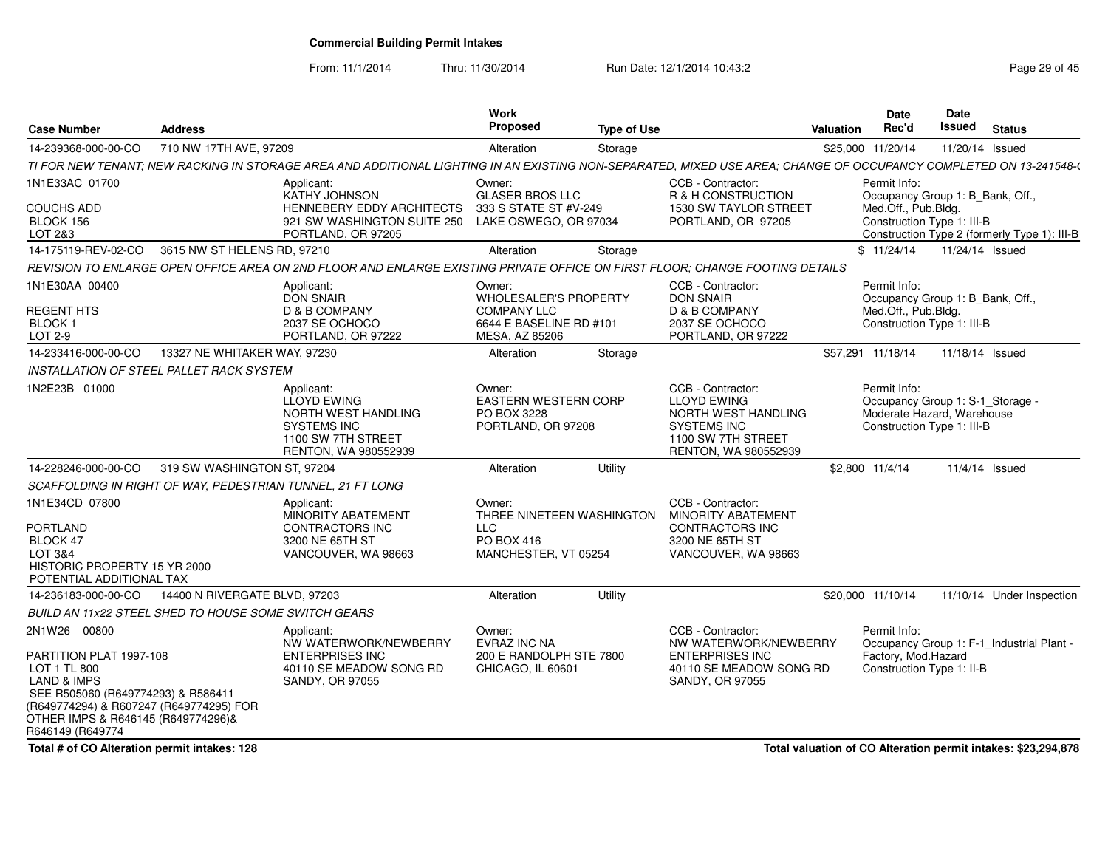From: 11/1/2014

Thru: 11/30/2014 Run Date: 12/1/2014 10:43:2<br>
Page 29 of 45

| <b>Case Number</b>                                                                                                                                                                                                           | <b>Address</b>                                             |                                                                                                                                                                   | <b>Work</b><br>Proposed                                                                                   | <b>Type of Use</b> |                                                                                                                                    | <b>Valuation</b>                                                                                                                                      | <b>Date</b><br>Rec'd                                                                                         | <b>Date</b><br><b>Issued</b> | <b>Status</b>                             |
|------------------------------------------------------------------------------------------------------------------------------------------------------------------------------------------------------------------------------|------------------------------------------------------------|-------------------------------------------------------------------------------------------------------------------------------------------------------------------|-----------------------------------------------------------------------------------------------------------|--------------------|------------------------------------------------------------------------------------------------------------------------------------|-------------------------------------------------------------------------------------------------------------------------------------------------------|--------------------------------------------------------------------------------------------------------------|------------------------------|-------------------------------------------|
| 14-239368-000-00-CO                                                                                                                                                                                                          | 710 NW 17TH AVE, 97209                                     |                                                                                                                                                                   | Alteration                                                                                                | Storage            |                                                                                                                                    |                                                                                                                                                       | \$25,000 11/20/14                                                                                            | 11/20/14 Issued              |                                           |
|                                                                                                                                                                                                                              |                                                            | TI FOR NEW TENANT: NEW RACKING IN STORAGE AREA AND ADDITIONAL LIGHTING IN AN EXISTING NON-SEPARATED, MIXED USE AREA: CHANGE OF OCCUPANCY COMPLETED ON 13-241548-( |                                                                                                           |                    |                                                                                                                                    |                                                                                                                                                       |                                                                                                              |                              |                                           |
| 1N1E33AC 01700<br><b>COUCHS ADD</b><br>BLOCK 156<br>LOT 2&3                                                                                                                                                                  |                                                            | Applicant:<br>KATHY JOHNSON<br>HENNEBERY EDDY ARCHITECTS<br>921 SW WASHINGTON SUITE 250<br>PORTLAND, OR 97205                                                     | Owner:<br><b>GLASER BROS LLC</b><br>333 S STATE ST #V-249<br>LAKE OSWEGO, OR 97034                        |                    | CCB - Contractor:<br>R & H CONSTRUCTION<br>1530 SW TAYLOR STREET<br>PORTLAND, OR 97205                                             | Permit Info:<br>Occupancy Group 1: B_Bank, Off.,<br>Med.Off., Pub.Bldg.<br>Construction Type 1: III-B<br>Construction Type 2 (formerly Type 1): III-B |                                                                                                              |                              |                                           |
| 14-175119-REV-02-CO                                                                                                                                                                                                          | 3615 NW ST HELENS RD, 97210                                |                                                                                                                                                                   | Alteration                                                                                                | Storage            |                                                                                                                                    |                                                                                                                                                       | \$11/24/14                                                                                                   | 11/24/14 Issued              |                                           |
|                                                                                                                                                                                                                              |                                                            | REVISION TO ENLARGE OPEN OFFICE AREA ON 2ND FLOOR AND ENLARGE EXISTING PRIVATE OFFICE ON FIRST FLOOR; CHANGE FOOTING DETAILS                                      |                                                                                                           |                    |                                                                                                                                    |                                                                                                                                                       |                                                                                                              |                              |                                           |
| 1N1E30AA 00400<br><b>REGENT HTS</b><br><b>BLOCK1</b><br>LOT 2-9                                                                                                                                                              |                                                            | Applicant:<br><b>DON SNAIR</b><br>D & B COMPANY<br>2037 SE OCHOCO<br>PORTLAND, OR 97222                                                                           | Owner:<br><b>WHOLESALER'S PROPERTY</b><br><b>COMPANY LLC</b><br>6644 E BASELINE RD #101<br>MESA, AZ 85206 |                    | CCB - Contractor:<br><b>DON SNAIR</b><br>D & B COMPANY<br>2037 SE OCHOCO<br>PORTLAND, OR 97222                                     |                                                                                                                                                       | Permit Info:<br>Occupancy Group 1: B_Bank, Off.,<br>Med.Off., Pub.Bldg.<br>Construction Type 1: III-B        |                              |                                           |
| 14-233416-000-00-CO                                                                                                                                                                                                          | 13327 NE WHITAKER WAY, 97230                               |                                                                                                                                                                   | Alteration                                                                                                | Storage            |                                                                                                                                    |                                                                                                                                                       | \$57,291 11/18/14                                                                                            | 11/18/14 Issued              |                                           |
|                                                                                                                                                                                                                              | INSTALLATION OF STEEL PALLET RACK SYSTEM                   |                                                                                                                                                                   |                                                                                                           |                    |                                                                                                                                    |                                                                                                                                                       |                                                                                                              |                              |                                           |
| 1N2E23B 01000                                                                                                                                                                                                                |                                                            | Applicant:<br><b>LLOYD EWING</b><br>NORTH WEST HANDLING<br><b>SYSTEMS INC</b><br>1100 SW 7TH STREET<br>RENTON, WA 980552939                                       | Owner:<br><b>EASTERN WESTERN CORP</b><br>PO BOX 3228<br>PORTLAND, OR 97208                                |                    | CCB - Contractor:<br><b>LLOYD EWING</b><br>NORTH WEST HANDLING<br><b>SYSTEMS INC</b><br>1100 SW 7TH STREET<br>RENTON, WA 980552939 |                                                                                                                                                       | Permit Info:<br>Occupancy Group 1: S-1_Storage -<br>Moderate Hazard, Warehouse<br>Construction Type 1: III-B |                              |                                           |
| 14-228246-000-00-CO                                                                                                                                                                                                          | 319 SW WASHINGTON ST, 97204                                |                                                                                                                                                                   | Alteration                                                                                                | Utility            |                                                                                                                                    |                                                                                                                                                       | \$2,800 11/4/14                                                                                              | 11/4/14 Issued               |                                           |
|                                                                                                                                                                                                                              | SCAFFOLDING IN RIGHT OF WAY, PEDESTRIAN TUNNEL, 21 FT LONG |                                                                                                                                                                   |                                                                                                           |                    |                                                                                                                                    |                                                                                                                                                       |                                                                                                              |                              |                                           |
| 1N1E34CD 07800<br><b>PORTLAND</b><br>BLOCK 47<br>LOT 3&4<br>HISTORIC PROPERTY 15 YR 2000<br>POTENTIAL ADDITIONAL TAX                                                                                                         |                                                            | Applicant:<br>MINORITY ABATEMENT<br><b>CONTRACTORS INC</b><br>3200 NE 65TH ST<br>VANCOUVER, WA 98663                                                              | Owner:<br>THREE NINETEEN WASHINGTON<br><b>LLC</b><br>PO BOX 416<br>MANCHESTER, VT 05254                   |                    | CCB - Contractor:<br><b>MINORITY ABATEMENT</b><br><b>CONTRACTORS INC</b><br>3200 NE 65TH ST<br>VANCOUVER, WA 98663                 |                                                                                                                                                       |                                                                                                              |                              |                                           |
| 14-236183-000-00-CO                                                                                                                                                                                                          | 14400 N RIVERGATE BLVD, 97203                              |                                                                                                                                                                   | Alteration                                                                                                | Utility            |                                                                                                                                    |                                                                                                                                                       | \$20,000 11/10/14                                                                                            |                              | 11/10/14 Under Inspection                 |
|                                                                                                                                                                                                                              | BUILD AN 11x22 STEEL SHED TO HOUSE SOME SWITCH GEARS       |                                                                                                                                                                   |                                                                                                           |                    |                                                                                                                                    |                                                                                                                                                       |                                                                                                              |                              |                                           |
| 2N1W26 00800<br>PARTITION PLAT 1997-108<br>LOT 1 TL 800<br><b>LAND &amp; IMPS</b><br>SEE R505060 (R649774293) & R586411<br>(R649774294) & R607247 (R649774295) FOR<br>OTHER IMPS & R646145 (R649774296)&<br>R646149 (R649774 |                                                            | Applicant:<br>NW WATERWORK/NEWBERRY<br><b>ENTERPRISES INC</b><br>40110 SE MEADOW SONG RD<br>SANDY, OR 97055                                                       | Owner:<br>EVRAZ INC NA<br>200 E RANDOLPH STE 7800<br>CHICAGO, IL 60601                                    |                    | CCB - Contractor:<br>NW WATERWORK/NEWBERRY<br><b>ENTERPRISES INC</b><br>40110 SE MEADOW SONG RD<br>SANDY, OR 97055                 |                                                                                                                                                       | Permit Info:<br>Factory, Mod.Hazard<br>Construction Type 1: II-B                                             |                              | Occupancy Group 1: F-1_Industrial Plant - |

**Total # of CO Alteration permit intakes: 128**

**Total valuation of CO Alteration permit intakes: \$23,294,878**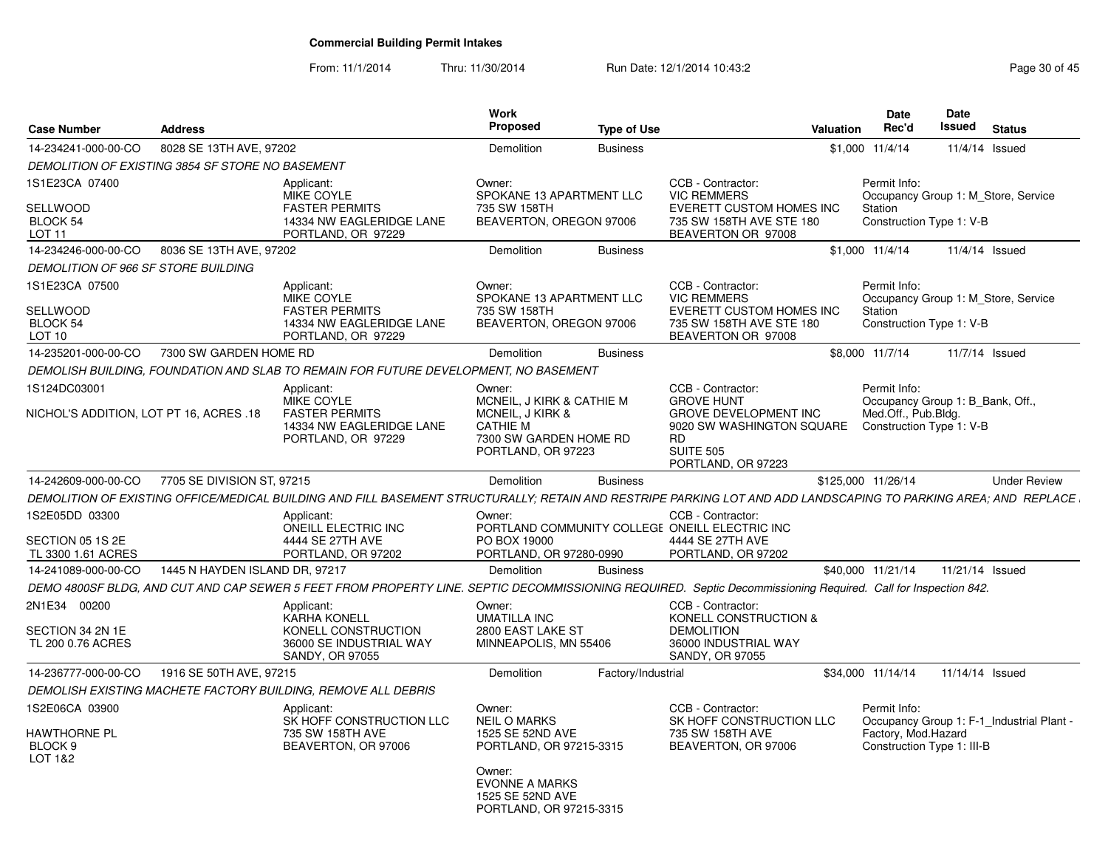From: 11/1/2014

Thru: 11/30/2014 Run Date: 12/1/2014 10:43:2<br>
Page 30 of 45

| <b>Case Number</b>                                                 | <b>Address</b>                 |                                                                                                                                                                 | Work<br>Proposed                                                                                                                                               | <b>Type of Use</b> |                                                                                                                                                            | <b>Valuation</b> | Date<br>Rec'd                                                                                       | <b>Date</b><br>Issued | <b>Status</b>                             |
|--------------------------------------------------------------------|--------------------------------|-----------------------------------------------------------------------------------------------------------------------------------------------------------------|----------------------------------------------------------------------------------------------------------------------------------------------------------------|--------------------|------------------------------------------------------------------------------------------------------------------------------------------------------------|------------------|-----------------------------------------------------------------------------------------------------|-----------------------|-------------------------------------------|
| 14-234241-000-00-CO                                                | 8028 SE 13TH AVE, 97202        |                                                                                                                                                                 | Demolition                                                                                                                                                     | <b>Business</b>    |                                                                                                                                                            | \$1,000          | 11/4/14                                                                                             |                       | 11/4/14 Issued                            |
| DEMOLITION OF EXISTING 3854 SF STORE NO BASEMENT                   |                                |                                                                                                                                                                 |                                                                                                                                                                |                    |                                                                                                                                                            |                  |                                                                                                     |                       |                                           |
| 1S1E23CA 07400<br>SELLWOOD<br><b>BLOCK 54</b><br>LOT <sub>11</sub> |                                | Applicant:<br>MIKE COYLE<br><b>FASTER PERMITS</b><br>14334 NW EAGLERIDGE LANE<br>PORTLAND, OR 97229                                                             | Owner:<br>SPOKANE 13 APARTMENT LLC<br>735 SW 158TH<br>BEAVERTON, OREGON 97006                                                                                  |                    | CCB - Contractor:<br><b>VIC REMMERS</b><br>EVERETT CUSTOM HOMES INC<br>735 SW 158TH AVE STE 180<br>BEAVERTON OR 97008                                      |                  | Permit Info:<br>Station<br>Construction Type 1: V-B                                                 |                       | Occupancy Group 1: M Store, Service       |
| 14-234246-000-00-CO                                                | 8036 SE 13TH AVE, 97202        |                                                                                                                                                                 | Demolition                                                                                                                                                     | <b>Business</b>    |                                                                                                                                                            |                  | \$1,000 11/4/14                                                                                     |                       | 11/4/14 Issued                            |
| DEMOLITION OF 966 SF STORE BUILDING                                |                                |                                                                                                                                                                 |                                                                                                                                                                |                    |                                                                                                                                                            |                  |                                                                                                     |                       |                                           |
| 1S1E23CA 07500<br><b>SELLWOOD</b><br>BLOCK 54<br>LOT 10            |                                | Applicant:<br><b>MIKE COYLE</b><br><b>FASTER PERMITS</b><br>14334 NW EAGLERIDGE LANE<br>PORTLAND, OR 97229                                                      | Owner:<br>SPOKANE 13 APARTMENT LLC<br>735 SW 158TH<br>BEAVERTON, OREGON 97006                                                                                  |                    | CCB - Contractor:<br><b>VIC REMMERS</b><br><b>EVERETT CUSTOM HOMES INC</b><br>735 SW 158TH AVE STE 180<br>BEAVERTON OR 97008                               |                  | Permit Info:<br>Station<br>Construction Type 1: V-B                                                 |                       | Occupancy Group 1: M_Store, Service       |
| 14-235201-000-00-CO                                                | 7300 SW GARDEN HOME RD         |                                                                                                                                                                 | Demolition                                                                                                                                                     | <b>Business</b>    |                                                                                                                                                            |                  | \$8,000 11/7/14                                                                                     |                       | 11/7/14 Issued                            |
|                                                                    |                                | DEMOLISH BUILDING, FOUNDATION AND SLAB TO REMAIN FOR FUTURE DEVELOPMENT, NO BASEMENT                                                                            |                                                                                                                                                                |                    |                                                                                                                                                            |                  |                                                                                                     |                       |                                           |
| 1S124DC03001<br>NICHOL'S ADDITION, LOT PT 16, ACRES .18            |                                | Applicant:<br>MIKE COYLE<br><b>FASTER PERMITS</b><br>14334 NW EAGLERIDGE LANE<br>PORTLAND, OR 97229                                                             | Owner:<br>MCNEIL, J KIRK & CATHIE M<br>MCNEIL, J KIRK &<br><b>CATHIE M</b><br>7300 SW GARDEN HOME RD<br>PORTLAND, OR 97223                                     |                    | CCB - Contractor:<br><b>GROVE HUNT</b><br><b>GROVE DEVELOPMENT INC</b><br>9020 SW WASHINGTON SQUARE<br><b>RD</b><br><b>SUITE 505</b><br>PORTLAND, OR 97223 |                  | Permit Info:<br>Occupancy Group 1: B Bank, Off.,<br>Med.Off., Pub.Bldg.<br>Construction Type 1: V-B |                       |                                           |
| 14-242609-000-00-CO                                                | 7705 SE DIVISION ST, 97215     |                                                                                                                                                                 | Demolition                                                                                                                                                     | <b>Business</b>    |                                                                                                                                                            |                  | \$125,000 11/26/14                                                                                  |                       | <b>Under Review</b>                       |
|                                                                    |                                | DEMOLITION OF EXISTING OFFICE/MEDICAL BUILDING AND FILL BASEMENT STRUCTURALLY; RETAIN AND RESTRIPE PARKING LOT AND ADD LANDSCAPING TO PARKING AREA; AND REPLACE |                                                                                                                                                                |                    |                                                                                                                                                            |                  |                                                                                                     |                       |                                           |
| 1S2E05DD 03300<br>SECTION 05 1S 2E<br>TL 3300 1.61 ACRES           |                                | Applicant:<br>ONEILL ELECTRIC INC<br>4444 SE 27TH AVE<br>PORTLAND, OR 97202                                                                                     | Owner:<br>PO BOX 19000<br>PORTLAND, OR 97280-0990                                                                                                              |                    | CCB - Contractor:<br>PORTLAND COMMUNITY COLLEGE ONEILL ELECTRIC INC<br>4444 SE 27TH AVE<br>PORTLAND, OR 97202                                              |                  |                                                                                                     |                       |                                           |
| 14-241089-000-00-CO                                                | 1445 N HAYDEN ISLAND DR, 97217 |                                                                                                                                                                 | Demolition                                                                                                                                                     | <b>Business</b>    |                                                                                                                                                            |                  | \$40,000 11/21/14                                                                                   | 11/21/14 Issued       |                                           |
|                                                                    |                                | DEMO 4800SF BLDG, AND CUT AND CAP SEWER 5 FEET FROM PROPERTY LINE. SEPTIC DECOMMISSIONING REQUIRED. Septic Decommissioning Required. Call for Inspection 842.   |                                                                                                                                                                |                    |                                                                                                                                                            |                  |                                                                                                     |                       |                                           |
| 2N1E34 00200<br>SECTION 34 2N 1E<br>TL 200 0.76 ACRES              |                                | Applicant:<br><b>KARHA KONELL</b><br>KONELL CONSTRUCTION<br>36000 SE INDUSTRIAL WAY<br><b>SANDY, OR 97055</b>                                                   | Owner:<br><b>UMATILLA INC</b><br>2800 EAST LAKE ST<br>MINNEAPOLIS, MN 55406                                                                                    |                    | CCB - Contractor:<br>KONELL CONSTRUCTION &<br><b>DEMOLITION</b><br>36000 INDUSTRIAL WAY<br>SANDY, OR 97055                                                 |                  |                                                                                                     |                       |                                           |
| 14-236777-000-00-CO                                                | 1916 SE 50TH AVE, 97215        |                                                                                                                                                                 | Demolition                                                                                                                                                     | Factory/Industrial |                                                                                                                                                            |                  | \$34,000 11/14/14                                                                                   | 11/14/14 Issued       |                                           |
|                                                                    |                                | DEMOLISH EXISTING MACHETE FACTORY BUILDING, REMOVE ALL DEBRIS                                                                                                   |                                                                                                                                                                |                    |                                                                                                                                                            |                  |                                                                                                     |                       |                                           |
| 1S2E06CA 03900<br>HAWTHORNE PL<br>BLOCK <sub>9</sub><br>LOT 1&2    |                                | Applicant:<br>SK HOFF CONSTRUCTION LLC<br>735 SW 158TH AVE<br>BEAVERTON, OR 97006                                                                               | Owner:<br><b>NEIL O MARKS</b><br>1525 SE 52ND AVE<br>PORTLAND, OR 97215-3315<br>Owner:<br><b>EVONNE A MARKS</b><br>1525 SE 52ND AVE<br>PORTLAND, OR 97215-3315 |                    | CCB - Contractor:<br>SK HOFF CONSTRUCTION LLC<br>735 SW 158TH AVE<br>BEAVERTON, OR 97006                                                                   |                  | Permit Info:<br>Factory, Mod.Hazard<br>Construction Type 1: III-B                                   |                       | Occupancy Group 1: F-1 Industrial Plant - |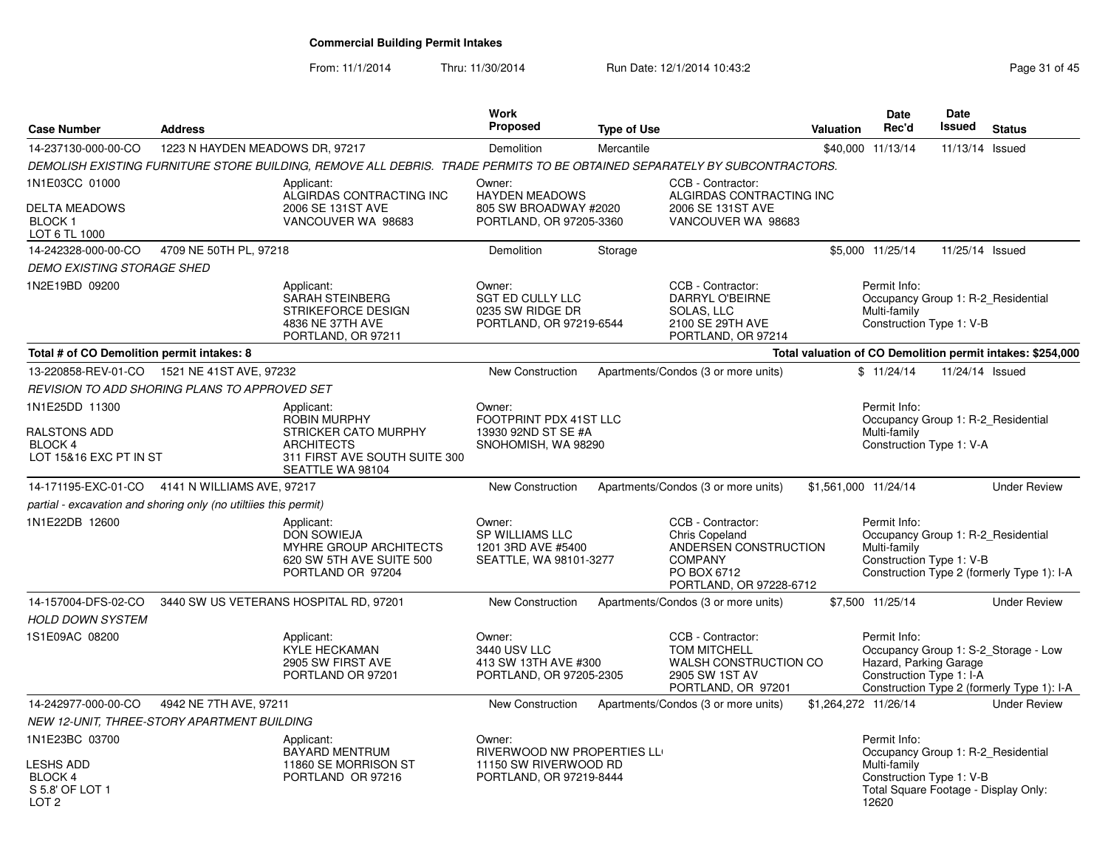From: 11/1/2014Thru: 11/30/2014 Run Date: 12/1/2014 10:43:2<br>
Page 31 of 45

| <b>Case Number</b>                                                 | <b>Address</b>                  |                                                                                                                           | <b>Work</b><br>Proposed                                                             | <b>Type of Use</b> |                                                                                                                          | <b>Valuation</b>     | Date<br>Rec'd                                                                                  | Date<br>Issued  | <b>Status</b>                                                                      |
|--------------------------------------------------------------------|---------------------------------|---------------------------------------------------------------------------------------------------------------------------|-------------------------------------------------------------------------------------|--------------------|--------------------------------------------------------------------------------------------------------------------------|----------------------|------------------------------------------------------------------------------------------------|-----------------|------------------------------------------------------------------------------------|
| 14-237130-000-00-CO                                                | 1223 N HAYDEN MEADOWS DR, 97217 |                                                                                                                           | Demolition                                                                          | Mercantile         |                                                                                                                          |                      | \$40,000 11/13/14                                                                              | 11/13/14 Issued |                                                                                    |
|                                                                    |                                 | DEMOLISH EXISTING FURNITURE STORE BUILDING, REMOVE ALL DEBRIS. TRADE PERMITS TO BE OBTAINED SEPARATELY BY SUBCONTRACTORS. |                                                                                     |                    |                                                                                                                          |                      |                                                                                                |                 |                                                                                    |
| 1N1E03CC 01000<br>DELTA MEADOWS<br><b>BLOCK1</b><br>LOT 6 TL 1000  |                                 | Applicant:<br>ALGIRDAS CONTRACTING INC<br>2006 SE 131ST AVE<br>VANCOUVER WA 98683                                         | Owner:<br><b>HAYDEN MEADOWS</b><br>805 SW BROADWAY #2020<br>PORTLAND, OR 97205-3360 |                    | CCB - Contractor:<br>ALGIRDAS CONTRACTING INC<br>2006 SE 131ST AVE<br>VANCOUVER WA 98683                                 |                      |                                                                                                |                 |                                                                                    |
| 14-242328-000-00-CO                                                | 4709 NE 50TH PL, 97218          |                                                                                                                           | Demolition                                                                          | Storage            |                                                                                                                          |                      | \$5,000 11/25/14                                                                               | 11/25/14 Issued |                                                                                    |
| <b>DEMO EXISTING STORAGE SHED</b>                                  |                                 |                                                                                                                           |                                                                                     |                    |                                                                                                                          |                      |                                                                                                |                 |                                                                                    |
| 1N2E19BD 09200                                                     |                                 | Applicant:<br>SARAH STEINBERG<br>STRIKEFORCE DESIGN<br>4836 NE 37TH AVE<br>PORTLAND, OR 97211                             | Owner:<br><b>SGT ED CULLY LLC</b><br>0235 SW RIDGE DR<br>PORTLAND, OR 97219-6544    |                    | CCB - Contractor:<br>DARRYL O'BEIRNE<br>SOLAS, LLC<br>2100 SE 29TH AVE<br>PORTLAND, OR 97214                             |                      | Permit Info:<br>Occupancy Group 1: R-2 Residential<br>Multi-family<br>Construction Type 1: V-B |                 |                                                                                    |
| Total # of CO Demolition permit intakes: 8                         |                                 |                                                                                                                           |                                                                                     |                    |                                                                                                                          |                      |                                                                                                |                 | Total valuation of CO Demolition permit intakes: \$254,000                         |
| 13-220858-REV-01-CO  1521 NE 41ST AVE, 97232                       |                                 |                                                                                                                           | <b>New Construction</b>                                                             |                    | Apartments/Condos (3 or more units)                                                                                      |                      | \$11/24/14                                                                                     | 11/24/14 Issued |                                                                                    |
| REVISION TO ADD SHORING PLANS TO APPROVED SET                      |                                 |                                                                                                                           |                                                                                     |                    |                                                                                                                          |                      |                                                                                                |                 |                                                                                    |
| 1N1E25DD 11300                                                     |                                 | Applicant:<br><b>ROBIN MURPHY</b>                                                                                         | Owner:<br>FOOTPRINT PDX 41ST LLC                                                    |                    |                                                                                                                          |                      | Permit Info:<br>Occupancy Group 1: R-2 Residential                                             |                 |                                                                                    |
| RALSTONS ADD<br><b>BLOCK 4</b><br>LOT 15&16 EXC PT IN ST           |                                 | <b>STRICKER CATO MURPHY</b><br><b>ARCHITECTS</b><br>311 FIRST AVE SOUTH SUITE 300<br>SEATTLE WA 98104                     | 13930 92ND ST SE #A<br>SNOHOMISH, WA 98290                                          |                    |                                                                                                                          |                      | Multi-family<br>Construction Type 1: V-A                                                       |                 |                                                                                    |
| 14-171195-EXC-01-CO                                                | 4141 N WILLIAMS AVE, 97217      |                                                                                                                           | <b>New Construction</b>                                                             |                    | Apartments/Condos (3 or more units)                                                                                      | \$1,561,000 11/24/14 |                                                                                                |                 | <b>Under Review</b>                                                                |
| partial - excavation and shoring only (no utiltiies this permit)   |                                 |                                                                                                                           |                                                                                     |                    |                                                                                                                          |                      |                                                                                                |                 |                                                                                    |
| 1N1E22DB 12600                                                     |                                 | Applicant:<br><b>DON SOWIEJA</b><br>MYHRE GROUP ARCHITECTS<br>620 SW 5TH AVE SUITE 500<br>PORTLAND OR 97204               | Owner:<br><b>SP WILLIAMS LLC</b><br>1201 3RD AVE #5400<br>SEATTLE, WA 98101-3277    |                    | CCB - Contractor:<br>Chris Copeland<br>ANDERSEN CONSTRUCTION<br><b>COMPANY</b><br>PO BOX 6712<br>PORTLAND, OR 97228-6712 |                      | Permit Info:<br>Occupancy Group 1: R-2_Residential<br>Multi-family<br>Construction Type 1: V-B |                 | Construction Type 2 (formerly Type 1): I-A                                         |
| 14-157004-DFS-02-CO                                                |                                 | 3440 SW US VETERANS HOSPITAL RD, 97201                                                                                    | <b>New Construction</b>                                                             |                    | Apartments/Condos (3 or more units)                                                                                      |                      | \$7,500 11/25/14                                                                               |                 | <b>Under Review</b>                                                                |
| <b>HOLD DOWN SYSTEM</b>                                            |                                 |                                                                                                                           |                                                                                     |                    |                                                                                                                          |                      |                                                                                                |                 |                                                                                    |
| 1S1E09AC 08200                                                     |                                 | Applicant:<br><b>KYLE HECKAMAN</b><br>2905 SW FIRST AVE<br>PORTLAND OR 97201                                              | Owner:<br>3440 USV LLC<br>413 SW 13TH AVE #300<br>PORTLAND, OR 97205-2305           |                    | CCB - Contractor:<br><b>TOM MITCHELL</b><br>WALSH CONSTRUCTION CO<br>2905 SW 1ST AV<br>PORTLAND, OR 97201                |                      | Permit Info:<br>Hazard, Parking Garage<br>Construction Type 1: I-A                             |                 | Occupancy Group 1: S-2_Storage - Low<br>Construction Type 2 (formerly Type 1): I-A |
| 14-242977-000-00-CO                                                | 4942 NE 7TH AVE, 97211          |                                                                                                                           | New Construction                                                                    |                    | Apartments/Condos (3 or more units)                                                                                      | \$1,264,272 11/26/14 |                                                                                                |                 | <b>Under Review</b>                                                                |
| NEW 12-UNIT, THREE-STORY APARTMENT BUILDING                        |                                 |                                                                                                                           |                                                                                     |                    |                                                                                                                          |                      |                                                                                                |                 |                                                                                    |
| 1N1E23BC 03700                                                     |                                 | Applicant:<br>BAYARD MENTRUM                                                                                              | Owner:<br>RIVERWOOD NW PROPERTIES LL                                                |                    |                                                                                                                          |                      | Permit Info:<br>Occupancy Group 1: R-2 Residential                                             |                 |                                                                                    |
| <b>LESHS ADD</b><br>BLOCK 4<br>S 5.8' OF LOT 1<br>LOT <sub>2</sub> |                                 | 11860 SE MORRISON ST<br>PORTLAND OR 97216                                                                                 | 11150 SW RIVERWOOD RD<br>PORTLAND, OR 97219-8444                                    |                    |                                                                                                                          |                      | Multi-family<br>Construction Type 1: V-B<br>Total Square Footage - Display Only:<br>12620      |                 |                                                                                    |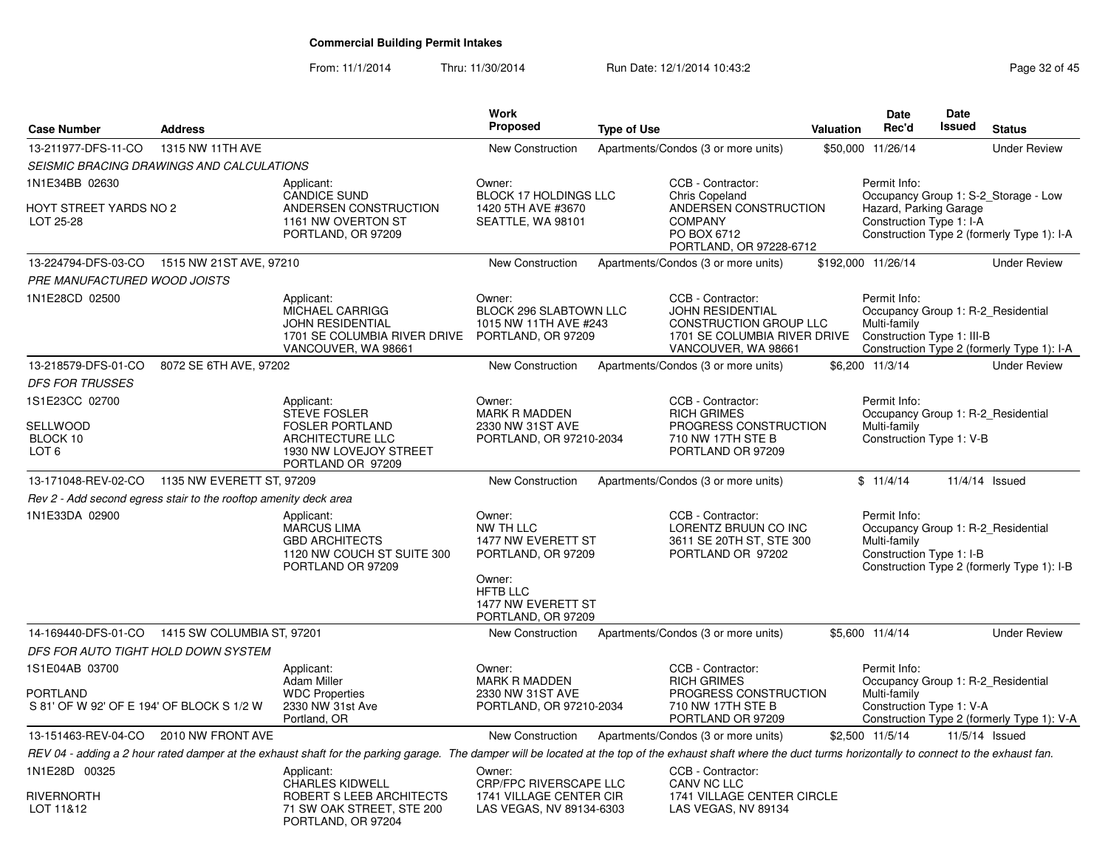From: 11/1/2014Thru: 11/30/2014 Run Date: 12/1/2014 10:43:2<br>
Page 32 of 45

| <b>Case Number</b>                                                             | <b>Address</b>         |                                                                                                                                                                                                                | <b>Work</b><br><b>Proposed</b>                                                                                                           | <b>Type of Use</b> |                                                                                                                               | Valuation | Date<br>Rec'd                                                                                    | Date<br>Issued | <b>Status</b>                                                                      |
|--------------------------------------------------------------------------------|------------------------|----------------------------------------------------------------------------------------------------------------------------------------------------------------------------------------------------------------|------------------------------------------------------------------------------------------------------------------------------------------|--------------------|-------------------------------------------------------------------------------------------------------------------------------|-----------|--------------------------------------------------------------------------------------------------|----------------|------------------------------------------------------------------------------------|
|                                                                                | 1315 NW 11TH AVE       |                                                                                                                                                                                                                |                                                                                                                                          |                    |                                                                                                                               |           |                                                                                                  |                |                                                                                    |
| 13-211977-DFS-11-CO                                                            |                        |                                                                                                                                                                                                                | <b>New Construction</b>                                                                                                                  |                    | Apartments/Condos (3 or more units)                                                                                           |           | \$50,000 11/26/14                                                                                |                | <b>Under Review</b>                                                                |
| SEISMIC BRACING DRAWINGS AND CALCULATIONS                                      |                        |                                                                                                                                                                                                                |                                                                                                                                          |                    |                                                                                                                               |           |                                                                                                  |                |                                                                                    |
| 1N1E34BB 02630<br><b>HOYT STREET YARDS NO 2</b><br>LOT 25-28                   |                        | Applicant:<br><b>CANDICE SUND</b><br>ANDERSEN CONSTRUCTION<br>1161 NW OVERTON ST<br>PORTLAND, OR 97209                                                                                                         | Owner:<br>BLOCK 17 HOLDINGS LLC<br>1420 5TH AVE #3670<br>SEATTLE, WA 98101                                                               |                    | CCB - Contractor:<br>Chris Copeland<br>ANDERSEN CONSTRUCTION<br><b>COMPANY</b><br>PO BOX 6712<br>PORTLAND, OR 97228-6712      |           | Permit Info:<br>Hazard, Parking Garage<br>Construction Type 1: I-A                               |                | Occupancy Group 1: S-2_Storage - Low<br>Construction Type 2 (formerly Type 1): I-A |
| 13-224794-DFS-03-CO 1515 NW 21ST AVE, 97210                                    |                        |                                                                                                                                                                                                                | <b>New Construction</b>                                                                                                                  |                    | Apartments/Condos (3 or more units)                                                                                           |           | \$192,000 11/26/14                                                                               |                | <b>Under Review</b>                                                                |
| PRE MANUFACTURED WOOD JOISTS                                                   |                        |                                                                                                                                                                                                                |                                                                                                                                          |                    |                                                                                                                               |           |                                                                                                  |                |                                                                                    |
| 1N1E28CD 02500                                                                 |                        | Applicant:<br>MICHAEL CARRIGG<br><b>JOHN RESIDENTIAL</b><br>1701 SE COLUMBIA RIVER DRIVE<br>VANCOUVER, WA 98661                                                                                                | Owner:<br>BLOCK 296 SLABTOWN LLC<br>1015 NW 11TH AVE #243<br>PORTLAND, OR 97209                                                          |                    | CCB - Contractor:<br><b>JOHN RESIDENTIAL</b><br>CONSTRUCTION GROUP LLC<br>1701 SE COLUMBIA RIVER DRIVE<br>VANCOUVER, WA 98661 |           | Permit Info:<br>Occupancy Group 1: R-2_Residential<br>Multi-family<br>Construction Type 1: III-B |                | Construction Type 2 (formerly Type 1): I-A                                         |
| 13-218579-DFS-01-CO                                                            | 8072 SE 6TH AVE, 97202 |                                                                                                                                                                                                                | New Construction                                                                                                                         |                    | Apartments/Condos (3 or more units)                                                                                           |           | \$6,200 11/3/14                                                                                  |                | <b>Under Review</b>                                                                |
| <b>DFS FOR TRUSSES</b>                                                         |                        |                                                                                                                                                                                                                |                                                                                                                                          |                    |                                                                                                                               |           |                                                                                                  |                |                                                                                    |
| 1S1E23CC 02700                                                                 |                        | Applicant:<br><b>STEVE FOSLER</b>                                                                                                                                                                              | Owner:<br><b>MARK R MADDEN</b>                                                                                                           |                    | CCB - Contractor:<br><b>RICH GRIMES</b>                                                                                       |           | Permit Info:<br>Occupancy Group 1: R-2_Residential                                               |                |                                                                                    |
| SELLWOOD<br>BLOCK 10<br>LOT <sub>6</sub>                                       |                        | <b>FOSLER PORTLAND</b><br>ARCHITECTURE LLC<br>1930 NW LOVEJOY STREET<br>PORTLAND OR 97209                                                                                                                      | 2330 NW 31ST AVE<br>PORTLAND, OR 97210-2034                                                                                              |                    | PROGRESS CONSTRUCTION<br>710 NW 17TH STE B<br>PORTLAND OR 97209                                                               |           | Multi-family<br>Construction Type 1: V-B                                                         |                |                                                                                    |
| 13-171048-REV-02-CO 1135 NW EVERETT ST, 97209                                  |                        |                                                                                                                                                                                                                | New Construction                                                                                                                         |                    | Apartments/Condos (3 or more units)                                                                                           |           | \$11/4/14                                                                                        |                | 11/4/14 Issued                                                                     |
| Rev 2 - Add second egress stair to the rooftop amenity deck area               |                        |                                                                                                                                                                                                                |                                                                                                                                          |                    |                                                                                                                               |           |                                                                                                  |                |                                                                                    |
| 1N1E33DA 02900                                                                 |                        | Applicant:<br><b>MARCUS LIMA</b><br><b>GBD ARCHITECTS</b><br>1120 NW COUCH ST SUITE 300<br>PORTLAND OR 97209                                                                                                   | Owner:<br>NW TH LLC<br>1477 NW EVERETT ST<br>PORTLAND, OR 97209<br>Owner:<br><b>HFTB LLC</b><br>1477 NW EVERETT ST<br>PORTLAND, OR 97209 |                    | CCB - Contractor:<br>LORENTZ BRUUN CO INC<br>3611 SE 20TH ST, STE 300<br>PORTLAND OR 97202                                    |           | Permit Info:<br>Occupancy Group 1: R-2_Residential<br>Multi-family<br>Construction Type 1: I-B   |                | Construction Type 2 (formerly Type 1): I-B                                         |
| 14-169440-DFS-01-CO 1415 SW COLUMBIA ST, 97201                                 |                        |                                                                                                                                                                                                                | New Construction                                                                                                                         |                    | Apartments/Condos (3 or more units)                                                                                           |           | \$5,600 11/4/14                                                                                  |                | <b>Under Review</b>                                                                |
| DFS FOR AUTO TIGHT HOLD DOWN SYSTEM                                            |                        |                                                                                                                                                                                                                |                                                                                                                                          |                    |                                                                                                                               |           |                                                                                                  |                |                                                                                    |
| 1S1E04AB 03700<br><b>PORTLAND</b><br>S 81' OF W 92' OF E 194' OF BLOCK S 1/2 W |                        | Applicant:<br><b>Adam Miller</b><br><b>WDC Properties</b><br>2330 NW 31st Ave<br>Portland, OR                                                                                                                  | Owner:<br><b>MARK R MADDEN</b><br>2330 NW 31ST AVE<br>PORTLAND, OR 97210-2034                                                            |                    | CCB - Contractor:<br><b>RICH GRIMES</b><br>PROGRESS CONSTRUCTION<br>710 NW 17TH STE B<br>PORTLAND OR 97209                    |           | Permit Info:<br>Occupancy Group 1: R-2 Residential<br>Multi-family<br>Construction Type 1: V-A   |                | Construction Type 2 (formerly Type 1): V-A                                         |
| 13-151463-REV-04-CO                                                            | 2010 NW FRONT AVE      |                                                                                                                                                                                                                | New Construction                                                                                                                         |                    | Apartments/Condos (3 or more units)                                                                                           |           | \$2,500 11/5/14                                                                                  |                | 11/5/14 Issued                                                                     |
|                                                                                |                        | REV 04 - adding a 2 hour rated damper at the exhaust shaft for the parking garage. The damper will be located at the top of the exhaust shaft where the duct turms horizontally to connect to the exhaust fan. |                                                                                                                                          |                    |                                                                                                                               |           |                                                                                                  |                |                                                                                    |
| 1N1E28D 00325                                                                  |                        | Applicant:<br>CHARLES KIDWELL                                                                                                                                                                                  | Owner:<br>CRP/FPC RIVERSCAPE LLC                                                                                                         |                    | CCB - Contractor:<br>CANV NC LLC                                                                                              |           |                                                                                                  |                |                                                                                    |
| <b>RIVERNORTH</b><br>LOT 11&12                                                 |                        | ROBERT S LEEB ARCHITECTS<br>71 SW OAK STREET, STE 200<br>PORTLAND, OR 97204                                                                                                                                    | 1741 VILLAGE CENTER CIR<br>LAS VEGAS, NV 89134-6303                                                                                      |                    | 1741 VILLAGE CENTER CIRCLE<br>LAS VEGAS, NV 89134                                                                             |           |                                                                                                  |                |                                                                                    |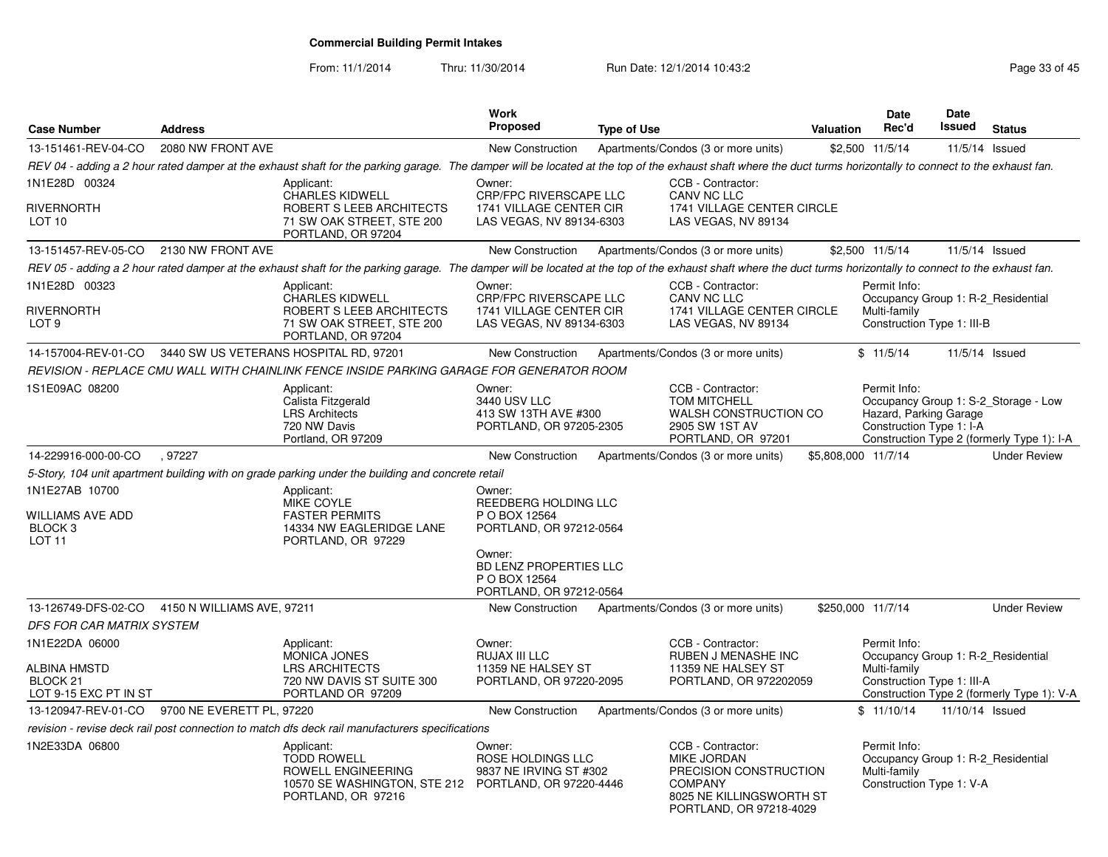From: 11/1/2014Thru: 11/30/2014 Run Date: 12/1/2014 10:43:2<br>
Page 33 of 45

|                                                                     |                   |                                                                                                                                                                                                                | Work                                                                                           |                    |                                                                                                                                            |                     | <b>Date</b>                                                                                      | Date            |                                                                                    |
|---------------------------------------------------------------------|-------------------|----------------------------------------------------------------------------------------------------------------------------------------------------------------------------------------------------------------|------------------------------------------------------------------------------------------------|--------------------|--------------------------------------------------------------------------------------------------------------------------------------------|---------------------|--------------------------------------------------------------------------------------------------|-----------------|------------------------------------------------------------------------------------|
| <b>Case Number</b>                                                  | <b>Address</b>    |                                                                                                                                                                                                                | <b>Proposed</b>                                                                                | <b>Type of Use</b> |                                                                                                                                            | <b>Valuation</b>    | Rec'd                                                                                            | Issued          | <b>Status</b>                                                                      |
| 13-151461-REV-04-CO                                                 | 2080 NW FRONT AVE |                                                                                                                                                                                                                | New Construction                                                                               |                    | Apartments/Condos (3 or more units)                                                                                                        |                     | \$2,500 11/5/14                                                                                  | 11/5/14 Issued  |                                                                                    |
|                                                                     |                   | REV 04 - adding a 2 hour rated damper at the exhaust shaft for the parking garage. The damper will be located at the top of the exhaust shaft where the duct turms horizontally to connect to the exhaust fan. |                                                                                                |                    |                                                                                                                                            |                     |                                                                                                  |                 |                                                                                    |
| 1N1E28D 00324<br>RIVERNORTH<br>LOT 10                               |                   | Applicant:<br><b>CHARLES KIDWELL</b><br>ROBERT S LEEB ARCHITECTS<br>71 SW OAK STREET, STE 200<br>PORTLAND, OR 97204                                                                                            | Owner:<br><b>CRP/FPC RIVERSCAPE LLC</b><br>1741 VILLAGE CENTER CIR<br>LAS VEGAS, NV 89134-6303 |                    | CCB - Contractor:<br>CANV NC LLC<br>1741 VILLAGE CENTER CIRCLE<br>LAS VEGAS, NV 89134                                                      |                     |                                                                                                  |                 |                                                                                    |
| 13-151457-REV-05-CO 2130 NW FRONT AVE                               |                   |                                                                                                                                                                                                                | <b>New Construction</b>                                                                        |                    | Apartments/Condos (3 or more units)                                                                                                        |                     | \$2,500 11/5/14                                                                                  | 11/5/14 Issued  |                                                                                    |
|                                                                     |                   | REV 05 - adding a 2 hour rated damper at the exhaust shaft for the parking garage. The damper will be located at the top of the exhaust shaft where the duct turms horizontally to connect to the exhaust fan. |                                                                                                |                    |                                                                                                                                            |                     |                                                                                                  |                 |                                                                                    |
| 1N1E28D 00323<br>RIVERNORTH<br>LOT 9                                |                   | Applicant:<br><b>CHARLES KIDWELL</b><br>ROBERT S LEEB ARCHITECTS<br>71 SW OAK STREET, STE 200<br>PORTLAND, OR 97204                                                                                            | Owner:<br><b>CRP/FPC RIVERSCAPE LLC</b><br>1741 VILLAGE CENTER CIR<br>LAS VEGAS, NV 89134-6303 |                    | CCB - Contractor:<br><b>CANV NC LLC</b><br>1741 VILLAGE CENTER CIRCLE<br>LAS VEGAS, NV 89134                                               |                     | Permit Info:<br>Occupancy Group 1: R-2 Residential<br>Multi-family<br>Construction Type 1: III-B |                 |                                                                                    |
| 14-157004-REV-01-CO                                                 |                   | 3440 SW US VETERANS HOSPITAL RD, 97201                                                                                                                                                                         | <b>New Construction</b>                                                                        |                    | Apartments/Condos (3 or more units)                                                                                                        |                     | \$11/5/14                                                                                        | 11/5/14 Issued  |                                                                                    |
|                                                                     |                   | REVISION - REPLACE CMU WALL WITH CHAINLINK FENCE INSIDE PARKING GARAGE FOR GENERATOR ROOM                                                                                                                      |                                                                                                |                    |                                                                                                                                            |                     |                                                                                                  |                 |                                                                                    |
| 1S1E09AC 08200                                                      |                   | Applicant:<br>Calista Fitzgerald<br><b>LRS Architects</b><br>720 NW Davis<br>Portland, OR 97209                                                                                                                | Owner:<br>3440 USV LLC<br>413 SW 13TH AVE #300<br>PORTLAND, OR 97205-2305                      |                    | CCB - Contractor:<br><b>TOM MITCHELL</b><br>WALSH CONSTRUCTION CO<br>2905 SW 1ST AV<br>PORTLAND, OR 97201                                  |                     | Permit Info:<br>Hazard, Parking Garage<br>Construction Type 1: I-A                               |                 | Occupancy Group 1: S-2 Storage - Low<br>Construction Type 2 (formerly Type 1): I-A |
| 14-229916-000-00-CO                                                 | .97227            |                                                                                                                                                                                                                | <b>New Construction</b>                                                                        |                    | Apartments/Condos (3 or more units)                                                                                                        | \$5,808,000 11/7/14 |                                                                                                  |                 | <b>Under Review</b>                                                                |
|                                                                     |                   | 5-Story, 104 unit apartment building with on grade parking under the building and concrete retail                                                                                                              |                                                                                                |                    |                                                                                                                                            |                     |                                                                                                  |                 |                                                                                    |
| 1N1E27AB 10700<br>WILLIAMS AVE ADD<br>BLOCK <sub>3</sub><br>LOT 11  |                   | Applicant:<br>MIKE COYLE<br><b>FASTER PERMITS</b><br>14334 NW EAGLERIDGE LANE<br>PORTLAND, OR 97229                                                                                                            | Owner:<br>REEDBERG HOLDING LLC<br>P O BOX 12564<br>PORTLAND, OR 97212-0564<br>Owner:           |                    |                                                                                                                                            |                     |                                                                                                  |                 |                                                                                    |
|                                                                     |                   |                                                                                                                                                                                                                | BD LENZ PROPERTIES LLC<br>P O BOX 12564<br>PORTLAND, OR 97212-0564                             |                    |                                                                                                                                            |                     |                                                                                                  |                 |                                                                                    |
| 13-126749-DFS-02-CO 4150 N WILLIAMS AVE, 97211                      |                   |                                                                                                                                                                                                                | New Construction                                                                               |                    | Apartments/Condos (3 or more units)                                                                                                        | \$250,000 11/7/14   |                                                                                                  |                 | <b>Under Review</b>                                                                |
| <b>DFS FOR CAR MATRIX SYSTEM</b>                                    |                   |                                                                                                                                                                                                                |                                                                                                |                    |                                                                                                                                            |                     |                                                                                                  |                 |                                                                                    |
| 1N1E22DA 06000<br>ALBINA HMSTD<br>BLOCK 21<br>LOT 9-15 EXC PT IN ST |                   | Applicant:<br><b>MONICA JONES</b><br><b>LRS ARCHITECTS</b><br>720 NW DAVIS ST SUITE 300<br>PORTLAND OR 97209                                                                                                   | Owner:<br>RUJAX III LLC<br>11359 NE HALSEY ST<br>PORTLAND, OR 97220-2095                       |                    | CCB - Contractor:<br>RUBEN J MENASHE INC<br>11359 NE HALSEY ST<br>PORTLAND, OR 972202059                                                   |                     | Permit Info:<br>Occupancy Group 1: R-2 Residential<br>Multi-family<br>Construction Type 1: III-A |                 | Construction Type 2 (formerly Type 1): V-A                                         |
| 13-120947-REV-01-CO 9700 NE EVERETT PL, 97220                       |                   |                                                                                                                                                                                                                | <b>New Construction</b>                                                                        |                    | Apartments/Condos (3 or more units)                                                                                                        |                     | \$11/10/14                                                                                       | 11/10/14 Issued |                                                                                    |
|                                                                     |                   | revision - revise deck rail post connection to match dfs deck rail manufacturers specifications                                                                                                                |                                                                                                |                    |                                                                                                                                            |                     |                                                                                                  |                 |                                                                                    |
| 1N2E33DA 06800                                                      |                   | Applicant:<br><b>TODD ROWELL</b><br>ROWELL ENGINEERING<br>10570 SE WASHINGTON, STE 212<br>PORTLAND, OR 97216                                                                                                   | Owner:<br>ROSE HOLDINGS LLC<br>9837 NE IRVING ST #302<br>PORTLAND, OR 97220-4446               |                    | CCB - Contractor:<br><b>MIKE JORDAN</b><br>PRECISION CONSTRUCTION<br><b>COMPANY</b><br>8025 NE KILLINGSWORTH ST<br>PORTLAND, OR 97218-4029 |                     | Permit Info:<br>Occupancy Group 1: R-2 Residential<br>Multi-family<br>Construction Type 1: V-A   |                 |                                                                                    |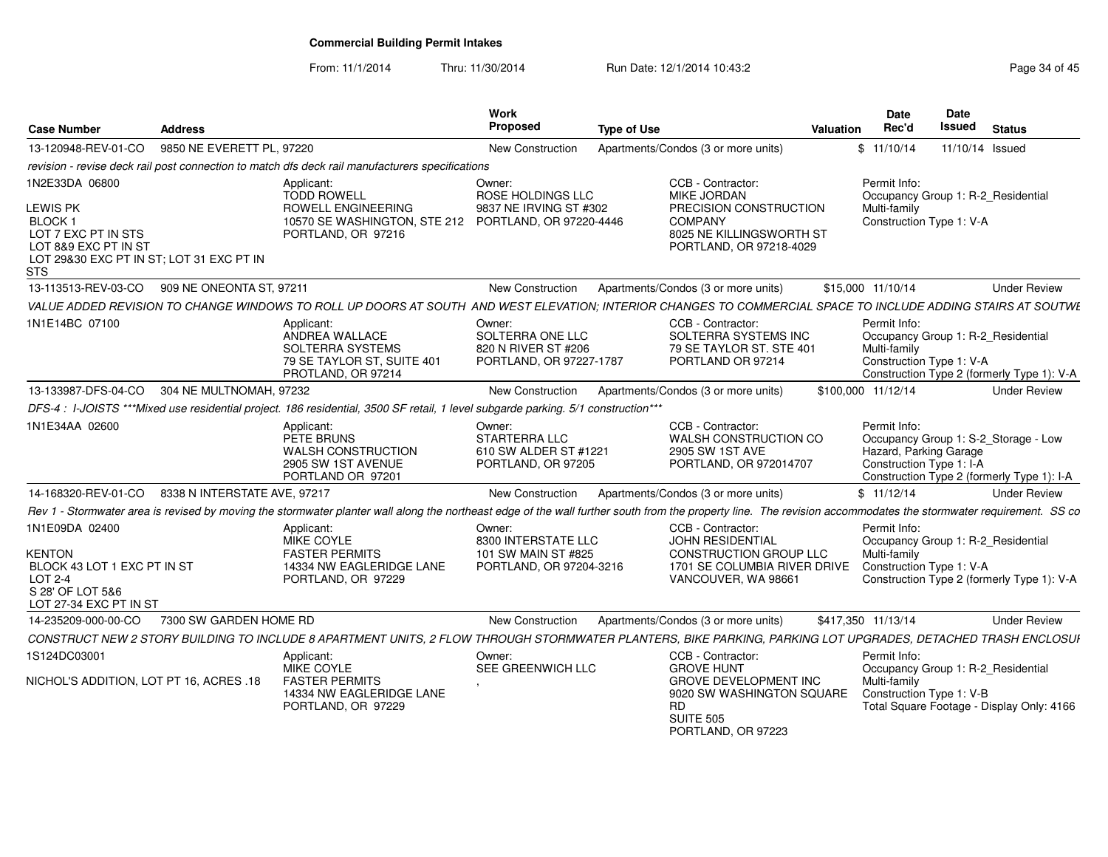From: 11/1/2014

Thru: 11/30/2014 Run Date: 12/1/2014 10:43:2<br> **Thru: 11/30/2014** Page 34 of 45

| <b>Case Number</b>                                                                                                                            | <b>Address</b>                                                                                                                                                                                                  | Work<br><b>Proposed</b><br><b>Type of Use</b>                                    | Valuation                                                                                                                                                  | <b>Date</b><br>Rec'd                                               | Date<br>Issued | <b>Status</b>                                                                      |
|-----------------------------------------------------------------------------------------------------------------------------------------------|-----------------------------------------------------------------------------------------------------------------------------------------------------------------------------------------------------------------|----------------------------------------------------------------------------------|------------------------------------------------------------------------------------------------------------------------------------------------------------|--------------------------------------------------------------------|----------------|------------------------------------------------------------------------------------|
| 13-120948-REV-01-CO                                                                                                                           | 9850 NE EVERETT PL, 97220                                                                                                                                                                                       | <b>New Construction</b>                                                          | Apartments/Condos (3 or more units)                                                                                                                        | \$11/10/14                                                         |                | 11/10/14 Issued                                                                    |
|                                                                                                                                               | revision - revise deck rail post connection to match dfs deck rail manufacturers specifications                                                                                                                 |                                                                                  |                                                                                                                                                            |                                                                    |                |                                                                                    |
| 1N2E33DA 06800<br>LEWIS PK<br><b>BLOCK1</b><br>LOT 7 EXC PT IN STS<br>LOT 8&9 EXC PT IN ST<br>LOT 29&30 EXC PT IN ST: LOT 31 EXC PT IN<br>STS | Applicant:<br><b>TODD ROWELL</b><br>ROWELL ENGINEERING<br>10570 SE WASHINGTON, STE 212<br>PORTLAND, OR 97216                                                                                                    | Owner:<br>ROSE HOLDINGS LLC<br>9837 NE IRVING ST #302<br>PORTLAND, OR 97220-4446 | CCB - Contractor:<br>MIKE JORDAN<br>PRECISION CONSTRUCTION<br><b>COMPANY</b><br>8025 NE KILLINGSWORTH ST<br>PORTLAND, OR 97218-4029                        | Permit Info:<br>Multi-family<br>Construction Type 1: V-A           |                | Occupancy Group 1: R-2_Residential                                                 |
| 13-113513-REV-03-CO                                                                                                                           | 909 NE ONEONTA ST. 97211                                                                                                                                                                                        | <b>New Construction</b>                                                          | Apartments/Condos (3 or more units)                                                                                                                        | \$15,000 11/10/14                                                  |                | <b>Under Review</b>                                                                |
|                                                                                                                                               | VALUE ADDED REVISION TO CHANGE WINDOWS TO ROLL UP DOORS AT SOUTH AND WEST ELEVATION; INTERIOR CHANGES TO COMMERCIAL SPACE TO INCLUDE ADDING STAIRS AT SOUTWE                                                    |                                                                                  |                                                                                                                                                            |                                                                    |                |                                                                                    |
| 1N1E14BC 07100                                                                                                                                | Applicant:<br>ANDREA WALLACE<br>SOLTERRA SYSTEMS<br>79 SE TAYLOR ST, SUITE 401<br>PROTLAND, OR 97214                                                                                                            | Owner:<br>SOLTERRA ONE LLC<br>820 N RIVER ST #206<br>PORTLAND, OR 97227-1787     | CCB - Contractor:<br>SOLTERRA SYSTEMS INC<br>79 SE TAYLOR ST. STE 401<br>PORTLAND OR 97214                                                                 | Permit Info:<br>Multi-family<br>Construction Type 1: V-A           |                | Occupancy Group 1: R-2_Residential<br>Construction Type 2 (formerly Type 1): V-A   |
|                                                                                                                                               | 13-133987-DFS-04-CO 304 NE MULTNOMAH, 97232                                                                                                                                                                     | <b>New Construction</b>                                                          | Apartments/Condos (3 or more units)                                                                                                                        | \$100,000 11/12/14                                                 |                | <b>Under Review</b>                                                                |
|                                                                                                                                               | DFS-4 : I-JOISTS ***Mixed use residential project. 186 residential, 3500 SF retail, 1 level subgarde parking. 5/1 construction***                                                                               |                                                                                  |                                                                                                                                                            |                                                                    |                |                                                                                    |
| 1N1E34AA 02600                                                                                                                                | Applicant:<br>PETE BRUNS<br><b>WALSH CONSTRUCTION</b><br>2905 SW 1ST AVENUE<br>PORTLAND OR 97201                                                                                                                | Owner:<br><b>STARTERRA LLC</b><br>610 SW ALDER ST #1221<br>PORTLAND, OR 97205    | CCB - Contractor:<br>WALSH CONSTRUCTION CO<br>2905 SW 1ST AVE<br>PORTLAND, OR 972014707                                                                    | Permit Info:<br>Hazard, Parking Garage<br>Construction Type 1: I-A |                | Occupancy Group 1: S-2_Storage - Low<br>Construction Type 2 (formerly Type 1): I-A |
|                                                                                                                                               | 14-168320-REV-01-CO 8338 N INTERSTATE AVE, 97217                                                                                                                                                                | <b>New Construction</b>                                                          | Apartments/Condos (3 or more units)                                                                                                                        | \$11/12/14                                                         |                | <b>Under Review</b>                                                                |
|                                                                                                                                               | Rev 1 - Stormwater area is revised by moving the stormwater planter wall along the northeast edge of the wall further south from the property line. The revision accommodates the stormwater requirement. SS co |                                                                                  |                                                                                                                                                            |                                                                    |                |                                                                                    |
| 1N1E09DA 02400<br><b>KENTON</b><br>BLOCK 43 LOT 1 EXC PT IN ST<br>LOT 2-4<br>S 28' OF LOT 5&6<br>LOT 27-34 EXC PT IN ST                       | Applicant:<br><b>MIKE COYLE</b><br><b>FASTER PERMITS</b><br>14334 NW EAGLERIDGE LANE<br>PORTLAND, OR 97229                                                                                                      | Owner:<br>8300 INTERSTATE LLC<br>101 SW MAIN ST #825<br>PORTLAND, OR 97204-3216  | CCB - Contractor:<br>JOHN RESIDENTIAL<br><b>CONSTRUCTION GROUP LLC</b><br>1701 SE COLUMBIA RIVER DRIVE<br>VANCOUVER, WA 98661                              | Permit Info:<br>Multi-family<br>Construction Type 1: V-A           |                | Occupancy Group 1: R-2_Residential<br>Construction Type 2 (formerly Type 1): V-A   |
| 14-235209-000-00-CO                                                                                                                           | 7300 SW GARDEN HOME RD                                                                                                                                                                                          | <b>New Construction</b>                                                          | Apartments/Condos (3 or more units)                                                                                                                        | \$417.350 11/13/14                                                 |                | <b>Under Review</b>                                                                |
|                                                                                                                                               | CONSTRUCT NEW 2 STORY BUILDING TO INCLUDE 8 APARTMENT UNITS, 2 FLOW THROUGH STORMWATER PLANTERS, BIKE PARKING, PARKING LOT UPGRADES, DETACHED TRASH ENCLOSUI                                                    |                                                                                  |                                                                                                                                                            |                                                                    |                |                                                                                    |
| 1S124DC03001<br>NICHOL'S ADDITION. LOT PT 16, ACRES .18                                                                                       | Applicant:<br>MIKE COYLE<br><b>FASTER PERMITS</b><br>14334 NW EAGLERIDGE LANE<br>PORTLAND, OR 97229                                                                                                             | Owner:<br>SEE GREENWICH LLC                                                      | CCB - Contractor:<br><b>GROVE HUNT</b><br><b>GROVE DEVELOPMENT INC</b><br>9020 SW WASHINGTON SQUARE<br><b>RD</b><br><b>SUITE 505</b><br>PORTLAND, OR 97223 | Permit Info:<br>Multi-family<br>Construction Type 1: V-B           |                | Occupancy Group 1: R-2 Residential<br>Total Square Footage - Display Only: 4166    |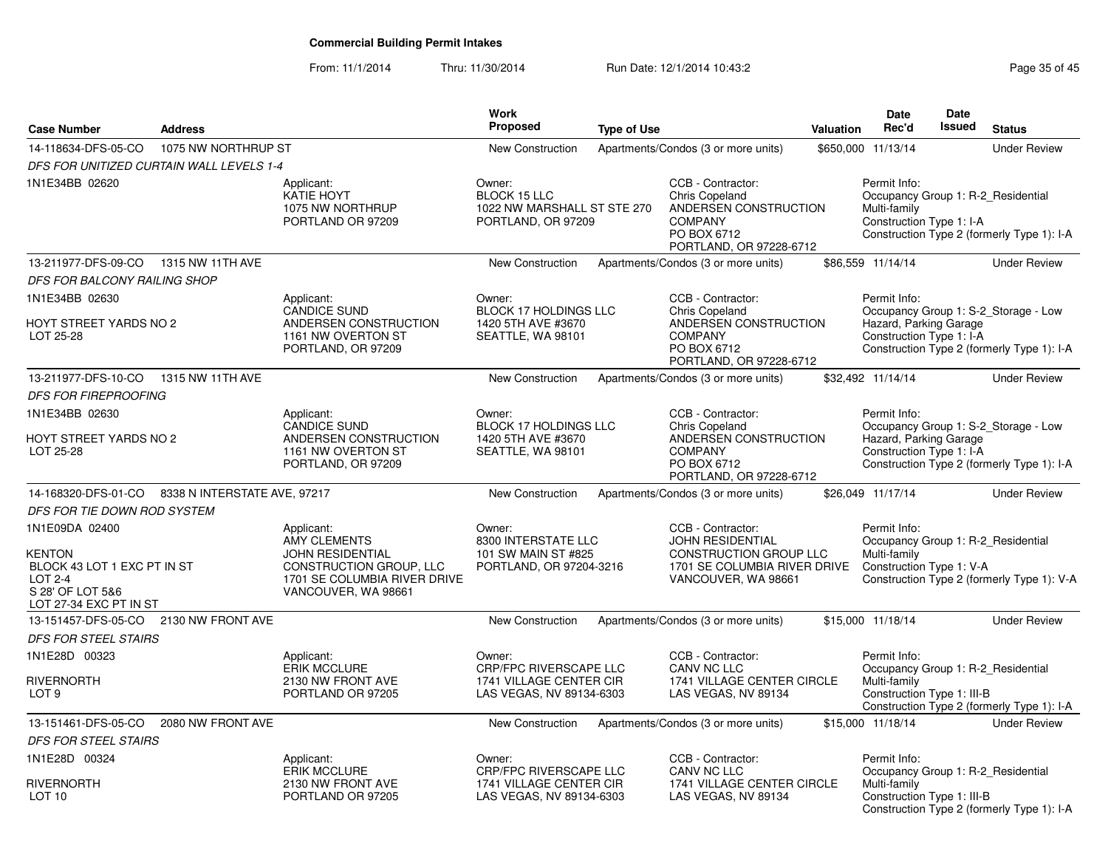From: 11/1/2014Thru: 11/30/2014 Run Date: 12/1/2014 10:43:2<br>
Run Date: 12/1/2014 10:43:2

| <b>Case Number</b>                                                                                                      | <b>Address</b>                           |                                                                                                                                                       | <b>Work</b><br><b>Proposed</b>                                                       | <b>Type of Use</b> |                                                                                                                                 | Valuation | <b>Date</b><br>Rec'd                                               | <b>Date</b><br><b>Issued</b> | <b>Status</b>                                                                      |
|-------------------------------------------------------------------------------------------------------------------------|------------------------------------------|-------------------------------------------------------------------------------------------------------------------------------------------------------|--------------------------------------------------------------------------------------|--------------------|---------------------------------------------------------------------------------------------------------------------------------|-----------|--------------------------------------------------------------------|------------------------------|------------------------------------------------------------------------------------|
| 14-118634-DFS-05-CO                                                                                                     | 1075 NW NORTHRUP ST                      |                                                                                                                                                       | <b>New Construction</b>                                                              |                    | Apartments/Condos (3 or more units)                                                                                             |           | \$650,000 11/13/14                                                 |                              | <b>Under Review</b>                                                                |
|                                                                                                                         | DFS FOR UNITIZED CURTAIN WALL LEVELS 1-4 |                                                                                                                                                       |                                                                                      |                    |                                                                                                                                 |           |                                                                    |                              |                                                                                    |
| 1N1E34BB 02620                                                                                                          |                                          | Applicant:<br>KATIE HOYT<br>1075 NW NORTHRUP<br>PORTLAND OR 97209                                                                                     | Owner:<br><b>BLOCK 15 LLC</b><br>1022 NW MARSHALL ST STE 270<br>PORTLAND, OR 97209   |                    | CCB - Contractor:<br><b>Chris Copeland</b><br>ANDERSEN CONSTRUCTION<br><b>COMPANY</b><br>PO BOX 6712<br>PORTLAND, OR 97228-6712 |           | Permit Info:<br>Multi-family<br>Construction Type 1: I-A           |                              | Occupancy Group 1: R-2 Residential<br>Construction Type 2 (formerly Type 1): I-A   |
| 13-211977-DFS-09-CO                                                                                                     | 1315 NW 11TH AVE                         |                                                                                                                                                       | <b>New Construction</b>                                                              |                    | Apartments/Condos (3 or more units)                                                                                             |           | \$86,559 11/14/14                                                  |                              | <b>Under Review</b>                                                                |
| DFS FOR BALCONY RAILING SHOP                                                                                            |                                          |                                                                                                                                                       |                                                                                      |                    |                                                                                                                                 |           |                                                                    |                              |                                                                                    |
| 1N1E34BB 02630                                                                                                          |                                          | Applicant:                                                                                                                                            | Owner:                                                                               |                    | CCB - Contractor:                                                                                                               |           | Permit Info:                                                       |                              |                                                                                    |
| HOYT STREET YARDS NO 2<br>LOT 25-28                                                                                     |                                          | <b>CANDICE SUND</b><br>ANDERSEN CONSTRUCTION<br>1161 NW OVERTON ST<br>PORTLAND, OR 97209                                                              | <b>BLOCK 17 HOLDINGS LLC</b><br>1420 5TH AVE #3670<br>SEATTLE, WA 98101              |                    | <b>Chris Copeland</b><br>ANDERSEN CONSTRUCTION<br><b>COMPANY</b><br>PO BOX 6712<br>PORTLAND, OR 97228-6712                      |           | Hazard, Parking Garage<br>Construction Type 1: I-A                 |                              | Occupancy Group 1: S-2_Storage - Low<br>Construction Type 2 (formerly Type 1): I-A |
| 13-211977-DFS-10-CO                                                                                                     | 1315 NW 11TH AVE                         |                                                                                                                                                       | <b>New Construction</b>                                                              |                    | Apartments/Condos (3 or more units)                                                                                             |           | \$32,492 11/14/14                                                  |                              | <b>Under Review</b>                                                                |
| <b>DFS FOR FIREPROOFING</b>                                                                                             |                                          |                                                                                                                                                       |                                                                                      |                    |                                                                                                                                 |           |                                                                    |                              |                                                                                    |
| 1N1E34BB 02630<br>HOYT STREET YARDS NO 2<br>LOT 25-28                                                                   |                                          | Applicant:<br><b>CANDICE SUND</b><br>ANDERSEN CONSTRUCTION<br>1161 NW OVERTON ST<br>PORTLAND, OR 97209                                                | Owner:<br><b>BLOCK 17 HOLDINGS LLC</b><br>1420 5TH AVE #3670<br>SEATTLE, WA 98101    |                    | CCB - Contractor:<br><b>Chris Copeland</b><br>ANDERSEN CONSTRUCTION<br><b>COMPANY</b><br>PO BOX 6712<br>PORTLAND, OR 97228-6712 |           | Permit Info:<br>Hazard, Parking Garage<br>Construction Type 1: I-A |                              | Occupancy Group 1: S-2_Storage - Low<br>Construction Type 2 (formerly Type 1): I-A |
| 14-168320-DFS-01-CO                                                                                                     | 8338 N INTERSTATE AVE, 97217             |                                                                                                                                                       | <b>New Construction</b>                                                              |                    | Apartments/Condos (3 or more units)                                                                                             |           | \$26,049 11/17/14                                                  |                              | <b>Under Review</b>                                                                |
| DFS FOR TIE DOWN ROD SYSTEM                                                                                             |                                          |                                                                                                                                                       |                                                                                      |                    |                                                                                                                                 |           |                                                                    |                              |                                                                                    |
| 1N1E09DA 02400<br>KENTON<br>BLOCK 43 LOT 1 EXC PT IN ST<br><b>LOT 2-4</b><br>S 28' OF LOT 5&6<br>LOT 27-34 EXC PT IN ST |                                          | Applicant:<br><b>AMY CLEMENTS</b><br><b>JOHN RESIDENTIAL</b><br><b>CONSTRUCTION GROUP, LLC</b><br>1701 SE COLUMBIA RIVER DRIVE<br>VANCOUVER, WA 98661 | Owner:<br>8300 INTERSTATE LLC<br>101 SW MAIN ST #825<br>PORTLAND, OR 97204-3216      |                    | CCB - Contractor:<br><b>JOHN RESIDENTIAL</b><br>CONSTRUCTION GROUP LLC<br>1701 SE COLUMBIA RIVER DRIVE<br>VANCOUVER, WA 98661   |           | Permit Info:<br>Multi-family<br>Construction Type 1: V-A           |                              | Occupancy Group 1: R-2_Residential<br>Construction Type 2 (formerly Type 1): V-A   |
| 13-151457-DFS-05-CO                                                                                                     | 2130 NW FRONT AVE                        |                                                                                                                                                       | <b>New Construction</b>                                                              |                    | Apartments/Condos (3 or more units)                                                                                             |           | \$15,000 11/18/14                                                  |                              | <b>Under Review</b>                                                                |
| <b>DFS FOR STEEL STAIRS</b>                                                                                             |                                          |                                                                                                                                                       |                                                                                      |                    |                                                                                                                                 |           |                                                                    |                              |                                                                                    |
| 1N1E28D 00323                                                                                                           |                                          | Applicant:                                                                                                                                            | Owner:                                                                               |                    | CCB - Contractor:                                                                                                               |           | Permit Info:                                                       |                              |                                                                                    |
| RIVERNORTH<br>LOT <sub>9</sub>                                                                                          |                                          | <b>ERIK MCCLURE</b><br>2130 NW FRONT AVE<br>PORTLAND OR 97205                                                                                         | <b>CRP/FPC RIVERSCAPE LLC</b><br>1741 VILLAGE CENTER CIR<br>LAS VEGAS, NV 89134-6303 |                    | CANV NC LLC<br>1741 VILLAGE CENTER CIRCLE<br>LAS VEGAS, NV 89134                                                                |           | Multi-family<br>Construction Type 1: III-B                         |                              | Occupancy Group 1: R-2_Residential<br>Construction Type 2 (formerly Type 1): I-A   |
| 13-151461-DFS-05-CO                                                                                                     | 2080 NW FRONT AVE                        |                                                                                                                                                       | New Construction                                                                     |                    | Apartments/Condos (3 or more units)                                                                                             |           | \$15,000 11/18/14                                                  |                              | <b>Under Review</b>                                                                |
| <b>DFS FOR STEEL STAIRS</b>                                                                                             |                                          |                                                                                                                                                       |                                                                                      |                    |                                                                                                                                 |           |                                                                    |                              |                                                                                    |
| 1N1E28D 00324                                                                                                           |                                          | Applicant:                                                                                                                                            | Owner:                                                                               |                    | CCB - Contractor:                                                                                                               |           | Permit Info:                                                       |                              |                                                                                    |
| RIVERNORTH<br>LOT <sub>10</sub>                                                                                         |                                          | <b>ERIK MCCLURE</b><br>2130 NW FRONT AVE<br>PORTLAND OR 97205                                                                                         | <b>CRP/FPC RIVERSCAPE LLC</b><br>1741 VILLAGE CENTER CIR<br>LAS VEGAS, NV 89134-6303 |                    | CANV NC LLC<br>1741 VILLAGE CENTER CIRCLE<br>LAS VEGAS, NV 89134                                                                |           | Multi-family<br>Construction Type 1: III-B                         |                              | Occupancy Group 1: R-2 Residential<br>Construction Type 2 (formerly Type 1): I-A   |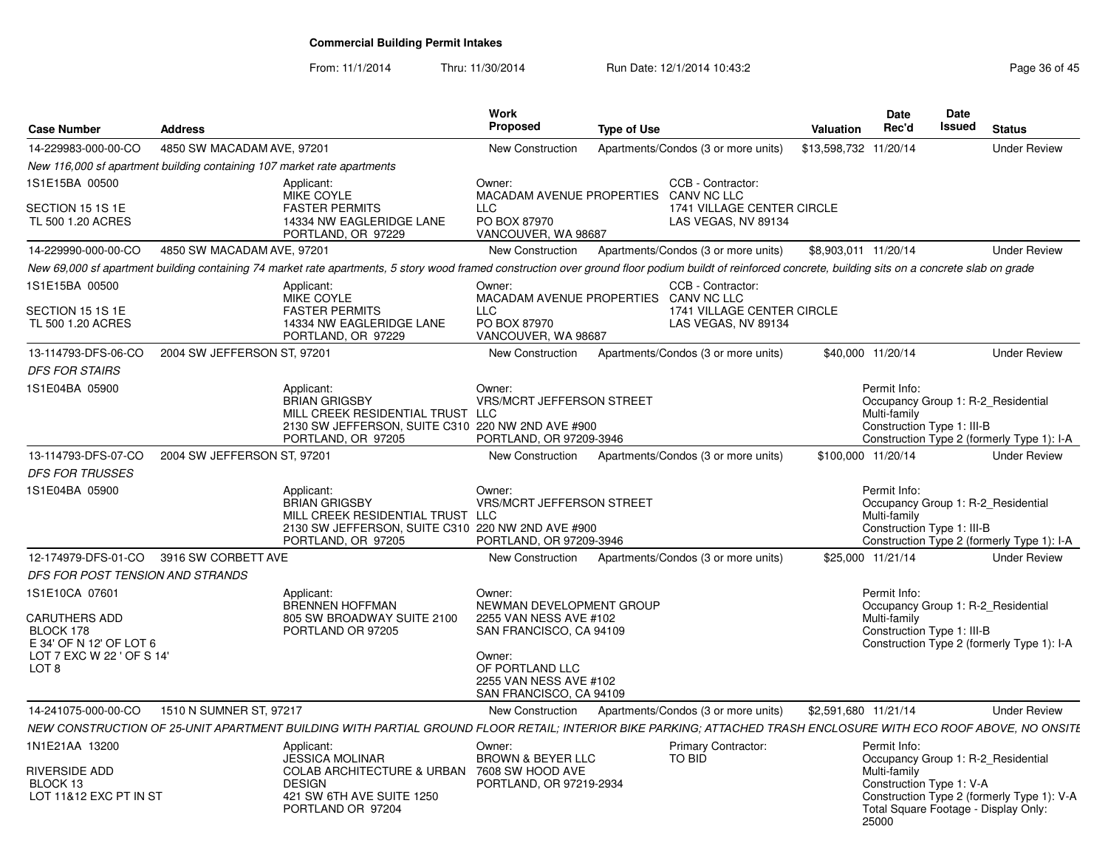From: 11/1/2014Thru: 11/30/2014 Run Date: 12/1/2014 10:43:2<br>
Page 36 of 45

| <b>Case Number</b>                                                                                            | <b>Address</b>              |                                                                                                                                                                                                           | Work<br><b>Proposed</b>                                                                                                                                                   | <b>Type of Use</b> |                                                                                              | Valuation             | <b>Date</b><br>Rec'd                                              | Date<br><b>Issued</b> | <b>Status</b>                                                                                                            |
|---------------------------------------------------------------------------------------------------------------|-----------------------------|-----------------------------------------------------------------------------------------------------------------------------------------------------------------------------------------------------------|---------------------------------------------------------------------------------------------------------------------------------------------------------------------------|--------------------|----------------------------------------------------------------------------------------------|-----------------------|-------------------------------------------------------------------|-----------------------|--------------------------------------------------------------------------------------------------------------------------|
| 14-229983-000-00-CO                                                                                           | 4850 SW MACADAM AVE, 97201  |                                                                                                                                                                                                           | <b>New Construction</b>                                                                                                                                                   |                    | Apartments/Condos (3 or more units)                                                          | \$13,598,732 11/20/14 |                                                                   |                       | <b>Under Review</b>                                                                                                      |
| New 116,000 sf apartment building containing 107 market rate apartments                                       |                             |                                                                                                                                                                                                           |                                                                                                                                                                           |                    |                                                                                              |                       |                                                                   |                       |                                                                                                                          |
| 1S1E15BA 00500<br>SECTION 15 1S 1E<br>TL 500 1.20 ACRES                                                       |                             | Applicant:<br>MIKE COYLE<br><b>FASTER PERMITS</b><br>14334 NW EAGLERIDGE LANE<br>PORTLAND, OR 97229                                                                                                       | Owner:<br>MACADAM AVENUE PROPERTIES<br><b>LLC</b><br>PO BOX 87970<br>VANCOUVER, WA 98687                                                                                  |                    | CCB - Contractor:<br><b>CANV NC LLC</b><br>1741 VILLAGE CENTER CIRCLE<br>LAS VEGAS, NV 89134 |                       |                                                                   |                       |                                                                                                                          |
| 14-229990-000-00-CO                                                                                           | 4850 SW MACADAM AVE, 97201  |                                                                                                                                                                                                           | New Construction                                                                                                                                                          |                    | Apartments/Condos (3 or more units)                                                          | \$8,903,011 11/20/14  |                                                                   |                       | <b>Under Review</b>                                                                                                      |
|                                                                                                               |                             | New 69,000 sf apartment building containing 74 market rate apartments, 5 story wood framed construction over ground floor podium buildt of reinforced concrete, building sits on a concrete slab on grade |                                                                                                                                                                           |                    |                                                                                              |                       |                                                                   |                       |                                                                                                                          |
| 1S1E15BA 00500<br>SECTION 15 1S 1E<br>TL 500 1.20 ACRES                                                       |                             | Applicant:<br>MIKE COYLE<br><b>FASTER PERMITS</b><br>14334 NW EAGLERIDGE LANE<br>PORTLAND, OR 97229                                                                                                       | Owner:<br>MACADAM AVENUE PROPERTIES CANV NC LLC<br><b>LLC</b><br>PO BOX 87970<br>VANCOUVER, WA 98687                                                                      |                    | CCB - Contractor:<br>1741 VILLAGE CENTER CIRCLE<br>LAS VEGAS, NV 89134                       |                       |                                                                   |                       |                                                                                                                          |
| 13-114793-DFS-06-CO                                                                                           | 2004 SW JEFFERSON ST, 97201 |                                                                                                                                                                                                           | New Construction                                                                                                                                                          |                    | Apartments/Condos (3 or more units)                                                          |                       | \$40,000 11/20/14                                                 |                       | <b>Under Review</b>                                                                                                      |
| <b>DFS FOR STAIRS</b>                                                                                         |                             |                                                                                                                                                                                                           |                                                                                                                                                                           |                    |                                                                                              |                       |                                                                   |                       |                                                                                                                          |
| 1S1E04BA 05900                                                                                                |                             | Applicant:<br><b>BRIAN GRIGSBY</b><br>MILL CREEK RESIDENTIAL TRUST LLC<br>2130 SW JEFFERSON, SUITE C310 220 NW 2ND AVE #900<br>PORTLAND, OR 97205                                                         | Owner:<br><b>VRS/MCRT JEFFERSON STREET</b><br>PORTLAND, OR 97209-3946                                                                                                     |                    |                                                                                              |                       | Permit Info:<br>Multi-family<br>Construction Type 1: III-B        |                       | Occupancy Group 1: R-2 Residential<br>Construction Type 2 (formerly Type 1): I-A                                         |
| 13-114793-DFS-07-CO                                                                                           | 2004 SW JEFFERSON ST, 97201 |                                                                                                                                                                                                           | New Construction                                                                                                                                                          |                    | Apartments/Condos (3 or more units)                                                          |                       | \$100,000 11/20/14                                                |                       | <b>Under Review</b>                                                                                                      |
| <b>DFS FOR TRUSSES</b>                                                                                        |                             |                                                                                                                                                                                                           |                                                                                                                                                                           |                    |                                                                                              |                       |                                                                   |                       |                                                                                                                          |
| 1S1E04BA 05900                                                                                                |                             | Applicant:<br><b>BRIAN GRIGSBY</b><br>MILL CREEK RESIDENTIAL TRUST LLC<br>2130 SW JEFFERSON, SUITE C310 220 NW 2ND AVE #900<br>PORTLAND, OR 97205                                                         | Owner:<br><b>VRS/MCRT JEFFERSON STREET</b><br>PORTLAND, OR 97209-3946                                                                                                     |                    |                                                                                              |                       | Permit Info:<br>Multi-family<br>Construction Type 1: III-B        |                       | Occupancy Group 1: R-2 Residential<br>Construction Type 2 (formerly Type 1): I-A                                         |
| 12-174979-DFS-01-CO                                                                                           | 3916 SW CORBETT AVE         |                                                                                                                                                                                                           | <b>New Construction</b>                                                                                                                                                   |                    | Apartments/Condos (3 or more units)                                                          |                       | \$25,000 11/21/14                                                 |                       | <b>Under Review</b>                                                                                                      |
| DFS FOR POST TENSION AND STRANDS                                                                              |                             |                                                                                                                                                                                                           |                                                                                                                                                                           |                    |                                                                                              |                       |                                                                   |                       |                                                                                                                          |
| 1S1E10CA 07601<br>CARUTHERS ADD<br>BLOCK 178<br>E 34' OF N 12' OF LOT 6<br>LOT 7 EXC W 22 ' OF S 14'<br>LOT 8 |                             | Applicant:<br><b>BRENNEN HOFFMAN</b><br>805 SW BROADWAY SUITE 2100<br>PORTLAND OR 97205                                                                                                                   | Owner:<br>NEWMAN DEVELOPMENT GROUP<br>2255 VAN NESS AVE #102<br>SAN FRANCISCO, CA 94109<br>Owner:<br>OF PORTLAND LLC<br>2255 VAN NESS AVE #102<br>SAN FRANCISCO, CA 94109 |                    |                                                                                              |                       | Permit Info:<br>Multi-family<br>Construction Type 1: III-B        |                       | Occupancy Group 1: R-2 Residential<br>Construction Type 2 (formerly Type 1): I-A                                         |
| 14-241075-000-00-CO                                                                                           | 1510 N SUMNER ST, 97217     |                                                                                                                                                                                                           | New Construction                                                                                                                                                          |                    | Apartments/Condos (3 or more units)                                                          | \$2,591,680 11/21/14  |                                                                   |                       | <b>Under Review</b>                                                                                                      |
|                                                                                                               |                             | NEW CONSTRUCTION OF 25-UNIT APARTMENT BUILDING WITH PARTIAL GROUND FLOOR RETAIL; INTERIOR BIKE PARKING; ATTACHED TRASH ENCLOSURE WITH ECO ROOF ABOVE, NO ONSITE                                           |                                                                                                                                                                           |                    |                                                                                              |                       |                                                                   |                       |                                                                                                                          |
| 1N1E21AA 13200<br>RIVERSIDE ADD<br>BLOCK 13<br>LOT 11&12 EXC PT IN ST                                         |                             | Applicant:<br><b>JESSICA MOLINAR</b><br>COLAB ARCHITECTURE & URBAN 7608 SW HOOD AVE<br><b>DESIGN</b><br>421 SW 6TH AVE SUITE 1250<br>PORTLAND OR 97204                                                    | Owner:<br>BROWN & BEYER LLC<br>PORTLAND, OR 97219-2934                                                                                                                    |                    | Primary Contractor:<br>TO BID                                                                |                       | Permit Info:<br>Multi-family<br>Construction Type 1: V-A<br>25000 |                       | Occupancy Group 1: R-2 Residential<br>Construction Type 2 (formerly Type 1): V-A<br>Total Square Footage - Display Only: |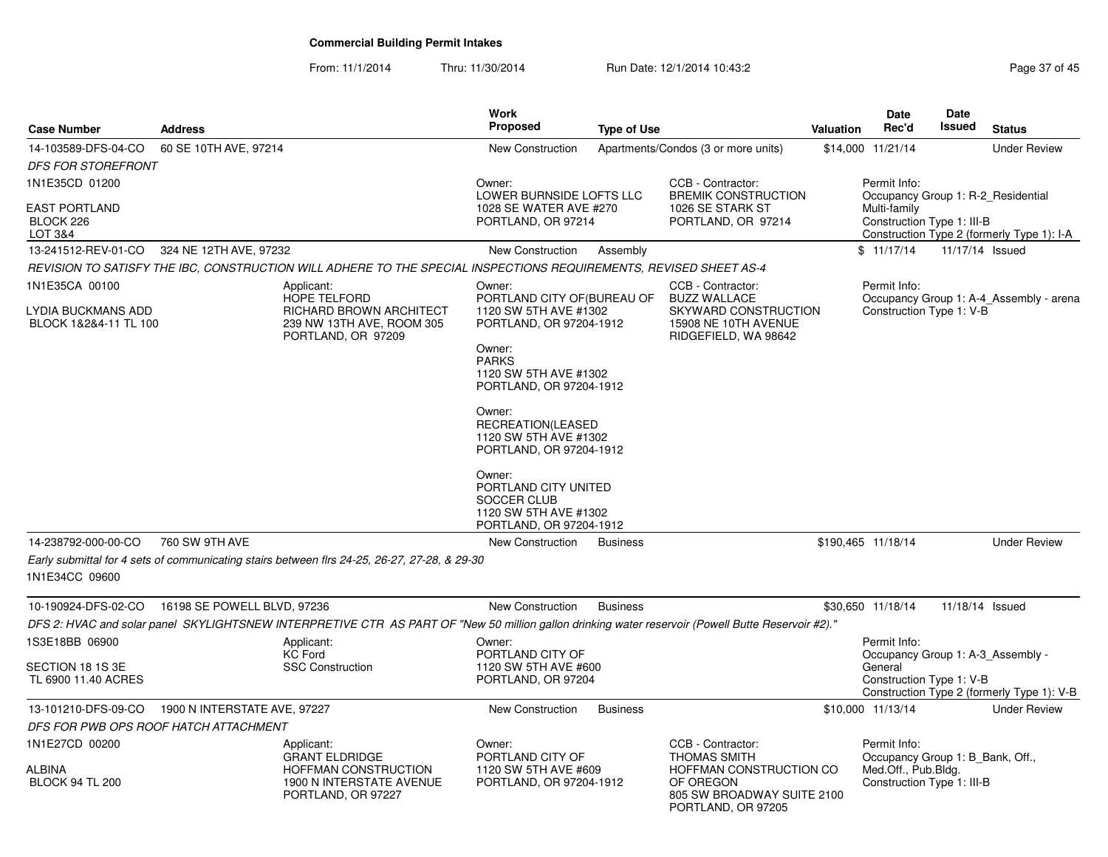From: 11/1/2014Thru: 11/30/2014 Run Date: 12/1/2014 10:43:2<br>
Page 37 of 45

| Case Number                                                   | <b>Address</b>                                                                                                                                     |                                | <b>Work</b><br><b>Proposed</b>                                                                                                                                                                                                                                                                              | <b>Type of Use</b> |                                                                                                                  | <b>Valuation</b> | Date<br>Rec'd                                                      | Date<br>Issued  | <b>Status</b>                              |
|---------------------------------------------------------------|----------------------------------------------------------------------------------------------------------------------------------------------------|--------------------------------|-------------------------------------------------------------------------------------------------------------------------------------------------------------------------------------------------------------------------------------------------------------------------------------------------------------|--------------------|------------------------------------------------------------------------------------------------------------------|------------------|--------------------------------------------------------------------|-----------------|--------------------------------------------|
| 14-103589-DFS-04-CO                                           | 60 SE 10TH AVE, 97214                                                                                                                              |                                | New Construction                                                                                                                                                                                                                                                                                            |                    | Apartments/Condos (3 or more units)                                                                              |                  | \$14,000 11/21/14                                                  |                 | <b>Under Review</b>                        |
| <i>DFS FOR STOREFRONT</i>                                     |                                                                                                                                                    |                                |                                                                                                                                                                                                                                                                                                             |                    |                                                                                                                  |                  |                                                                    |                 |                                            |
| 1N1E35CD 01200<br><b>EAST PORTLAND</b>                        |                                                                                                                                                    |                                | Owner:<br>LOWER BURNSIDE LOFTS LLC<br>1028 SE WATER AVE #270                                                                                                                                                                                                                                                |                    | CCB - Contractor:<br><b>BREMIK CONSTRUCTION</b><br>1026 SE STARK ST                                              |                  | Permit Info:<br>Occupancy Group 1: R-2 Residential<br>Multi-family |                 |                                            |
| BLOCK 226<br>LOT 3&4                                          |                                                                                                                                                    |                                | PORTLAND, OR 97214                                                                                                                                                                                                                                                                                          |                    | PORTLAND, OR 97214                                                                                               |                  | Construction Type 1: III-B                                         |                 | Construction Type 2 (formerly Type 1): I-A |
|                                                               | 13-241512-REV-01-CO 324 NE 12TH AVE, 97232                                                                                                         |                                | New Construction                                                                                                                                                                                                                                                                                            | Assembly           |                                                                                                                  |                  | \$11/17/14                                                         | 11/17/14 Issued |                                            |
|                                                               | REVISION TO SATISFY THE IBC, CONSTRUCTION WILL ADHERE TO THE SPECIAL INSPECTIONS REQUIREMENTS, REVISED SHEET AS-4                                  |                                |                                                                                                                                                                                                                                                                                                             |                    |                                                                                                                  |                  |                                                                    |                 |                                            |
| 1N1E35CA 00100<br>LYDIA BUCKMANS ADD<br>BLOCK 1&2&4-11 TL 100 | Applicant:<br>HOPE TELFORD<br>239 NW 13TH AVE, ROOM 305<br>PORTLAND, OR 97209                                                                      | <b>RICHARD BROWN ARCHITECT</b> | Owner:<br>PORTLAND CITY OF (BUREAU OF<br>1120 SW 5TH AVE #1302<br>PORTLAND, OR 97204-1912<br>Owner:<br><b>PARKS</b><br>1120 SW 5TH AVE #1302<br>PORTLAND, OR 97204-1912<br>Owner:<br>RECREATION(LEASED<br>1120 SW 5TH AVE #1302<br>PORTLAND, OR 97204-1912<br>Owner:<br>PORTLAND CITY UNITED<br>SOCCER CLUB |                    | CCB - Contractor:<br><b>BUZZ WALLACE</b><br>SKYWARD CONSTRUCTION<br>15908 NE 10TH AVENUE<br>RIDGEFIELD, WA 98642 |                  | Permit Info:<br>Construction Type 1: V-B                           |                 | Occupancy Group 1: A-4_Assembly - arena    |
|                                                               |                                                                                                                                                    |                                | 1120 SW 5TH AVE #1302<br>PORTLAND, OR 97204-1912                                                                                                                                                                                                                                                            |                    |                                                                                                                  |                  |                                                                    |                 |                                            |
| 14-238792-000-00-CO                                           | 760 SW 9TH AVE                                                                                                                                     |                                | New Construction                                                                                                                                                                                                                                                                                            | <b>Business</b>    |                                                                                                                  |                  | \$190,465 11/18/14                                                 |                 | <b>Under Review</b>                        |
| 1N1E34CC 09600                                                | Early submittal for 4 sets of communicating stairs between flrs 24-25, 26-27, 27-28, & 29-30                                                       |                                |                                                                                                                                                                                                                                                                                                             |                    |                                                                                                                  |                  |                                                                    |                 |                                            |
| 10-190924-DFS-02-CO                                           | 16198 SE POWELL BLVD, 97236                                                                                                                        |                                | <b>New Construction</b>                                                                                                                                                                                                                                                                                     | <b>Business</b>    |                                                                                                                  |                  | \$30,650 11/18/14                                                  | 11/18/14 Issued |                                            |
|                                                               | DFS 2: HVAC and solar panel SKYLIGHTSNEW INTERPRETIVE CTR AS PART OF "New 50 million gallon drinking water reservoir (Powell Butte Reservoir #2)." |                                |                                                                                                                                                                                                                                                                                                             |                    |                                                                                                                  |                  |                                                                    |                 |                                            |
| 1S3E18BB 06900                                                | Applicant:<br><b>KC Ford</b>                                                                                                                       |                                | Owner:<br>PORTLAND CITY OF                                                                                                                                                                                                                                                                                  |                    |                                                                                                                  |                  | Permit Info:<br>Occupancy Group 1: A-3 Assembly -                  |                 |                                            |
| SECTION 18 1S 3E<br>TL 6900 11.40 ACRES                       | <b>SSC Construction</b>                                                                                                                            |                                | 1120 SW 5TH AVE #600<br>PORTLAND, OR 97204                                                                                                                                                                                                                                                                  |                    |                                                                                                                  |                  | General<br>Construction Type 1: V-B                                |                 | Construction Type 2 (formerly Type 1): V-B |
| 13-101210-DFS-09-CO                                           | 1900 N INTERSTATE AVE, 97227                                                                                                                       |                                | <b>New Construction</b>                                                                                                                                                                                                                                                                                     | <b>Business</b>    |                                                                                                                  |                  | \$10,000 11/13/14                                                  |                 | <b>Under Review</b>                        |
|                                                               | DFS FOR PWB OPS ROOF HATCH ATTACHMENT                                                                                                              |                                |                                                                                                                                                                                                                                                                                                             |                    |                                                                                                                  |                  |                                                                    |                 |                                            |
| 1N1E27CD 00200                                                | Applicant:<br><b>GRANT ELDRIDGE</b>                                                                                                                |                                | Owner:<br>PORTLAND CITY OF                                                                                                                                                                                                                                                                                  |                    | CCB - Contractor:<br><b>THOMAS SMITH</b>                                                                         |                  | Permit Info:<br>Occupancy Group 1: B Bank, Off.,                   |                 |                                            |
| ALBINA<br><b>BLOCK 94 TL 200</b>                              | HOFFMAN CONSTRUCTION<br>1900 N INTERSTATE AVENUE<br>PORTLAND, OR 97227                                                                             |                                | 1120 SW 5TH AVE #609<br>PORTLAND, OR 97204-1912                                                                                                                                                                                                                                                             |                    | HOFFMAN CONSTRUCTION CO<br>OF OREGON<br>805 SW BROADWAY SUITE 2100<br>PORTLAND, OR 97205                         |                  | Med.Off., Pub.Bldg.<br>Construction Type 1: III-B                  |                 |                                            |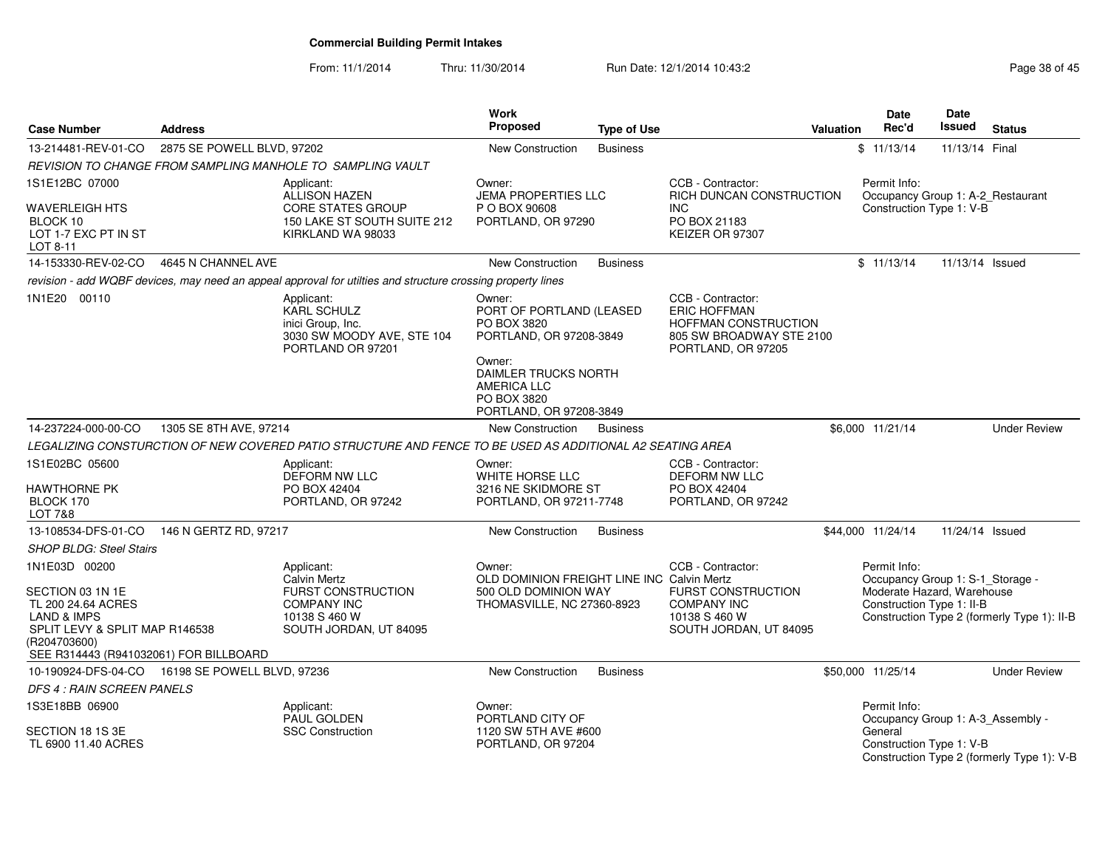From: 11/1/2014Thru: 11/30/2014 Run Date: 12/1/2014 10:43:2<br> **Thru: 11/30/2014** Page 38 of 45

| <b>Case Number</b>                                                                      | <b>Address</b>             |                                                                                                             | <b>Work</b><br>Proposed                                                                        | <b>Type of Use</b> |                                                                                                                    | <b>Valuation</b> | Date<br>Rec'd                                           | Date<br><b>Issued</b> | <b>Status</b>                               |
|-----------------------------------------------------------------------------------------|----------------------------|-------------------------------------------------------------------------------------------------------------|------------------------------------------------------------------------------------------------|--------------------|--------------------------------------------------------------------------------------------------------------------|------------------|---------------------------------------------------------|-----------------------|---------------------------------------------|
| 13-214481-REV-01-CO                                                                     | 2875 SE POWELL BLVD, 97202 |                                                                                                             | <b>New Construction</b>                                                                        | <b>Business</b>    |                                                                                                                    |                  | \$11/13/14                                              | 11/13/14 Final        |                                             |
|                                                                                         |                            | REVISION TO CHANGE FROM SAMPLING MANHOLE TO SAMPLING VAULT                                                  |                                                                                                |                    |                                                                                                                    |                  |                                                         |                       |                                             |
| 1S1E12BC 07000                                                                          |                            | Applicant:<br>ALLISON HAZEN                                                                                 | Owner:<br><b>JEMA PROPERTIES LLC</b>                                                           |                    | CCB - Contractor:<br>RICH DUNCAN CONSTRUCTION                                                                      |                  | Permit Info:<br>Occupancy Group 1: A-2_Restaurant       |                       |                                             |
| WAVERLEIGH HTS<br>BLOCK 10<br>LOT 1-7 EXC PT IN ST<br>LOT 8-11                          |                            | <b>CORE STATES GROUP</b><br>150 LAKE ST SOUTH SUITE 212<br>KIRKLAND WA 98033                                | P O BOX 90608<br>PORTLAND, OR 97290                                                            |                    | <b>INC</b><br>PO BOX 21183<br>KEIZER OR 97307                                                                      |                  | Construction Type 1: V-B                                |                       |                                             |
| 14-153330-REV-02-CO                                                                     | 4645 N CHANNEL AVE         |                                                                                                             | New Construction                                                                               | <b>Business</b>    |                                                                                                                    |                  | \$11/13/14                                              | 11/13/14 Issued       |                                             |
|                                                                                         |                            | revision - add WQBF devices, may need an appeal approval for utilties and structure crossing property lines |                                                                                                |                    |                                                                                                                    |                  |                                                         |                       |                                             |
| 1N1E20 00110                                                                            |                            | Applicant:<br><b>KARL SCHULZ</b><br>inici Group, Inc.<br>3030 SW MOODY AVE, STE 104<br>PORTLAND OR 97201    | Owner:<br>PORT OF PORTLAND (LEASED<br>PO BOX 3820<br>PORTLAND, OR 97208-3849                   |                    | CCB - Contractor:<br><b>ERIC HOFFMAN</b><br>HOFFMAN CONSTRUCTION<br>805 SW BROADWAY STE 2100<br>PORTLAND, OR 97205 |                  |                                                         |                       |                                             |
|                                                                                         |                            |                                                                                                             | Owner:<br>DAIMLER TRUCKS NORTH<br><b>AMERICA LLC</b><br>PO BOX 3820<br>PORTLAND, OR 97208-3849 |                    |                                                                                                                    |                  |                                                         |                       |                                             |
| 14-237224-000-00-CO                                                                     | 1305 SE 8TH AVE, 97214     |                                                                                                             | New Construction                                                                               | <b>Business</b>    |                                                                                                                    |                  | \$6,000 11/21/14                                        |                       | <b>Under Review</b>                         |
|                                                                                         |                            | LEGALIZING CONSTURCTION OF NEW COVERED PATIO STRUCTURE AND FENCE TO BE USED AS ADDITIONAL A2 SEATING AREA   |                                                                                                |                    |                                                                                                                    |                  |                                                         |                       |                                             |
| 1S1E02BC 05600                                                                          |                            | Applicant:<br><b>DEFORM NW LLC</b>                                                                          | Owner:<br>WHITE HORSE LLC                                                                      |                    | CCB - Contractor:<br><b>DEFORM NW LLC</b>                                                                          |                  |                                                         |                       |                                             |
| <b>HAWTHORNE PK</b><br>BLOCK 170<br><b>LOT 7&amp;8</b>                                  |                            | PO BOX 42404<br>PORTLAND, OR 97242                                                                          | 3216 NE SKIDMORE ST<br>PORTLAND, OR 97211-7748                                                 |                    | PO BOX 42404<br>PORTLAND, OR 97242                                                                                 |                  |                                                         |                       |                                             |
| 13-108534-DFS-01-CO                                                                     | 146 N GERTZ RD, 97217      |                                                                                                             | New Construction                                                                               | <b>Business</b>    |                                                                                                                    |                  | \$44,000 11/24/14                                       | 11/24/14 Issued       |                                             |
| <b>SHOP BLDG: Steel Stairs</b>                                                          |                            |                                                                                                             |                                                                                                |                    |                                                                                                                    |                  |                                                         |                       |                                             |
| 1N1E03D 00200                                                                           |                            | Applicant:<br><b>Calvin Mertz</b>                                                                           | Owner:<br>OLD DOMINION FREIGHT LINE INC Calvin Mertz                                           |                    | CCB - Contractor:                                                                                                  |                  | Permit Info:<br>Occupancy Group 1: S-1 Storage -        |                       |                                             |
| SECTION 03 1N 1E<br>TL 200 24.64 ACRES<br>LAND & IMPS<br>SPLIT LEVY & SPLIT MAP R146538 |                            | <b>FURST CONSTRUCTION</b><br><b>COMPANY INC</b><br>10138 S 460 W<br>SOUTH JORDAN, UT 84095                  | 500 OLD DOMINION WAY<br>THOMASVILLE, NC 27360-8923                                             |                    | <b>FURST CONSTRUCTION</b><br><b>COMPANY INC</b><br>10138 S 460 W<br>SOUTH JORDAN, UT 84095                         |                  | Moderate Hazard, Warehouse<br>Construction Type 1: II-B |                       | Construction Type 2 (formerly Type 1): II-B |
| (R204703600)<br>SEE R314443 (R941032061) FOR BILLBOARD                                  |                            |                                                                                                             |                                                                                                |                    |                                                                                                                    |                  |                                                         |                       |                                             |
| 10-190924-DFS-04-CO  16198 SE POWELL BLVD, 97236                                        |                            |                                                                                                             | <b>New Construction</b>                                                                        | <b>Business</b>    |                                                                                                                    |                  | \$50,000 11/25/14                                       |                       | <b>Under Review</b>                         |
| DFS 4 : RAIN SCREEN PANELS                                                              |                            |                                                                                                             |                                                                                                |                    |                                                                                                                    |                  |                                                         |                       |                                             |
| 1S3E18BB 06900                                                                          |                            | Applicant:<br>PAUL GOLDEN                                                                                   | Owner:<br>PORTLAND CITY OF                                                                     |                    |                                                                                                                    |                  | Permit Info:<br>Occupancy Group 1: A-3_Assembly -       |                       |                                             |
| SECTION 18 1S 3E<br>TL 6900 11.40 ACRES                                                 |                            | <b>SSC Construction</b>                                                                                     | 1120 SW 5TH AVE #600<br>PORTLAND, OR 97204                                                     |                    |                                                                                                                    |                  | General<br>Construction Type 1: V-B                     |                       | Construction Type 2 (formerly Type 1): V-B  |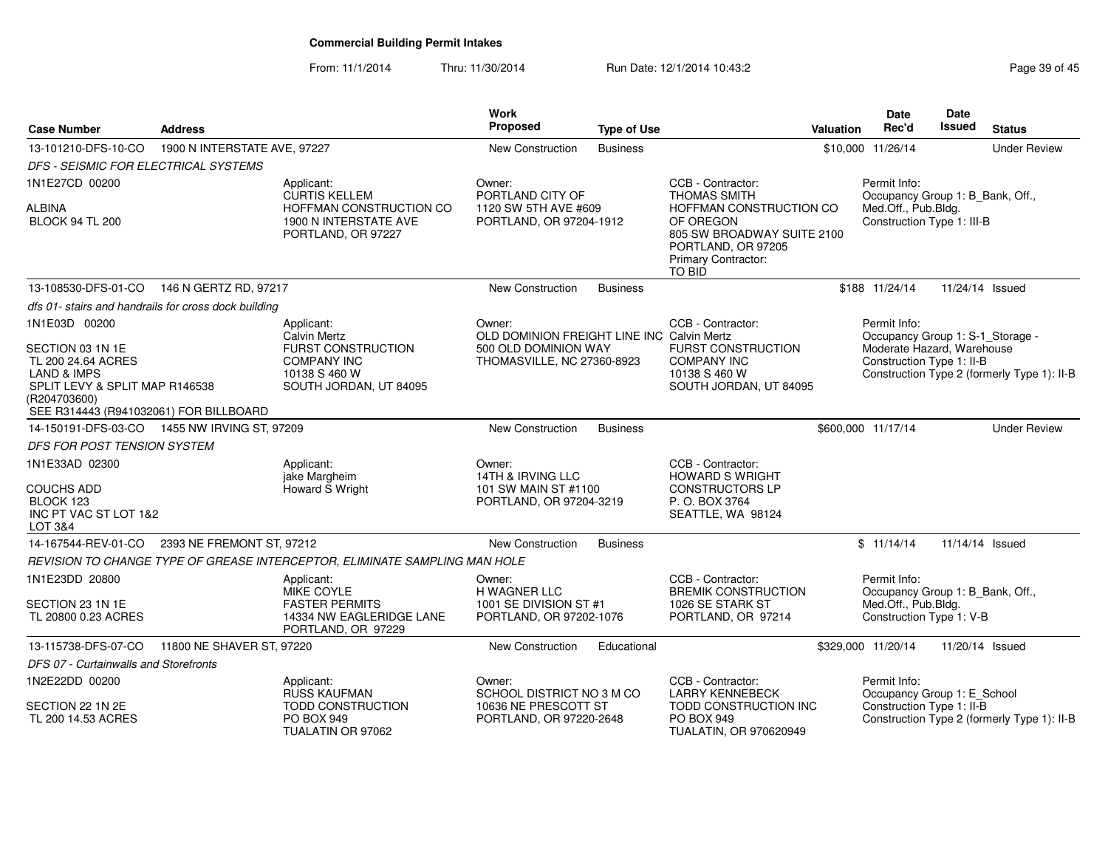From: 11/1/2014Thru: 11/30/2014 Run Date: 12/1/2014 10:43:2<br>
Page 39 of 45

| <b>Case Number</b>                                                                                                                       | <b>Address</b>                                       |                                                                            | Work<br>Proposed                                                             | <b>Type of Use</b> |                                                                                                                           | <b>Valuation</b> | Date<br>Rec'd                                                                  | <b>Date</b><br>Issued | <b>Status</b>                               |
|------------------------------------------------------------------------------------------------------------------------------------------|------------------------------------------------------|----------------------------------------------------------------------------|------------------------------------------------------------------------------|--------------------|---------------------------------------------------------------------------------------------------------------------------|------------------|--------------------------------------------------------------------------------|-----------------------|---------------------------------------------|
| 13-101210-DFS-10-CO                                                                                                                      | 1900 N INTERSTATE AVE, 97227                         |                                                                            | New Construction                                                             | <b>Business</b>    |                                                                                                                           |                  | \$10,000 11/26/14                                                              |                       | <b>Under Review</b>                         |
| DFS - SEISMIC FOR ELECTRICAL SYSTEMS                                                                                                     |                                                      |                                                                            |                                                                              |                    |                                                                                                                           |                  |                                                                                |                       |                                             |
| 1N1E27CD 00200                                                                                                                           |                                                      | Applicant:<br><b>CURTIS KELLEM</b>                                         | Owner:<br>PORTLAND CITY OF                                                   |                    | CCB - Contractor:<br><b>THOMAS SMITH</b>                                                                                  |                  | Permit Info:<br>Occupancy Group 1: B_Bank, Off.,                               |                       |                                             |
| ALBINA<br><b>BLOCK 94 TL 200</b>                                                                                                         |                                                      | HOFFMAN CONSTRUCTION CO<br>1900 N INTERSTATE AVE<br>PORTLAND, OR 97227     | 1120 SW 5TH AVE #609<br>PORTLAND, OR 97204-1912                              |                    | HOFFMAN CONSTRUCTION CO<br>OF OREGON<br>805 SW BROADWAY SUITE 2100<br>PORTLAND, OR 97205<br>Primary Contractor:<br>TO BID |                  | Med.Off., Pub.Bldg.<br>Construction Type 1: III-B                              |                       |                                             |
|                                                                                                                                          | 13-108530-DFS-01-CO 146 N GERTZ RD, 97217            |                                                                            | New Construction                                                             | <b>Business</b>    |                                                                                                                           |                  | \$188 11/24/14                                                                 | 11/24/14 Issued       |                                             |
|                                                                                                                                          | dfs 01- stairs and handrails for cross dock building |                                                                            |                                                                              |                    |                                                                                                                           |                  |                                                                                |                       |                                             |
| 1N1E03D 00200<br>SECTION 03 1N 1E                                                                                                        |                                                      | Applicant:<br><b>Calvin Mertz</b><br><b>FURST CONSTRUCTION</b>             | Owner:<br>OLD DOMINION FREIGHT LINE INC Calvin Mertz<br>500 OLD DOMINION WAY |                    | CCB - Contractor:<br><b>FURST CONSTRUCTION</b>                                                                            |                  | Permit Info:<br>Occupancy Group 1: S-1_Storage -<br>Moderate Hazard, Warehouse |                       |                                             |
| TL 200 24.64 ACRES<br><b>LAND &amp; IMPS</b><br>SPLIT LEVY & SPLIT MAP R146538<br>(R204703600)<br>SEE R314443 (R941032061) FOR BILLBOARD |                                                      | <b>COMPANY INC</b><br>10138 S 460 W<br>SOUTH JORDAN, UT 84095              | THOMASVILLE, NC 27360-8923                                                   |                    | <b>COMPANY INC</b><br>10138 S 460 W<br>SOUTH JORDAN, UT 84095                                                             |                  | Construction Type 1: II-B                                                      |                       | Construction Type 2 (formerly Type 1): II-B |
|                                                                                                                                          | 14-150191-DFS-03-CO  1455 NW IRVING ST, 97209        |                                                                            | <b>New Construction</b>                                                      | <b>Business</b>    |                                                                                                                           |                  | \$600,000 11/17/14                                                             |                       | <b>Under Review</b>                         |
| DFS FOR POST TENSION SYSTEM                                                                                                              |                                                      |                                                                            |                                                                              |                    |                                                                                                                           |                  |                                                                                |                       |                                             |
| 1N1E33AD 02300                                                                                                                           |                                                      | Applicant:                                                                 | Owner:                                                                       |                    | CCB - Contractor:                                                                                                         |                  |                                                                                |                       |                                             |
| <b>COUCHS ADD</b><br>BLOCK 123<br>INC PT VAC ST LOT 1&2<br>LOT 3&4                                                                       |                                                      | jake Margheim<br>Howard S Wright                                           | 14TH & IRVING LLC<br>101 SW MAIN ST #1100<br>PORTLAND, OR 97204-3219         |                    | <b>HOWARD S WRIGHT</b><br><b>CONSTRUCTORS LP</b><br>P. O. BOX 3764<br>SEATTLE, WA 98124                                   |                  |                                                                                |                       |                                             |
| 14-167544-REV-01-CO                                                                                                                      | 2393 NE FREMONT ST. 97212                            |                                                                            | <b>New Construction</b>                                                      | <b>Business</b>    |                                                                                                                           |                  | \$11/14/14                                                                     | 11/14/14 Issued       |                                             |
|                                                                                                                                          |                                                      | REVISION TO CHANGE TYPE OF GREASE INTERCEPTOR, ELIMINATE SAMPLING MAN HOLE |                                                                              |                    |                                                                                                                           |                  |                                                                                |                       |                                             |
| 1N1E23DD 20800                                                                                                                           |                                                      | Applicant:<br>MIKE COYLE                                                   | Owner:<br>H WAGNER LLC                                                       |                    | CCB - Contractor:<br><b>BREMIK CONSTRUCTION</b>                                                                           |                  | Permit Info:<br>Occupancy Group 1: B_Bank, Off.,                               |                       |                                             |
| SECTION 23 1N 1E<br>TL 20800 0.23 ACRES                                                                                                  |                                                      | <b>FASTER PERMITS</b><br>14334 NW EAGLERIDGE LANE<br>PORTLAND, OR 97229    | 1001 SE DIVISION ST #1<br>PORTLAND, OR 97202-1076                            |                    | 1026 SE STARK ST<br>PORTLAND, OR 97214                                                                                    |                  | Med.Off., Pub.Bldg.<br>Construction Type 1: V-B                                |                       |                                             |
| 13-115738-DFS-07-CO                                                                                                                      | 11800 NE SHAVER ST, 97220                            |                                                                            | New Construction                                                             | Educational        |                                                                                                                           |                  | \$329,000 11/20/14                                                             | 11/20/14 Issued       |                                             |
| DFS 07 - Curtainwalls and Storefronts                                                                                                    |                                                      |                                                                            |                                                                              |                    |                                                                                                                           |                  |                                                                                |                       |                                             |
| 1N2E22DD 00200                                                                                                                           |                                                      | Applicant:<br><b>RUSS KAUFMAN</b>                                          | Owner:<br>SCHOOL DISTRICT NO 3 M CO                                          |                    | CCB - Contractor:<br><b>LARRY KENNEBECK</b>                                                                               |                  | Permit Info:<br>Occupancy Group 1: E School                                    |                       |                                             |
| SECTION 22 1N 2E<br>TL 200 14.53 ACRES                                                                                                   |                                                      | <b>TODD CONSTRUCTION</b><br><b>PO BOX 949</b><br>TUALATIN OR 97062         | 10636 NE PRESCOTT ST<br>PORTLAND, OR 97220-2648                              |                    | TODD CONSTRUCTION INC<br>PO BOX 949<br>TUALATIN, OR 970620949                                                             |                  | Construction Type 1: II-B                                                      |                       | Construction Type 2 (formerly Type 1): II-B |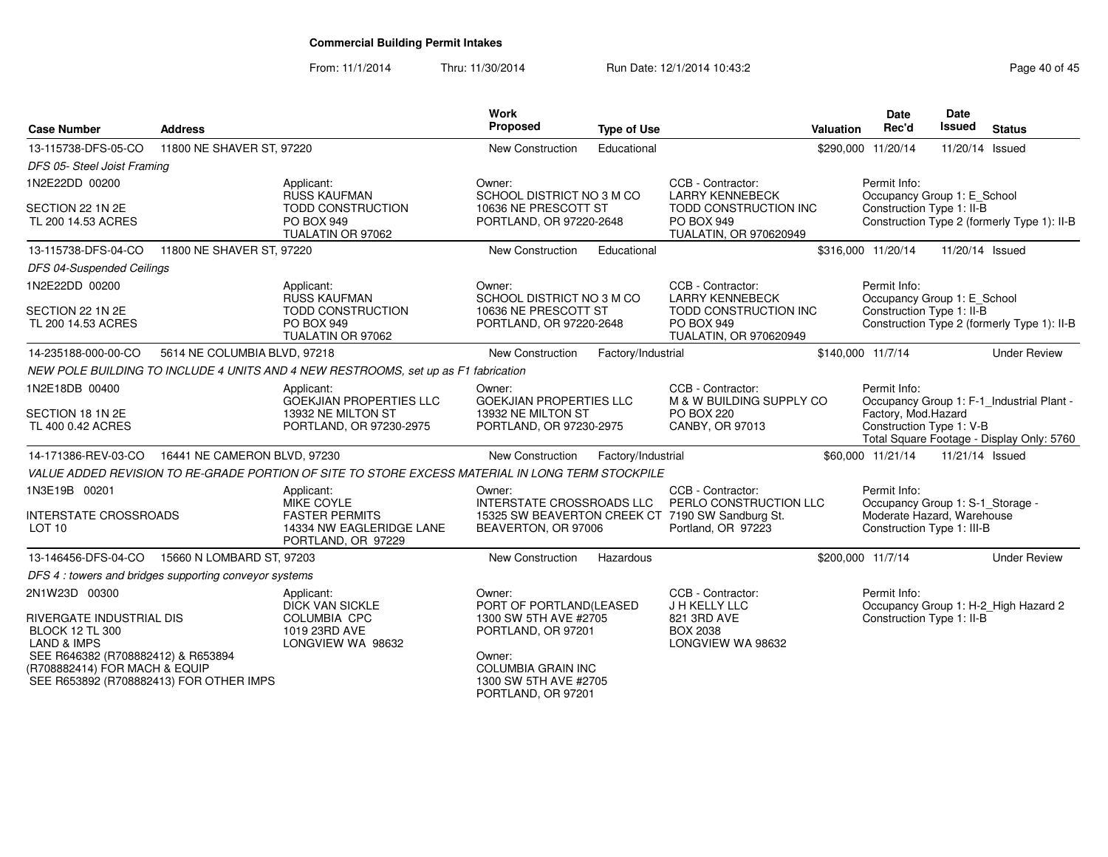From: 11/1/2014Thru: 11/30/2014 Run Date: 12/1/2014 10:43:2<br>
Page 40 of 45

| <b>Case Number</b>                                                                                                                                                   | <b>Address</b>                                        |                                                                                                            | Work<br>Proposed                                                                                                                                                       | <b>Type of Use</b> |                                                                                                                       | Valuation | <b>Date</b><br>Rec'd                                                                                         | Date<br>Issued  | <b>Status</b>                                                                          |
|----------------------------------------------------------------------------------------------------------------------------------------------------------------------|-------------------------------------------------------|------------------------------------------------------------------------------------------------------------|------------------------------------------------------------------------------------------------------------------------------------------------------------------------|--------------------|-----------------------------------------------------------------------------------------------------------------------|-----------|--------------------------------------------------------------------------------------------------------------|-----------------|----------------------------------------------------------------------------------------|
| 13-115738-DFS-05-CO                                                                                                                                                  | 11800 NE SHAVER ST, 97220                             |                                                                                                            | <b>New Construction</b>                                                                                                                                                | Educational        |                                                                                                                       |           | \$290,000 11/20/14                                                                                           | 11/20/14 Issued |                                                                                        |
| DFS 05- Steel Joist Framing                                                                                                                                          |                                                       |                                                                                                            |                                                                                                                                                                        |                    |                                                                                                                       |           |                                                                                                              |                 |                                                                                        |
| 1N2E22DD 00200<br>SECTION 22 1N 2E<br>TL 200 14.53 ACRES                                                                                                             |                                                       | Applicant:<br><b>RUSS KAUFMAN</b><br><b>TODD CONSTRUCTION</b><br>PO BOX 949<br>TUALATIN OR 97062           | Owner:<br>SCHOOL DISTRICT NO 3 M CO<br>10636 NE PRESCOTT ST<br>PORTLAND, OR 97220-2648                                                                                 |                    | CCB - Contractor:<br><b>LARRY KENNEBECK</b><br>TODD CONSTRUCTION INC<br>PO BOX 949<br>TUALATIN, OR 970620949          |           | Permit Info:<br>Occupancy Group 1: E_School<br>Construction Type 1: II-B                                     |                 | Construction Type 2 (formerly Type 1): II-B                                            |
| 13-115738-DFS-04-CO                                                                                                                                                  | 11800 NE SHAVER ST, 97220                             |                                                                                                            | <b>New Construction</b>                                                                                                                                                | Educational        |                                                                                                                       |           | \$316,000 11/20/14                                                                                           | 11/20/14 Issued |                                                                                        |
| DFS 04-Suspended Ceilings                                                                                                                                            |                                                       |                                                                                                            |                                                                                                                                                                        |                    |                                                                                                                       |           |                                                                                                              |                 |                                                                                        |
| 1N2E22DD 00200<br>SECTION 22 1N 2E<br>TL 200 14.53 ACRES                                                                                                             |                                                       | Applicant:<br><b>RUSS KAUFMAN</b><br><b>TODD CONSTRUCTION</b><br>PO BOX 949<br>TUALATIN OR 97062           | Owner:<br>SCHOOL DISTRICT NO 3 M CO<br>10636 NE PRESCOTT ST<br>PORTLAND, OR 97220-2648                                                                                 |                    | CCB - Contractor:<br><b>LARRY KENNEBECK</b><br>TODD CONSTRUCTION INC<br><b>PO BOX 949</b><br>TUALATIN, OR 970620949   |           | Permit Info:<br>Occupancy Group 1: E_School<br>Construction Type 1: II-B                                     |                 | Construction Type 2 (formerly Type 1): II-B                                            |
| 14-235188-000-00-CO                                                                                                                                                  | 5614 NE COLUMBIA BLVD, 97218                          |                                                                                                            | New Construction                                                                                                                                                       | Factory/Industrial |                                                                                                                       |           | \$140,000 11/7/14                                                                                            |                 | <b>Under Review</b>                                                                    |
|                                                                                                                                                                      |                                                       | NEW POLE BUILDING TO INCLUDE 4 UNITS AND 4 NEW RESTROOMS, set up as F1 fabrication                         |                                                                                                                                                                        |                    |                                                                                                                       |           |                                                                                                              |                 |                                                                                        |
| 1N2E18DB 00400<br>SECTION 18 1N 2E<br>TL 400 0.42 ACRES                                                                                                              |                                                       | Applicant:<br><b>GOEKJIAN PROPERTIES LLC</b><br>13932 NE MILTON ST<br>PORTLAND, OR 97230-2975              | Owner:<br><b>GOEKJIAN PROPERTIES LLC</b><br>13932 NE MILTON ST<br>PORTLAND, OR 97230-2975                                                                              |                    | CCB - Contractor:<br>M & W BUILDING SUPPLY CO<br><b>PO BOX 220</b><br>CANBY, OR 97013                                 |           | Permit Info:<br>Factory, Mod.Hazard<br>Construction Type 1: V-B                                              |                 | Occupancy Group 1: F-1_Industrial Plant -<br>Total Square Footage - Display Only: 5760 |
| 14-171386-REV-03-CO                                                                                                                                                  | 16441 NE CAMERON BLVD, 97230                          |                                                                                                            | <b>New Construction</b>                                                                                                                                                | Factory/Industrial |                                                                                                                       |           | \$60,000 11/21/14                                                                                            | 11/21/14 Issued |                                                                                        |
|                                                                                                                                                                      |                                                       | VALUE ADDED REVISION TO RE-GRADE PORTION OF SITE TO STORE EXCESS MATERIAL IN LONG TERM STOCKPILE           |                                                                                                                                                                        |                    |                                                                                                                       |           |                                                                                                              |                 |                                                                                        |
| 1N3E19B 00201<br>INTERSTATE CROSSROADS<br>LOT <sub>10</sub>                                                                                                          |                                                       | Applicant:<br><b>MIKE COYLE</b><br><b>FASTER PERMITS</b><br>14334 NW EAGLERIDGE LANE<br>PORTLAND, OR 97229 | Owner:<br><b>INTERSTATE CROSSROADS LLC</b><br>BEAVERTON, OR 97006                                                                                                      |                    | CCB - Contractor:<br>PERLO CONSTRUCTION LLC<br>15325 SW BEAVERTON CREEK CT 7190 SW Sandburg St.<br>Portland, OR 97223 |           | Permit Info:<br>Occupancy Group 1: S-1_Storage -<br>Moderate Hazard. Warehouse<br>Construction Type 1: III-B |                 |                                                                                        |
| 13-146456-DFS-04-CO                                                                                                                                                  | 15660 N LOMBARD ST, 97203                             |                                                                                                            | New Construction                                                                                                                                                       | Hazardous          |                                                                                                                       |           | \$200,000 11/7/14                                                                                            |                 | <b>Under Review</b>                                                                    |
|                                                                                                                                                                      | DFS 4: towers and bridges supporting conveyor systems |                                                                                                            |                                                                                                                                                                        |                    |                                                                                                                       |           |                                                                                                              |                 |                                                                                        |
| 2N1W23D 00300<br>RIVERGATE INDUSTRIAL DIS<br><b>BLOCK 12 TL 300</b><br><b>LAND &amp; IMPS</b><br>SEE R646382 (R708882412) & R653894<br>(R708882414) FOR MACH & EQUIP | SEE R653892 (R708882413) FOR OTHER IMPS               | Applicant:<br><b>DICK VAN SICKLE</b><br><b>COLUMBIA CPC</b><br>1019 23RD AVE<br>LONGVIEW WA 98632          | Owner:<br>PORT OF PORTLAND(LEASED<br>1300 SW 5TH AVE #2705<br>PORTLAND, OR 97201<br>Owner:<br><b>COLUMBIA GRAIN INC</b><br>1300 SW 5TH AVE #2705<br>PORTLAND, OR 97201 |                    | CCB - Contractor:<br>J H KELLY LLC<br>821 3RD AVE<br><b>BOX 2038</b><br>LONGVIEW WA 98632                             |           | Permit Info:<br>Construction Type 1: II-B                                                                    |                 | Occupancy Group 1: H-2_High Hazard 2                                                   |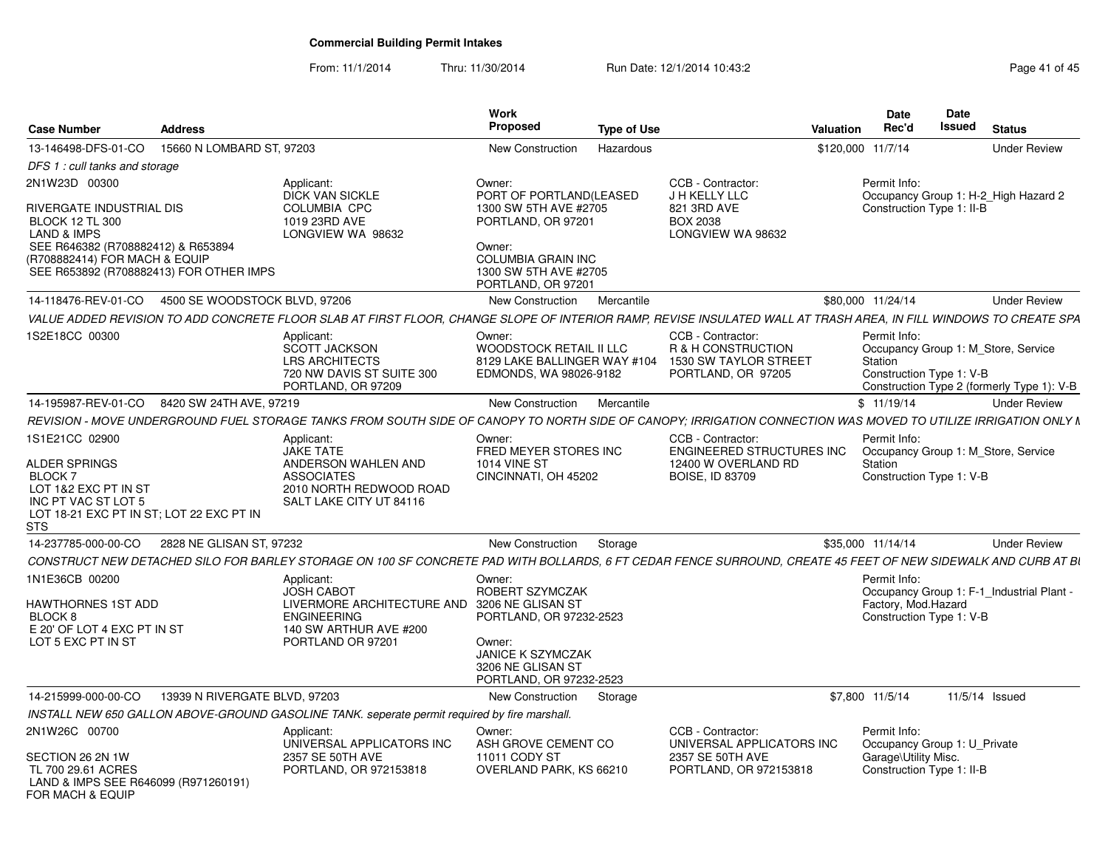From: 11/1/2014Thru: 11/30/2014 Run Date: 12/1/2014 10:43:2<br>
Page 41 of 45

| <b>Case Number</b>                                                                                                                      | <b>Address</b>                                    |                                                                                                                                                                   | <b>Work</b><br>Proposed                                                                     | <b>Type of Use</b> |                                                                                        | <b>Valuation</b>  | <b>Date</b><br>Rec'd                                       | <b>Date</b><br><b>Issued</b> | <b>Status</b>                                                                     |
|-----------------------------------------------------------------------------------------------------------------------------------------|---------------------------------------------------|-------------------------------------------------------------------------------------------------------------------------------------------------------------------|---------------------------------------------------------------------------------------------|--------------------|----------------------------------------------------------------------------------------|-------------------|------------------------------------------------------------|------------------------------|-----------------------------------------------------------------------------------|
| 13-146498-DFS-01-CO                                                                                                                     | 15660 N LOMBARD ST, 97203                         |                                                                                                                                                                   | New Construction                                                                            | Hazardous          |                                                                                        | \$120,000 11/7/14 |                                                            |                              | <b>Under Review</b>                                                               |
| DFS 1: cull tanks and storage                                                                                                           |                                                   |                                                                                                                                                                   |                                                                                             |                    |                                                                                        |                   |                                                            |                              |                                                                                   |
| 2N1W23D 00300                                                                                                                           |                                                   | Applicant:<br><b>DICK VAN SICKLE</b>                                                                                                                              | Owner:<br>PORT OF PORTLAND(LEASED                                                           |                    | CCB - Contractor:<br>J H KELLY LLC                                                     |                   | Permit Info:                                               |                              | Occupancy Group 1: H-2 High Hazard 2                                              |
| <b>RIVERGATE INDUSTRIAL DIS</b><br><b>BLOCK 12 TL 300</b><br>LAND & IMPS                                                                |                                                   | <b>COLUMBIA CPC</b><br>1019 23RD AVE<br>LONGVIEW WA 98632                                                                                                         | 1300 SW 5TH AVE #2705<br>PORTLAND, OR 97201<br>Owner:                                       |                    | 821 3RD AVE<br><b>BOX 2038</b><br>LONGVIEW WA 98632                                    |                   | Construction Type 1: II-B                                  |                              |                                                                                   |
| SEE R646382 (R708882412) & R653894<br>(R708882414) FOR MACH & EQUIP                                                                     | SEE R653892 (R708882413) FOR OTHER IMPS           |                                                                                                                                                                   | <b>COLUMBIA GRAIN INC</b><br>1300 SW 5TH AVE #2705<br>PORTLAND, OR 97201                    |                    |                                                                                        |                   |                                                            |                              |                                                                                   |
|                                                                                                                                         | 14-118476-REV-01-CO 4500 SE WOODSTOCK BLVD, 97206 |                                                                                                                                                                   | New Construction                                                                            | Mercantile         |                                                                                        |                   | \$80,000 11/24/14                                          |                              | <b>Under Review</b>                                                               |
|                                                                                                                                         |                                                   | VALUE ADDED REVISION TO ADD CONCRETE FLOOR SLAB AT FIRST FLOOR, CHANGE SLOPE OF INTERIOR RAMP, REVISE INSULATED WALL AT TRASH AREA, IN FILL WINDOWS TO CREATE SPA |                                                                                             |                    |                                                                                        |                   |                                                            |                              |                                                                                   |
| 1S2E18CC 00300                                                                                                                          |                                                   | Applicant:<br><b>SCOTT JACKSON</b><br><b>LRS ARCHITECTS</b><br>720 NW DAVIS ST SUITE 300<br>PORTLAND, OR 97209                                                    | Owner:<br>WOODSTOCK RETAIL II LLC<br>8129 LAKE BALLINGER WAY #104<br>EDMONDS, WA 98026-9182 |                    | CCB - Contractor:<br>R & H CONSTRUCTION<br>1530 SW TAYLOR STREET<br>PORTLAND, OR 97205 |                   | Permit Info:<br><b>Station</b><br>Construction Type 1: V-B |                              | Occupancy Group 1: M Store, Service<br>Construction Type 2 (formerly Type 1): V-B |
|                                                                                                                                         | 14-195987-REV-01-CO 8420 SW 24TH AVE, 97219       |                                                                                                                                                                   | New Construction                                                                            | Mercantile         |                                                                                        |                   | \$11/19/14                                                 |                              | <b>Under Review</b>                                                               |
|                                                                                                                                         |                                                   | REVISION - MOVE UNDERGROUND FUEL STORAGE TANKS FROM SOUTH SIDE OF CANOPY TO NORTH SIDE OF CANOPY; IRRIGATION CONNECTION WAS MOVED TO UTILIZE IRRIGATION ONLY N    |                                                                                             |                    |                                                                                        |                   |                                                            |                              |                                                                                   |
| 1S1E21CC 02900                                                                                                                          |                                                   | Applicant:<br><b>JAKE TATE</b>                                                                                                                                    | Owner:<br>FRED MEYER STORES INC                                                             |                    | CCB - Contractor:<br>ENGINEERED STRUCTURES INC                                         |                   | Permit Info:                                               |                              | Occupancy Group 1: M Store, Service                                               |
| ALDER SPRINGS<br><b>BLOCK7</b><br>LOT 1&2 EXC PT IN ST<br>INC PT VAC ST LOT 5<br>LOT 18-21 EXC PT IN ST; LOT 22 EXC PT IN<br><b>STS</b> |                                                   | ANDERSON WAHLEN AND<br><b>ASSOCIATES</b><br>2010 NORTH REDWOOD ROAD<br>SALT LAKE CITY UT 84116                                                                    | <b>1014 VINE ST</b><br>CINCINNATI, OH 45202                                                 |                    | 12400 W OVERLAND RD<br><b>BOISE, ID 83709</b>                                          |                   | Station<br>Construction Type 1: V-B                        |                              |                                                                                   |
| 14-237785-000-00-CO                                                                                                                     | 2828 NE GLISAN ST, 97232                          |                                                                                                                                                                   | New Construction                                                                            | Storage            |                                                                                        |                   | \$35,000 11/14/14                                          |                              | <b>Under Review</b>                                                               |
|                                                                                                                                         |                                                   | CONSTRUCT NEW DETACHED SILO FOR BARLEY STORAGE ON 100 SF CONCRETE PAD WITH BOLLARDS, 6 FT CEDAR FENCE SURROUND, CREATE 45 FEET OF NEW SIDEWALK AND CURB AT BI     |                                                                                             |                    |                                                                                        |                   |                                                            |                              |                                                                                   |
| 1N1E36CB 00200                                                                                                                          |                                                   | Applicant:<br><b>JOSH CABOT</b>                                                                                                                                   | Owner:<br>ROBERT SZYMCZAK                                                                   |                    |                                                                                        |                   | Permit Info:<br>Factory, Mod.Hazard                        |                              | Occupancy Group 1: F-1_Industrial Plant -                                         |
| HAWTHORNES 1ST ADD<br>BLOCK 8<br>E 20' OF LOT 4 EXC PT IN ST                                                                            |                                                   | LIVERMORE ARCHITECTURE AND 3206 NE GLISAN ST<br><b>ENGINEERING</b><br>140 SW ARTHUR AVE #200                                                                      | PORTLAND, OR 97232-2523                                                                     |                    |                                                                                        |                   | Construction Type 1: V-B                                   |                              |                                                                                   |
| LOT 5 EXC PT IN ST                                                                                                                      |                                                   | PORTLAND OR 97201                                                                                                                                                 | Owner:<br><b>JANICE K SZYMCZAK</b><br>3206 NE GLISAN ST<br>PORTLAND, OR 97232-2523          |                    |                                                                                        |                   |                                                            |                              |                                                                                   |
| 14-215999-000-00-CO                                                                                                                     | 13939 N RIVERGATE BLVD, 97203                     |                                                                                                                                                                   | New Construction                                                                            | Storage            |                                                                                        |                   | \$7,800 11/5/14                                            |                              | 11/5/14 Issued                                                                    |
|                                                                                                                                         |                                                   | INSTALL NEW 650 GALLON ABOVE-GROUND GASOLINE TANK. seperate permit required by fire marshall.                                                                     |                                                                                             |                    |                                                                                        |                   |                                                            |                              |                                                                                   |
| 2N1W26C 00700                                                                                                                           |                                                   | Applicant:<br>UNIVERSAL APPLICATORS INC                                                                                                                           | Owner:<br>ASH GROVE CEMENT CO                                                               |                    | CCB - Contractor:<br>UNIVERSAL APPLICATORS INC                                         |                   | Permit Info:<br>Occupancy Group 1: U Private               |                              |                                                                                   |
| SECTION 26 2N 1W<br>TL 700 29.61 ACRES<br>LAND & IMPS SEE R646099 (R971260191)<br>FOR MACH & EQUIP                                      |                                                   | 2357 SE 50TH AVE<br>PORTLAND, OR 972153818                                                                                                                        | 11011 CODY ST<br>OVERLAND PARK, KS 66210                                                    |                    | 2357 SE 50TH AVE<br>PORTLAND, OR 972153818                                             |                   | Garage\Utility Misc.<br>Construction Type 1: II-B          |                              |                                                                                   |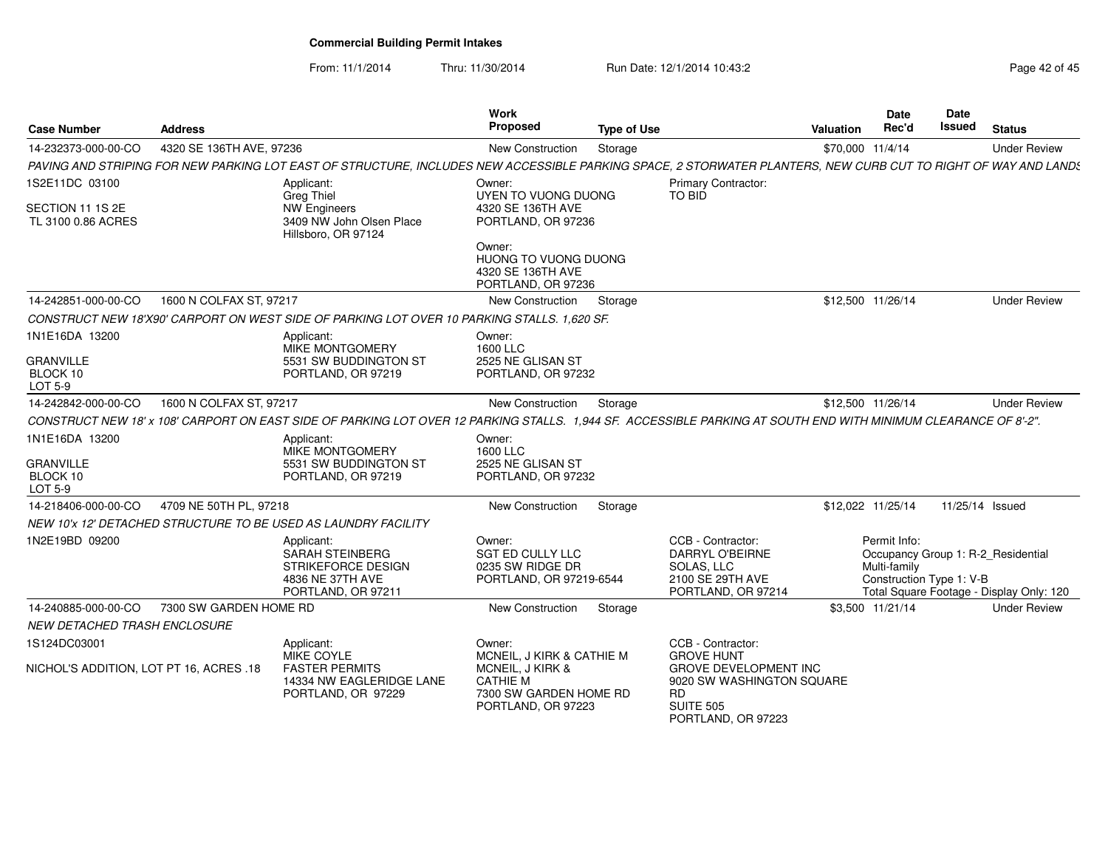From: 11/1/2014Thru: 11/30/2014 Run Date: 12/1/2014 10:43:2<br> **Thru: 11/30/2014** Page 42 of 45

| <b>Case Number</b>                      | <b>Address</b>           |                                                                                                                                                                 | <b>Work</b><br>Proposed                                                             | <b>Type of Use</b> |                                                                                                                  | <b>Valuation</b> | Date<br>Rec'd                                            | Date<br>Issued  | <b>Status</b>                                                                  |
|-----------------------------------------|--------------------------|-----------------------------------------------------------------------------------------------------------------------------------------------------------------|-------------------------------------------------------------------------------------|--------------------|------------------------------------------------------------------------------------------------------------------|------------------|----------------------------------------------------------|-----------------|--------------------------------------------------------------------------------|
| 14-232373-000-00-CO                     | 4320 SE 136TH AVE, 97236 |                                                                                                                                                                 | <b>New Construction</b>                                                             | Storage            |                                                                                                                  | \$70,000 11/4/14 |                                                          |                 | <b>Under Review</b>                                                            |
|                                         |                          | PAVING AND STRIPING FOR NEW PARKING LOT EAST OF STRUCTURE, INCLUDES NEW ACCESSIBLE PARKING SPACE, 2 STORWATER PLANTERS, NEW CURB CUT TO RIGHT OF WAY AND LANDS  |                                                                                     |                    |                                                                                                                  |                  |                                                          |                 |                                                                                |
| 1S2E11DC 03100                          |                          | Applicant:<br><b>Greg Thiel</b>                                                                                                                                 | Owner:<br>UYEN TO VUONG DUONG                                                       |                    | Primary Contractor:<br><b>TO BID</b>                                                                             |                  |                                                          |                 |                                                                                |
| SECTION 11 1S 2E<br>TL 3100 0.86 ACRES  |                          | <b>NW Engineers</b><br>3409 NW John Olsen Place<br>Hillsboro, OR 97124                                                                                          | 4320 SE 136TH AVE<br>PORTLAND, OR 97236                                             |                    |                                                                                                                  |                  |                                                          |                 |                                                                                |
|                                         |                          |                                                                                                                                                                 | Owner:<br>HUONG TO VUONG DUONG<br>4320 SE 136TH AVE<br>PORTLAND, OR 97236           |                    |                                                                                                                  |                  |                                                          |                 |                                                                                |
| 14-242851-000-00-CO                     | 1600 N COLFAX ST, 97217  |                                                                                                                                                                 | <b>New Construction</b>                                                             | Storage            |                                                                                                                  |                  | \$12,500 11/26/14                                        |                 | <b>Under Review</b>                                                            |
|                                         |                          | CONSTRUCT NEW 18'X90' CARPORT ON WEST SIDE OF PARKING LOT OVER 10 PARKING STALLS. 1,620 SF.                                                                     |                                                                                     |                    |                                                                                                                  |                  |                                                          |                 |                                                                                |
| 1N1E16DA 13200                          |                          | Applicant:<br>MIKE MONTGOMERY                                                                                                                                   | Owner:<br>1600 LLC                                                                  |                    |                                                                                                                  |                  |                                                          |                 |                                                                                |
| <b>GRANVILLE</b><br>BLOCK 10<br>LOT 5-9 |                          | 5531 SW BUDDINGTON ST<br>PORTLAND, OR 97219                                                                                                                     | 2525 NE GLISAN ST<br>PORTLAND, OR 97232                                             |                    |                                                                                                                  |                  |                                                          |                 |                                                                                |
| 14-242842-000-00-CO                     | 1600 N COLFAX ST, 97217  |                                                                                                                                                                 | New Construction                                                                    | Storage            |                                                                                                                  |                  | \$12,500 11/26/14                                        |                 | <b>Under Review</b>                                                            |
|                                         |                          | CONSTRUCT NEW 18' x 108' CARPORT ON EAST SIDE OF PARKING LOT OVER 12 PARKING STALLS. 1,944 SF. ACCESSIBLE PARKING AT SOUTH END WITH MINIMUM CLEARANCE OF 8'-2". |                                                                                     |                    |                                                                                                                  |                  |                                                          |                 |                                                                                |
| 1N1E16DA 13200                          |                          | Applicant:<br>MIKE MONTGOMERY                                                                                                                                   | Owner:<br>1600 LLC                                                                  |                    |                                                                                                                  |                  |                                                          |                 |                                                                                |
| <b>GRANVILLE</b><br>BLOCK 10<br>LOT 5-9 |                          | 5531 SW BUDDINGTON ST<br>PORTLAND, OR 97219                                                                                                                     | 2525 NE GLISAN ST<br>PORTLAND, OR 97232                                             |                    |                                                                                                                  |                  |                                                          |                 |                                                                                |
| 14-218406-000-00-CO                     | 4709 NE 50TH PL, 97218   |                                                                                                                                                                 | <b>New Construction</b>                                                             | Storage            |                                                                                                                  |                  | \$12,022 11/25/14                                        | 11/25/14 Issued |                                                                                |
|                                         |                          | NEW 10'x 12' DETACHED STRUCTURE TO BE USED AS LAUNDRY FACILITY                                                                                                  |                                                                                     |                    |                                                                                                                  |                  |                                                          |                 |                                                                                |
| 1N2E19BD 09200                          |                          | Applicant:<br><b>SARAH STEINBERG</b><br>STRIKEFORCE DESIGN<br>4836 NE 37TH AVE<br>PORTLAND, OR 97211                                                            | Owner:<br><b>SGT ED CULLY LLC</b><br>0235 SW RIDGE DR<br>PORTLAND, OR 97219-6544    |                    | CCB - Contractor:<br><b>DARRYL O'BEIRNE</b><br>SOLAS, LLC<br>2100 SE 29TH AVE<br>PORTLAND, OR 97214              |                  | Permit Info:<br>Multi-family<br>Construction Type 1: V-B |                 | Occupancy Group 1: R-2 Residential<br>Total Square Footage - Display Only: 120 |
| 14-240885-000-00-CO                     | 7300 SW GARDEN HOME RD   |                                                                                                                                                                 | <b>New Construction</b>                                                             | Storage            |                                                                                                                  |                  | \$3.500 11/21/14                                         |                 | <b>Under Review</b>                                                            |
| NEW DETACHED TRASH ENCLOSURE            |                          |                                                                                                                                                                 |                                                                                     |                    |                                                                                                                  |                  |                                                          |                 |                                                                                |
| 1S124DC03001                            |                          | Applicant:<br>MIKE COYLE                                                                                                                                        | Owner:<br>MCNEIL, J KIRK & CATHIE M                                                 |                    | CCB - Contractor:<br><b>GROVE HUNT</b>                                                                           |                  |                                                          |                 |                                                                                |
| NICHOL'S ADDITION, LOT PT 16, ACRES .18 |                          | <b>FASTER PERMITS</b><br>14334 NW EAGLERIDGE LANE<br>PORTLAND, OR 97229                                                                                         | MCNEIL, J KIRK &<br><b>CATHIE M</b><br>7300 SW GARDEN HOME RD<br>PORTLAND, OR 97223 |                    | <b>GROVE DEVELOPMENT INC</b><br>9020 SW WASHINGTON SQUARE<br><b>RD</b><br><b>SUITE 505</b><br>PORTLAND, OR 97223 |                  |                                                          |                 |                                                                                |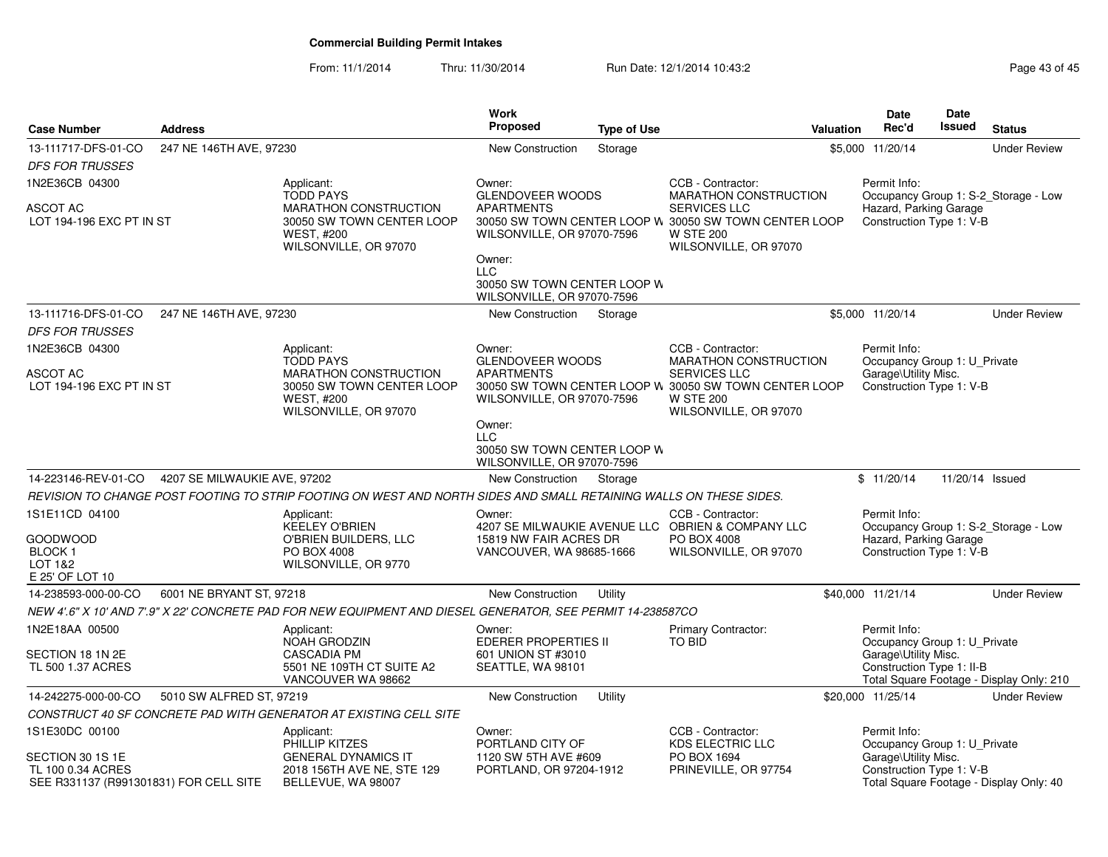From: 11/1/2014Thru: 11/30/2014 Run Date: 12/1/2014 10:43:2<br>
Page 43 of 45

|                                                                                 |                              |                                                                                                                             | Work                                                                              |                    |                                                                                                                                                    | <b>Date</b>                                                                      | Date            |                                          |
|---------------------------------------------------------------------------------|------------------------------|-----------------------------------------------------------------------------------------------------------------------------|-----------------------------------------------------------------------------------|--------------------|----------------------------------------------------------------------------------------------------------------------------------------------------|----------------------------------------------------------------------------------|-----------------|------------------------------------------|
| <b>Case Number</b>                                                              | <b>Address</b>               |                                                                                                                             | <b>Proposed</b>                                                                   | <b>Type of Use</b> | <b>Valuation</b>                                                                                                                                   | Rec'd                                                                            | <b>Issued</b>   | <b>Status</b>                            |
| 13-111717-DFS-01-CO                                                             | 247 NE 146TH AVE, 97230      |                                                                                                                             | <b>New Construction</b>                                                           | Storage            |                                                                                                                                                    | \$5,000 11/20/14                                                                 |                 | <b>Under Review</b>                      |
| <b>DFS FOR TRUSSES</b>                                                          |                              |                                                                                                                             |                                                                                   |                    |                                                                                                                                                    |                                                                                  |                 |                                          |
| 1N2E36CB 04300                                                                  |                              | Applicant:<br><b>TODD PAYS</b>                                                                                              | Owner:<br><b>GLENDOVEER WOODS</b>                                                 |                    | CCB - Contractor:<br><b>MARATHON CONSTRUCTION</b>                                                                                                  | Permit Info:                                                                     |                 | Occupancy Group 1: S-2_Storage - Low     |
| ASCOT AC<br>LOT 194-196 EXC PT IN ST                                            |                              | MARATHON CONSTRUCTION<br>30050 SW TOWN CENTER LOOP<br><b>WEST, #200</b><br>WILSONVILLE, OR 97070                            | <b>APARTMENTS</b><br>WILSONVILLE, OR 97070-7596                                   |                    | SERVICES LLC<br>30050 SW TOWN CENTER LOOP W 30050 SW TOWN CENTER LOOP<br><b>W STE 200</b><br>WILSONVILLE, OR 97070                                 | Hazard, Parking Garage<br>Construction Type 1: V-B                               |                 |                                          |
|                                                                                 |                              |                                                                                                                             | Owner:<br><b>LLC</b><br>30050 SW TOWN CENTER LOOP W<br>WILSONVILLE, OR 97070-7596 |                    |                                                                                                                                                    |                                                                                  |                 |                                          |
| 13-111716-DFS-01-CO<br><b>DFS FOR TRUSSES</b>                                   | 247 NE 146TH AVE, 97230      |                                                                                                                             | New Construction                                                                  | Storage            |                                                                                                                                                    | \$5,000 11/20/14                                                                 |                 | <b>Under Review</b>                      |
| 1N2E36CB 04300                                                                  |                              | Applicant:                                                                                                                  | Owner:                                                                            |                    | CCB - Contractor:                                                                                                                                  | Permit Info:                                                                     |                 |                                          |
| <b>ASCOT AC</b><br>LOT 194-196 EXC PT IN ST                                     |                              | <b>TODD PAYS</b><br><b>MARATHON CONSTRUCTION</b><br>30050 SW TOWN CENTER LOOP<br><b>WEST, #200</b><br>WILSONVILLE, OR 97070 | <b>GLENDOVEER WOODS</b><br><b>APARTMENTS</b><br>WILSONVILLE, OR 97070-7596        |                    | MARATHON CONSTRUCTION<br><b>SERVICES LLC</b><br>30050 SW TOWN CENTER LOOP W 30050 SW TOWN CENTER LOOP<br><b>W STE 200</b><br>WILSONVILLE, OR 97070 | Occupancy Group 1: U_Private<br>Garage\Utility Misc.<br>Construction Type 1: V-B |                 |                                          |
|                                                                                 |                              |                                                                                                                             | Owner:<br><b>LLC</b><br>30050 SW TOWN CENTER LOOP W<br>WILSONVILLE, OR 97070-7596 |                    |                                                                                                                                                    |                                                                                  |                 |                                          |
| 14-223146-REV-01-CO                                                             | 4207 SE MILWAUKIE AVE, 97202 |                                                                                                                             | New Construction                                                                  | Storage            |                                                                                                                                                    | \$11/20/14                                                                       | 11/20/14 Issued |                                          |
|                                                                                 |                              | REVISION TO CHANGE POST FOOTING TO STRIP FOOTING ON WEST AND NORTH SIDES AND SMALL RETAINING WALLS ON THESE SIDES.          |                                                                                   |                    |                                                                                                                                                    |                                                                                  |                 |                                          |
| 1S1E11CD 04100                                                                  |                              | Applicant:<br><b>KEELEY O'BRIEN</b>                                                                                         | Owner:                                                                            |                    | CCB - Contractor:<br>4207 SE MILWAUKIE AVENUE LLC OBRIEN & COMPANY LLC                                                                             | Permit Info:                                                                     |                 | Occupancy Group 1: S-2_Storage - Low     |
| GOODWOOD<br><b>BLOCK1</b><br>LOT 1&2<br>E 25' OF LOT 10                         |                              | O'BRIEN BUILDERS, LLC<br>PO BOX 4008<br>WILSONVILLE, OR 9770                                                                | 15819 NW FAIR ACRES DR<br>VANCOUVER, WA 98685-1666                                |                    | PO BOX 4008<br>WILSONVILLE, OR 97070                                                                                                               | Hazard, Parking Garage<br>Construction Type 1: V-B                               |                 |                                          |
| 14-238593-000-00-CO                                                             | 6001 NE BRYANT ST, 97218     |                                                                                                                             | <b>New Construction</b>                                                           | Utility            |                                                                                                                                                    | \$40,000 11/21/14                                                                |                 | <b>Under Review</b>                      |
|                                                                                 |                              | NEW 4'.6" X 10' AND 7'.9" X 22' CONCRETE PAD FOR NEW EQUIPMENT AND DIESEL GENERATOR, SEE PERMIT 14-238587CO                 |                                                                                   |                    |                                                                                                                                                    |                                                                                  |                 |                                          |
| 1N2E18AA 00500                                                                  |                              | Applicant:<br>NOAH GRODZIN                                                                                                  | Owner:<br><b>EDERER PROPERTIES II</b>                                             |                    | Primary Contractor:<br><b>TO BID</b>                                                                                                               | Permit Info:<br>Occupancy Group 1: U_Private                                     |                 |                                          |
| SECTION 18 1N 2E<br>TL 500 1.37 ACRES                                           |                              | <b>CASCADIA PM</b><br>5501 NE 109TH CT SUITE A2<br>VANCOUVER WA 98662                                                       | 601 UNION ST #3010<br>SEATTLE, WA 98101                                           |                    |                                                                                                                                                    | Garage\Utility Misc.<br>Construction Type 1: II-B                                |                 | Total Square Footage - Display Only: 210 |
| 14-242275-000-00-CO                                                             | 5010 SW ALFRED ST, 97219     |                                                                                                                             | <b>New Construction</b>                                                           | Utility            |                                                                                                                                                    | \$20,000 11/25/14                                                                |                 | <b>Under Review</b>                      |
|                                                                                 |                              | CONSTRUCT 40 SF CONCRETE PAD WITH GENERATOR AT EXISTING CELL SITE                                                           |                                                                                   |                    |                                                                                                                                                    |                                                                                  |                 |                                          |
| 1S1E30DC 00100                                                                  |                              | Applicant:<br>PHILLIP KITZES                                                                                                | Owner:<br>PORTLAND CITY OF                                                        |                    | CCB - Contractor:<br><b>KDS ELECTRIC LLC</b>                                                                                                       | Permit Info:<br>Occupancy Group 1: U_Private                                     |                 |                                          |
| SECTION 30 1S 1E<br>TL 100 0.34 ACRES<br>SEE R331137 (R991301831) FOR CELL SITE |                              | <b>GENERAL DYNAMICS IT</b><br>2018 156TH AVE NE, STE 129<br>BELLEVUE, WA 98007                                              | 1120 SW 5TH AVE #609<br>PORTLAND, OR 97204-1912                                   |                    | PO BOX 1694<br>PRINEVILLE, OR 97754                                                                                                                | Garage\Utility Misc.<br>Construction Type 1: V-B                                 |                 | Total Square Footage - Display Only: 40  |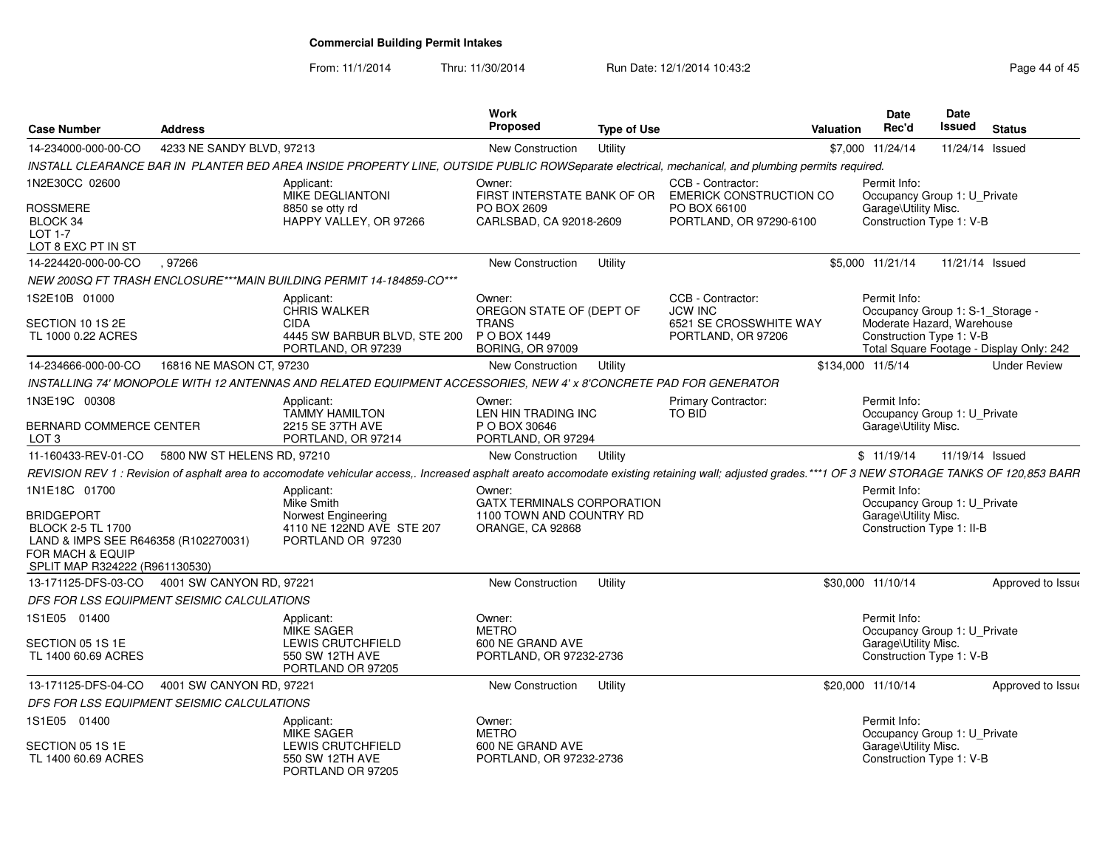From: 11/1/2014

Thru: 11/30/2014 Run Date: 12/1/2014 10:43:2<br>
Page 44 of 45

| <b>Case Number</b>                                                                                                                          | <b>Address</b>              |                                                                                                                                                                                                    | Work<br><b>Proposed</b>                                                           | <b>Type of Use</b> |                                                     | Valuation         | Date<br>Rec'd                                                                     | Date<br>Issued  | <b>Status</b>                            |
|---------------------------------------------------------------------------------------------------------------------------------------------|-----------------------------|----------------------------------------------------------------------------------------------------------------------------------------------------------------------------------------------------|-----------------------------------------------------------------------------------|--------------------|-----------------------------------------------------|-------------------|-----------------------------------------------------------------------------------|-----------------|------------------------------------------|
| 14-234000-000-00-CO                                                                                                                         | 4233 NE SANDY BLVD, 97213   |                                                                                                                                                                                                    | New Construction                                                                  | Utility            |                                                     |                   | \$7,000 11/24/14                                                                  | 11/24/14 Issued |                                          |
|                                                                                                                                             |                             | INSTALL CLEARANCE BAR IN PLANTER BED AREA INSIDE PROPERTY LINE, OUTSIDE PUBLIC ROWSeparate electrical, mechanical, and plumbing permits required.                                                  |                                                                                   |                    |                                                     |                   |                                                                                   |                 |                                          |
| 1N2E30CC 02600                                                                                                                              |                             | Applicant:<br><b>MIKE DEGLIANTONI</b>                                                                                                                                                              | Owner:<br>FIRST INTERSTATE BANK OF OR                                             |                    | CCB - Contractor:<br><b>EMERICK CONSTRUCTION CO</b> |                   | Permit Info:<br>Occupancy Group 1: U Private                                      |                 |                                          |
| ROSSMERE<br>BLOCK 34<br><b>LOT 1-7</b><br>LOT 8 EXC PT IN ST                                                                                |                             | 8850 se otty rd<br>HAPPY VALLEY, OR 97266                                                                                                                                                          | PO BOX 2609<br>CARLSBAD, CA 92018-2609                                            |                    | PO BOX 66100<br>PORTLAND, OR 97290-6100             |                   | Garage\Utility Misc.<br>Construction Type 1: V-B                                  |                 |                                          |
| 14-224420-000-00-CO                                                                                                                         | , 97266                     |                                                                                                                                                                                                    | New Construction                                                                  | Utility            |                                                     |                   | \$5,000 11/21/14                                                                  | 11/21/14 Issued |                                          |
|                                                                                                                                             |                             | NEW 200SQ FT TRASH ENCLOSURE***MAIN BUILDING PERMIT 14-184859-CO***                                                                                                                                |                                                                                   |                    |                                                     |                   |                                                                                   |                 |                                          |
| 1S2E10B 01000                                                                                                                               |                             | Applicant:<br><b>CHRIS WALKER</b>                                                                                                                                                                  | Owner:<br>OREGON STATE OF (DEPT OF                                                |                    | CCB - Contractor:<br><b>JCW INC</b>                 |                   | Permit Info:<br>Occupancy Group 1: S-1_Storage -                                  |                 |                                          |
| SECTION 10 1S 2E<br>TL 1000 0.22 ACRES                                                                                                      |                             | <b>CIDA</b><br>4445 SW BARBUR BLVD, STE 200                                                                                                                                                        | <b>TRANS</b><br>P O BOX 1449                                                      |                    | 6521 SE CROSSWHITE WAY<br>PORTLAND, OR 97206        |                   | Moderate Hazard, Warehouse<br>Construction Type 1: V-B                            |                 |                                          |
|                                                                                                                                             |                             | PORTLAND, OR 97239                                                                                                                                                                                 | <b>BORING, OR 97009</b>                                                           |                    |                                                     |                   |                                                                                   |                 | Total Square Footage - Display Only: 242 |
| 14-234666-000-00-CO                                                                                                                         | 16816 NE MASON CT, 97230    |                                                                                                                                                                                                    | <b>New Construction</b>                                                           | Utility            |                                                     | \$134,000 11/5/14 |                                                                                   |                 | <b>Under Review</b>                      |
|                                                                                                                                             |                             | INSTALLING 74' MONOPOLE WITH 12 ANTENNAS AND RELATED EQUIPMENT ACCESSORIES, NEW 4' x 8'CONCRETE PAD FOR GENERATOR                                                                                  |                                                                                   |                    |                                                     |                   |                                                                                   |                 |                                          |
| 1N3E19C 00308                                                                                                                               |                             | Applicant:<br>TAMMY HAMILTON                                                                                                                                                                       | Owner:<br>LEN HIN TRADING INC                                                     |                    | <b>Primary Contractor:</b><br>TO BID                |                   | Permit Info:<br>Occupancy Group 1: U_Private                                      |                 |                                          |
| BERNARD COMMERCE CENTER<br>LOT 3                                                                                                            |                             | 2215 SE 37TH AVE<br>PORTLAND, OR 97214                                                                                                                                                             | P O BOX 30646<br>PORTLAND, OR 97294                                               |                    |                                                     |                   | Garage\Utility Misc.                                                              |                 |                                          |
| 11-160433-REV-01-CO                                                                                                                         | 5800 NW ST HELENS RD, 97210 |                                                                                                                                                                                                    | New Construction                                                                  | Utility            |                                                     |                   | \$11/19/14                                                                        | 11/19/14 Issued |                                          |
|                                                                                                                                             |                             | REVISION REV 1: Revision of asphalt area to accomodate vehicular access,. Increased asphalt areato accomodate existing retaining wall; adjusted grades.***1 OF 3 NEW STORAGE TANKS OF 120,853 BARR |                                                                                   |                    |                                                     |                   |                                                                                   |                 |                                          |
| 1N1E18C 01700                                                                                                                               |                             | Applicant:                                                                                                                                                                                         | Owner:                                                                            |                    |                                                     |                   | Permit Info:                                                                      |                 |                                          |
| <b>BRIDGEPORT</b><br><b>BLOCK 2-5 TL 1700</b><br>LAND & IMPS SEE R646358 (R102270031)<br>FOR MACH & EQUIP<br>SPLIT MAP R324222 (R961130530) |                             | Mike Smith<br>Norwest Engineering<br>4110 NE 122ND AVE STE 207<br>PORTLAND OR 97230                                                                                                                | <b>GATX TERMINALS CORPORATION</b><br>1100 TOWN AND COUNTRY RD<br>ORANGE, CA 92868 |                    |                                                     |                   | Occupancy Group 1: U_Private<br>Garage\Utility Misc.<br>Construction Type 1: II-B |                 |                                          |
| 13-171125-DFS-03-CO 4001 SW CANYON RD, 97221                                                                                                |                             |                                                                                                                                                                                                    | New Construction                                                                  | Utility            |                                                     |                   | \$30.000 11/10/14                                                                 |                 | Approved to Issue                        |
| DFS FOR LSS EQUIPMENT SEISMIC CALCULATIONS                                                                                                  |                             |                                                                                                                                                                                                    |                                                                                   |                    |                                                     |                   |                                                                                   |                 |                                          |
| 1S1E05 01400                                                                                                                                |                             | Applicant:<br><b>MIKE SAGER</b>                                                                                                                                                                    | Owner:<br><b>METRO</b>                                                            |                    |                                                     |                   | Permit Info:<br>Occupancy Group 1: U_Private                                      |                 |                                          |
| SECTION 05 1S 1E<br>TL 1400 60.69 ACRES                                                                                                     |                             | LEWIS CRUTCHFIELD<br>550 SW 12TH AVE<br>PORTLAND OR 97205                                                                                                                                          | 600 NE GRAND AVE<br>PORTLAND, OR 97232-2736                                       |                    |                                                     |                   | Garage\Utility Misc.<br>Construction Type 1: V-B                                  |                 |                                          |
| 13-171125-DFS-04-CO                                                                                                                         | 4001 SW CANYON RD, 97221    |                                                                                                                                                                                                    | New Construction                                                                  | Utility            |                                                     |                   | \$20,000 11/10/14                                                                 |                 | Approved to Issue                        |
| DFS FOR LSS EQUIPMENT SEISMIC CALCULATIONS                                                                                                  |                             |                                                                                                                                                                                                    |                                                                                   |                    |                                                     |                   |                                                                                   |                 |                                          |
| 1S1E05 01400                                                                                                                                |                             | Applicant:<br><b>MIKE SAGER</b>                                                                                                                                                                    | Owner:<br><b>METRO</b>                                                            |                    |                                                     |                   | Permit Info:<br>Occupancy Group 1: U_Private                                      |                 |                                          |
| SECTION 05 1S 1E<br>TL 1400 60.69 ACRES                                                                                                     |                             | LEWIS CRUTCHFIELD<br>550 SW 12TH AVE<br>PORTLAND OR 97205                                                                                                                                          | 600 NE GRAND AVE<br>PORTLAND, OR 97232-2736                                       |                    |                                                     |                   | Garage\Utility Misc.<br>Construction Type 1: V-B                                  |                 |                                          |